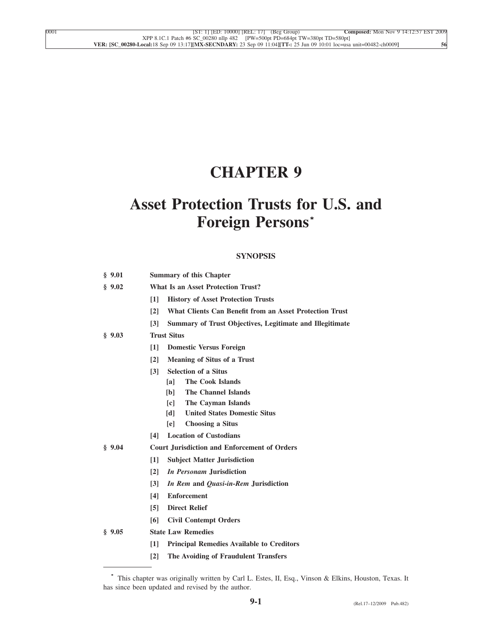# **CHAPTER 9**

# **Asset Protection Trusts for U.S. and Foreign Persons\***

# **SYNOPSIS**

| \$9.01 | <b>Summary of this Chapter</b>                                                       |  |  |  |
|--------|--------------------------------------------------------------------------------------|--|--|--|
| \$9.02 | <b>What Is an Asset Protection Trust?</b>                                            |  |  |  |
|        | $\lceil 1 \rceil$<br><b>History of Asset Protection Trusts</b>                       |  |  |  |
|        | What Clients Can Benefit from an Asset Protection Trust<br>$\lceil 2 \rceil$         |  |  |  |
|        | $\lceil 3 \rceil$<br><b>Summary of Trust Objectives, Legitimate and Illegitimate</b> |  |  |  |
| § 9.03 | <b>Trust Situs</b>                                                                   |  |  |  |
|        | $\lceil 1 \rceil$<br><b>Domestic Versus Foreign</b>                                  |  |  |  |
|        | <b>Meaning of Situs of a Trust</b><br>$\lceil 2 \rceil$                              |  |  |  |
|        | <b>Selection of a Situs</b><br>$\overline{131}$                                      |  |  |  |
|        | <b>The Cook Islands</b><br>[a]                                                       |  |  |  |
|        | The Channel Islands<br>[b]                                                           |  |  |  |
|        | The Cayman Islands<br>$\lceil c \rceil$                                              |  |  |  |
|        | <b>United States Domestic Situs</b><br>[d]                                           |  |  |  |
|        | <b>Choosing a Situs</b><br>[e]                                                       |  |  |  |
|        | <b>Location of Custodians</b><br>[4]                                                 |  |  |  |
| \$9.04 | <b>Court Jurisdiction and Enforcement of Orders</b>                                  |  |  |  |
|        | $\lceil 1 \rceil$<br><b>Subject Matter Jurisdiction</b>                              |  |  |  |
|        | $\lceil 2 \rceil$<br><i>In Personam</i> Jurisdiction                                 |  |  |  |
|        | $\lceil 3 \rceil$<br>In Rem and Quasi-in-Rem Jurisdiction                            |  |  |  |
|        | <b>Enforcement</b><br>[4]                                                            |  |  |  |
|        | <b>Direct Relief</b><br>$\sqrt{5}$                                                   |  |  |  |
|        | <b>Civil Contempt Orders</b><br>[6]                                                  |  |  |  |
| \$9.05 | <b>State Law Remedies</b>                                                            |  |  |  |
|        | <b>Principal Remedies Available to Creditors</b><br>$\lceil 1 \rceil$                |  |  |  |
|        | The Avoiding of Fraudulent Transfers<br>$\lceil 2 \rceil$                            |  |  |  |
|        |                                                                                      |  |  |  |

**<sup>\*</sup>** This chapter was originally written by Carl L. Estes, II, Esq., Vinson & Elkins, Houston, Texas. It has since been updated and revised by the author.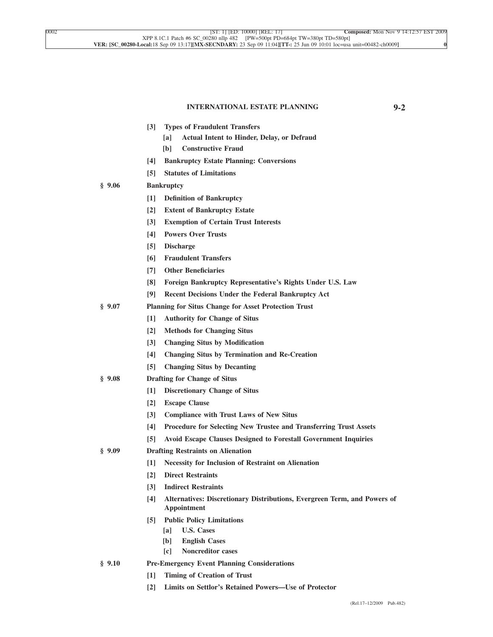#### **INTERNATIONAL ESTATE PLANNING 9-2**

| $[3]$ |  |  | <b>Types of Fraudulent Transfers</b> |  |
|-------|--|--|--------------------------------------|--|
|-------|--|--|--------------------------------------|--|

- **[a] Actual Intent to Hinder, Delay, or Defraud**
- **[b] Constructive Fraud**
- **[4] Bankruptcy Estate Planning: Conversions**
- **[5] Statutes of Limitations**
- **§ 9.06 Bankruptcy**
	- **[1] Definition of Bankruptcy**
	- **[2] Extent of Bankruptcy Estate**
	- **[3] Exemption of Certain Trust Interests**
	- **[4] Powers Over Trusts**
	- **[5] Discharge**
	- **[6] Fraudulent Transfers**
	- **[7] Other Beneficiaries**
	- **[8] Foreign Bankruptcy Representative's Rights Under U.S. Law**
	- **[9] Recent Decisions Under the Federal Bankruptcy Act**
- **§ 9.07 Planning for Situs Change for Asset Protection Trust**
	- **[1] Authority for Change of Situs**
	- **[2] Methods for Changing Situs**
	- **[3] Changing Situs by Modification**
	- **[4] Changing Situs by Termination and Re-Creation**
	- **[5] Changing Situs by Decanting**
- **§ 9.08 Drafting for Change of Situs**
	- **[1] Discretionary Change of Situs**
	- **[2] Escape Clause**
	- **[3] Compliance with Trust Laws of New Situs**
	- **[4] Procedure for Selecting New Trustee and Transferring Trust Assets**
	- **[5] Avoid Escape Clauses Designed to Forestall Government Inquiries**
- **§ 9.09 Drafting Restraints on Alienation**
	- **[1] Necessity for Inclusion of Restraint on Alienation**
	- **[2] Direct Restraints**
		- **[3] Indirect Restraints**
		- **[4] Alternatives: Discretionary Distributions, Evergreen Term, and Powers of Appointment**
		- **[5] Public Policy Limitations**
			- **[a] U.S. Cases**
			- **[b] English Cases**
			- **[c] Noncreditor cases**
- **§ 9.10 Pre-Emergency Event Planning Considerations**
	- **[1] Timing of Creation of Trust**
	- **[2] Limits on Settlor's Retained Powers—Use of Protector**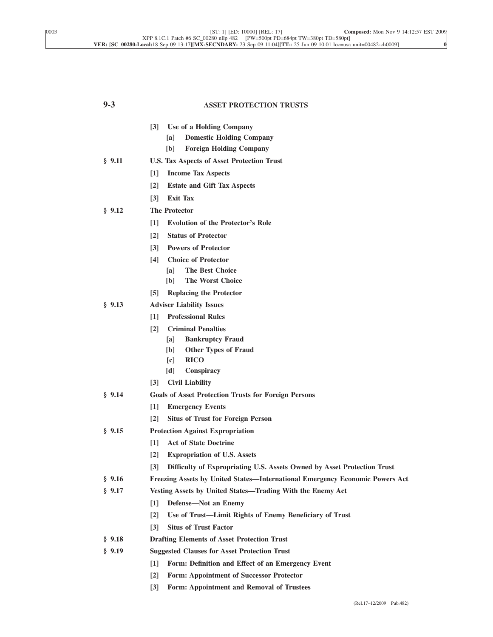| $9 - 3$ | <b>ASSET PROTECTION TRUSTS</b>                                                               |  |  |  |  |
|---------|----------------------------------------------------------------------------------------------|--|--|--|--|
|         | Use of a Holding Company<br>$\lceil 3 \rceil$                                                |  |  |  |  |
|         | <b>Domestic Holding Company</b><br>[a]                                                       |  |  |  |  |
|         | <b>Foreign Holding Company</b><br>[b]                                                        |  |  |  |  |
| § 9.11  | U.S. Tax Aspects of Asset Protection Trust                                                   |  |  |  |  |
|         | $\lceil 1 \rceil$<br><b>Income Tax Aspects</b>                                               |  |  |  |  |
|         | $\lceil 2 \rceil$<br><b>Estate and Gift Tax Aspects</b>                                      |  |  |  |  |
|         | <b>Exit Tax</b><br>$\lceil 3 \rceil$                                                         |  |  |  |  |
| § 9.12  | <b>The Protector</b>                                                                         |  |  |  |  |
|         | $\lceil 1 \rceil$<br><b>Evolution of the Protector's Role</b>                                |  |  |  |  |
|         | <b>Status of Protector</b><br>$\lceil 2 \rceil$                                              |  |  |  |  |
|         | <b>Powers of Protector</b><br>$\lceil 3 \rceil$                                              |  |  |  |  |
|         | <b>Choice of Protector</b><br>[4]<br><b>The Best Choice</b>                                  |  |  |  |  |
|         | [a]<br><b>The Worst Choice</b><br>[b]                                                        |  |  |  |  |
|         | <b>Replacing the Protector</b><br>$\lceil 5 \rceil$                                          |  |  |  |  |
| § 9.13  | <b>Adviser Liability Issues</b>                                                              |  |  |  |  |
|         | <b>Professional Rules</b><br>$\lceil 1 \rceil$                                               |  |  |  |  |
|         | <b>Criminal Penalties</b><br>$\lceil 2 \rceil$                                               |  |  |  |  |
|         | <b>Bankruptcy Fraud</b><br>[a]                                                               |  |  |  |  |
|         | <b>Other Types of Fraud</b><br>[b]                                                           |  |  |  |  |
|         | <b>RICO</b><br>$\lceil c \rceil$                                                             |  |  |  |  |
|         | [d]<br>Conspiracy                                                                            |  |  |  |  |
|         | <b>Civil Liability</b><br>$\lceil 3 \rceil$                                                  |  |  |  |  |
| § 9.14  | <b>Goals of Asset Protection Trusts for Foreign Persons</b>                                  |  |  |  |  |
|         | $\lceil 1 \rceil$<br><b>Emergency Events</b>                                                 |  |  |  |  |
|         | $\lceil 2 \rceil$<br><b>Situs of Trust for Foreign Person</b>                                |  |  |  |  |
| § 9.15  | <b>Protection Against Expropriation</b>                                                      |  |  |  |  |
|         | <b>Act of State Doctrine</b><br>$[1]$                                                        |  |  |  |  |
|         | $\lceil 2 \rceil$<br><b>Expropriation of U.S. Assets</b>                                     |  |  |  |  |
|         | Difficulty of Expropriating U.S. Assets Owned by Asset Protection Trust<br>$\lceil 3 \rceil$ |  |  |  |  |
| § 9.16  | <b>Freezing Assets by United States—International Emergency Economic Powers Act</b>          |  |  |  |  |
| \$9.17  | Vesting Assets by United States—Trading With the Enemy Act                                   |  |  |  |  |
|         | $\lceil 1 \rceil$<br>Defense-Not an Enemy                                                    |  |  |  |  |
|         | $\lceil 2 \rceil$<br>Use of Trust—Limit Rights of Enemy Beneficiary of Trust                 |  |  |  |  |
|         | <b>Situs of Trust Factor</b><br>$\lceil 3 \rceil$                                            |  |  |  |  |
| \$9.18  | <b>Drafting Elements of Asset Protection Trust</b>                                           |  |  |  |  |
| § 9.19  | <b>Suggested Clauses for Asset Protection Trust</b>                                          |  |  |  |  |
|         | Form: Definition and Effect of an Emergency Event<br>$[1]$                                   |  |  |  |  |
|         | $[2]$<br><b>Form: Appointment of Successor Protector</b>                                     |  |  |  |  |

**[3] Form: Appointment and Removal of Trustees**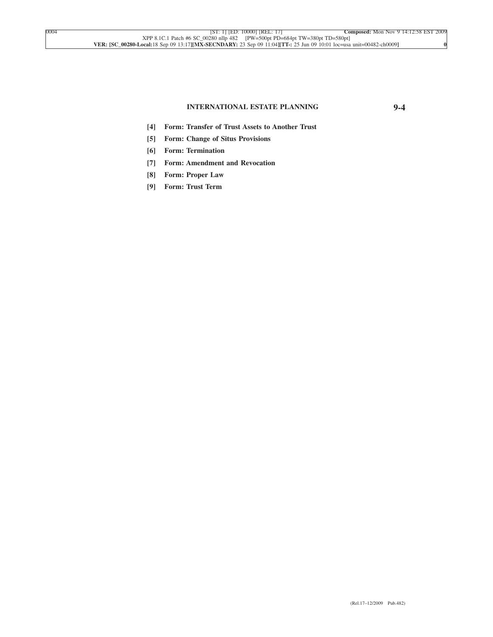#### **INTERNATIONAL ESTATE PLANNING 9-4**

- **[4] Form: Transfer of Trust Assets to Another Trust**
- **[5] Form: Change of Situs Provisions**
- **[6] Form: Termination**
- **[7] Form: Amendment and Revocation**
- **[8] Form: Proper Law**
- **[9] Form: Trust Term**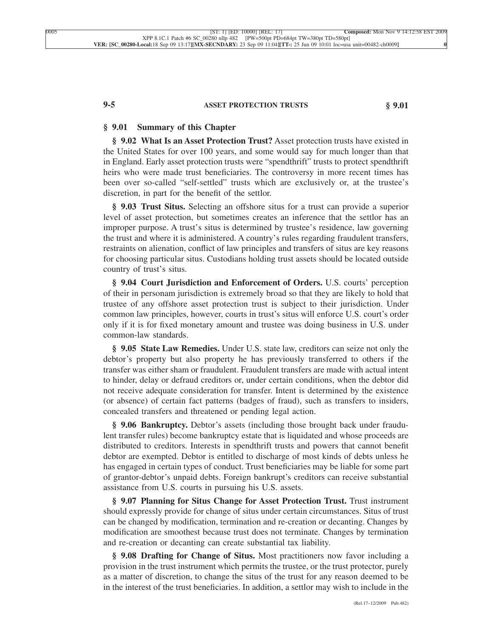#### **9-5 ASSET PROTECTION TRUSTS § 9.01**

#### **§ 9.01 Summary of this Chapter**

**§ 9.02 What Is an Asset Protection Trust?** Asset protection trusts have existed in the United States for over 100 years, and some would say for much longer than that in England. Early asset protection trusts were "spendthrift" trusts to protect spendthrift heirs who were made trust beneficiaries. The controversy in more recent times has been over so-called "self-settled" trusts which are exclusively or, at the trustee's discretion, in part for the benefit of the settlor.

**§ 9.03 Trust Situs.** Selecting an offshore situs for a trust can provide a superior level of asset protection, but sometimes creates an inference that the settlor has an improper purpose. A trust's situs is determined by trustee's residence, law governing the trust and where it is administered. A country's rules regarding fraudulent transfers, restraints on alienation, conflict of law principles and transfers of situs are key reasons for choosing particular situs. Custodians holding trust assets should be located outside country of trust's situs.

**§ 9.04 Court Jurisdiction and Enforcement of Orders.** U.S. courts' perception of their in personam jurisdiction is extremely broad so that they are likely to hold that trustee of any offshore asset protection trust is subject to their jurisdiction. Under common law principles, however, courts in trust's situs will enforce U.S. court's order only if it is for fixed monetary amount and trustee was doing business in U.S. under common-law standards.

**§ 9.05 State Law Remedies.** Under U.S. state law, creditors can seize not only the debtor's property but also property he has previously transferred to others if the transfer was either sham or fraudulent. Fraudulent transfers are made with actual intent to hinder, delay or defraud creditors or, under certain conditions, when the debtor did not receive adequate consideration for transfer. Intent is determined by the existence (or absence) of certain fact patterns (badges of fraud), such as transfers to insiders, concealed transfers and threatened or pending legal action.

**§ 9.06 Bankruptcy.** Debtor's assets (including those brought back under fraudulent transfer rules) become bankruptcy estate that is liquidated and whose proceeds are distributed to creditors. Interests in spendthrift trusts and powers that cannot benefit debtor are exempted. Debtor is entitled to discharge of most kinds of debts unless he has engaged in certain types of conduct. Trust beneficiaries may be liable for some part of grantor-debtor's unpaid debts. Foreign bankrupt's creditors can receive substantial assistance from U.S. courts in pursuing his U.S. assets.

**§ 9.07 Planning for Situs Change for Asset Protection Trust.** Trust instrument should expressly provide for change of situs under certain circumstances. Situs of trust can be changed by modification, termination and re-creation or decanting. Changes by modification are smoothest because trust does not terminate. Changes by termination and re-creation or decanting can create substantial tax liability.

**§ 9.08 Drafting for Change of Situs.** Most practitioners now favor including a provision in the trust instrument which permits the trustee, or the trust protector, purely as a matter of discretion, to change the situs of the trust for any reason deemed to be in the interest of the trust beneficiaries. In addition, a settlor may wish to include in the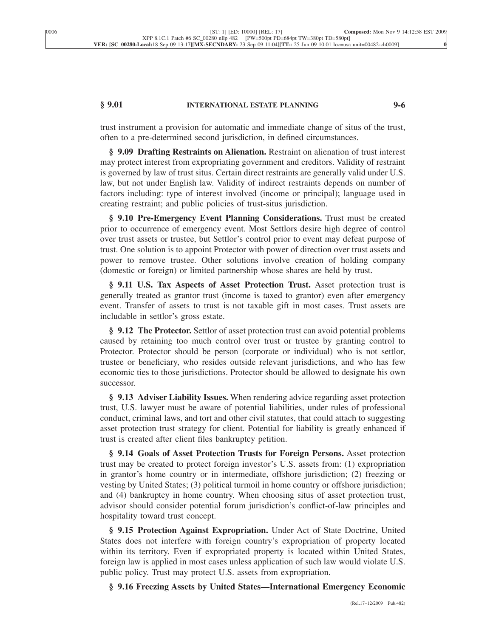# **§ 9.01 INTERNATIONAL ESTATE PLANNING 9-6**

trust instrument a provision for automatic and immediate change of situs of the trust, often to a pre-determined second jurisdiction, in defined circumstances.

**§ 9.09 Drafting Restraints on Alienation.** Restraint on alienation of trust interest may protect interest from expropriating government and creditors. Validity of restraint is governed by law of trust situs. Certain direct restraints are generally valid under U.S. law, but not under English law. Validity of indirect restraints depends on number of factors including: type of interest involved (income or principal); language used in creating restraint; and public policies of trust-situs jurisdiction.

**§ 9.10 Pre-Emergency Event Planning Considerations.** Trust must be created prior to occurrence of emergency event. Most Settlors desire high degree of control over trust assets or trustee, but Settlor's control prior to event may defeat purpose of trust. One solution is to appoint Protector with power of direction over trust assets and power to remove trustee. Other solutions involve creation of holding company (domestic or foreign) or limited partnership whose shares are held by trust.

**§ 9.11 U.S. Tax Aspects of Asset Protection Trust.** Asset protection trust is generally treated as grantor trust (income is taxed to grantor) even after emergency event. Transfer of assets to trust is not taxable gift in most cases. Trust assets are includable in settlor's gross estate.

**§ 9.12 The Protector.** Settlor of asset protection trust can avoid potential problems caused by retaining too much control over trust or trustee by granting control to Protector. Protector should be person (corporate or individual) who is not settlor, trustee or beneficiary, who resides outside relevant jurisdictions, and who has few economic ties to those jurisdictions. Protector should be allowed to designate his own successor.

**§ 9.13 Adviser Liability Issues.** When rendering advice regarding asset protection trust, U.S. lawyer must be aware of potential liabilities, under rules of professional conduct, criminal laws, and tort and other civil statutes, that could attach to suggesting asset protection trust strategy for client. Potential for liability is greatly enhanced if trust is created after client files bankruptcy petition.

**§ 9.14 Goals of Asset Protection Trusts for Foreign Persons.** Asset protection trust may be created to protect foreign investor's U.S. assets from: (1) expropriation in grantor's home country or in intermediate, offshore jurisdiction; (2) freezing or vesting by United States; (3) political turmoil in home country or offshore jurisdiction; and (4) bankruptcy in home country. When choosing situs of asset protection trust, advisor should consider potential forum jurisdiction's conflict-of-law principles and hospitality toward trust concept.

**§ 9.15 Protection Against Expropriation.** Under Act of State Doctrine, United States does not interfere with foreign country's expropriation of property located within its territory. Even if expropriated property is located within United States, foreign law is applied in most cases unless application of such law would violate U.S. public policy. Trust may protect U.S. assets from expropriation.

**§ 9.16 Freezing Assets by United States—International Emergency Economic**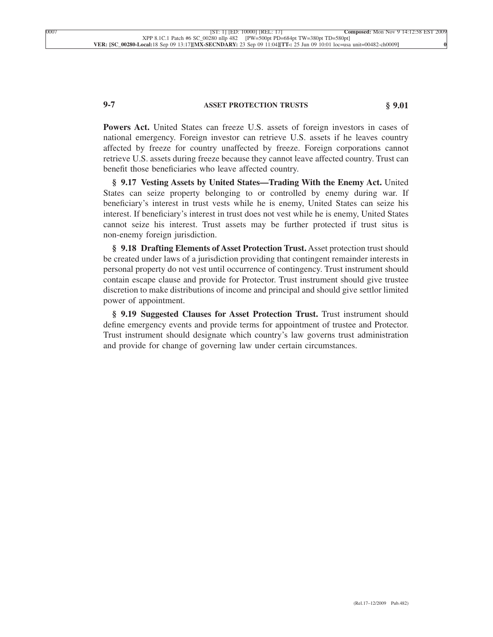# **9-7 ASSET PROTECTION TRUSTS § 9.01**

**Powers Act.** United States can freeze U.S. assets of foreign investors in cases of national emergency. Foreign investor can retrieve U.S. assets if he leaves country affected by freeze for country unaffected by freeze. Foreign corporations cannot retrieve U.S. assets during freeze because they cannot leave affected country. Trust can benefit those beneficiaries who leave affected country.

**§ 9.17 Vesting Assets by United States—Trading With the Enemy Act.** United States can seize property belonging to or controlled by enemy during war. If beneficiary's interest in trust vests while he is enemy, United States can seize his interest. If beneficiary's interest in trust does not vest while he is enemy, United States cannot seize his interest. Trust assets may be further protected if trust situs is non-enemy foreign jurisdiction.

**§ 9.18 Drafting Elements of Asset Protection Trust.** Asset protection trust should be created under laws of a jurisdiction providing that contingent remainder interests in personal property do not vest until occurrence of contingency. Trust instrument should contain escape clause and provide for Protector. Trust instrument should give trustee discretion to make distributions of income and principal and should give settlor limited power of appointment.

**§ 9.19 Suggested Clauses for Asset Protection Trust.** Trust instrument should define emergency events and provide terms for appointment of trustee and Protector. Trust instrument should designate which country's law governs trust administration and provide for change of governing law under certain circumstances.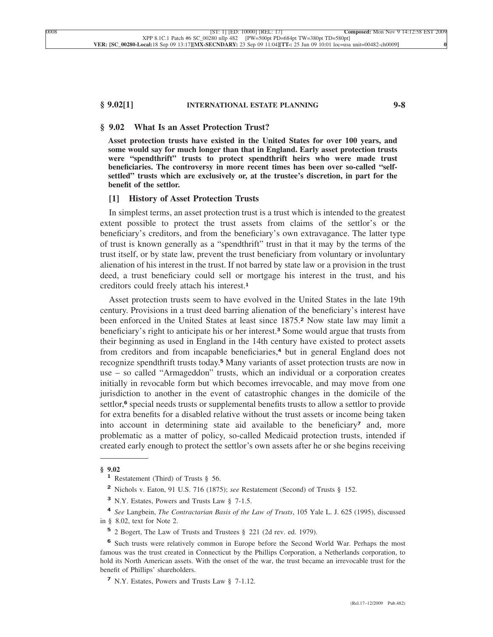#### **§ 9.02[1] INTERNATIONAL ESTATE PLANNING 9-8**

#### **§ 9.02 What Is an Asset Protection Trust?**

**Asset protection trusts have existed in the United States for over 100 years, and some would say for much longer than that in England. Early asset protection trusts were "spendthrift" trusts to protect spendthrift heirs who were made trust beneficiaries. The controversy in more recent times has been over so-called "selfsettled" trusts which are exclusively or, at the trustee's discretion, in part for the benefit of the settlor.**

### **[1] History of Asset Protection Trusts**

In simplest terms, an asset protection trust is a trust which is intended to the greatest extent possible to protect the trust assets from claims of the settlor's or the beneficiary's creditors, and from the beneficiary's own extravagance. The latter type of trust is known generally as a "spendthrift" trust in that it may by the terms of the trust itself, or by state law, prevent the trust beneficiary from voluntary or involuntary alienation of his interest in the trust. If not barred by state law or a provision in the trust deed, a trust beneficiary could sell or mortgage his interest in the trust, and his creditors could freely attach his interest.**<sup>1</sup>**

Asset protection trusts seem to have evolved in the United States in the late 19th century. Provisions in a trust deed barring alienation of the beneficiary's interest have been enforced in the United States at least since 1875.**<sup>2</sup>** Now state law may limit a beneficiary's right to anticipate his or her interest.**<sup>3</sup>** Some would argue that trusts from their beginning as used in England in the 14th century have existed to protect assets from creditors and from incapable beneficiaries,**<sup>4</sup>** but in general England does not recognize spendthrift trusts today.**<sup>5</sup>** Many variants of asset protection trusts are now in use – so called "Armageddon" trusts, which an individual or a corporation creates initially in revocable form but which becomes irrevocable, and may move from one jurisdiction to another in the event of catastrophic changes in the domicile of the settlor,**<sup>6</sup>** special needs trusts or supplemental benefits trusts to allow a settlor to provide for extra benefits for a disabled relative without the trust assets or income being taken into account in determining state aid available to the beneficiary**<sup>7</sup>** and, more problematic as a matter of policy, so-called Medicaid protection trusts, intended if created early enough to protect the settlor's own assets after he or she begins receiving

- **<sup>2</sup>** Nichols v. Eaton, 91 U.S. 716 (1875); *see* Restatement (Second) of Trusts § 152.
- **<sup>3</sup>** N.Y. Estates, Powers and Trusts Law § 7-1.5.

**<sup>4</sup>** *See* Langbein, *The Contractarian Basis of the Law of Trusts*, 105 Yale L. J. 625 (1995), discussed in § 8.02, text for Note 2.

**<sup>5</sup>** 2 Bogert, The Law of Trusts and Trustees § 221 (2d rev. ed. 1979).

**<sup>§ 9.02</sup> <sup>1</sup>** Restatement (Third) of Trusts § 56.

**<sup>6</sup>** Such trusts were relatively common in Europe before the Second World War. Perhaps the most famous was the trust created in Connecticut by the Phillips Corporation, a Netherlands corporation, to hold its North American assets. With the onset of the war, the trust became an irrevocable trust for the benefit of Phillips' shareholders.

**<sup>7</sup>** N.Y. Estates, Powers and Trusts Law § 7-1.12.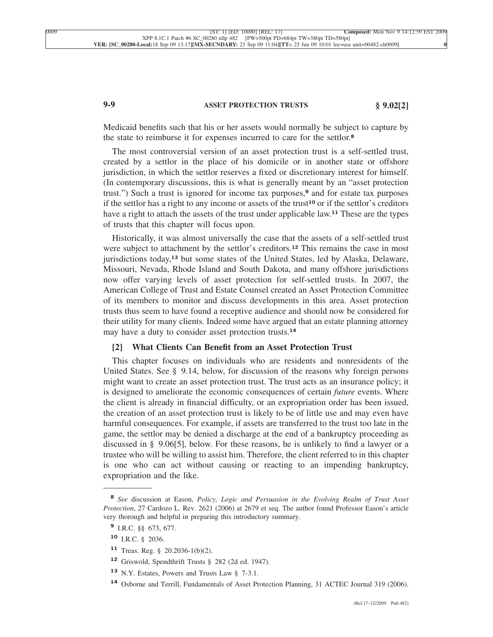# **9-9 ASSET PROTECTION TRUSTS § 9.02[2]**

Medicaid benefits such that his or her assets would normally be subject to capture by the state to reimburse it for expenses incurred to care for the settlor.**<sup>8</sup>**

The most controversial version of an asset protection trust is a self-settled trust, created by a settlor in the place of his domicile or in another state or offshore jurisdiction, in which the settlor reserves a fixed or discretionary interest for himself. (In contemporary discussions, this is what is generally meant by an "asset protection trust.") Such a trust is ignored for income tax purposes,**<sup>9</sup>** and for estate tax purposes if the settlor has a right to any income or assets of the trust**<sup>10</sup>** or if the settlor's creditors have a right to attach the assets of the trust under applicable law.**<sup>11</sup>** These are the types of trusts that this chapter will focus upon.

Historically, it was almost universally the case that the assets of a self-settled trust were subject to attachment by the settlor's creditors.**<sup>12</sup>** This remains the case in most jurisdictions today,**<sup>13</sup>** but some states of the United States, led by Alaska, Delaware, Missouri, Nevada, Rhode Island and South Dakota, and many offshore jurisdictions now offer varying levels of asset protection for self-settled trusts. In 2007, the American College of Trust and Estate Counsel created an Asset Protection Committee of its members to monitor and discuss developments in this area. Asset protection trusts thus seem to have found a receptive audience and should now be considered for their utility for many clients. Indeed some have argued that an estate planning attorney may have a duty to consider asset protection trusts.**<sup>14</sup>**

### **[2] What Clients Can Benefit from an Asset Protection Trust**

This chapter focuses on individuals who are residents and nonresidents of the United States. See § 9.14, below, for discussion of the reasons why foreign persons might want to create an asset protection trust. The trust acts as an insurance policy; it is designed to ameliorate the economic consequences of certain *future* events. Where the client is already in financial difficulty, or an expropriation order has been issued, the creation of an asset protection trust is likely to be of little use and may even have harmful consequences. For example, if assets are transferred to the trust too late in the game, the settlor may be denied a discharge at the end of a bankruptcy proceeding as discussed in § 9.06[5], below. For these reasons, he is unlikely to find a lawyer or a trustee who will be willing to assist him. Therefore, the client referred to in this chapter is one who can act without causing or reacting to an impending bankruptcy, expropriation and the like.

**<sup>8</sup>** *See* discussion at Eason, *Policy, Logic and Persuasion in the Evolving Realm of Trust Asset Protection*, 27 Cardozo L. Rev. 2621 (2006) at 2679 et seq. The author found Professor Eason's article very thorough and helpful in preparing this introductory summary.

**<sup>9</sup>** I.R.C. §§ 673, 677.

**<sup>10</sup>** I.R.C. § 2036.

**<sup>11</sup>** Treas. Reg. § 20.2036-1(b)(2).

**<sup>12</sup>** Griswold, Spendthrift Trusts § 282 (2d ed. 1947).

**<sup>13</sup>** N.Y. Estates, Powers and Trusts Law § 7-3.1.

**<sup>14</sup>** Osborne and Terrill, Fundamentals of Asset Protection Planning, 31 ACTEC Journal 319 (2006).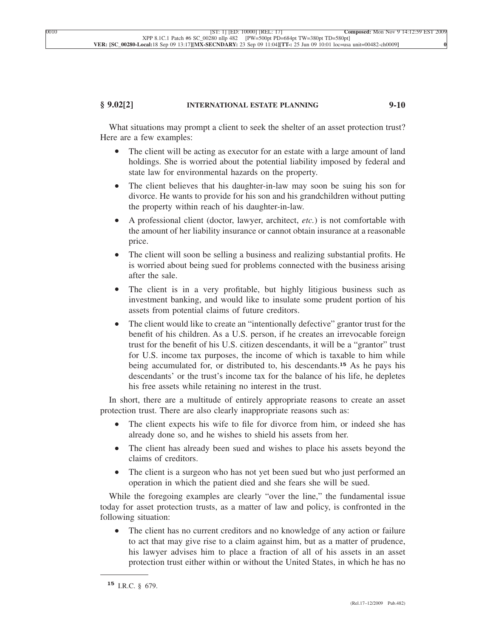#### **§ 9.02[2] INTERNATIONAL ESTATE PLANNING 9-10**

What situations may prompt a client to seek the shelter of an asset protection trust? Here are a few examples:

- The client will be acting as executor for an estate with a large amount of land holdings. She is worried about the potential liability imposed by federal and state law for environmental hazards on the property.
- The client believes that his daughter-in-law may soon be suing his son for divorce. He wants to provide for his son and his grandchildren without putting the property within reach of his daughter-in-law.
- A professional client (doctor, lawyer, architect, *etc.*) is not comfortable with the amount of her liability insurance or cannot obtain insurance at a reasonable price.
- The client will soon be selling a business and realizing substantial profits. He is worried about being sued for problems connected with the business arising after the sale.
- The client is in a very profitable, but highly litigious business such as investment banking, and would like to insulate some prudent portion of his assets from potential claims of future creditors.
- The client would like to create an "intentionally defective" grantor trust for the benefit of his children. As a U.S. person, if he creates an irrevocable foreign trust for the benefit of his U.S. citizen descendants, it will be a "grantor" trust for U.S. income tax purposes, the income of which is taxable to him while being accumulated for, or distributed to, his descendants.**<sup>15</sup>** As he pays his descendants' or the trust's income tax for the balance of his life, he depletes his free assets while retaining no interest in the trust.

In short, there are a multitude of entirely appropriate reasons to create an asset protection trust. There are also clearly inappropriate reasons such as:

- The client expects his wife to file for divorce from him, or indeed she has already done so, and he wishes to shield his assets from her.
- The client has already been sued and wishes to place his assets beyond the claims of creditors.
- The client is a surgeon who has not yet been sued but who just performed an operation in which the patient died and she fears she will be sued.

While the foregoing examples are clearly "over the line," the fundamental issue today for asset protection trusts, as a matter of law and policy, is confronted in the following situation:

• The client has no current creditors and no knowledge of any action or failure to act that may give rise to a claim against him, but as a matter of prudence, his lawyer advises him to place a fraction of all of his assets in an asset protection trust either within or without the United States, in which he has no

**<sup>15</sup>** I.R.C. § 679.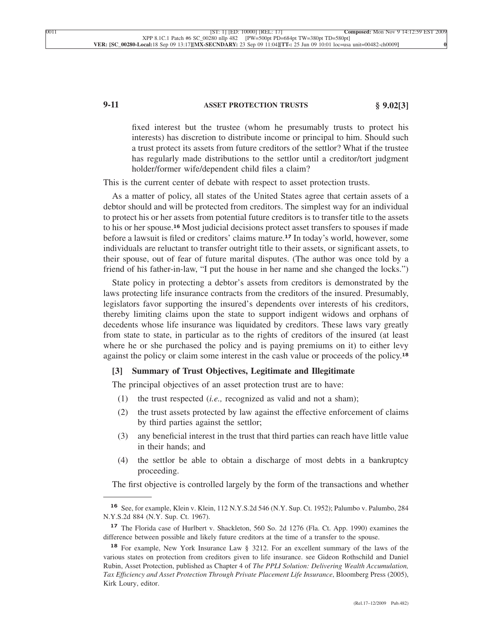# **9-11 ASSET PROTECTION TRUSTS § 9.02[3]**

fixed interest but the trustee (whom he presumably trusts to protect his interests) has discretion to distribute income or principal to him. Should such a trust protect its assets from future creditors of the settlor? What if the trustee has regularly made distributions to the settlor until a creditor/tort judgment holder/former wife/dependent child files a claim?

This is the current center of debate with respect to asset protection trusts.

As a matter of policy, all states of the United States agree that certain assets of a debtor should and will be protected from creditors. The simplest way for an individual to protect his or her assets from potential future creditors is to transfer title to the assets to his or her spouse.**<sup>16</sup>** Most judicial decisions protect asset transfers to spouses if made before a lawsuit is filed or creditors' claims mature.**<sup>17</sup>** In today's world, however, some individuals are reluctant to transfer outright title to their assets, or significant assets, to their spouse, out of fear of future marital disputes. (The author was once told by a friend of his father-in-law, "I put the house in her name and she changed the locks.")

State policy in protecting a debtor's assets from creditors is demonstrated by the laws protecting life insurance contracts from the creditors of the insured. Presumably, legislators favor supporting the insured's dependents over interests of his creditors, thereby limiting claims upon the state to support indigent widows and orphans of decedents whose life insurance was liquidated by creditors. These laws vary greatly from state to state, in particular as to the rights of creditors of the insured (at least where he or she purchased the policy and is paying premiums on it) to either levy against the policy or claim some interest in the cash value or proceeds of the policy.**<sup>18</sup>**

# **[3] Summary of Trust Objectives, Legitimate and Illegitimate**

The principal objectives of an asset protection trust are to have:

- (1) the trust respected (*i.e.,* recognized as valid and not a sham);
- (2) the trust assets protected by law against the effective enforcement of claims by third parties against the settlor;
- (3) any beneficial interest in the trust that third parties can reach have little value in their hands; and
- (4) the settlor be able to obtain a discharge of most debts in a bankruptcy proceeding.

The first objective is controlled largely by the form of the transactions and whether

**<sup>16</sup>** See, for example, Klein v. Klein, 112 N.Y.S.2d 546 (N.Y. Sup. Ct. 1952); Palumbo v. Palumbo, 284 N.Y.S.2d 884 (N.Y. Sup. Ct. 1967).

**<sup>17</sup>** The Florida case of Hurlbert v. Shackleton, 560 So. 2d 1276 (Fla. Ct. App. 1990) examines the difference between possible and likely future creditors at the time of a transfer to the spouse.

**<sup>18</sup>** For example, New York Insurance Law § 3212. For an excellent summary of the laws of the various states on protection from creditors given to life insurance. see Gideon Rothschild and Daniel Rubin, Asset Protection, published as Chapter 4 of *The PPLI Solution: Delivering Wealth Accumulation, Tax Effıciency and Asset Protection Through Private Placement Life Insurance*, Bloomberg Press (2005), Kirk Loury, editor.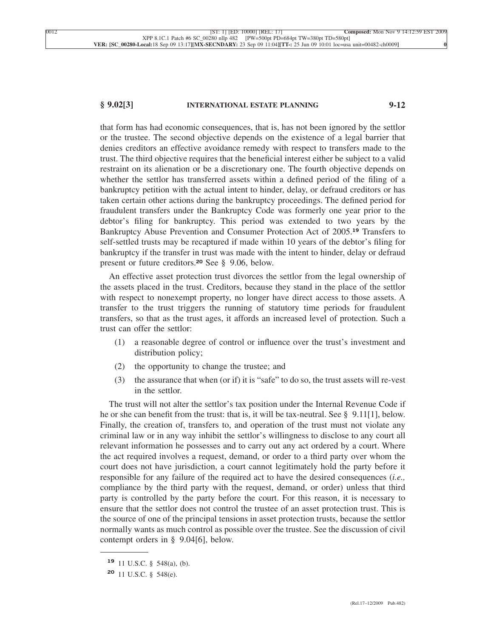#### **§ 9.02[3] INTERNATIONAL ESTATE PLANNING 9-12**

that form has had economic consequences, that is, has not been ignored by the settlor or the trustee. The second objective depends on the existence of a legal barrier that denies creditors an effective avoidance remedy with respect to transfers made to the trust. The third objective requires that the beneficial interest either be subject to a valid restraint on its alienation or be a discretionary one. The fourth objective depends on whether the settlor has transferred assets within a defined period of the filing of a bankruptcy petition with the actual intent to hinder, delay, or defraud creditors or has taken certain other actions during the bankruptcy proceedings. The defined period for fraudulent transfers under the Bankruptcy Code was formerly one year prior to the debtor's filing for bankruptcy. This period was extended to two years by the Bankruptcy Abuse Prevention and Consumer Protection Act of 2005.**<sup>19</sup>** Transfers to self-settled trusts may be recaptured if made within 10 years of the debtor's filing for bankruptcy if the transfer in trust was made with the intent to hinder, delay or defraud present or future creditors.**<sup>20</sup>** See § 9.06, below.

An effective asset protection trust divorces the settlor from the legal ownership of the assets placed in the trust. Creditors, because they stand in the place of the settlor with respect to nonexempt property, no longer have direct access to those assets. A transfer to the trust triggers the running of statutory time periods for fraudulent transfers, so that as the trust ages, it affords an increased level of protection. Such a trust can offer the settlor:

- (1) a reasonable degree of control or influence over the trust's investment and distribution policy;
- (2) the opportunity to change the trustee; and
- (3) the assurance that when (or if) it is "safe" to do so, the trust assets will re-vest in the settlor.

The trust will not alter the settlor's tax position under the Internal Revenue Code if he or she can benefit from the trust: that is, it will be tax-neutral. See § 9.11[1], below. Finally, the creation of, transfers to, and operation of the trust must not violate any criminal law or in any way inhibit the settlor's willingness to disclose to any court all relevant information he possesses and to carry out any act ordered by a court. Where the act required involves a request, demand, or order to a third party over whom the court does not have jurisdiction, a court cannot legitimately hold the party before it responsible for any failure of the required act to have the desired consequences (*i.e.,* compliance by the third party with the request, demand, or order) unless that third party is controlled by the party before the court. For this reason, it is necessary to ensure that the settlor does not control the trustee of an asset protection trust. This is the source of one of the principal tensions in asset protection trusts, because the settlor normally wants as much control as possible over the trustee. See the discussion of civil contempt orders in § 9.04[6], below.

**<sup>19</sup>** 11 U.S.C. § 548(a), (b).

**<sup>20</sup>** 11 U.S.C. § 548(e).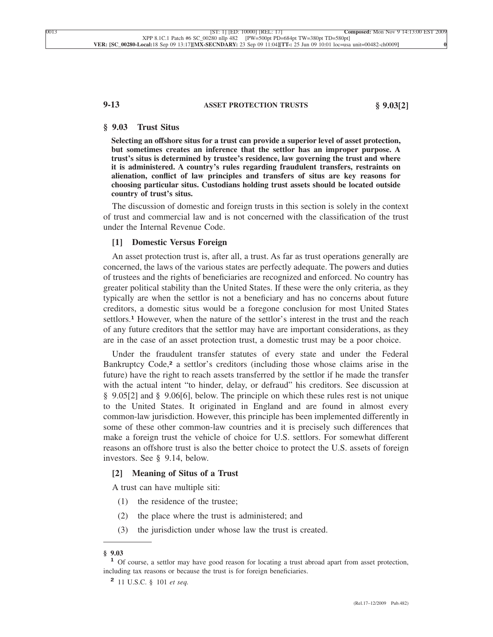#### **9-13 ASSET PROTECTION TRUSTS § 9.03[2]**

### **§ 9.03 Trust Situs**

**Selecting an offshore situs for a trust can provide a superior level of asset protection, but sometimes creates an inference that the settlor has an improper purpose. A trust's situs is determined by trustee's residence, law governing the trust and where it is administered. A country's rules regarding fraudulent transfers, restraints on alienation, conflict of law principles and transfers of situs are key reasons for choosing particular situs. Custodians holding trust assets should be located outside country of trust's situs.**

The discussion of domestic and foreign trusts in this section is solely in the context of trust and commercial law and is not concerned with the classification of the trust under the Internal Revenue Code.

### **[1] Domestic Versus Foreign**

An asset protection trust is, after all, a trust. As far as trust operations generally are concerned, the laws of the various states are perfectly adequate. The powers and duties of trustees and the rights of beneficiaries are recognized and enforced. No country has greater political stability than the United States. If these were the only criteria, as they typically are when the settlor is not a beneficiary and has no concerns about future creditors, a domestic situs would be a foregone conclusion for most United States settlors.**<sup>1</sup>** However, when the nature of the settlor's interest in the trust and the reach of any future creditors that the settlor may have are important considerations, as they are in the case of an asset protection trust, a domestic trust may be a poor choice.

Under the fraudulent transfer statutes of every state and under the Federal Bankruptcy Code,**<sup>2</sup>** a settlor's creditors (including those whose claims arise in the future) have the right to reach assets transferred by the settlor if he made the transfer with the actual intent "to hinder, delay, or defraud" his creditors. See discussion at § 9.05[2] and § 9.06[6], below. The principle on which these rules rest is not unique to the United States. It originated in England and are found in almost every common-law jurisdiction. However, this principle has been implemented differently in some of these other common-law countries and it is precisely such differences that make a foreign trust the vehicle of choice for U.S. settlors. For somewhat different reasons an offshore trust is also the better choice to protect the U.S. assets of foreign investors. See § 9.14, below.

#### **[2] Meaning of Situs of a Trust**

A trust can have multiple siti:

- (1) the residence of the trustee;
- (2) the place where the trust is administered; and
- (3) the jurisdiction under whose law the trust is created.

**<sup>§ 9.03</sup> <sup>1</sup>** Of course, a settlor may have good reason for locating a trust abroad apart from asset protection, including tax reasons or because the trust is for foreign beneficiaries.

**<sup>2</sup>** 11 U.S.C. § 101 *et seq.*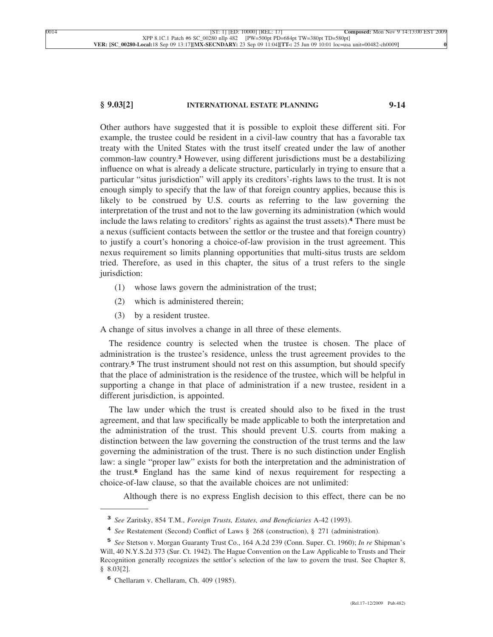#### **§ 9.03[2] INTERNATIONAL ESTATE PLANNING 9-14**

Other authors have suggested that it is possible to exploit these different siti. For example, the trustee could be resident in a civil-law country that has a favorable tax treaty with the United States with the trust itself created under the law of another common-law country.**<sup>3</sup>** However, using different jurisdictions must be a destabilizing influence on what is already a delicate structure, particularly in trying to ensure that a particular "situs jurisdiction" will apply its creditors'-rights laws to the trust. It is not enough simply to specify that the law of that foreign country applies, because this is likely to be construed by U.S. courts as referring to the law governing the interpretation of the trust and not to the law governing its administration (which would include the laws relating to creditors' rights as against the trust assets).**<sup>4</sup>** There must be a nexus (sufficient contacts between the settlor or the trustee and that foreign country) to justify a court's honoring a choice-of-law provision in the trust agreement. This nexus requirement so limits planning opportunities that multi-situs trusts are seldom tried. Therefore, as used in this chapter, the situs of a trust refers to the single jurisdiction:

- (1) whose laws govern the administration of the trust;
- (2) which is administered therein;
- (3) by a resident trustee.

A change of situs involves a change in all three of these elements.

The residence country is selected when the trustee is chosen. The place of administration is the trustee's residence, unless the trust agreement provides to the contrary.**<sup>5</sup>** The trust instrument should not rest on this assumption, but should specify that the place of administration is the residence of the trustee, which will be helpful in supporting a change in that place of administration if a new trustee, resident in a different jurisdiction, is appointed.

The law under which the trust is created should also to be fixed in the trust agreement, and that law specifically be made applicable to both the interpretation and the administration of the trust. This should prevent U.S. courts from making a distinction between the law governing the construction of the trust terms and the law governing the administration of the trust. There is no such distinction under English law: a single "proper law" exists for both the interpretation and the administration of the trust.**<sup>6</sup>** England has the same kind of nexus requirement for respecting a choice-of-law clause, so that the available choices are not unlimited:

Although there is no express English decision to this effect, there can be no

**<sup>3</sup>** *See* Zaritsky, 854 T.M., *Foreign Trusts, Estates, and Beneficiaries* A-42 (1993).

**<sup>4</sup>** *See* Restatement (Second) Conflict of Laws § 268 (construction), § 271 (administration).

**<sup>5</sup>** *See* Stetson v. Morgan Guaranty Trust Co., 164 A.2d 239 (Conn. Super. Ct. 1960); *In re* Shipman's Will, 40 N.Y.S.2d 373 (Sur. Ct. 1942). The Hague Convention on the Law Applicable to Trusts and Their Recognition generally recognizes the settlor's selection of the law to govern the trust. See Chapter 8, § 8.03[2].

**<sup>6</sup>** Chellaram v. Chellaram, Ch. 409 (1985).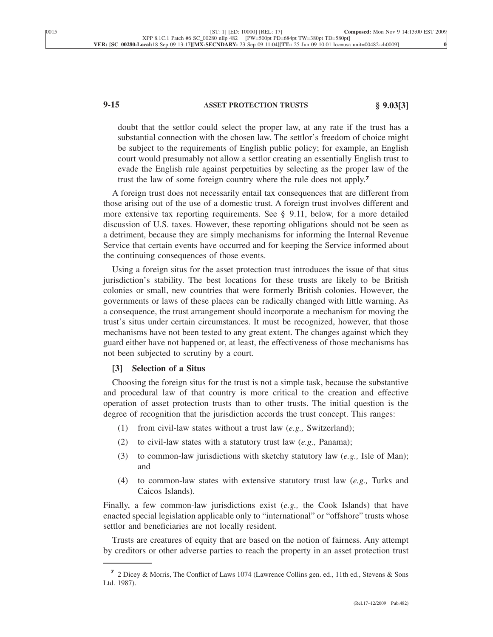# **9-15 ASSET PROTECTION TRUSTS § 9.03[3]**

doubt that the settlor could select the proper law, at any rate if the trust has a substantial connection with the chosen law. The settlor's freedom of choice might be subject to the requirements of English public policy; for example, an English court would presumably not allow a settlor creating an essentially English trust to evade the English rule against perpetuities by selecting as the proper law of the trust the law of some foreign country where the rule does not apply.**<sup>7</sup>**

A foreign trust does not necessarily entail tax consequences that are different from those arising out of the use of a domestic trust. A foreign trust involves different and more extensive tax reporting requirements. See § 9.11, below, for a more detailed discussion of U.S. taxes. However, these reporting obligations should not be seen as a detriment, because they are simply mechanisms for informing the Internal Revenue Service that certain events have occurred and for keeping the Service informed about the continuing consequences of those events.

Using a foreign situs for the asset protection trust introduces the issue of that situs jurisdiction's stability. The best locations for these trusts are likely to be British colonies or small, new countries that were formerly British colonies. However, the governments or laws of these places can be radically changed with little warning. As a consequence, the trust arrangement should incorporate a mechanism for moving the trust's situs under certain circumstances. It must be recognized, however, that those mechanisms have not been tested to any great extent. The changes against which they guard either have not happened or, at least, the effectiveness of those mechanisms has not been subjected to scrutiny by a court.

#### **[3] Selection of a Situs**

Choosing the foreign situs for the trust is not a simple task, because the substantive and procedural law of that country is more critical to the creation and effective operation of asset protection trusts than to other trusts. The initial question is the degree of recognition that the jurisdiction accords the trust concept. This ranges:

- (1) from civil-law states without a trust law (*e.g.,* Switzerland);
- (2) to civil-law states with a statutory trust law (*e.g.,* Panama);
- (3) to common-law jurisdictions with sketchy statutory law (*e.g.,* Isle of Man); and
- (4) to common-law states with extensive statutory trust law (*e.g.,* Turks and Caicos Islands).

Finally, a few common-law jurisdictions exist (*e.g.,* the Cook Islands) that have enacted special legislation applicable only to "international" or "offshore" trusts whose settlor and beneficiaries are not locally resident.

Trusts are creatures of equity that are based on the notion of fairness. Any attempt by creditors or other adverse parties to reach the property in an asset protection trust

**<sup>7</sup>** 2 Dicey & Morris, The Conflict of Laws 1074 (Lawrence Collins gen. ed., 11th ed., Stevens & Sons Ltd. 1987).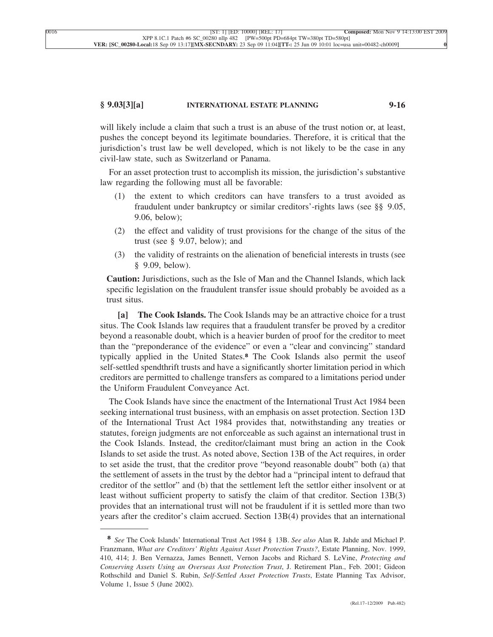#### **§ 9.03[3][a] INTERNATIONAL ESTATE PLANNING 9-16**

will likely include a claim that such a trust is an abuse of the trust notion or, at least, pushes the concept beyond its legitimate boundaries. Therefore, it is critical that the jurisdiction's trust law be well developed, which is not likely to be the case in any civil-law state, such as Switzerland or Panama.

For an asset protection trust to accomplish its mission, the jurisdiction's substantive law regarding the following must all be favorable:

- (1) the extent to which creditors can have transfers to a trust avoided as fraudulent under bankruptcy or similar creditors'-rights laws (see §§ 9.05, 9.06, below);
- (2) the effect and validity of trust provisions for the change of the situs of the trust (see § 9.07, below); and
- (3) the validity of restraints on the alienation of beneficial interests in trusts (see § 9.09, below).

**Caution:** Jurisdictions, such as the Isle of Man and the Channel Islands, which lack specific legislation on the fraudulent transfer issue should probably be avoided as a trust situs.

**[a] The Cook Islands.** The Cook Islands may be an attractive choice for a trust situs. The Cook Islands law requires that a fraudulent transfer be proved by a creditor beyond a reasonable doubt, which is a heavier burden of proof for the creditor to meet than the "preponderance of the evidence" or even a "clear and convincing" standard typically applied in the United States.**<sup>8</sup>** The Cook Islands also permit the useof self-settled spendthrift trusts and have a significantly shorter limitation period in which creditors are permitted to challenge transfers as compared to a limitations period under the Uniform Fraudulent Conveyance Act.

The Cook Islands have since the enactment of the International Trust Act 1984 been seeking international trust business, with an emphasis on asset protection. Section 13D of the International Trust Act 1984 provides that, notwithstanding any treaties or statutes, foreign judgments are not enforceable as such against an international trust in the Cook Islands. Instead, the creditor/claimant must bring an action in the Cook Islands to set aside the trust. As noted above, Section 13B of the Act requires, in order to set aside the trust, that the creditor prove "beyond reasonable doubt" both (a) that the settlement of assets in the trust by the debtor had a "principal intent to defraud that creditor of the settlor" and (b) that the settlement left the settlor either insolvent or at least without sufficient property to satisfy the claim of that creditor. Section 13B(3) provides that an international trust will not be fraudulent if it is settled more than two years after the creditor's claim accrued. Section 13B(4) provides that an international

**<sup>8</sup>** *See* The Cook Islands' International Trust Act 1984 § 13B. *See also* Alan R. Jahde and Michael P. Franzmann, *What are Creditors' Rights Against Asset Protection Trusts?*, Estate Planning, Nov. 1999, 410, 414; J. Ben Vernazza, James Bennett, Vernon Jacobs and Richard S. LeVine, *Protecting and Conserving Assets Using an Overseas Asst Protection Trust*, J. Retirement Plan., Feb. 2001; Gideon Rothschild and Daniel S. Rubin, *Self-Settled Asset Protection Trusts*, Estate Planning Tax Advisor, Volume 1, Issue 5 (June 2002).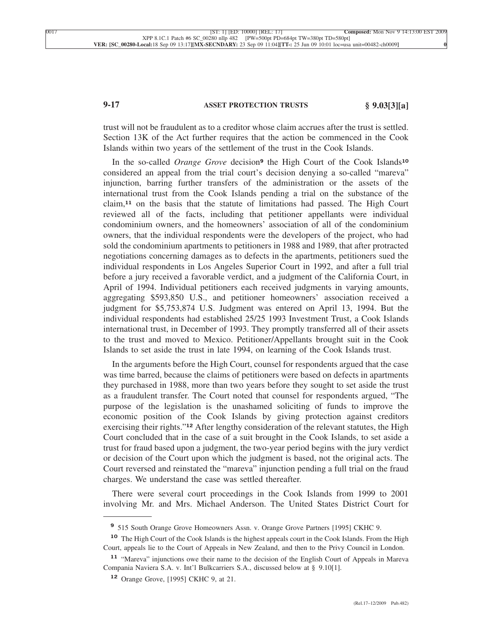# **9-17 ASSET PROTECTION TRUSTS § 9.03[3][a]**

trust will not be fraudulent as to a creditor whose claim accrues after the trust is settled. Section 13K of the Act further requires that the action be commenced in the Cook Islands within two years of the settlement of the trust in the Cook Islands.

In the so-called *Orange Grove* decision**<sup>9</sup>** the High Court of the Cook Islands**<sup>10</sup>** considered an appeal from the trial court's decision denying a so-called "mareva" injunction, barring further transfers of the administration or the assets of the international trust from the Cook Islands pending a trial on the substance of the claim,**<sup>11</sup>** on the basis that the statute of limitations had passed. The High Court reviewed all of the facts, including that petitioner appellants were individual condominium owners, and the homeowners' association of all of the condominium owners, that the individual respondents were the developers of the project, who had sold the condominium apartments to petitioners in 1988 and 1989, that after protracted negotiations concerning damages as to defects in the apartments, petitioners sued the individual respondents in Los Angeles Superior Court in 1992, and after a full trial before a jury received a favorable verdict, and a judgment of the California Court, in April of 1994. Individual petitioners each received judgments in varying amounts, aggregating \$593,850 U.S., and petitioner homeowners' association received a judgment for \$5,753,874 U.S. Judgment was entered on April 13, 1994. But the individual respondents had established 25/25 1993 Investment Trust, a Cook Islands international trust, in December of 1993. They promptly transferred all of their assets to the trust and moved to Mexico. Petitioner/Appellants brought suit in the Cook Islands to set aside the trust in late 1994, on learning of the Cook Islands trust.

In the arguments before the High Court, counsel for respondents argued that the case was time barred, because the claims of petitioners were based on defects in apartments they purchased in 1988, more than two years before they sought to set aside the trust as a fraudulent transfer. The Court noted that counsel for respondents argued, "The purpose of the legislation is the unashamed soliciting of funds to improve the economic position of the Cook Islands by giving protection against creditors exercising their rights."**<sup>12</sup>** After lengthy consideration of the relevant statutes, the High Court concluded that in the case of a suit brought in the Cook Islands, to set aside a trust for fraud based upon a judgment, the two-year period begins with the jury verdict or decision of the Court upon which the judgment is based, not the original acts. The Court reversed and reinstated the "mareva" injunction pending a full trial on the fraud charges. We understand the case was settled thereafter.

There were several court proceedings in the Cook Islands from 1999 to 2001 involving Mr. and Mrs. Michael Anderson. The United States District Court for

**<sup>9</sup>** 515 South Orange Grove Homeowners Assn. v. Orange Grove Partners [1995] CKHC 9.

**<sup>10</sup>** The High Court of the Cook Islands is the highest appeals court in the Cook Islands. From the High Court, appeals lie to the Court of Appeals in New Zealand, and then to the Privy Council in London.

**<sup>11</sup>** "Mareva" injunctions owe their name to the decision of the English Court of Appeals in Mareva Compania Naviera S.A. v. Int'l Bulkcarriers S.A., discussed below at § 9.10[1].

**<sup>12</sup>** Orange Grove, [1995] CKHC 9, at 21.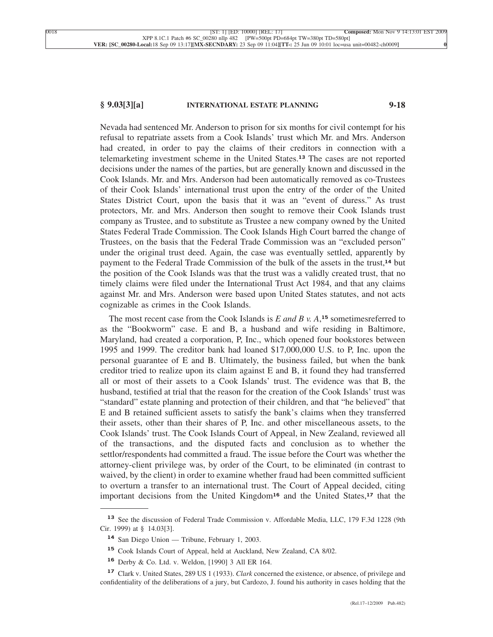### **§ 9.03[3][a] INTERNATIONAL ESTATE PLANNING 9-18**

Nevada had sentenced Mr. Anderson to prison for six months for civil contempt for his refusal to repatriate assets from a Cook Islands' trust which Mr. and Mrs. Anderson had created, in order to pay the claims of their creditors in connection with a telemarketing investment scheme in the United States.**<sup>13</sup>** The cases are not reported decisions under the names of the parties, but are generally known and discussed in the Cook Islands. Mr. and Mrs. Anderson had been automatically removed as co-Trustees of their Cook Islands' international trust upon the entry of the order of the United States District Court, upon the basis that it was an "event of duress." As trust protectors, Mr. and Mrs. Anderson then sought to remove their Cook Islands trust company as Trustee, and to substitute as Trustee a new company owned by the United States Federal Trade Commission. The Cook Islands High Court barred the change of Trustees, on the basis that the Federal Trade Commission was an "excluded person" under the original trust deed. Again, the case was eventually settled, apparently by payment to the Federal Trade Commission of the bulk of the assets in the trust,**<sup>14</sup>** but the position of the Cook Islands was that the trust was a validly created trust, that no timely claims were filed under the International Trust Act 1984, and that any claims against Mr. and Mrs. Anderson were based upon United States statutes, and not acts cognizable as crimes in the Cook Islands.

The most recent case from the Cook Islands is *E and B v. A*, **<sup>15</sup>** sometimesreferred to as the "Bookworm" case. E and B, a husband and wife residing in Baltimore, Maryland, had created a corporation, P, Inc., which opened four bookstores between 1995 and 1999. The creditor bank had loaned \$17,000,000 U.S. to P, Inc. upon the personal guarantee of E and B. Ultimately, the business failed, but when the bank creditor tried to realize upon its claim against E and B, it found they had transferred all or most of their assets to a Cook Islands' trust. The evidence was that B, the husband, testified at trial that the reason for the creation of the Cook Islands' trust was "standard" estate planning and protection of their children, and that "he believed" that E and B retained sufficient assets to satisfy the bank's claims when they transferred their assets, other than their shares of P, Inc. and other miscellaneous assets, to the Cook Islands' trust. The Cook Islands Court of Appeal, in New Zealand, reviewed all of the transactions, and the disputed facts and conclusion as to whether the settlor/respondents had committed a fraud. The issue before the Court was whether the attorney-client privilege was, by order of the Court, to be eliminated (in contrast to waived, by the client) in order to examine whether fraud had been committed sufficient to overturn a transfer to an international trust. The Court of Appeal decided, citing important decisions from the United Kingdom**<sup>16</sup>** and the United States,**<sup>17</sup>** that the

**<sup>13</sup>** See the discussion of Federal Trade Commission v. Affordable Media, LLC, 179 F.3d 1228 (9th Cir. 1999) at § 14.03[3].

**<sup>14</sup>** San Diego Union — Tribune, February 1, 2003.

**<sup>15</sup>** Cook Islands Court of Appeal, held at Auckland, New Zealand, CA 8/02.

**<sup>16</sup>** Derby & Co. Ltd. v. Weldon, [1990] 3 All ER 164.

**<sup>17</sup>** Clark v. United States, 289 US 1 (1933). *Clark* concerned the existence, or absence, of privilege and confidentiality of the deliberations of a jury, but Cardozo, J. found his authority in cases holding that the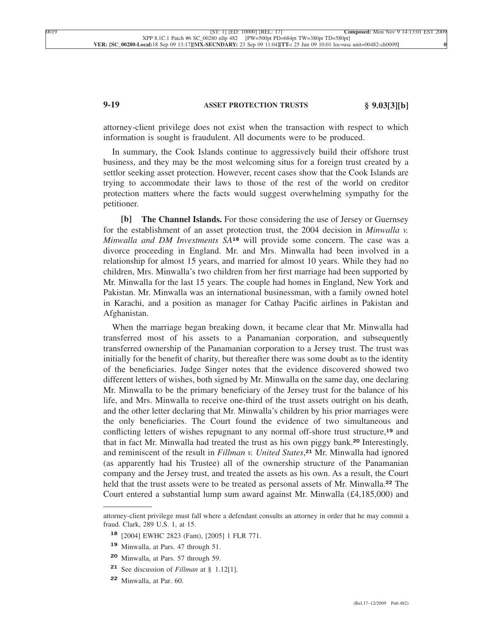# **9-19 ASSET PROTECTION TRUSTS § 9.03[3][b]**

attorney-client privilege does not exist when the transaction with respect to which information is sought is fraudulent. All documents were to be produced.

In summary, the Cook Islands continue to aggressively build their offshore trust business, and they may be the most welcoming situs for a foreign trust created by a settlor seeking asset protection. However, recent cases show that the Cook Islands are trying to accommodate their laws to those of the rest of the world on creditor protection matters where the facts would suggest overwhelming sympathy for the petitioner.

**[b] The Channel Islands.** For those considering the use of Jersey or Guernsey for the establishment of an asset protection trust, the 2004 decision in *Minwalla v. Minwalla and DM Investments SA***<sup>18</sup>** will provide some concern. The case was a divorce proceeding in England. Mr. and Mrs. Minwalla had been involved in a relationship for almost 15 years, and married for almost 10 years. While they had no children, Mrs. Minwalla's two children from her first marriage had been supported by Mr. Minwalla for the last 15 years. The couple had homes in England, New York and Pakistan. Mr. Minwalla was an international businessman, with a family owned hotel in Karachi, and a position as manager for Cathay Pacific airlines in Pakistan and Afghanistan.

When the marriage began breaking down, it became clear that Mr. Minwalla had transferred most of his assets to a Panamanian corporation, and subsequently transferred ownership of the Panamanian corporation to a Jersey trust. The trust was initially for the benefit of charity, but thereafter there was some doubt as to the identity of the beneficiaries. Judge Singer notes that the evidence discovered showed two different letters of wishes, both signed by Mr. Minwalla on the same day, one declaring Mr. Minwalla to be the primary beneficiary of the Jersey trust for the balance of his life, and Mrs. Minwalla to receive one-third of the trust assets outright on his death, and the other letter declaring that Mr. Minwalla's children by his prior marriages were the only beneficiaries. The Court found the evidence of two simultaneous and conflicting letters of wishes repugnant to any normal off-shore trust structure,**<sup>19</sup>** and that in fact Mr. Minwalla had treated the trust as his own piggy bank.**<sup>20</sup>** Interestingly, and reminiscent of the result in *Fillman v. United States*, **<sup>21</sup>** Mr. Minwalla had ignored (as apparently had his Trustee) all of the ownership structure of the Panamanian company and the Jersey trust, and treated the assets as his own. As a result, the Court held that the trust assets were to be treated as personal assets of Mr. Minwalla.**<sup>22</sup>** The Court entered a substantial lump sum award against Mr. Minwalla (£4,185,000) and

attorney-client privilege must fall where a defendant consults an attorney in order that he may commit a fraud. Clark, 289 U.S. 1, at 15.

**<sup>18</sup>** [2004] EWHC 2823 (Fam), [2005] 1 FLR 771.

**<sup>19</sup>** Minwalla, at Pars. 47 through 51.

**<sup>20</sup>** Minwalla, at Pars. 57 through 59.

**<sup>21</sup>** See discussion of *Fillman* at § 1.12[1].

**<sup>22</sup>** Minwalla, at Par. 60.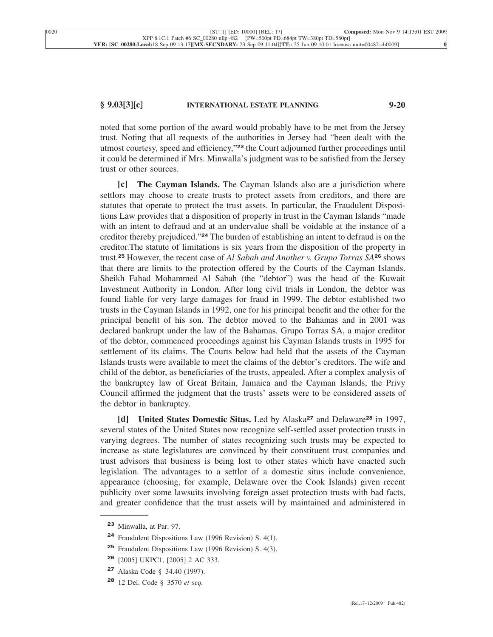## **§ 9.03[3][c] INTERNATIONAL ESTATE PLANNING 9-20**

noted that some portion of the award would probably have to be met from the Jersey trust. Noting that all requests of the authorities in Jersey had "been dealt with the utmost courtesy, speed and efficiency,"**<sup>23</sup>** the Court adjourned further proceedings until it could be determined if Mrs. Minwalla's judgment was to be satisfied from the Jersey trust or other sources.

**[c] The Cayman Islands.** The Cayman Islands also are a jurisdiction where settlors may choose to create trusts to protect assets from creditors, and there are statutes that operate to protect the trust assets. In particular, the Fraudulent Dispositions Law provides that a disposition of property in trust in the Cayman Islands "made with an intent to defraud and at an undervalue shall be voidable at the instance of a creditor thereby prejudiced."**<sup>24</sup>** The burden of establishing an intent to defraud is on the creditor.The statute of limitations is six years from the disposition of the property in trust.**<sup>25</sup>** However, the recent case of *Al Sabah and Another v. Grupo Torras SA***<sup>26</sup>** shows that there are limits to the protection offered by the Courts of the Cayman Islands. Sheikh Fahad Mohammed Al Sabah (the "debtor") was the head of the Kuwait Investment Authority in London. After long civil trials in London, the debtor was found liable for very large damages for fraud in 1999. The debtor established two trusts in the Cayman Islands in 1992, one for his principal benefit and the other for the principal benefit of his son. The debtor moved to the Bahamas and in 2001 was declared bankrupt under the law of the Bahamas. Grupo Torras SA, a major creditor of the debtor, commenced proceedings against his Cayman Islands trusts in 1995 for settlement of its claims. The Courts below had held that the assets of the Cayman Islands trusts were available to meet the claims of the debtor's creditors. The wife and child of the debtor, as beneficiaries of the trusts, appealed. After a complex analysis of the bankruptcy law of Great Britain, Jamaica and the Cayman Islands, the Privy Council affirmed the judgment that the trusts' assets were to be considered assets of the debtor in bankruptcy.

**[d] United States Domestic Situs.** Led by Alaska**<sup>27</sup>** and Delaware**<sup>28</sup>** in 1997, several states of the United States now recognize self-settled asset protection trusts in varying degrees. The number of states recognizing such trusts may be expected to increase as state legislatures are convinced by their constituent trust companies and trust advisors that business is being lost to other states which have enacted such legislation. The advantages to a settlor of a domestic situs include convenience, appearance (choosing, for example, Delaware over the Cook Islands) given recent publicity over some lawsuits involving foreign asset protection trusts with bad facts, and greater confidence that the trust assets will by maintained and administered in

**<sup>23</sup>** Minwalla, at Par. 97.

**<sup>24</sup>** Fraudulent Dispositions Law (1996 Revision) S. 4(1).

**<sup>25</sup>** Fraudulent Dispositions Law (1996 Revision) S. 4(3).

**<sup>26</sup>** [2005] UKPC1, [2005] 2 AC 333.

**<sup>27</sup>** Alaska Code § 34.40 (1997).

**<sup>28</sup>** 12 Del. Code § 3570 *et seq.*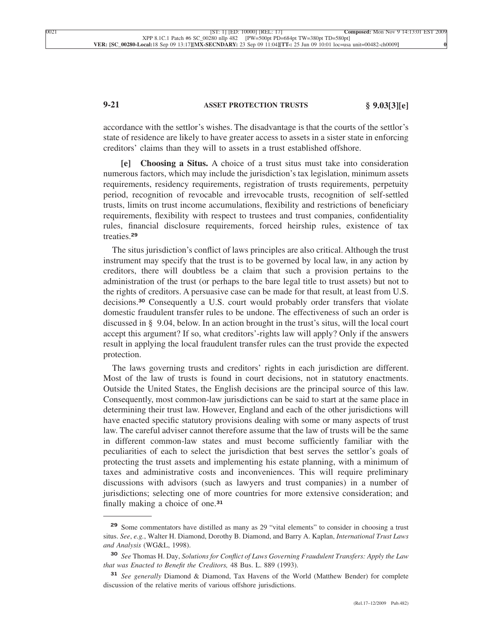# **9-21 ASSET PROTECTION TRUSTS § 9.03[3][e]**

accordance with the settlor's wishes. The disadvantage is that the courts of the settlor's state of residence are likely to have greater access to assets in a sister state in enforcing creditors' claims than they will to assets in a trust established offshore.

**[e] Choosing a Situs.** A choice of a trust situs must take into consideration numerous factors, which may include the jurisdiction's tax legislation, minimum assets requirements, residency requirements, registration of trusts requirements, perpetuity period, recognition of revocable and irrevocable trusts, recognition of self-settled trusts, limits on trust income accumulations, flexibility and restrictions of beneficiary requirements, flexibility with respect to trustees and trust companies, confidentiality rules, financial disclosure requirements, forced heirship rules, existence of tax treaties.**<sup>29</sup>**

The situs jurisdiction's conflict of laws principles are also critical. Although the trust instrument may specify that the trust is to be governed by local law, in any action by creditors, there will doubtless be a claim that such a provision pertains to the administration of the trust (or perhaps to the bare legal title to trust assets) but not to the rights of creditors. A persuasive case can be made for that result, at least from U.S. decisions.**<sup>30</sup>** Consequently a U.S. court would probably order transfers that violate domestic fraudulent transfer rules to be undone. The effectiveness of such an order is discussed in § 9.04, below. In an action brought in the trust's situs, will the local court accept this argument? If so, what creditors'-rights law will apply? Only if the answers result in applying the local fraudulent transfer rules can the trust provide the expected protection.

The laws governing trusts and creditors' rights in each jurisdiction are different. Most of the law of trusts is found in court decisions, not in statutory enactments. Outside the United States, the English decisions are the principal source of this law. Consequently, most common-law jurisdictions can be said to start at the same place in determining their trust law. However, England and each of the other jurisdictions will have enacted specific statutory provisions dealing with some or many aspects of trust law. The careful adviser cannot therefore assume that the law of trusts will be the same in different common-law states and must become sufficiently familiar with the peculiarities of each to select the jurisdiction that best serves the settlor's goals of protecting the trust assets and implementing his estate planning, with a minimum of taxes and administrative costs and inconveniences. This will require preliminary discussions with advisors (such as lawyers and trust companies) in a number of jurisdictions; selecting one of more countries for more extensive consideration; and finally making a choice of one.**<sup>31</sup>**

**<sup>29</sup>** Some commentators have distilled as many as 29 "vital elements" to consider in choosing a trust situs. *See*, *e.g.*, Walter H. Diamond, Dorothy B. Diamond, and Barry A. Kaplan, *International Trust Laws and Analysis* (WG&L, 1998).

**<sup>30</sup>** *See* Thomas H. Day, *Solutions for Conflict of Laws Governing Fraudulent Transfers: Apply the Law that was Enacted to Benefit the Creditors,* 48 Bus. L. 889 (1993).

**<sup>31</sup>** *See generally* Diamond & Diamond, Tax Havens of the World (Matthew Bender) for complete discussion of the relative merits of various offshore jurisdictions.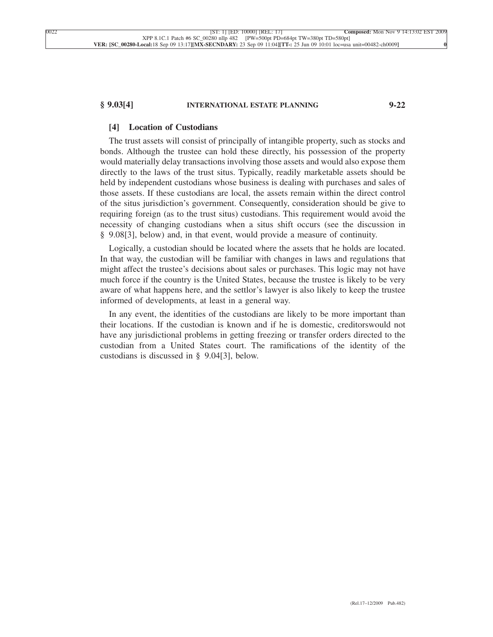### **§ 9.03[4] INTERNATIONAL ESTATE PLANNING 9-22**

#### **[4] Location of Custodians**

The trust assets will consist of principally of intangible property, such as stocks and bonds. Although the trustee can hold these directly, his possession of the property would materially delay transactions involving those assets and would also expose them directly to the laws of the trust situs. Typically, readily marketable assets should be held by independent custodians whose business is dealing with purchases and sales of those assets. If these custodians are local, the assets remain within the direct control of the situs jurisdiction's government. Consequently, consideration should be give to requiring foreign (as to the trust situs) custodians. This requirement would avoid the necessity of changing custodians when a situs shift occurs (see the discussion in § 9.08[3], below) and, in that event, would provide a measure of continuity.

Logically, a custodian should be located where the assets that he holds are located. In that way, the custodian will be familiar with changes in laws and regulations that might affect the trustee's decisions about sales or purchases. This logic may not have much force if the country is the United States, because the trustee is likely to be very aware of what happens here, and the settlor's lawyer is also likely to keep the trustee informed of developments, at least in a general way.

In any event, the identities of the custodians are likely to be more important than their locations. If the custodian is known and if he is domestic, creditorswould not have any jurisdictional problems in getting freezing or transfer orders directed to the custodian from a United States court. The ramifications of the identity of the custodians is discussed in § 9.04[3], below.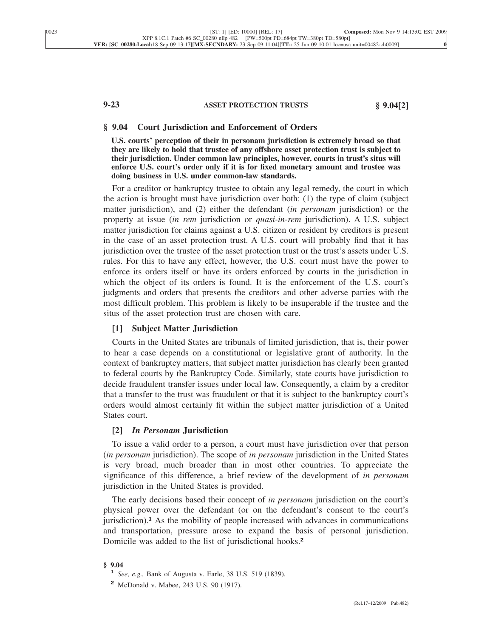# **9-23 ASSET PROTECTION TRUSTS § 9.04[2]**

#### **§ 9.04 Court Jurisdiction and Enforcement of Orders**

**U.S. courts' perception of their in personam jurisdiction is extremely broad so that they are likely to hold that trustee of any offshore asset protection trust is subject to their jurisdiction. Under common law principles, however, courts in trust's situs will enforce U.S. court's order only if it is for fixed monetary amount and trustee was doing business in U.S. under common-law standards.**

For a creditor or bankruptcy trustee to obtain any legal remedy, the court in which the action is brought must have jurisdiction over both: (1) the type of claim (subject matter jurisdiction), and (2) either the defendant (*in personam* jurisdiction) or the property at issue (*in rem* jurisdiction or *quasi-in-rem* jurisdiction). A U.S. subject matter jurisdiction for claims against a U.S. citizen or resident by creditors is present in the case of an asset protection trust. A U.S. court will probably find that it has jurisdiction over the trustee of the asset protection trust or the trust's assets under U.S. rules. For this to have any effect, however, the U.S. court must have the power to enforce its orders itself or have its orders enforced by courts in the jurisdiction in which the object of its orders is found. It is the enforcement of the U.S. court's judgments and orders that presents the creditors and other adverse parties with the most difficult problem. This problem is likely to be insuperable if the trustee and the situs of the asset protection trust are chosen with care.

#### **[1] Subject Matter Jurisdiction**

Courts in the United States are tribunals of limited jurisdiction, that is, their power to hear a case depends on a constitutional or legislative grant of authority. In the context of bankruptcy matters, that subject matter jurisdiction has clearly been granted to federal courts by the Bankruptcy Code. Similarly, state courts have jurisdiction to decide fraudulent transfer issues under local law. Consequently, a claim by a creditor that a transfer to the trust was fraudulent or that it is subject to the bankruptcy court's orders would almost certainly fit within the subject matter jurisdiction of a United States court.

#### **[2]** *In Personam* **Jurisdiction**

To issue a valid order to a person, a court must have jurisdiction over that person (*in personam* jurisdiction). The scope of *in personam* jurisdiction in the United States is very broad, much broader than in most other countries. To appreciate the significance of this difference, a brief review of the development of *in personam* jurisdiction in the United States is provided.

The early decisions based their concept of *in personam* jurisdiction on the court's physical power over the defendant (or on the defendant's consent to the court's jurisdiction).**<sup>1</sup>** As the mobility of people increased with advances in communications and transportation, pressure arose to expand the basis of personal jurisdiction. Domicile was added to the list of jurisdictional hooks.**<sup>2</sup>**

**<sup>§ 9.04</sup> <sup>1</sup>** *See, e.g.,* Bank of Augusta v. Earle, 38 U.S. 519 (1839).

**<sup>2</sup>** McDonald v. Mabee, 243 U.S. 90 (1917).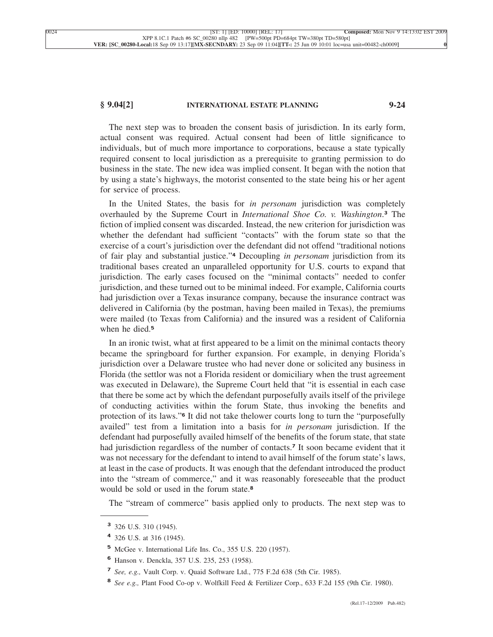### **§ 9.04[2] INTERNATIONAL ESTATE PLANNING 9-24**

The next step was to broaden the consent basis of jurisdiction. In its early form, actual consent was required. Actual consent had been of little significance to individuals, but of much more importance to corporations, because a state typically required consent to local jurisdiction as a prerequisite to granting permission to do business in the state. The new idea was implied consent. It began with the notion that by using a state's highways, the motorist consented to the state being his or her agent for service of process.

In the United States, the basis for *in personam* jurisdiction was completely overhauled by the Supreme Court in *International Shoe Co. v. Washington*. **<sup>3</sup>** The fiction of implied consent was discarded. Instead, the new criterion for jurisdiction was whether the defendant had sufficient "contacts" with the forum state so that the exercise of a court's jurisdiction over the defendant did not offend "traditional notions of fair play and substantial justice."**<sup>4</sup>** Decoupling *in personam* jurisdiction from its traditional bases created an unparalleled opportunity for U.S. courts to expand that jurisdiction. The early cases focused on the "minimal contacts" needed to confer jurisdiction, and these turned out to be minimal indeed. For example, California courts had jurisdiction over a Texas insurance company, because the insurance contract was delivered in California (by the postman, having been mailed in Texas), the premiums were mailed (to Texas from California) and the insured was a resident of California when he died.**<sup>5</sup>**

In an ironic twist, what at first appeared to be a limit on the minimal contacts theory became the springboard for further expansion. For example, in denying Florida's jurisdiction over a Delaware trustee who had never done or solicited any business in Florida (the settlor was not a Florida resident or domiciliary when the trust agreement was executed in Delaware), the Supreme Court held that "it is essential in each case that there be some act by which the defendant purposefully avails itself of the privilege of conducting activities within the forum State, thus invoking the benefits and protection of its laws."**<sup>6</sup>** It did not take thelower courts long to turn the "purposefully availed" test from a limitation into a basis for *in personam* jurisdiction. If the defendant had purposefully availed himself of the benefits of the forum state, that state had jurisdiction regardless of the number of contacts.**<sup>7</sup>** It soon became evident that it was not necessary for the defendant to intend to avail himself of the forum state's laws, at least in the case of products. It was enough that the defendant introduced the product into the "stream of commerce," and it was reasonably foreseeable that the product would be sold or used in the forum state.**<sup>8</sup>**

The "stream of commerce" basis applied only to products. The next step was to

**<sup>3</sup>** 326 U.S. 310 (1945).

**<sup>4</sup>** 326 U.S. at 316 (1945).

**<sup>5</sup>** McGee v. International Life Ins. Co., 355 U.S. 220 (1957).

**<sup>6</sup>** Hanson v. Denckla, 357 U.S. 235, 253 (1958).

**<sup>7</sup>** *See, e.g.,* Vault Corp. v. Quaid Software Ltd., 775 F.2d 638 (5th Cir. 1985).

**<sup>8</sup>** *See e.g.,* Plant Food Co-op v. Wolfkill Feed & Fertilizer Corp., 633 F.2d 155 (9th Cir. 1980).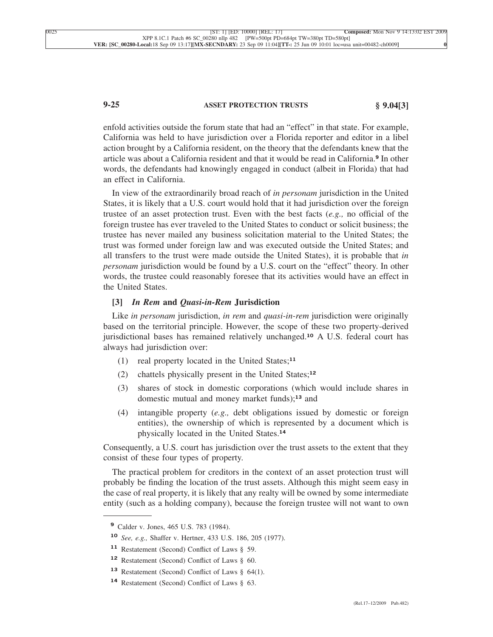# **9-25 ASSET PROTECTION TRUSTS § 9.04[3]**

enfold activities outside the forum state that had an "effect" in that state. For example, California was held to have jurisdiction over a Florida reporter and editor in a libel action brought by a California resident, on the theory that the defendants knew that the article was about a California resident and that it would be read in California.**<sup>9</sup>** In other words, the defendants had knowingly engaged in conduct (albeit in Florida) that had an effect in California.

In view of the extraordinarily broad reach of *in personam* jurisdiction in the United States, it is likely that a U.S. court would hold that it had jurisdiction over the foreign trustee of an asset protection trust. Even with the best facts (*e.g.,* no official of the foreign trustee has ever traveled to the United States to conduct or solicit business; the trustee has never mailed any business solicitation material to the United States; the trust was formed under foreign law and was executed outside the United States; and all transfers to the trust were made outside the United States), it is probable that *in personam* jurisdiction would be found by a U.S. court on the "effect" theory. In other words, the trustee could reasonably foresee that its activities would have an effect in the United States.

### **[3]** *In Rem* **and** *Quasi-in-Rem* **Jurisdiction**

Like *in personam* jurisdiction, *in rem* and *quasi-in-rem* jurisdiction were originally based on the territorial principle. However, the scope of these two property-derived jurisdictional bases has remained relatively unchanged.**<sup>10</sup>** A U.S. federal court has always had jurisdiction over:

- (1) real property located in the United States;**<sup>11</sup>**
- (2) chattels physically present in the United States;**<sup>12</sup>**
- (3) shares of stock in domestic corporations (which would include shares in domestic mutual and money market funds);**<sup>13</sup>** and
- (4) intangible property (*e.g.,* debt obligations issued by domestic or foreign entities), the ownership of which is represented by a document which is physically located in the United States.**<sup>14</sup>**

Consequently, a U.S. court has jurisdiction over the trust assets to the extent that they consist of these four types of property.

The practical problem for creditors in the context of an asset protection trust will probably be finding the location of the trust assets. Although this might seem easy in the case of real property, it is likely that any realty will be owned by some intermediate entity (such as a holding company), because the foreign trustee will not want to own

**<sup>9</sup>** Calder v. Jones, 465 U.S. 783 (1984).

**<sup>10</sup>** *See, e.g.,* Shaffer v. Hertner, 433 U.S. 186, 205 (1977).

**<sup>11</sup>** Restatement (Second) Conflict of Laws § 59.

**<sup>12</sup>** Restatement (Second) Conflict of Laws § 60.

**<sup>13</sup>** Restatement (Second) Conflict of Laws § 64(1).

**<sup>14</sup>** Restatement (Second) Conflict of Laws § 63.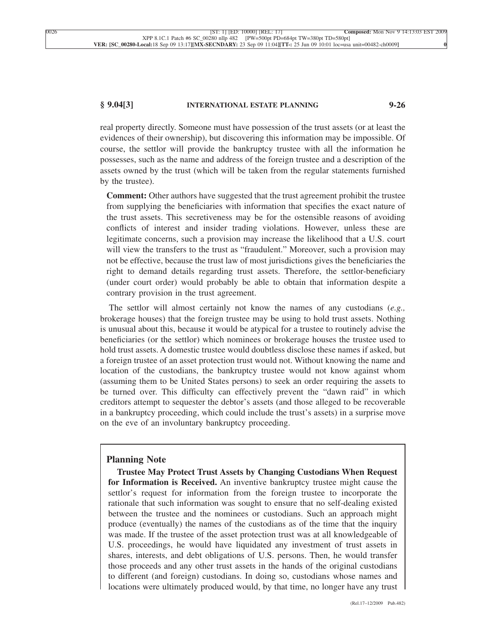#### **§ 9.04[3] INTERNATIONAL ESTATE PLANNING 9-26**

real property directly. Someone must have possession of the trust assets (or at least the evidences of their ownership), but discovering this information may be impossible. Of course, the settlor will provide the bankruptcy trustee with all the information he possesses, such as the name and address of the foreign trustee and a description of the assets owned by the trust (which will be taken from the regular statements furnished by the trustee).

**Comment:** Other authors have suggested that the trust agreement prohibit the trustee from supplying the beneficiaries with information that specifies the exact nature of the trust assets. This secretiveness may be for the ostensible reasons of avoiding conflicts of interest and insider trading violations. However, unless these are legitimate concerns, such a provision may increase the likelihood that a U.S. court will view the transfers to the trust as "fraudulent." Moreover, such a provision may not be effective, because the trust law of most jurisdictions gives the beneficiaries the right to demand details regarding trust assets. Therefore, the settlor-beneficiary (under court order) would probably be able to obtain that information despite a contrary provision in the trust agreement.

The settlor will almost certainly not know the names of any custodians (*e.g.,* brokerage houses) that the foreign trustee may be using to hold trust assets. Nothing is unusual about this, because it would be atypical for a trustee to routinely advise the beneficiaries (or the settlor) which nominees or brokerage houses the trustee used to hold trust assets. A domestic trustee would doubtless disclose these names if asked, but a foreign trustee of an asset protection trust would not. Without knowing the name and location of the custodians, the bankruptcy trustee would not know against whom (assuming them to be United States persons) to seek an order requiring the assets to be turned over. This difficulty can effectively prevent the "dawn raid" in which creditors attempt to sequester the debtor's assets (and those alleged to be recoverable in a bankruptcy proceeding, which could include the trust's assets) in a surprise move on the eve of an involuntary bankruptcy proceeding.

## **Planning Note**

**Trustee May Protect Trust Assets by Changing Custodians When Request for Information is Received.** An inventive bankruptcy trustee might cause the settlor's request for information from the foreign trustee to incorporate the rationale that such information was sought to ensure that no self-dealing existed between the trustee and the nominees or custodians. Such an approach might produce (eventually) the names of the custodians as of the time that the inquiry was made. If the trustee of the asset protection trust was at all knowledgeable of U.S. proceedings, he would have liquidated any investment of trust assets in shares, interests, and debt obligations of U.S. persons. Then, he would transfer those proceeds and any other trust assets in the hands of the original custodians to different (and foreign) custodians. In doing so, custodians whose names and locations were ultimately produced would, by that time, no longer have any trust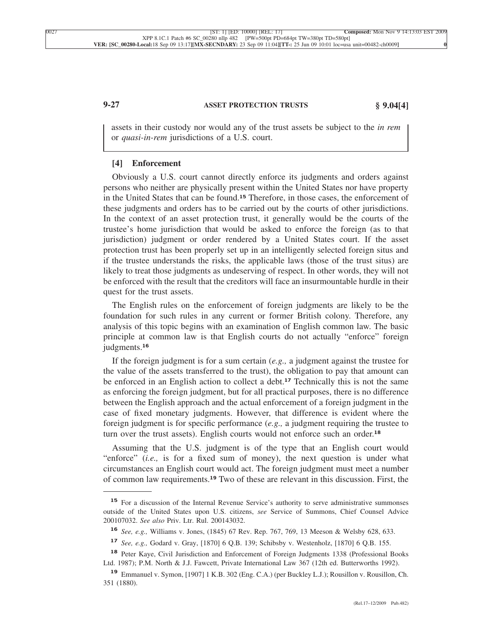# **9-27 ASSET PROTECTION TRUSTS § 9.04[4]**

assets in their custody nor would any of the trust assets be subject to the *in rem* or *quasi-in-rem* jurisdictions of a U.S. court.

## **[4] Enforcement**

Obviously a U.S. court cannot directly enforce its judgments and orders against persons who neither are physically present within the United States nor have property in the United States that can be found.**<sup>15</sup>** Therefore, in those cases, the enforcement of these judgments and orders has to be carried out by the courts of other jurisdictions. In the context of an asset protection trust, it generally would be the courts of the trustee's home jurisdiction that would be asked to enforce the foreign (as to that jurisdiction) judgment or order rendered by a United States court. If the asset protection trust has been properly set up in an intelligently selected foreign situs and if the trustee understands the risks, the applicable laws (those of the trust situs) are likely to treat those judgments as undeserving of respect. In other words, they will not be enforced with the result that the creditors will face an insurmountable hurdle in their quest for the trust assets.

The English rules on the enforcement of foreign judgments are likely to be the foundation for such rules in any current or former British colony. Therefore, any analysis of this topic begins with an examination of English common law. The basic principle at common law is that English courts do not actually "enforce" foreign judgments.**<sup>16</sup>**

If the foreign judgment is for a sum certain (*e.g.,* a judgment against the trustee for the value of the assets transferred to the trust), the obligation to pay that amount can be enforced in an English action to collect a debt.**<sup>17</sup>** Technically this is not the same as enforcing the foreign judgment, but for all practical purposes, there is no difference between the English approach and the actual enforcement of a foreign judgment in the case of fixed monetary judgments. However, that difference is evident where the foreign judgment is for specific performance (*e.g.,* a judgment requiring the trustee to turn over the trust assets). English courts would not enforce such an order.**<sup>18</sup>**

Assuming that the U.S. judgment is of the type that an English court would "enforce" (*i.e.*, is for a fixed sum of money), the next question is under what circumstances an English court would act. The foreign judgment must meet a number of common law requirements.**<sup>19</sup>** Two of these are relevant in this discussion. First, the

<sup>&</sup>lt;sup>15</sup> For a discussion of the Internal Revenue Service's authority to serve administrative summonses outside of the United States upon U.S. citizens, *see* Service of Summons, Chief Counsel Advice 200107032. *See also* Priv. Ltr. Rul. 200143032.

**<sup>16</sup>** *See, e.g.,* Williams v. Jones, (1845) 67 Rev. Rep. 767, 769, 13 Meeson & Welsby 628, 633.

**<sup>17</sup>** *See, e.g.,* Godard v. Gray, [1870] 6 Q.B. 139; Schibsby v. Westenholz, [1870] 6 Q.B. 155.

**<sup>18</sup>** Peter Kaye, Civil Jurisdiction and Enforcement of Foreign Judgments 1338 (Professional Books Ltd. 1987); P.M. North & J.J. Fawcett, Private International Law 367 (12th ed. Butterworths 1992).

**<sup>19</sup>** Emmanuel v. Symon, [1907] 1 K.B. 302 (Eng. C.A.) (per Buckley L.J.); Rousillon v. Rousillon, Ch. 351 (1880).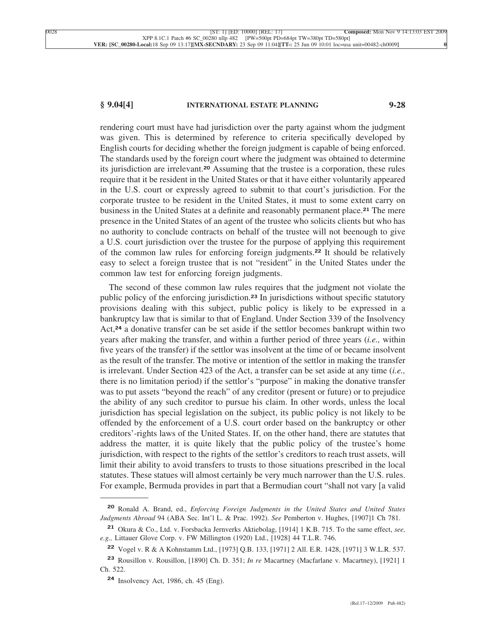# **§ 9.04[4] INTERNATIONAL ESTATE PLANNING 9-28**

rendering court must have had jurisdiction over the party against whom the judgment was given. This is determined by reference to criteria specifically developed by English courts for deciding whether the foreign judgment is capable of being enforced. The standards used by the foreign court where the judgment was obtained to determine its jurisdiction are irrelevant.**<sup>20</sup>** Assuming that the trustee is a corporation, these rules require that it be resident in the United States or that it have either voluntarily appeared in the U.S. court or expressly agreed to submit to that court's jurisdiction. For the corporate trustee to be resident in the United States, it must to some extent carry on business in the United States at a definite and reasonably permanent place.**<sup>21</sup>** The mere presence in the United States of an agent of the trustee who solicits clients but who has no authority to conclude contracts on behalf of the trustee will not beenough to give a U.S. court jurisdiction over the trustee for the purpose of applying this requirement of the common law rules for enforcing foreign judgments.**<sup>22</sup>** It should be relatively easy to select a foreign trustee that is not "resident" in the United States under the common law test for enforcing foreign judgments.

The second of these common law rules requires that the judgment not violate the public policy of the enforcing jurisdiction.**<sup>23</sup>** In jurisdictions without specific statutory provisions dealing with this subject, public policy is likely to be expressed in a bankruptcy law that is similar to that of England. Under Section 339 of the Insolvency Act,**<sup>24</sup>** a donative transfer can be set aside if the settlor becomes bankrupt within two years after making the transfer, and within a further period of three years (*i.e.,* within five years of the transfer) if the settlor was insolvent at the time of or became insolvent as the result of the transfer. The motive or intention of the settlor in making the transfer is irrelevant. Under Section 423 of the Act, a transfer can be set aside at any time (*i.e.,* there is no limitation period) if the settlor's "purpose" in making the donative transfer was to put assets "beyond the reach" of any creditor (present or future) or to prejudice the ability of any such creditor to pursue his claim. In other words, unless the local jurisdiction has special legislation on the subject, its public policy is not likely to be offended by the enforcement of a U.S. court order based on the bankruptcy or other creditors'-rights laws of the United States. If, on the other hand, there are statutes that address the matter, it is quite likely that the public policy of the trustee's home jurisdiction, with respect to the rights of the settlor's creditors to reach trust assets, will limit their ability to avoid transfers to trusts to those situations prescribed in the local statutes. These statues will almost certainly be very much narrower than the U.S. rules. For example, Bermuda provides in part that a Bermudian court "shall not vary [a valid

**<sup>20</sup>** Ronald A. Brand, ed., *Enforcing Foreign Judgments in the United States and United States Judgments Abroad* 94 (ABA Sec. Int'l L. & Prac. 1992). *See* Pemberton v. Hughes, [1907]1 Ch 781.

**<sup>21</sup>** Okura & Co., Ltd. v. Forsbacka Jernverks Aktiebolag, [1914] 1 K.B. 715. To the same effect, *see, e.g.,* Littauer Glove Corp. v. FW Millington (1920) Ltd., [1928] 44 T.L.R. 746.

**<sup>22</sup>** Vogel v.R&AKohnstamm Ltd., [1973] Q.B. 133, [1971] 2 All. E.R. 1428, [1971] 3 W.L.R. 537.

**<sup>23</sup>** Rousillon v. Rousillon, [1890] Ch. D. 351; *In re* Macartney (Macfarlane v. Macartney), [1921] 1 Ch. 522.

**<sup>24</sup>** Insolvency Act, 1986, ch. 45 (Eng).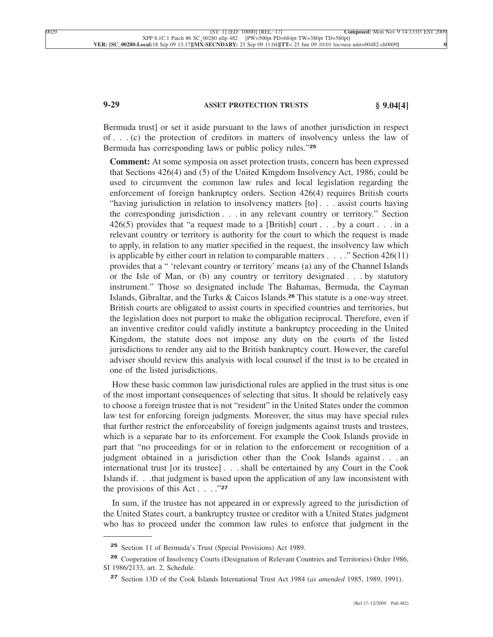# **9-29 ASSET PROTECTION TRUSTS § 9.04[4]**

Bermuda trust] or set it aside pursuant to the laws of another jurisdiction in respect of . . . (c) the protection of creditors in matters of insolvency unless the law of Bermuda has corresponding laws or public policy rules."**<sup>25</sup>**

**Comment:** At some symposia on asset protection trusts, concern has been expressed that Sections 426(4) and (5) of the United Kingdom Insolvency Act, 1986, could be used to circumvent the common law rules and local legislation regarding the enforcement of foreign bankruptcy orders. Section 426(4) requires British courts "having jurisdiction in relation to insolvency matters [to] . . . assist courts having the corresponding jurisdiction . . . in any relevant country or territory." Section 426(5) provides that "a request made to a [British] court . . . by a court . . . in a relevant country or territory is authority for the court to which the request is made to apply, in relation to any matter specified in the request, the insolvency law which is applicable by either court in relation to comparable matters . . . ." Section 426(11) provides that a " 'relevant country or territory' means (a) any of the Channel Islands or the Isle of Man, or (b) any country or territory designated . . . by statutory instrument." Those so designated include The Bahamas, Bermuda, the Cayman Islands, Gibraltar, and the Turks & Caicos Islands.**<sup>26</sup>** This statute is a one-way street. British courts are obligated to assist courts in specified countries and territories, but the legislation does not purport to make the obligation reciprocal. Therefore, even if an inventive creditor could validly institute a bankruptcy proceeding in the United Kingdom, the statute does not impose any duty on the courts of the listed jurisdictions to render any aid to the British bankruptcy court. However, the careful adviser should review this analysis with local counsel if the trust is to be created in one of the listed jurisdictions.

How these basic common law jurisdictional rules are applied in the trust situs is one of the most important consequences of selecting that situs. It should be relatively easy to choose a foreign trustee that is not "resident" in the United States under the common law test for enforcing foreign judgments. Moreover, the situs may have special rules that further restrict the enforceability of foreign judgments against trusts and trustees, which is a separate bar to its enforcement. For example the Cook Islands provide in part that "no proceedings for or in relation to the enforcement or recognition of a judgment obtained in a jurisdiction other than the Cook Islands against . . . an international trust [or its trustee] . . . shall be entertained by any Court in the Cook Islands if. . .that judgment is based upon the application of any law inconsistent with the provisions of this Act . . . ."**<sup>27</sup>**

In sum, if the trustee has not appeared in or expressly agreed to the jurisdiction of the United States court, a bankruptcy trustee or creditor with a United States judgment who has to proceed under the common law rules to enforce that judgment in the

**<sup>25</sup>** Section 11 of Bermuda's Trust (Special Provisions) Act 1989.

**<sup>26</sup>** Cooperation of Insolvency Courts (Designation of Relevant Countries and Territories) Order 1986, SI 1986/2133, art. 2, Schedule.

**<sup>27</sup>** Section 13D of the Cook Islands International Trust Act 1984 (*as amended* 1985, 1989, 1991).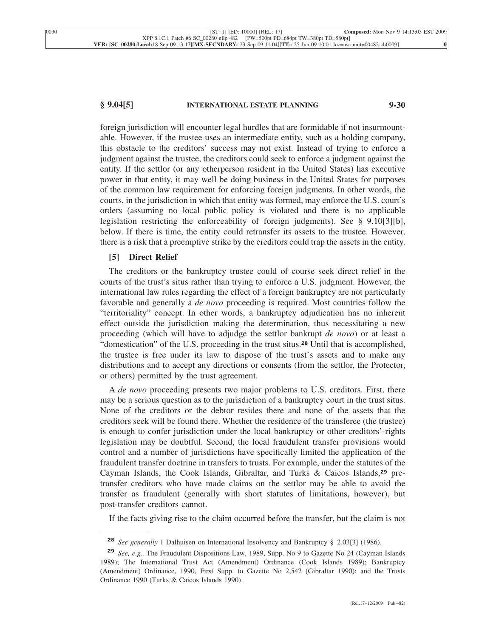#### **§ 9.04[5] INTERNATIONAL ESTATE PLANNING 9-30**

foreign jurisdiction will encounter legal hurdles that are formidable if not insurmountable. However, if the trustee uses an intermediate entity, such as a holding company, this obstacle to the creditors' success may not exist. Instead of trying to enforce a judgment against the trustee, the creditors could seek to enforce a judgment against the entity. If the settlor (or any otherperson resident in the United States) has executive power in that entity, it may well be doing business in the United States for purposes of the common law requirement for enforcing foreign judgments. In other words, the courts, in the jurisdiction in which that entity was formed, may enforce the U.S. court's orders (assuming no local public policy is violated and there is no applicable legislation restricting the enforceability of foreign judgments). See § 9.10[3][b], below. If there is time, the entity could retransfer its assets to the trustee. However, there is a risk that a preemptive strike by the creditors could trap the assets in the entity.

#### **[5] Direct Relief**

The creditors or the bankruptcy trustee could of course seek direct relief in the courts of the trust's situs rather than trying to enforce a U.S. judgment. However, the international law rules regarding the effect of a foreign bankruptcy are not particularly favorable and generally a *de novo* proceeding is required. Most countries follow the "territoriality" concept. In other words, a bankruptcy adjudication has no inherent effect outside the jurisdiction making the determination, thus necessitating a new proceeding (which will have to adjudge the settlor bankrupt *de novo*) or at least a "domestication" of the U.S. proceeding in the trust situs.**<sup>28</sup>** Until that is accomplished, the trustee is free under its law to dispose of the trust's assets and to make any distributions and to accept any directions or consents (from the settlor, the Protector, or others) permitted by the trust agreement.

A *de novo* proceeding presents two major problems to U.S. creditors. First, there may be a serious question as to the jurisdiction of a bankruptcy court in the trust situs. None of the creditors or the debtor resides there and none of the assets that the creditors seek will be found there. Whether the residence of the transferee (the trustee) is enough to confer jurisdiction under the local bankruptcy or other creditors'-rights legislation may be doubtful. Second, the local fraudulent transfer provisions would control and a number of jurisdictions have specifically limited the application of the fraudulent transfer doctrine in transfers to trusts. For example, under the statutes of the Cayman Islands, the Cook Islands, Gibraltar, and Turks & Caicos Islands,**<sup>29</sup>** pretransfer creditors who have made claims on the settlor may be able to avoid the transfer as fraudulent (generally with short statutes of limitations, however), but post-transfer creditors cannot.

If the facts giving rise to the claim occurred before the transfer, but the claim is not

**<sup>28</sup>** *See generally* 1 Dalhuisen on International Insolvency and Bankruptcy § 2.03[3] (1986).

**<sup>29</sup>** *See, e.g.,* The Fraudulent Dispositions Law, 1989, Supp. No 9 to Gazette No 24 (Cayman Islands 1989); The International Trust Act (Amendment) Ordinance (Cook Islands 1989); Bankruptcy (Amendment) Ordinance, 1990, First Supp. to Gazette No 2,542 (Gibraltar 1990); and the Trusts Ordinance 1990 (Turks & Caicos Islands 1990).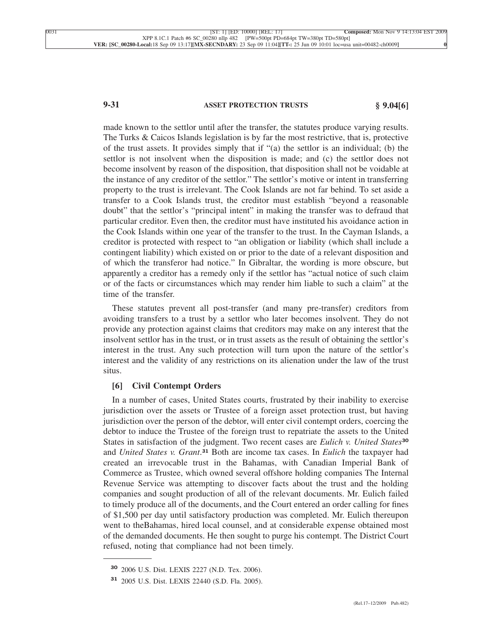# **9-31 ASSET PROTECTION TRUSTS § 9.04[6]**

made known to the settlor until after the transfer, the statutes produce varying results. The Turks & Caicos Islands legislation is by far the most restrictive, that is, protective of the trust assets. It provides simply that if "(a) the settlor is an individual; (b) the settlor is not insolvent when the disposition is made; and (c) the settlor does not become insolvent by reason of the disposition, that disposition shall not be voidable at the instance of any creditor of the settlor." The settlor's motive or intent in transferring property to the trust is irrelevant. The Cook Islands are not far behind. To set aside a transfer to a Cook Islands trust, the creditor must establish "beyond a reasonable doubt" that the settlor's "principal intent" in making the transfer was to defraud that particular creditor. Even then, the creditor must have instituted his avoidance action in the Cook Islands within one year of the transfer to the trust. In the Cayman Islands, a creditor is protected with respect to "an obligation or liability (which shall include a contingent liability) which existed on or prior to the date of a relevant disposition and of which the transferor had notice." In Gibraltar, the wording is more obscure, but apparently a creditor has a remedy only if the settlor has "actual notice of such claim or of the facts or circumstances which may render him liable to such a claim" at the time of the transfer.

These statutes prevent all post-transfer (and many pre-transfer) creditors from avoiding transfers to a trust by a settlor who later becomes insolvent. They do not provide any protection against claims that creditors may make on any interest that the insolvent settlor has in the trust, or in trust assets as the result of obtaining the settlor's interest in the trust. Any such protection will turn upon the nature of the settlor's interest and the validity of any restrictions on its alienation under the law of the trust situs.

#### **[6] Civil Contempt Orders**

In a number of cases, United States courts, frustrated by their inability to exercise jurisdiction over the assets or Trustee of a foreign asset protection trust, but having jurisdiction over the person of the debtor, will enter civil contempt orders, coercing the debtor to induce the Trustee of the foreign trust to repatriate the assets to the United States in satisfaction of the judgment. Two recent cases are *Eulich v. United States***<sup>30</sup>** and *United States v. Grant*. **<sup>31</sup>** Both are income tax cases. In *Eulich* the taxpayer had created an irrevocable trust in the Bahamas, with Canadian Imperial Bank of Commerce as Trustee, which owned several offshore holding companies The Internal Revenue Service was attempting to discover facts about the trust and the holding companies and sought production of all of the relevant documents. Mr. Eulich failed to timely produce all of the documents, and the Court entered an order calling for fines of \$1,500 per day until satisfactory production was completed. Mr. Eulich thereupon went to theBahamas, hired local counsel, and at considerable expense obtained most of the demanded documents. He then sought to purge his contempt. The District Court refused, noting that compliance had not been timely.

**<sup>30</sup>** 2006 U.S. Dist. LEXIS 2227 (N.D. Tex. 2006).

**<sup>31</sup>** 2005 U.S. Dist. LEXIS 22440 (S.D. Fla. 2005).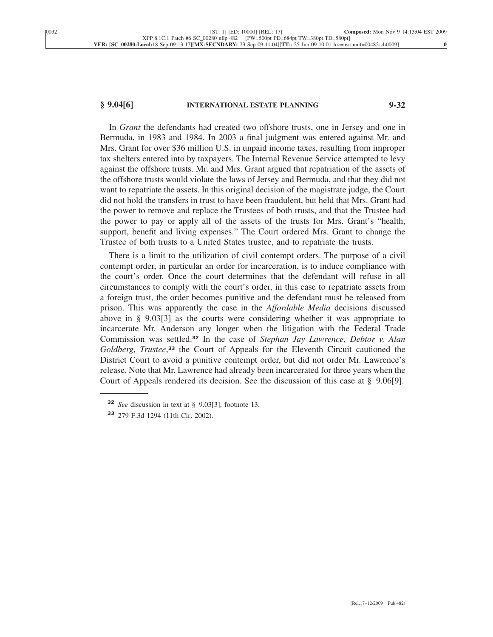# **§ 9.04[6] INTERNATIONAL ESTATE PLANNING 9-32**

In *Grant* the defendants had created two offshore trusts, one in Jersey and one in Bermuda, in 1983 and 1984. In 2003 a final judgment was entered against Mr. and Mrs. Grant for over \$36 million U.S. in unpaid income taxes, resulting from improper tax shelters entered into by taxpayers. The Internal Revenue Service attempted to levy against the offshore trusts. Mr. and Mrs. Grant argued that repatriation of the assets of the offshore trusts would violate the laws of Jersey and Bermuda, and that they did not want to repatriate the assets. In this original decision of the magistrate judge, the Court did not hold the transfers in trust to have been fraudulent, but held that Mrs. Grant had the power to remove and replace the Trustees of both trusts, and that the Trustee had the power to pay or apply all of the assets of the trusts for Mrs. Grant's "health, support, benefit and living expenses." The Court ordered Mrs. Grant to change the Trustee of both trusts to a United States trustee, and to repatriate the trusts.

There is a limit to the utilization of civil contempt orders. The purpose of a civil contempt order, in particular an order for incarceration, is to induce compliance with the court's order. Once the court determines that the defendant will refuse in all circumstances to comply with the court's order, in this case to repatriate assets from a foreign trust, the order becomes punitive and the defendant must be released from prison. This was apparently the case in the *Affordable Media* decisions discussed above in § 9.03[3] as the courts were considering whether it was appropriate to incarcerate Mr. Anderson any longer when the litigation with the Federal Trade Commission was settled.**<sup>32</sup>** In the case of *Stephan Jay Lawrence, Debtor v. Alan Goldberg, Trustee*, **<sup>33</sup>** the Court of Appeals for the Eleventh Circuit cautioned the District Court to avoid a punitive contempt order, but did not order Mr. Lawrence's release. Note that Mr. Lawrence had already been incarcerated for three years when the Court of Appeals rendered its decision. See the discussion of this case at § 9.06[9].

**<sup>32</sup>** *See* discussion in text at § 9.03[3], footnote 13.

**<sup>33</sup>** 279 F.3d 1294 (11th Cir. 2002).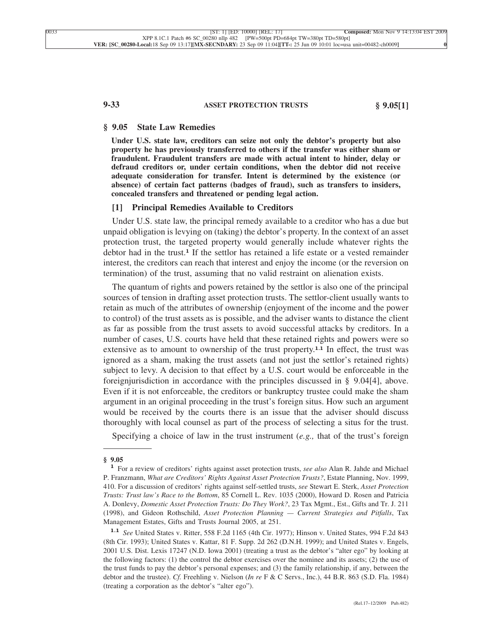# **9-33 ASSET PROTECTION TRUSTS § 9.05[1]**

#### **§ 9.05 State Law Remedies**

**Under U.S. state law, creditors can seize not only the debtor's property but also property he has previously transferred to others if the transfer was either sham or fraudulent. Fraudulent transfers are made with actual intent to hinder, delay or defraud creditors or, under certain conditions, when the debtor did not receive adequate consideration for transfer. Intent is determined by the existence (or absence) of certain fact patterns (badges of fraud), such as transfers to insiders, concealed transfers and threatened or pending legal action.**

#### **[1] Principal Remedies Available to Creditors**

Under U.S. state law, the principal remedy available to a creditor who has a due but unpaid obligation is levying on (taking) the debtor's property. In the context of an asset protection trust, the targeted property would generally include whatever rights the debtor had in the trust.**<sup>1</sup>** If the settlor has retained a life estate or a vested remainder interest, the creditors can reach that interest and enjoy the income (or the reversion on termination) of the trust, assuming that no valid restraint on alienation exists.

The quantum of rights and powers retained by the settlor is also one of the principal sources of tension in drafting asset protection trusts. The settlor-client usually wants to retain as much of the attributes of ownership (enjoyment of the income and the power to control) of the trust assets as is possible, and the adviser wants to distance the client as far as possible from the trust assets to avoid successful attacks by creditors. In a number of cases, U.S. courts have held that these retained rights and powers were so extensive as to amount to ownership of the trust property.**1.1** In effect, the trust was ignored as a sham, making the trust assets (and not just the settlor's retained rights) subject to levy. A decision to that effect by a U.S. court would be enforceable in the foreignjurisdiction in accordance with the principles discussed in § 9.04[4], above. Even if it is not enforceable, the creditors or bankruptcy trustee could make the sham argument in an original proceeding in the trust's foreign situs. How such an argument would be received by the courts there is an issue that the adviser should discuss thoroughly with local counsel as part of the process of selecting a situs for the trust.

Specifying a choice of law in the trust instrument (*e.g.,* that of the trust's foreign

**<sup>§ 9.05</sup> <sup>1</sup>** For a review of creditors' rights against asset protection trusts, *see also* Alan R. Jahde and Michael P. Franzmann, *What are Creditors' Rights Against Asset Protection Trusts?*, Estate Planning, Nov. 1999, 410. For a discussion of creditors' rights against self-settled trusts, *see* Stewart E. Sterk, *Asset Protection Trusts: Trust law's Race to the Bottom*, 85 Cornell L. Rev. 1035 (2000), Howard D. Rosen and Patricia A. Donlevy, *Domestic Asset Protection Trusts: Do They Work?*, 23 Tax Mgmt., Est., Gifts and Tr. J. 211 (1998), and Gideon Rothschild, *Asset Protection Planning — Current Strategies and Pitfalls*, Tax Management Estates, Gifts and Trusts Journal 2005, at 251.

**<sup>1.1</sup>** *See* United States v. Ritter, 558 F.2d 1165 (4th Cir. 1977); Hinson v. United States, 994 F.2d 843 (8th Cir. 1993); United States v. Kattar, 81 F. Supp. 2d 262 (D.N.H. 1999); and United States v. Engels, 2001 U.S. Dist. Lexis 17247 (N.D. Iowa 2001) (treating a trust as the debtor's "alter ego" by looking at the following factors: (1) the control the debtor exercises over the nominee and its assets; (2) the use of the trust funds to pay the debtor's personal expenses; and (3) the family relationship, if any, between the debtor and the trustee). *Cf.* Freehling v. Nielson (*In re* F & C Servs., Inc.), 44 B.R. 863 (S.D. Fla. 1984) (treating a corporation as the debtor's "alter ego").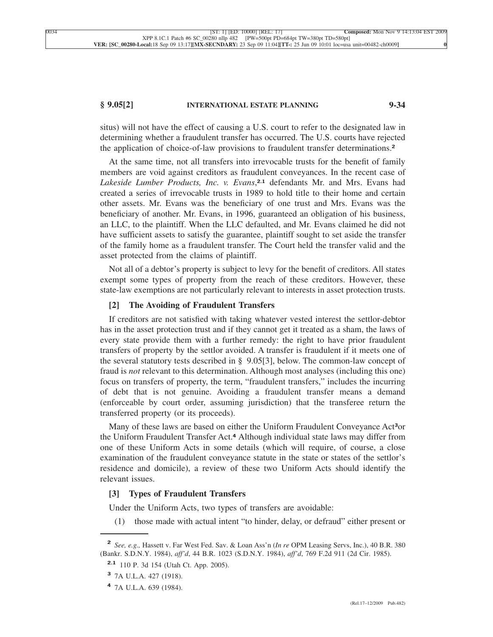#### **§ 9.05[2] INTERNATIONAL ESTATE PLANNING 9-34**

situs) will not have the effect of causing a U.S. court to refer to the designated law in determining whether a fraudulent transfer has occurred. The U.S. courts have rejected the application of choice-of-law provisions to fraudulent transfer determinations.**<sup>2</sup>**

At the same time, not all transfers into irrevocable trusts for the benefit of family members are void against creditors as fraudulent conveyances. In the recent case of *Lakeside Lumber Products, Inc. v. Evans*, **2.1** defendants Mr. and Mrs. Evans had created a series of irrevocable trusts in 1989 to hold title to their home and certain other assets. Mr. Evans was the beneficiary of one trust and Mrs. Evans was the beneficiary of another. Mr. Evans, in 1996, guaranteed an obligation of his business, an LLC, to the plaintiff. When the LLC defaulted, and Mr. Evans claimed he did not have sufficient assets to satisfy the guarantee, plaintiff sought to set aside the transfer of the family home as a fraudulent transfer. The Court held the transfer valid and the asset protected from the claims of plaintiff.

Not all of a debtor's property is subject to levy for the benefit of creditors. All states exempt some types of property from the reach of these creditors. However, these state-law exemptions are not particularly relevant to interests in asset protection trusts.

#### **[2] The Avoiding of Fraudulent Transfers**

If creditors are not satisfied with taking whatever vested interest the settlor-debtor has in the asset protection trust and if they cannot get it treated as a sham, the laws of every state provide them with a further remedy: the right to have prior fraudulent transfers of property by the settlor avoided. A transfer is fraudulent if it meets one of the several statutory tests described in § 9.05[3], below. The common-law concept of fraud is *not* relevant to this determination. Although most analyses (including this one) focus on transfers of property, the term, "fraudulent transfers," includes the incurring of debt that is not genuine. Avoiding a fraudulent transfer means a demand (enforceable by court order, assuming jurisdiction) that the transferee return the transferred property (or its proceeds).

Many of these laws are based on either the Uniform Fraudulent Conveyance Act**3**or the Uniform Fraudulent Transfer Act.**<sup>4</sup>** Although individual state laws may differ from one of these Uniform Acts in some details (which will require, of course, a close examination of the fraudulent conveyance statute in the state or states of the settlor's residence and domicile), a review of these two Uniform Acts should identify the relevant issues.

#### **[3] Types of Fraudulent Transfers**

Under the Uniform Acts, two types of transfers are avoidable:

(1) those made with actual intent "to hinder, delay, or defraud" either present or

**<sup>2</sup>** *See, e.g.,* Hassett v. Far West Fed. Sav. & Loan Ass'n (*In re* OPM Leasing Servs, Inc.), 40 B.R. 380 (Bankr. S.D.N.Y. 1984), *aff'd*, 44 B.R. 1023 (S.D.N.Y. 1984), *aff'd*, 769 F.2d 911 (2d Cir. 1985).

**<sup>2.1</sup>** 110 P. 3d 154 (Utah Ct. App. 2005).

**<sup>3</sup>** 7A U.L.A. 427 (1918).

**<sup>4</sup>** 7A U.L.A. 639 (1984).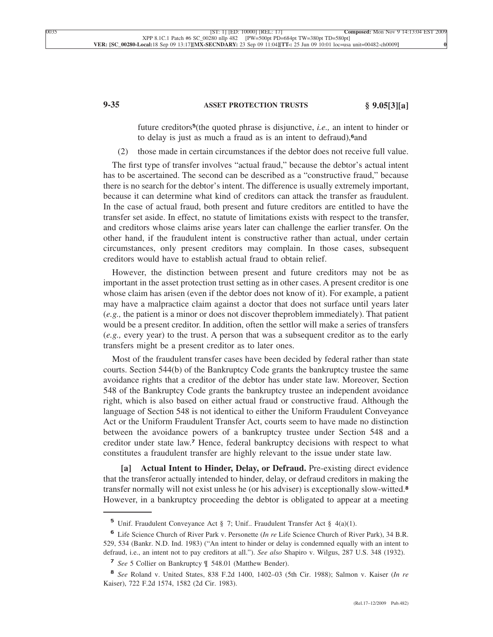# **9-35 ASSET PROTECTION TRUSTS § 9.05[3][a]**

future creditors**5**(the quoted phrase is disjunctive, *i.e.,* an intent to hinder or to delay is just as much a fraud as is an intent to defraud),**6**and

(2) those made in certain circumstances if the debtor does not receive full value.

The first type of transfer involves "actual fraud," because the debtor's actual intent has to be ascertained. The second can be described as a "constructive fraud," because there is no search for the debtor's intent. The difference is usually extremely important, because it can determine what kind of creditors can attack the transfer as fraudulent. In the case of actual fraud, both present and future creditors are entitled to have the transfer set aside. In effect, no statute of limitations exists with respect to the transfer, and creditors whose claims arise years later can challenge the earlier transfer. On the other hand, if the fraudulent intent is constructive rather than actual, under certain circumstances, only present creditors may complain. In those cases, subsequent creditors would have to establish actual fraud to obtain relief.

However, the distinction between present and future creditors may not be as important in the asset protection trust setting as in other cases. A present creditor is one whose claim has arisen (even if the debtor does not know of it). For example, a patient may have a malpractice claim against a doctor that does not surface until years later (*e.g.,* the patient is a minor or does not discover theproblem immediately). That patient would be a present creditor. In addition, often the settlor will make a series of transfers (*e.g.,* every year) to the trust. A person that was a subsequent creditor as to the early transfers might be a present creditor as to later ones.

Most of the fraudulent transfer cases have been decided by federal rather than state courts. Section 544(b) of the Bankruptcy Code grants the bankruptcy trustee the same avoidance rights that a creditor of the debtor has under state law. Moreover, Section 548 of the Bankruptcy Code grants the bankruptcy trustee an independent avoidance right, which is also based on either actual fraud or constructive fraud. Although the language of Section 548 is not identical to either the Uniform Fraudulent Conveyance Act or the Uniform Fraudulent Transfer Act, courts seem to have made no distinction between the avoidance powers of a bankruptcy trustee under Section 548 and a creditor under state law.**<sup>7</sup>** Hence, federal bankruptcy decisions with respect to what constitutes a fraudulent transfer are highly relevant to the issue under state law.

**[a] Actual Intent to Hinder, Delay, or Defraud.** Pre-existing direct evidence that the transferor actually intended to hinder, delay, or defraud creditors in making the transfer normally will not exist unless he (or his adviser) is exceptionally slow-witted.**<sup>8</sup>** However, in a bankruptcy proceeding the debtor is obligated to appear at a meeting

**<sup>5</sup>** Unif. Fraudulent Conveyance Act § 7; Unif.. Fraudulent Transfer Act § 4(a)(1).

**<sup>6</sup>** Life Science Church of River Park v. Personette (*In re* Life Science Church of River Park), 34 B.R. 529, 534 (Bankr. N.D. Ind. 1983) ("An intent to hinder or delay is condemned equally with an intent to defraud, i.e., an intent not to pay creditors at all."). *See also* Shapiro v. Wilgus, 287 U.S. 348 (1932).

**<sup>7</sup>** *See* 5 Collier on Bankruptcy ¶ 548.01 (Matthew Bender).

**<sup>8</sup>** *See* Roland v. United States, 838 F.2d 1400, 1402–03 (5th Cir. 1988); Salmon v. Kaiser (*In re* Kaiser), 722 F.2d 1574, 1582 (2d Cir. 1983).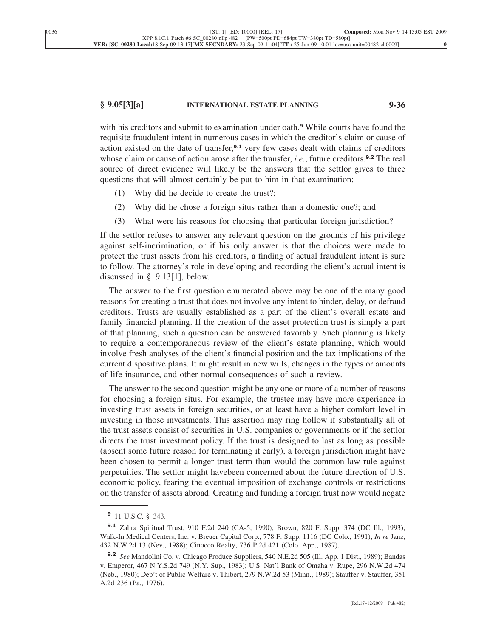#### **§ 9.05[3][a] INTERNATIONAL ESTATE PLANNING 9-36**

with his creditors and submit to examination under oath.**<sup>9</sup>** While courts have found the requisite fraudulent intent in numerous cases in which the creditor's claim or cause of action existed on the date of transfer,**9.1** very few cases dealt with claims of creditors whose claim or cause of action arose after the transfer, *i.e.*, future creditors.**9.2** The real source of direct evidence will likely be the answers that the settlor gives to three questions that will almost certainly be put to him in that examination:

- (1) Why did he decide to create the trust?;
- (2) Why did he chose a foreign situs rather than a domestic one?; and
- (3) What were his reasons for choosing that particular foreign jurisdiction?

If the settlor refuses to answer any relevant question on the grounds of his privilege against self-incrimination, or if his only answer is that the choices were made to protect the trust assets from his creditors, a finding of actual fraudulent intent is sure to follow. The attorney's role in developing and recording the client's actual intent is discussed in § 9.13[1], below.

The answer to the first question enumerated above may be one of the many good reasons for creating a trust that does not involve any intent to hinder, delay, or defraud creditors. Trusts are usually established as a part of the client's overall estate and family financial planning. If the creation of the asset protection trust is simply a part of that planning, such a question can be answered favorably. Such planning is likely to require a contemporaneous review of the client's estate planning, which would involve fresh analyses of the client's financial position and the tax implications of the current dispositive plans. It might result in new wills, changes in the types or amounts of life insurance, and other normal consequences of such a review.

The answer to the second question might be any one or more of a number of reasons for choosing a foreign situs. For example, the trustee may have more experience in investing trust assets in foreign securities, or at least have a higher comfort level in investing in those investments. This assertion may ring hollow if substantially all of the trust assets consist of securities in U.S. companies or governments or if the settlor directs the trust investment policy. If the trust is designed to last as long as possible (absent some future reason for terminating it early), a foreign jurisdiction might have been chosen to permit a longer trust term than would the common-law rule against perpetuities. The settlor might havebeen concerned about the future direction of U.S. economic policy, fearing the eventual imposition of exchange controls or restrictions on the transfer of assets abroad. Creating and funding a foreign trust now would negate

**<sup>9</sup>** 11 U.S.C. § 343.

**<sup>9.1</sup>** Zahra Spiritual Trust, 910 F.2d 240 (CA-5, 1990); Brown, 820 F. Supp. 374 (DC Ill., 1993); Walk-In Medical Centers, Inc. v. Breuer Capital Corp., 778 F. Supp. 1116 (DC Colo., 1991); *In re* Janz, 432 N.W.2d 13 (Nev., 1988); Cinocco Realty, 736 P.2d 421 (Colo. App., 1987).

**<sup>9.2</sup>** *See* Mandolini Co. v. Chicago Produce Suppliers, 540 N.E.2d 505 (Ill. App. 1 Dist., 1989); Bandas v. Emperor, 467 N.Y.S.2d 749 (N.Y. Sup., 1983); U.S. Nat'l Bank of Omaha v. Rupe, 296 N.W.2d 474 (Neb., 1980); Dep't of Public Welfare v. Thibert, 279 N.W.2d 53 (Minn., 1989); Stauffer v. Stauffer, 351 A.2d 236 (Pa., 1976).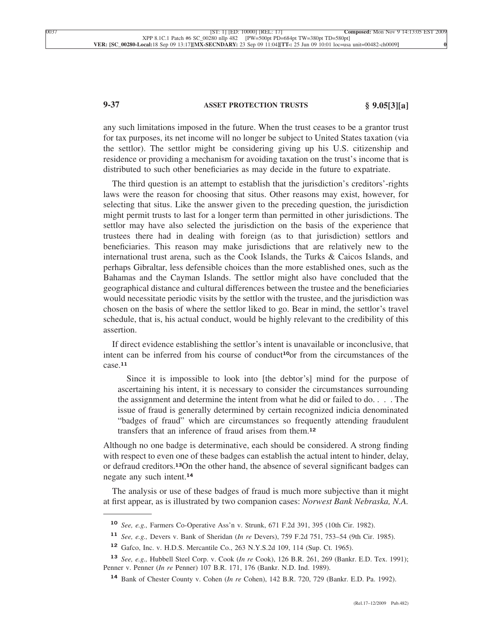# **9-37 ASSET PROTECTION TRUSTS § 9.05[3][a]**

any such limitations imposed in the future. When the trust ceases to be a grantor trust for tax purposes, its net income will no longer be subject to United States taxation (via the settlor). The settlor might be considering giving up his U.S. citizenship and residence or providing a mechanism for avoiding taxation on the trust's income that is distributed to such other beneficiaries as may decide in the future to expatriate.

The third question is an attempt to establish that the jurisdiction's creditors'-rights laws were the reason for choosing that situs. Other reasons may exist, however, for selecting that situs. Like the answer given to the preceding question, the jurisdiction might permit trusts to last for a longer term than permitted in other jurisdictions. The settlor may have also selected the jurisdiction on the basis of the experience that trustees there had in dealing with foreign (as to that jurisdiction) settlors and beneficiaries. This reason may make jurisdictions that are relatively new to the international trust arena, such as the Cook Islands, the Turks & Caicos Islands, and perhaps Gibraltar, less defensible choices than the more established ones, such as the Bahamas and the Cayman Islands. The settlor might also have concluded that the geographical distance and cultural differences between the trustee and the beneficiaries would necessitate periodic visits by the settlor with the trustee, and the jurisdiction was chosen on the basis of where the settlor liked to go. Bear in mind, the settlor's travel schedule, that is, his actual conduct, would be highly relevant to the credibility of this assertion.

If direct evidence establishing the settlor's intent is unavailable or inconclusive, that intent can be inferred from his course of conduct**10**or from the circumstances of the case.**<sup>11</sup>**

Since it is impossible to look into [the debtor's] mind for the purpose of ascertaining his intent, it is necessary to consider the circumstances surrounding the assignment and determine the intent from what he did or failed to do. . . . The issue of fraud is generally determined by certain recognized indicia denominated "badges of fraud" which are circumstances so frequently attending fraudulent transfers that an inference of fraud arises from them.**<sup>12</sup>**

Although no one badge is determinative, each should be considered. A strong finding with respect to even one of these badges can establish the actual intent to hinder, delay, or defraud creditors.**13**On the other hand, the absence of several significant badges can negate any such intent.**<sup>14</sup>**

The analysis or use of these badges of fraud is much more subjective than it might at first appear, as is illustrated by two companion cases: *Norwest Bank Nebraska, N.A.*

**<sup>10</sup>** *See, e.g.,* Farmers Co-Operative Ass'n v. Strunk, 671 F.2d 391, 395 (10th Cir. 1982).

**<sup>11</sup>** *See, e.g.,* Devers v. Bank of Sheridan (*In re* Devers), 759 F.2d 751, 753–54 (9th Cir. 1985).

**<sup>12</sup>** Gafco, Inc. v. H.D.S. Mercantile Co., 263 N.Y.S.2d 109, 114 (Sup. Ct. 1965).

**<sup>13</sup>** *See, e.g.,* Hubbell Steel Corp. v. Cook (*In re* Cook), 126 B.R. 261, 269 (Bankr. E.D. Tex. 1991); Penner v. Penner (*In re* Penner) 107 B.R. 171, 176 (Bankr. N.D. Ind. 1989).

**<sup>14</sup>** Bank of Chester County v. Cohen (*In re* Cohen), 142 B.R. 720, 729 (Bankr. E.D. Pa. 1992).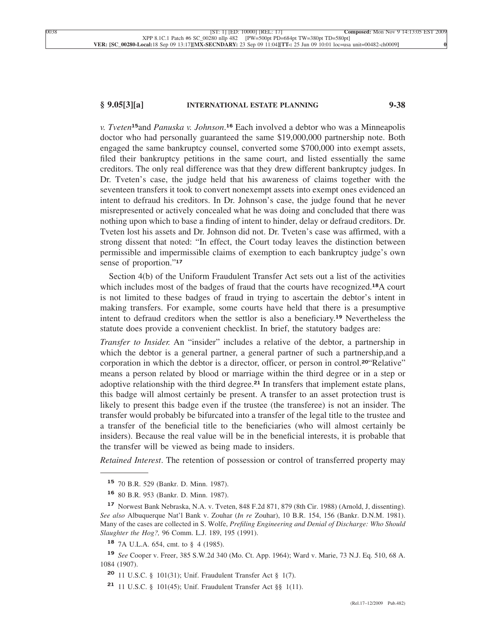# **§ 9.05[3][a] INTERNATIONAL ESTATE PLANNING 9-38**

*v. Tveten***15**and *Panuska v. Johnson*. **<sup>16</sup>** Each involved a debtor who was a Minneapolis doctor who had personally guaranteed the same \$19,000,000 partnership note. Both engaged the same bankruptcy counsel, converted some \$700,000 into exempt assets, filed their bankruptcy petitions in the same court, and listed essentially the same creditors. The only real difference was that they drew different bankruptcy judges. In Dr. Tveten's case, the judge held that his awareness of claims together with the seventeen transfers it took to convert nonexempt assets into exempt ones evidenced an intent to defraud his creditors. In Dr. Johnson's case, the judge found that he never misrepresented or actively concealed what he was doing and concluded that there was nothing upon which to base a finding of intent to hinder, delay or defraud creditors. Dr. Tveten lost his assets and Dr. Johnson did not. Dr. Tveten's case was affirmed, with a strong dissent that noted: "In effect, the Court today leaves the distinction between permissible and impermissible claims of exemption to each bankruptcy judge's own sense of proportion."**<sup>17</sup>**

Section 4(b) of the Uniform Fraudulent Transfer Act sets out a list of the activities which includes most of the badges of fraud that the courts have recognized.**18**A court is not limited to these badges of fraud in trying to ascertain the debtor's intent in making transfers. For example, some courts have held that there is a presumptive intent to defraud creditors when the settlor is also a beneficiary.**<sup>19</sup>** Nevertheless the statute does provide a convenient checklist. In brief, the statutory badges are:

*Transfer to Insider.* An "insider" includes a relative of the debtor, a partnership in which the debtor is a general partner, a general partner of such a partnership,and a corporation in which the debtor is a director, officer, or person in control.**20**"Relative" means a person related by blood or marriage within the third degree or in a step or adoptive relationship with the third degree.**<sup>21</sup>** In transfers that implement estate plans, this badge will almost certainly be present. A transfer to an asset protection trust is likely to present this badge even if the trustee (the transferee) is not an insider. The transfer would probably be bifurcated into a transfer of the legal title to the trustee and a transfer of the beneficial title to the beneficiaries (who will almost certainly be insiders). Because the real value will be in the beneficial interests, it is probable that the transfer will be viewed as being made to insiders.

*Retained Interest*. The retention of possession or control of transferred property may

**<sup>15</sup>** 70 B.R. 529 (Bankr. D. Minn. 1987).

**<sup>16</sup>** 80 B.R. 953 (Bankr. D. Minn. 1987).

**<sup>17</sup>** Norwest Bank Nebraska, N.A. v. Tveten, 848 F.2d 871, 879 (8th Cir. 1988) (Arnold, J, dissenting). *See also* Albuquerque Nat'l Bank v. Zouhar (*In re* Zouhar), 10 B.R. 154, 156 (Bankr. D.N.M. 1981). Many of the cases are collected in S. Wolfe, *Prefiling Engineering and Denial of Discharge: Who Should Slaughter the Hog?,* 96 Comm. L.J. 189, 195 (1991).

**<sup>18</sup>** 7A U.L.A. 654, cmt. to § 4 (1985).

**<sup>19</sup>** *See* Cooper v. Freer, 385 S.W.2d 340 (Mo. Ct. App. 1964); Ward v. Marie, 73 N.J. Eq. 510, 68 A. 1084 (1907).

**<sup>20</sup>** 11 U.S.C. § 101(31); Unif. Fraudulent Transfer Act § 1(7).

**<sup>21</sup>** 11 U.S.C. § 101(45); Unif. Fraudulent Transfer Act §§ 1(11).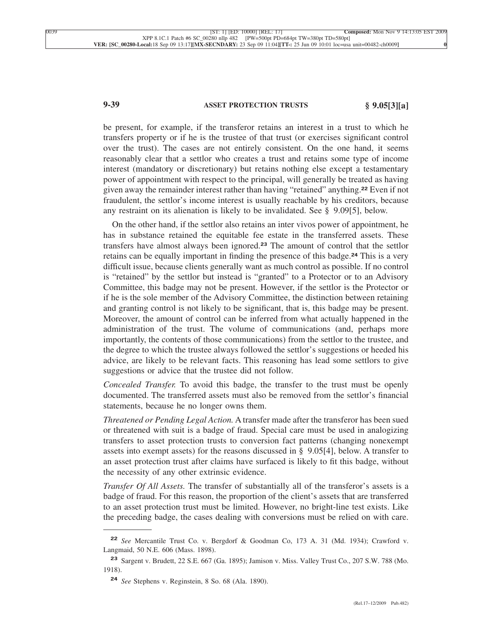# **9-39 ASSET PROTECTION TRUSTS § 9.05[3][a]**

be present, for example, if the transferor retains an interest in a trust to which he transfers property or if he is the trustee of that trust (or exercises significant control over the trust). The cases are not entirely consistent. On the one hand, it seems reasonably clear that a settlor who creates a trust and retains some type of income interest (mandatory or discretionary) but retains nothing else except a testamentary power of appointment with respect to the principal, will generally be treated as having given away the remainder interest rather than having "retained" anything.**<sup>22</sup>** Even if not fraudulent, the settlor's income interest is usually reachable by his creditors, because any restraint on its alienation is likely to be invalidated. See § 9.09[5], below.

On the other hand, if the settlor also retains an inter vivos power of appointment, he has in substance retained the equitable fee estate in the transferred assets. These transfers have almost always been ignored.**<sup>23</sup>** The amount of control that the settlor retains can be equally important in finding the presence of this badge.**<sup>24</sup>** This is a very difficult issue, because clients generally want as much control as possible. If no control is "retained" by the settlor but instead is "granted" to a Protector or to an Advisory Committee, this badge may not be present. However, if the settlor is the Protector or if he is the sole member of the Advisory Committee, the distinction between retaining and granting control is not likely to be significant, that is, this badge may be present. Moreover, the amount of control can be inferred from what actually happened in the administration of the trust. The volume of communications (and, perhaps more importantly, the contents of those communications) from the settlor to the trustee, and the degree to which the trustee always followed the settlor's suggestions or heeded his advice, are likely to be relevant facts. This reasoning has lead some settlors to give suggestions or advice that the trustee did not follow.

*Concealed Transfer.* To avoid this badge, the transfer to the trust must be openly documented. The transferred assets must also be removed from the settlor's financial statements, because he no longer owns them.

*Threatened or Pending Legal Action.* A transfer made after the transferor has been sued or threatened with suit is a badge of fraud. Special care must be used in analogizing transfers to asset protection trusts to conversion fact patterns (changing nonexempt assets into exempt assets) for the reasons discussed in § 9.05[4], below. A transfer to an asset protection trust after claims have surfaced is likely to fit this badge, without the necessity of any other extrinsic evidence.

*Transfer Of All Assets.* The transfer of substantially all of the transferor's assets is a badge of fraud. For this reason, the proportion of the client's assets that are transferred to an asset protection trust must be limited. However, no bright-line test exists. Like the preceding badge, the cases dealing with conversions must be relied on with care.

**<sup>22</sup>** *See* Mercantile Trust Co. v. Bergdorf & Goodman Co, 173 A. 31 (Md. 1934); Crawford v. Langmaid, 50 N.E. 606 (Mass. 1898).

**<sup>23</sup>** Sargent v. Brudett, 22 S.E. 667 (Ga. 1895); Jamison v. Miss. Valley Trust Co., 207 S.W. 788 (Mo. 1918).

**<sup>24</sup>** *See* Stephens v. Reginstein, 8 So. 68 (Ala. 1890).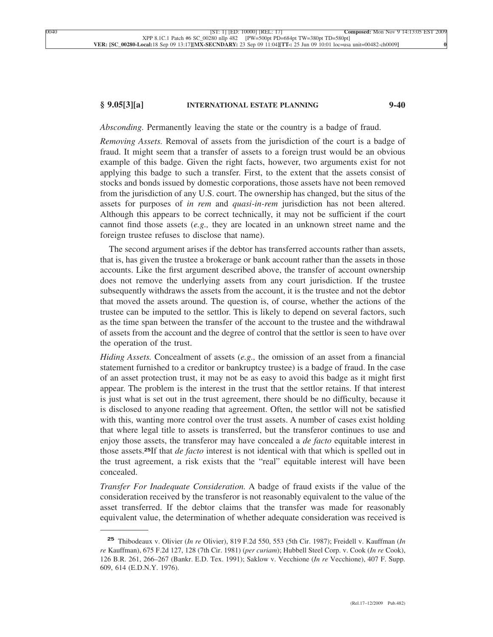## **§ 9.05[3][a] INTERNATIONAL ESTATE PLANNING 9-40**

*Absconding.* Permanently leaving the state or the country is a badge of fraud.

*Removing Assets.* Removal of assets from the jurisdiction of the court is a badge of fraud. It might seem that a transfer of assets to a foreign trust would be an obvious example of this badge. Given the right facts, however, two arguments exist for not applying this badge to such a transfer. First, to the extent that the assets consist of stocks and bonds issued by domestic corporations, those assets have not been removed from the jurisdiction of any U.S. court. The ownership has changed, but the situs of the assets for purposes of *in rem* and *quasi-in-rem* jurisdiction has not been altered. Although this appears to be correct technically, it may not be sufficient if the court cannot find those assets (*e.g.,* they are located in an unknown street name and the foreign trustee refuses to disclose that name).

The second argument arises if the debtor has transferred accounts rather than assets, that is, has given the trustee a brokerage or bank account rather than the assets in those accounts. Like the first argument described above, the transfer of account ownership does not remove the underlying assets from any court jurisdiction. If the trustee subsequently withdraws the assets from the account, it is the trustee and not the debtor that moved the assets around. The question is, of course, whether the actions of the trustee can be imputed to the settlor. This is likely to depend on several factors, such as the time span between the transfer of the account to the trustee and the withdrawal of assets from the account and the degree of control that the settlor is seen to have over the operation of the trust.

*Hiding Assets.* Concealment of assets (*e.g.,* the omission of an asset from a financial statement furnished to a creditor or bankruptcy trustee) is a badge of fraud. In the case of an asset protection trust, it may not be as easy to avoid this badge as it might first appear. The problem is the interest in the trust that the settlor retains. If that interest is just what is set out in the trust agreement, there should be no difficulty, because it is disclosed to anyone reading that agreement. Often, the settlor will not be satisfied with this, wanting more control over the trust assets. A number of cases exist holding that where legal title to assets is transferred, but the transferor continues to use and enjoy those assets, the transferor may have concealed a *de facto* equitable interest in those assets.**25**If that *de facto* interest is not identical with that which is spelled out in the trust agreement, a risk exists that the "real" equitable interest will have been concealed.

*Transfer For Inadequate Consideration.* A badge of fraud exists if the value of the consideration received by the transferor is not reasonably equivalent to the value of the asset transferred. If the debtor claims that the transfer was made for reasonably equivalent value, the determination of whether adequate consideration was received is

**<sup>25</sup>** Thibodeaux v. Olivier (*In re* Olivier), 819 F.2d 550, 553 (5th Cir. 1987); Freidell v. Kauffman (*In re* Kauffman), 675 F.2d 127, 128 (7th Cir. 1981) (*per curiam*); Hubbell Steel Corp. v. Cook (*In re* Cook), 126 B.R. 261, 266–267 (Bankr. E.D. Tex. 1991); Saklow v. Vecchione (*In re* Vecchione), 407 F. Supp. 609, 614 (E.D.N.Y. 1976).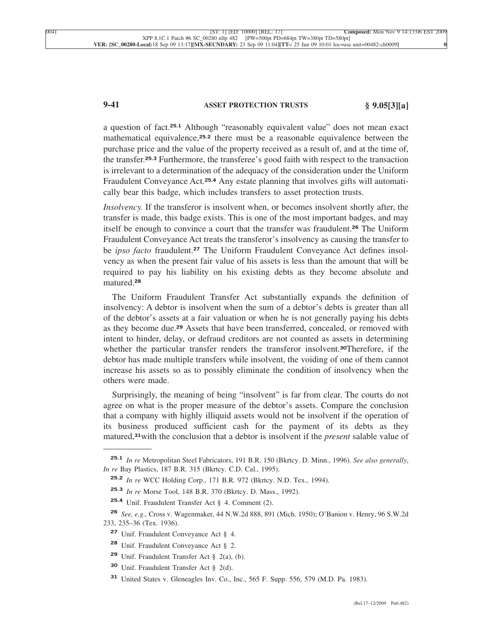# **9-41 ASSET PROTECTION TRUSTS § 9.05[3][a]**

a question of fact.**25.1** Although "reasonably equivalent value" does not mean exact mathematical equivalence,**25.2** there must be a reasonable equivalence between the purchase price and the value of the property received as a result of, and at the time of, the transfer.**25.3** Furthermore, the transferee's good faith with respect to the transaction is irrelevant to a determination of the adequacy of the consideration under the Uniform Fraudulent Conveyance Act.**25.4** Any estate planning that involves gifts will automatically bear this badge, which includes transfers to asset protection trusts.

*Insolvency.* If the transferor is insolvent when, or becomes insolvent shortly after, the transfer is made, this badge exists. This is one of the most important badges, and may itself be enough to convince a court that the transfer was fraudulent.**<sup>26</sup>** The Uniform Fraudulent Conveyance Act treats the transferor's insolvency as causing the transfer to be *ipso facto* fraudulent.**<sup>27</sup>** The Uniform Fraudulent Conveyance Act defines insolvency as when the present fair value of his assets is less than the amount that will be required to pay his liability on his existing debts as they become absolute and matured.**<sup>28</sup>**

The Uniform Fraudulent Transfer Act substantially expands the definition of insolvency: A debtor is insolvent when the sum of a debtor's debts is greater than all of the debtor's assets at a fair valuation or when he is not generally paying his debts as they become due.**<sup>29</sup>** Assets that have been transferred, concealed, or removed with intent to hinder, delay, or defraud creditors are not counted as assets in determining whether the particular transfer renders the transferor insolvent.**30**Therefore, if the debtor has made multiple transfers while insolvent, the voiding of one of them cannot increase his assets so as to possibly eliminate the condition of insolvency when the others were made.

Surprisingly, the meaning of being "insolvent" is far from clear. The courts do not agree on what is the proper measure of the debtor's assets. Compare the conclusion that a company with highly illiquid assets would not be insolvent if the operation of its business produced sufficient cash for the payment of its debts as they matured,**31**with the conclusion that a debtor is insolvent if the *present* salable value of

**<sup>25.1</sup>** *In re* Metropolitan Steel Fabricators, 191 B.R. 150 (Bkrtcy. D. Minn., 1996). *See also generally*, *In re* Bay Plastics, 187 B.R. 315 (Bkrtcy. C.D. Cal., 1995).

**<sup>25.2</sup>** *In re* WCC Holding Corp., 171 B.R. 972 (Bkrtcy. N.D. Tex., 1994).

**<sup>25.3</sup>** *In re* Morse Tool, 148 B.R. 370 (Bkrtcy. D. Mass., 1992).

**<sup>25.4</sup>** Unif. Fraudulent Transfer Act § 4. Comment (2).

**<sup>26</sup>** *See, e.g.,* Cross v. Wagenmaker, 44 N.W.2d 888, 891 (Mich. 1950); O'Banion v. Henry, 96 S.W.2d 233, 235–36 (Tex. 1936).

**<sup>27</sup>** Unif. Fraudulent Conveyance Act § 4.

**<sup>28</sup>** Unif. Fraudulent Conveyance Act § 2.

**<sup>29</sup>** Unif. Fraudulent Transfer Act § 2(a), (b).

**<sup>30</sup>** Unif. Fraudulent Transfer Act § 2(d).

**<sup>31</sup>** United States v. Gleneagles Inv. Co., Inc., 565 F. Supp. 556, 579 (M.D. Pa. 1983).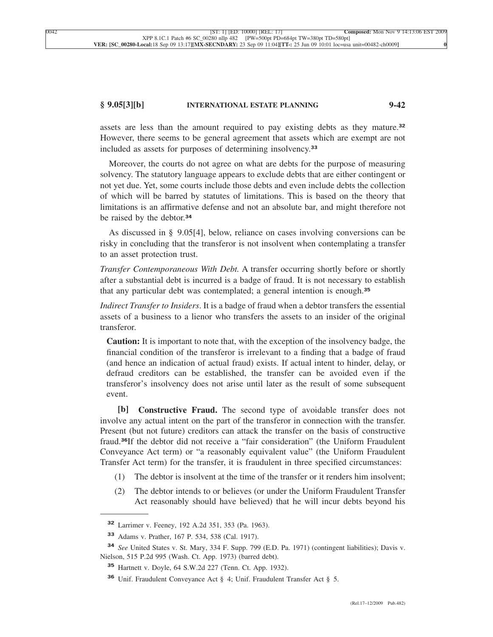### **§ 9.05[3][b] INTERNATIONAL ESTATE PLANNING 9-42**

assets are less than the amount required to pay existing debts as they mature.**<sup>32</sup>** However, there seems to be general agreement that assets which are exempt are not included as assets for purposes of determining insolvency.**<sup>33</sup>**

Moreover, the courts do not agree on what are debts for the purpose of measuring solvency. The statutory language appears to exclude debts that are either contingent or not yet due. Yet, some courts include those debts and even include debts the collection of which will be barred by statutes of limitations. This is based on the theory that limitations is an affirmative defense and not an absolute bar, and might therefore not be raised by the debtor.**<sup>34</sup>**

As discussed in § 9.05[4], below, reliance on cases involving conversions can be risky in concluding that the transferor is not insolvent when contemplating a transfer to an asset protection trust.

*Transfer Contemporaneous With Debt.* A transfer occurring shortly before or shortly after a substantial debt is incurred is a badge of fraud. It is not necessary to establish that any particular debt was contemplated; a general intention is enough.**<sup>35</sup>**

*Indirect Transfer to Insiders*. It is a badge of fraud when a debtor transfers the essential assets of a business to a lienor who transfers the assets to an insider of the original transferor.

**Caution:** It is important to note that, with the exception of the insolvency badge, the financial condition of the transferor is irrelevant to a finding that a badge of fraud (and hence an indication of actual fraud) exists. If actual intent to hinder, delay, or defraud creditors can be established, the transfer can be avoided even if the transferor's insolvency does not arise until later as the result of some subsequent event.

**[b] Constructive Fraud.** The second type of avoidable transfer does not involve any actual intent on the part of the transferor in connection with the transfer. Present (but not future) creditors can attack the transfer on the basis of constructive fraud.**36**If the debtor did not receive a "fair consideration" (the Uniform Fraudulent Conveyance Act term) or "a reasonably equivalent value" (the Uniform Fraudulent Transfer Act term) for the transfer, it is fraudulent in three specified circumstances:

- (1) The debtor is insolvent at the time of the transfer or it renders him insolvent;
- (2) The debtor intends to or believes (or under the Uniform Fraudulent Transfer Act reasonably should have believed) that he will incur debts beyond his

**<sup>32</sup>** Larrimer v. Feeney, 192 A.2d 351, 353 (Pa. 1963).

**<sup>33</sup>** Adams v. Prather, 167 P. 534, 538 (Cal. 1917).

**<sup>34</sup>** *See* United States v. St. Mary, 334 F. Supp. 799 (E.D. Pa. 1971) (contingent liabilities); Davis v. Nielson, 515 P.2d 995 (Wash. Ct. App. 1973) (barred debt).

**<sup>35</sup>** Hartnett v. Doyle, 64 S.W.2d 227 (Tenn. Ct. App. 1932).

**<sup>36</sup>** Unif. Fraudulent Conveyance Act § 4; Unif. Fraudulent Transfer Act § 5.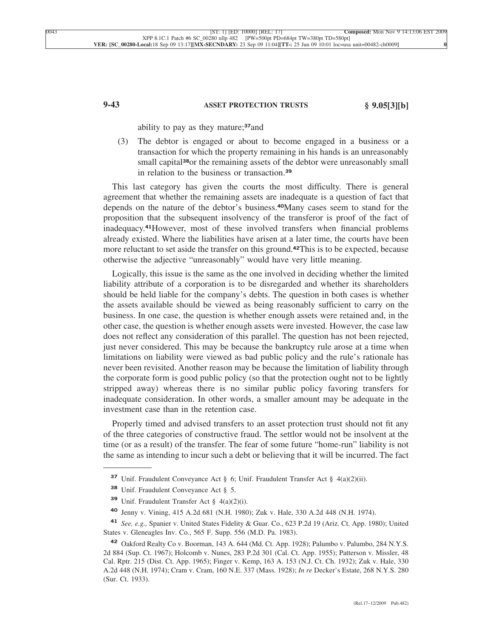# **9-43 ASSET PROTECTION TRUSTS § 9.05[3][b]**

ability to pay as they mature;**37**and

(3) The debtor is engaged or about to become engaged in a business or a transaction for which the property remaining in his hands is an unreasonably small capital**38**or the remaining assets of the debtor were unreasonably small in relation to the business or transaction.**<sup>39</sup>**

This last category has given the courts the most difficulty. There is general agreement that whether the remaining assets are inadequate is a question of fact that depends on the nature of the debtor's business.**40**Many cases seem to stand for the proposition that the subsequent insolvency of the transferor is proof of the fact of inadequacy.**41**However, most of these involved transfers when financial problems already existed. Where the liabilities have arisen at a later time, the courts have been more reluctant to set aside the transfer on this ground.**42**This is to be expected, because otherwise the adjective "unreasonably" would have very little meaning.

Logically, this issue is the same as the one involved in deciding whether the limited liability attribute of a corporation is to be disregarded and whether its shareholders should be held liable for the company's debts. The question in both cases is whether the assets available should be viewed as being reasonably sufficient to carry on the business. In one case, the question is whether enough assets were retained and, in the other case, the question is whether enough assets were invested. However, the case law does not reflect any consideration of this parallel. The question has not been rejected, just never considered. This may be because the bankruptcy rule arose at a time when limitations on liability were viewed as bad public policy and the rule's rationale has never been revisited. Another reason may be because the limitation of liability through the corporate form is good public policy (so that the protection ought not to be lightly stripped away) whereas there is no similar public policy favoring transfers for inadequate consideration. In other words, a smaller amount may be adequate in the investment case than in the retention case.

Properly timed and advised transfers to an asset protection trust should not fit any of the three categories of constructive fraud. The settlor would not be insolvent at the time (or as a result) of the transfer. The fear of some future "home-run" liability is not the same as intending to incur such a debt or believing that it will be incurred. The fact

**<sup>37</sup>** Unif. Fraudulent Conveyance Act § 6; Unif. Fraudulent Transfer Act § 4(a)(2)(ii).

**<sup>38</sup>** Unif. Fraudulent Conveyance Act § 5.

**<sup>39</sup>** Unif. Fraudulent Transfer Act § 4(a)(2)(i).

**<sup>40</sup>** Jenny v. Vining, 415 A.2d 681 (N.H. 1980); Zuk v. Hale, 330 A.2d 448 (N.H. 1974).

**<sup>41</sup>** *See, e.g.,* Spanier v. United States Fidelity & Guar. Co., 623 P.2d 19 (Ariz. Ct. App. 1980); United States v. Gleneagles Inv. Co., 565 F. Supp. 556 (M.D. Pa. 1983).

<sup>&</sup>lt;sup>42</sup> Oakford Realty Co v. Boorman, 143 A. 644 (Md. Ct. App. 1928); Palumbo v. Palumbo, 284 N.Y.S. 2d 884 (Sup. Ct. 1967); Holcomb v. Nunes, 283 P.2d 301 (Cal. Ct. App. 1955); Patterson v. Missler, 48 Cal. Rptr. 215 (Dist. Ct. App. 1965); Finger v. Kemp, 163 A. 153 (N.J. Ct. Ch. 1932); Zuk v. Hale, 330 A.2d 448 (N.H. 1974); Cram v. Cram, 160 N.E. 337 (Mass. 1928); *In re* Decker's Estate, 268 N.Y.S. 280 (Sur. Ct. 1933).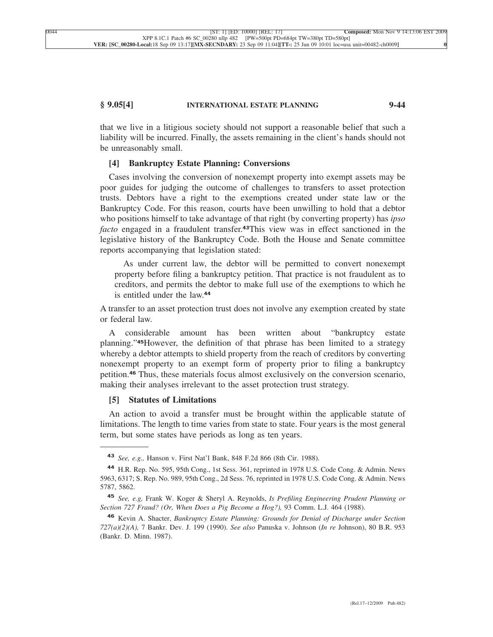## **§ 9.05[4] INTERNATIONAL ESTATE PLANNING 9-44**

that we live in a litigious society should not support a reasonable belief that such a liability will be incurred. Finally, the assets remaining in the client's hands should not be unreasonably small.

# **[4] Bankruptcy Estate Planning: Conversions**

Cases involving the conversion of nonexempt property into exempt assets may be poor guides for judging the outcome of challenges to transfers to asset protection trusts. Debtors have a right to the exemptions created under state law or the Bankruptcy Code. For this reason, courts have been unwilling to hold that a debtor who positions himself to take advantage of that right (by converting property) has *ipso facto* engaged in a fraudulent transfer.**43**This view was in effect sanctioned in the legislative history of the Bankruptcy Code. Both the House and Senate committee reports accompanying that legislation stated:

As under current law, the debtor will be permitted to convert nonexempt property before filing a bankruptcy petition. That practice is not fraudulent as to creditors, and permits the debtor to make full use of the exemptions to which he is entitled under the law.**<sup>44</sup>**

A transfer to an asset protection trust does not involve any exemption created by state or federal law.

A considerable amount has been written about "bankruptcy estate planning."**45**However, the definition of that phrase has been limited to a strategy whereby a debtor attempts to shield property from the reach of creditors by converting nonexempt property to an exempt form of property prior to filing a bankruptcy petition.**<sup>46</sup>** Thus, these materials focus almost exclusively on the conversion scenario, making their analyses irrelevant to the asset protection trust strategy.

# **[5] Statutes of Limitations**

An action to avoid a transfer must be brought within the applicable statute of limitations. The length to time varies from state to state. Four years is the most general term, but some states have periods as long as ten years.

**<sup>43</sup>** *See, e.g.,* Hanson v. First Nat'l Bank, 848 F.2d 866 (8th Cir. 1988).

**<sup>44</sup>** H.R. Rep. No. 595, 95th Cong., 1st Sess. 361, reprinted in 1978 U.S. Code Cong. & Admin. News 5963, 6317; S. Rep. No. 989, 95th Cong., 2d Sess. 76, reprinted in 1978 U.S. Code Cong. & Admin. News 5787, 5862.

**<sup>45</sup>** *See, e.g,* Frank W. Koger & Sheryl A. Reynolds, *Is Prefiling Engineering Prudent Planning or Section 727 Fraud? (Or, When Does a Pig Become a Hog?),* 93 Comm. L.J. 464 (1988).

**<sup>46</sup>** Kevin A. Shacter, *Bankruptcy Estate Planning: Grounds for Denial of Discharge under Section 727(a)(2)(A),* 7 Bankr. Dev. J. 199 (1990). *See also* Panuska v. Johnson (*In re* Johnson), 80 B.R. 953 (Bankr. D. Minn. 1987).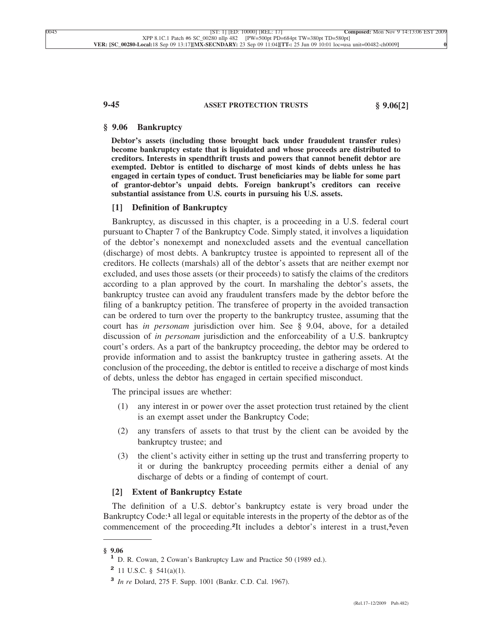## **9-45 ASSET PROTECTION TRUSTS § 9.06[2]**

# **§ 9.06 Bankruptcy**

**Debtor's assets (including those brought back under fraudulent transfer rules) become bankruptcy estate that is liquidated and whose proceeds are distributed to creditors. Interests in spendthrift trusts and powers that cannot benefit debtor are exempted. Debtor is entitled to discharge of most kinds of debts unless he has engaged in certain types of conduct. Trust beneficiaries may be liable for some part of grantor-debtor's unpaid debts. Foreign bankrupt's creditors can receive substantial assistance from U.S. courts in pursuing his U.S. assets.**

## **[1] Definition of Bankruptcy**

Bankruptcy, as discussed in this chapter, is a proceeding in a U.S. federal court pursuant to Chapter 7 of the Bankruptcy Code. Simply stated, it involves a liquidation of the debtor's nonexempt and nonexcluded assets and the eventual cancellation (discharge) of most debts. A bankruptcy trustee is appointed to represent all of the creditors. He collects (marshals) all of the debtor's assets that are neither exempt nor excluded, and uses those assets (or their proceeds) to satisfy the claims of the creditors according to a plan approved by the court. In marshaling the debtor's assets, the bankruptcy trustee can avoid any fraudulent transfers made by the debtor before the filing of a bankruptcy petition. The transferee of property in the avoided transaction can be ordered to turn over the property to the bankruptcy trustee, assuming that the court has *in personam* jurisdiction over him. See § 9.04, above, for a detailed discussion of *in personam* jurisdiction and the enforceability of a U.S. bankruptcy court's orders. As a part of the bankruptcy proceeding, the debtor may be ordered to provide information and to assist the bankruptcy trustee in gathering assets. At the conclusion of the proceeding, the debtor is entitled to receive a discharge of most kinds of debts, unless the debtor has engaged in certain specified misconduct.

The principal issues are whether:

- (1) any interest in or power over the asset protection trust retained by the client is an exempt asset under the Bankruptcy Code;
- (2) any transfers of assets to that trust by the client can be avoided by the bankruptcy trustee; and
- (3) the client's activity either in setting up the trust and transferring property to it or during the bankruptcy proceeding permits either a denial of any discharge of debts or a finding of contempt of court.

## **[2] Extent of Bankruptcy Estate**

The definition of a U.S. debtor's bankruptcy estate is very broad under the Bankruptcy Code:**<sup>1</sup>** all legal or equitable interests in the property of the debtor as of the commencement of the proceeding.**2**It includes a debtor's interest in a trust,**3**even

**<sup>§ 9.06</sup> <sup>1</sup>** D. R. Cowan, 2 Cowan's Bankruptcy Law and Practice 50 (1989 ed.).

**<sup>2</sup>** 11 U.S.C. § 541(a)(1).

**<sup>3</sup>** *In re* Dolard, 275 F. Supp. 1001 (Bankr. C.D. Cal. 1967).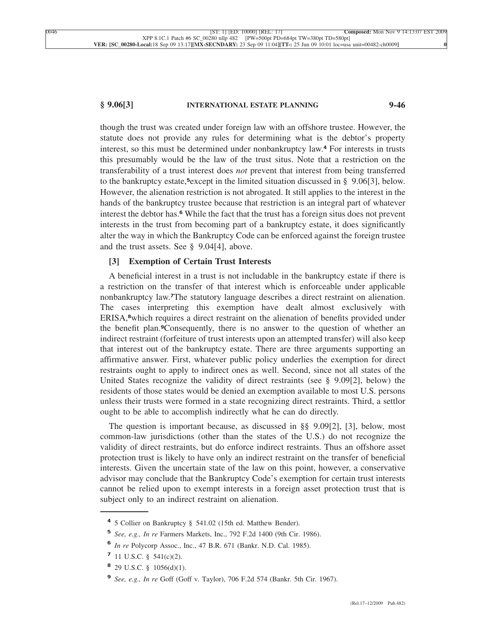# **§ 9.06[3] INTERNATIONAL ESTATE PLANNING 9-46**

though the trust was created under foreign law with an offshore trustee. However, the statute does not provide any rules for determining what is the debtor's property interest, so this must be determined under nonbankruptcy law.**<sup>4</sup>** For interests in trusts this presumably would be the law of the trust situs. Note that a restriction on the transferability of a trust interest does *not* prevent that interest from being transferred to the bankruptcy estate,**5**except in the limited situation discussed in § 9.06[3], below. However, the alienation restriction is not abrogated. It still applies to the interest in the hands of the bankruptcy trustee because that restriction is an integral part of whatever interest the debtor has.**<sup>6</sup>** While the fact that the trust has a foreign situs does not prevent interests in the trust from becoming part of a bankruptcy estate, it does significantly alter the way in which the Bankruptcy Code can be enforced against the foreign trustee and the trust assets. See § 9.04[4], above.

# **[3] Exemption of Certain Trust Interests**

A beneficial interest in a trust is not includable in the bankruptcy estate if there is a restriction on the transfer of that interest which is enforceable under applicable nonbankruptcy law.**7**The statutory language describes a direct restraint on alienation. The cases interpreting this exemption have dealt almost exclusively with ERISA,**8**which requires a direct restraint on the alienation of benefits provided under the benefit plan.**9**Consequently, there is no answer to the question of whether an indirect restraint (forfeiture of trust interests upon an attempted transfer) will also keep that interest out of the bankruptcy estate. There are three arguments supporting an affirmative answer. First, whatever public policy underlies the exemption for direct restraints ought to apply to indirect ones as well. Second, since not all states of the United States recognize the validity of direct restraints (see § 9.09[2], below) the residents of those states would be denied an exemption available to most U.S. persons unless their trusts were formed in a state recognizing direct restraints. Third, a settlor ought to be able to accomplish indirectly what he can do directly.

The question is important because, as discussed in §§ 9.09[2], [3], below, most common-law jurisdictions (other than the states of the U.S.) do not recognize the validity of direct restraints, but do enforce indirect restraints. Thus an offshore asset protection trust is likely to have only an indirect restraint on the transfer of beneficial interests. Given the uncertain state of the law on this point, however, a conservative advisor may conclude that the Bankruptcy Code's exemption for certain trust interests cannot be relied upon to exempt interests in a foreign asset protection trust that is subject only to an indirect restraint on alienation.

**<sup>4</sup>** 5 Collier on Bankruptcy § 541.02 (15th ed. Matthew Bender).

**<sup>5</sup>** *See, e.g., In re* Farmers Markets, Inc., 792 F.2d 1400 (9th Cir. 1986).

**<sup>6</sup>** *In re* Polycorp Assoc., Inc., 47 B.R. 671 (Bankr. N.D. Cal. 1985).

**<sup>7</sup>** 11 U.S.C. § 541(c)(2).

**<sup>8</sup>** 29 U.S.C. § 1056(d)(1).

**<sup>9</sup>** *See, e.g., In re* Goff (Goff v. Taylor), 706 F.2d 574 (Bankr. 5th Cir. 1967).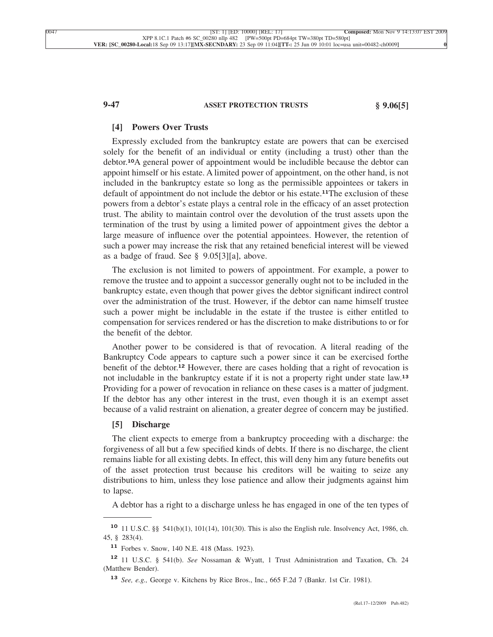### **9-47 ASSET PROTECTION TRUSTS § 9.06[5]**

## **[4] Powers Over Trusts**

Expressly excluded from the bankruptcy estate are powers that can be exercised solely for the benefit of an individual or entity (including a trust) other than the debtor.**10**A general power of appointment would be includible because the debtor can appoint himself or his estate. A limited power of appointment, on the other hand, is not included in the bankruptcy estate so long as the permissible appointees or takers in default of appointment do not include the debtor or his estate.**11**The exclusion of these powers from a debtor's estate plays a central role in the efficacy of an asset protection trust. The ability to maintain control over the devolution of the trust assets upon the termination of the trust by using a limited power of appointment gives the debtor a large measure of influence over the potential appointees. However, the retention of such a power may increase the risk that any retained beneficial interest will be viewed as a badge of fraud. See § 9.05[3][a], above.

The exclusion is not limited to powers of appointment. For example, a power to remove the trustee and to appoint a successor generally ought not to be included in the bankruptcy estate, even though that power gives the debtor significant indirect control over the administration of the trust. However, if the debtor can name himself trustee such a power might be includable in the estate if the trustee is either entitled to compensation for services rendered or has the discretion to make distributions to or for the benefit of the debtor.

Another power to be considered is that of revocation. A literal reading of the Bankruptcy Code appears to capture such a power since it can be exercised forthe benefit of the debtor.**<sup>12</sup>** However, there are cases holding that a right of revocation is not includable in the bankruptcy estate if it is not a property right under state law.**<sup>13</sup>** Providing for a power of revocation in reliance on these cases is a matter of judgment. If the debtor has any other interest in the trust, even though it is an exempt asset because of a valid restraint on alienation, a greater degree of concern may be justified.

## **[5] Discharge**

The client expects to emerge from a bankruptcy proceeding with a discharge: the forgiveness of all but a few specified kinds of debts. If there is no discharge, the client remains liable for all existing debts. In effect, this will deny him any future benefits out of the asset protection trust because his creditors will be waiting to seize any distributions to him, unless they lose patience and allow their judgments against him to lapse.

A debtor has a right to a discharge unless he has engaged in one of the ten types of

**<sup>10</sup>** 11 U.S.C. §§ 541(b)(1), 101(14), 101(30). This is also the English rule. Insolvency Act, 1986, ch. 45, § 283(4).

**<sup>11</sup>** Forbes v. Snow, 140 N.E. 418 (Mass. 1923).

**<sup>12</sup>** 11 U.S.C. § 541(b). *See* Nossaman & Wyatt, 1 Trust Administration and Taxation, Ch. 24 (Matthew Bender).

**<sup>13</sup>** *See, e.g.,* George v. Kitchens by Rice Bros., Inc., 665 F.2d 7 (Bankr. 1st Cir. 1981).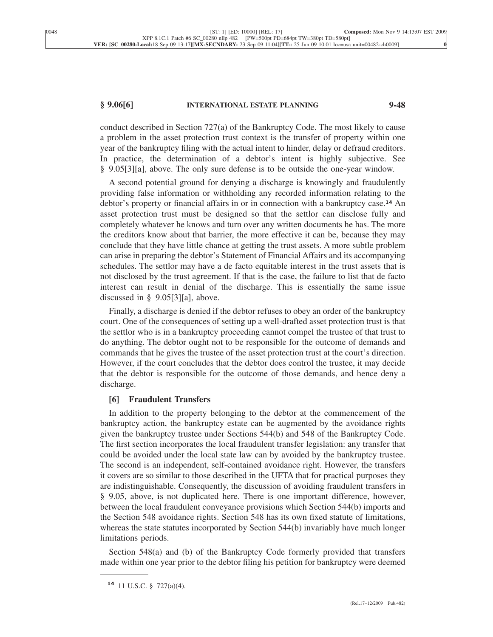## **§ 9.06[6] INTERNATIONAL ESTATE PLANNING 9-48**

conduct described in Section 727(a) of the Bankruptcy Code. The most likely to cause a problem in the asset protection trust context is the transfer of property within one year of the bankruptcy filing with the actual intent to hinder, delay or defraud creditors. In practice, the determination of a debtor's intent is highly subjective. See § 9.05[3][a], above. The only sure defense is to be outside the one-year window.

A second potential ground for denying a discharge is knowingly and fraudulently providing false information or withholding any recorded information relating to the debtor's property or financial affairs in or in connection with a bankruptcy case.**<sup>14</sup>** An asset protection trust must be designed so that the settlor can disclose fully and completely whatever he knows and turn over any written documents he has. The more the creditors know about that barrier, the more effective it can be, because they may conclude that they have little chance at getting the trust assets. A more subtle problem can arise in preparing the debtor's Statement of Financial Affairs and its accompanying schedules. The settlor may have a de facto equitable interest in the trust assets that is not disclosed by the trust agreement. If that is the case, the failure to list that de facto interest can result in denial of the discharge. This is essentially the same issue discussed in § 9.05[3][a], above.

Finally, a discharge is denied if the debtor refuses to obey an order of the bankruptcy court. One of the consequences of setting up a well-drafted asset protection trust is that the settlor who is in a bankruptcy proceeding cannot compel the trustee of that trust to do anything. The debtor ought not to be responsible for the outcome of demands and commands that he gives the trustee of the asset protection trust at the court's direction. However, if the court concludes that the debtor does control the trustee, it may decide that the debtor is responsible for the outcome of those demands, and hence deny a discharge.

## **[6] Fraudulent Transfers**

In addition to the property belonging to the debtor at the commencement of the bankruptcy action, the bankruptcy estate can be augmented by the avoidance rights given the bankruptcy trustee under Sections 544(b) and 548 of the Bankruptcy Code. The first section incorporates the local fraudulent transfer legislation: any transfer that could be avoided under the local state law can by avoided by the bankruptcy trustee. The second is an independent, self-contained avoidance right. However, the transfers it covers are so similar to those described in the UFTA that for practical purposes they are indistinguishable. Consequently, the discussion of avoiding fraudulent transfers in § 9.05, above, is not duplicated here. There is one important difference, however, between the local fraudulent conveyance provisions which Section 544(b) imports and the Section 548 avoidance rights. Section 548 has its own fixed statute of limitations, whereas the state statutes incorporated by Section 544(b) invariably have much longer limitations periods.

Section 548(a) and (b) of the Bankruptcy Code formerly provided that transfers made within one year prior to the debtor filing his petition for bankruptcy were deemed

**<sup>14</sup>** 11 U.S.C. § 727(a)(4).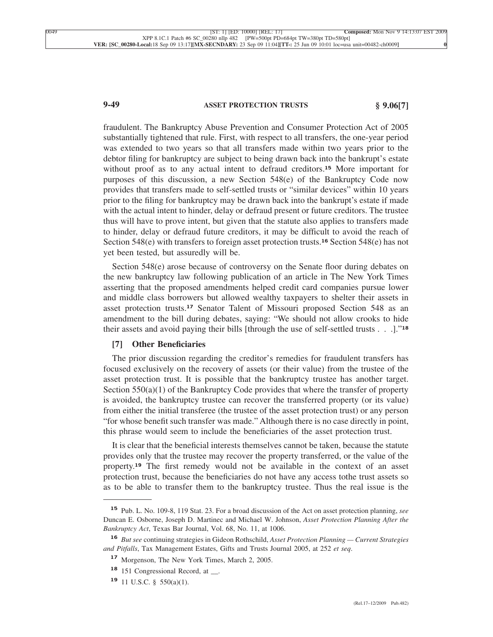# **9-49 ASSET PROTECTION TRUSTS § 9.06[7]**

fraudulent. The Bankruptcy Abuse Prevention and Consumer Protection Act of 2005 substantially tightened that rule. First, with respect to all transfers, the one-year period was extended to two years so that all transfers made within two years prior to the debtor filing for bankruptcy are subject to being drawn back into the bankrupt's estate without proof as to any actual intent to defraud creditors.**<sup>15</sup>** More important for purposes of this discussion, a new Section 548(e) of the Bankruptcy Code now provides that transfers made to self-settled trusts or "similar devices" within 10 years prior to the filing for bankruptcy may be drawn back into the bankrupt's estate if made with the actual intent to hinder, delay or defraud present or future creditors. The trustee thus will have to prove intent, but given that the statute also applies to transfers made to hinder, delay or defraud future creditors, it may be difficult to avoid the reach of Section 548(e) with transfers to foreign asset protection trusts.**<sup>16</sup>** Section 548(e) has not yet been tested, but assuredly will be.

Section 548(e) arose because of controversy on the Senate floor during debates on the new bankruptcy law following publication of an article in The New York Times asserting that the proposed amendments helped credit card companies pursue lower and middle class borrowers but allowed wealthy taxpayers to shelter their assets in asset protection trusts.**<sup>17</sup>** Senator Talent of Missouri proposed Section 548 as an amendment to the bill during debates, saying: "We should not allow crooks to hide their assets and avoid paying their bills [through the use of self-settled trusts . . .]."**<sup>18</sup>**

# **[7] Other Beneficiaries**

The prior discussion regarding the creditor's remedies for fraudulent transfers has focused exclusively on the recovery of assets (or their value) from the trustee of the asset protection trust. It is possible that the bankruptcy trustee has another target. Section  $550(a)(1)$  of the Bankruptcy Code provides that where the transfer of property is avoided, the bankruptcy trustee can recover the transferred property (or its value) from either the initial transferee (the trustee of the asset protection trust) or any person "for whose benefit such transfer was made." Although there is no case directly in point, this phrase would seem to include the beneficiaries of the asset protection trust.

It is clear that the beneficial interests themselves cannot be taken, because the statute provides only that the trustee may recover the property transferred, or the value of the property.**<sup>19</sup>** The first remedy would not be available in the context of an asset protection trust, because the beneficiaries do not have any access tothe trust assets so as to be able to transfer them to the bankruptcy trustee. Thus the real issue is the

**<sup>15</sup>** Pub. L. No. 109-8, 119 Stat. 23. For a broad discussion of the Act on asset protection planning, *see* Duncan E. Osborne, Joseph D. Martinec and Michael W. Johnson, *Asset Protection Planning After the Bankruptcy Act*, Texas Bar Journal, Vol. 68, No. 11, at 1006.

**<sup>16</sup>** *But see* continuing strategies in Gideon Rothschild, *Asset Protection Planning — Current Strategies and Pitfalls*, Tax Management Estates, Gifts and Trusts Journal 2005, at 252 *et seq*.

**<sup>17</sup>** Morgenson, The New York Times, March 2, 2005.

**<sup>18</sup>** 151 Congressional Record, at \_\_.

**<sup>19</sup>** 11 U.S.C. § 550(a)(1).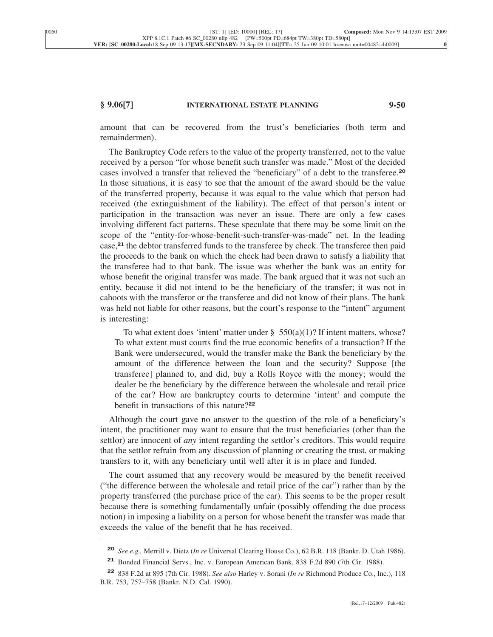# **§ 9.06[7] INTERNATIONAL ESTATE PLANNING 9-50**

amount that can be recovered from the trust's beneficiaries (both term and remaindermen).

The Bankruptcy Code refers to the value of the property transferred, not to the value received by a person "for whose benefit such transfer was made." Most of the decided cases involved a transfer that relieved the "beneficiary" of a debt to the transferee.**<sup>20</sup>** In those situations, it is easy to see that the amount of the award should be the value of the transferred property, because it was equal to the value which that person had received (the extinguishment of the liability). The effect of that person's intent or participation in the transaction was never an issue. There are only a few cases involving different fact patterns. These speculate that there may be some limit on the scope of the "entity-for-whose-benefit-such-transfer-was-made" net. In the leading case,**<sup>21</sup>** the debtor transferred funds to the transferee by check. The transferee then paid the proceeds to the bank on which the check had been drawn to satisfy a liability that the transferee had to that bank. The issue was whether the bank was an entity for whose benefit the original transfer was made. The bank argued that it was not such an entity, because it did not intend to be the beneficiary of the transfer; it was not in cahoots with the transferor or the transferee and did not know of their plans. The bank was held not liable for other reasons, but the court's response to the "intent" argument is interesting:

To what extent does 'intent' matter under §  $550(a)(1)$ ? If intent matters, whose? To what extent must courts find the true economic benefits of a transaction? If the Bank were undersecured, would the transfer make the Bank the beneficiary by the amount of the difference between the loan and the security? Suppose [the transferee] planned to, and did, buy a Rolls Royce with the money; would the dealer be the beneficiary by the difference between the wholesale and retail price of the car? How are bankruptcy courts to determine 'intent' and compute the benefit in transactions of this nature?**<sup>22</sup>**

Although the court gave no answer to the question of the role of a beneficiary's intent, the practitioner may want to ensure that the trust beneficiaries (other than the settlor) are innocent of *any* intent regarding the settlor's creditors. This would require that the settlor refrain from any discussion of planning or creating the trust, or making transfers to it, with any beneficiary until well after it is in place and funded.

The court assumed that any recovery would be measured by the benefit received ("the difference between the wholesale and retail price of the car") rather than by the property transferred (the purchase price of the car). This seems to be the proper result because there is something fundamentally unfair (possibly offending the due process notion) in imposing a liability on a person for whose benefit the transfer was made that exceeds the value of the benefit that he has received.

**<sup>20</sup>** *See e.g.,* Merrill v. Dietz (*In re* Universal Clearing House Co.), 62 B.R. 118 (Bankr. D. Utah 1986).

**<sup>21</sup>** Bonded Financial Servs., Inc. v. European American Bank, 838 F.2d 890 (7th Cir. 1988).

**<sup>22</sup>** 838 F.2d at 895 (7th Cir. 1988). *See also* Harley v. Sorani (*In re* Richmond Produce Co., Inc.), 118 B.R. 753, 757–758 (Bankr. N.D. Cal. 1990).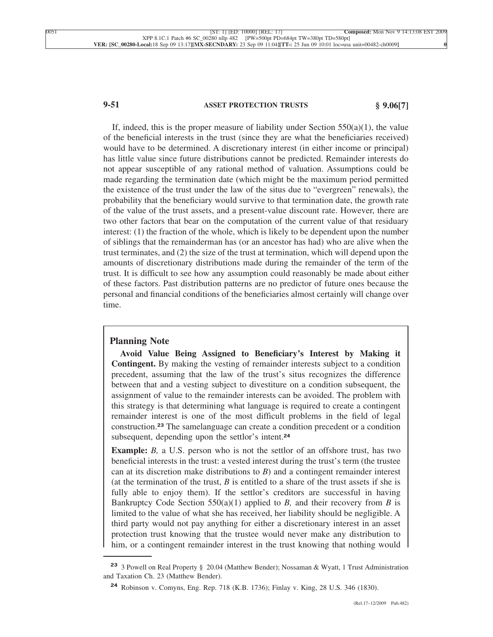# **9-51 ASSET PROTECTION TRUSTS § 9.06[7]**

If, indeed, this is the proper measure of liability under Section  $550(a)(1)$ , the value of the beneficial interests in the trust (since they are what the beneficiaries received) would have to be determined. A discretionary interest (in either income or principal) has little value since future distributions cannot be predicted. Remainder interests do not appear susceptible of any rational method of valuation. Assumptions could be made regarding the termination date (which might be the maximum period permitted the existence of the trust under the law of the situs due to "evergreen" renewals), the probability that the beneficiary would survive to that termination date, the growth rate of the value of the trust assets, and a present-value discount rate. However, there are two other factors that bear on the computation of the current value of that residuary interest: (1) the fraction of the whole, which is likely to be dependent upon the number of siblings that the remainderman has (or an ancestor has had) who are alive when the trust terminates, and (2) the size of the trust at termination, which will depend upon the amounts of discretionary distributions made during the remainder of the term of the trust. It is difficult to see how any assumption could reasonably be made about either of these factors. Past distribution patterns are no predictor of future ones because the personal and financial conditions of the beneficiaries almost certainly will change over time.

## **Planning Note**

**Avoid Value Being Assigned to Beneficiary's Interest by Making it Contingent.** By making the vesting of remainder interests subject to a condition precedent, assuming that the law of the trust's situs recognizes the difference between that and a vesting subject to divestiture on a condition subsequent, the assignment of value to the remainder interests can be avoided. The problem with this strategy is that determining what language is required to create a contingent remainder interest is one of the most difficult problems in the field of legal construction.**<sup>23</sup>** The samelanguage can create a condition precedent or a condition subsequent, depending upon the settlor's intent.**<sup>24</sup>**

**Example:** *B*, a U.S. person who is not the settlor of an offshore trust, has two beneficial interests in the trust: a vested interest during the trust's term (the trustee can at its discretion make distributions to *B*) and a contingent remainder interest (at the termination of the trust,  $B$  is entitled to a share of the trust assets if she is fully able to enjoy them). If the settlor's creditors are successful in having Bankruptcy Code Section 550(a)(1) applied to *B,* and their recovery from *B* is limited to the value of what she has received, her liability should be negligible. A third party would not pay anything for either a discretionary interest in an asset protection trust knowing that the trustee would never make any distribution to him, or a contingent remainder interest in the trust knowing that nothing would

**<sup>23</sup>** 3 Powell on Real Property § 20.04 (Matthew Bender); Nossaman & Wyatt, 1 Trust Administration and Taxation Ch. 23 (Matthew Bender).

**<sup>24</sup>** Robinson v. Comyns, Eng. Rep. 718 (K.B. 1736); Finlay v. King, 28 U.S. 346 (1830).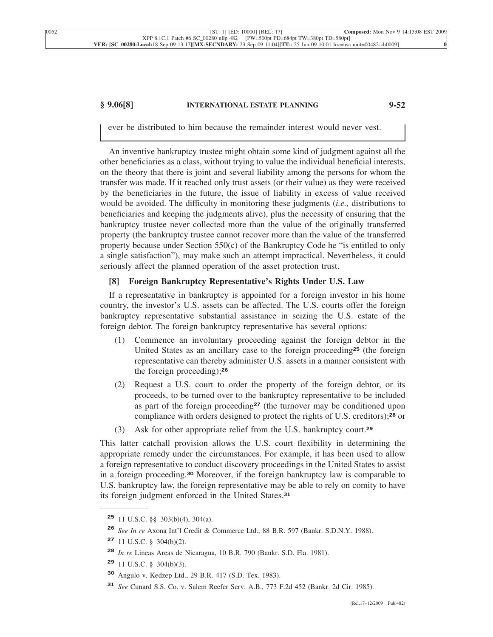# **§ 9.06[8] INTERNATIONAL ESTATE PLANNING 9-52**

ever be distributed to him because the remainder interest would never vest.

An inventive bankruptcy trustee might obtain some kind of judgment against all the other beneficiaries as a class, without trying to value the individual beneficial interests, on the theory that there is joint and several liability among the persons for whom the transfer was made. If it reached only trust assets (or their value) as they were received by the beneficiaries in the future, the issue of liability in excess of value received would be avoided. The difficulty in monitoring these judgments (*i.e.,* distributions to beneficiaries and keeping the judgments alive), plus the necessity of ensuring that the bankruptcy trustee never collected more than the value of the originally transferred property (the bankruptcy trustee cannot recover more than the value of the transferred property because under Section 550(c) of the Bankruptcy Code he "is entitled to only a single satisfaction"), may make such an attempt impractical. Nevertheless, it could seriously affect the planned operation of the asset protection trust.

# **[8] Foreign Bankruptcy Representative's Rights Under U.S. Law**

If a representative in bankruptcy is appointed for a foreign investor in his home country, the investor's U.S. assets can be affected. The U.S. courts offer the foreign bankruptcy representative substantial assistance in seizing the U.S. estate of the foreign debtor. The foreign bankruptcy representative has several options:

- (1) Commence an involuntary proceeding against the foreign debtor in the United States as an ancillary case to the foreign proceeding**<sup>25</sup>** (the foreign representative can thereby administer U.S. assets in a manner consistent with the foreign proceeding);**<sup>26</sup>**
- (2) Request a U.S. court to order the property of the foreign debtor, or its proceeds, to be turned over to the bankruptcy representative to be included as part of the foreign proceeding**<sup>27</sup>** (the turnover may be conditioned upon compliance with orders designed to protect the rights of U.S. creditors);**<sup>28</sup>** or
- (3) Ask for other appropriate relief from the U.S. bankruptcy court.**<sup>29</sup>**

This latter catchall provision allows the U.S. court flexibility in determining the appropriate remedy under the circumstances. For example, it has been used to allow a foreign representative to conduct discovery proceedings in the United States to assist in a foreign proceeding.**<sup>30</sup>** Moreover, if the foreign bankruptcy law is comparable to U.S. bankruptcy law, the foreign representative may be able to rely on comity to have its foreign judgment enforced in the United States.**<sup>31</sup>**

**<sup>25</sup>** 11 U.S.C. §§ 303(b)(4), 304(a).

**<sup>26</sup>** *See In re* Axona Int'l Credit & Commerce Ltd., 88 B.R. 597 (Bankr. S.D.N.Y. 1988).

**<sup>27</sup>** 11 U.S.C. § 304(b)(2).

**<sup>28</sup>** *In re* Lineas Areas de Nicaragua, 10 B.R. 790 (Bankr. S.D. Fla. 1981).

**<sup>29</sup>** 11 U.S.C. § 304(b)(3).

**<sup>30</sup>** Angulo v. Kedzep Ltd., 29 B.R. 417 (S.D. Tex. 1983).

**<sup>31</sup>** *See* Cunard S.S. Co. v. Salem Reefer Serv. A.B., 773 F.2d 452 (Bankr. 2d Cir. 1985).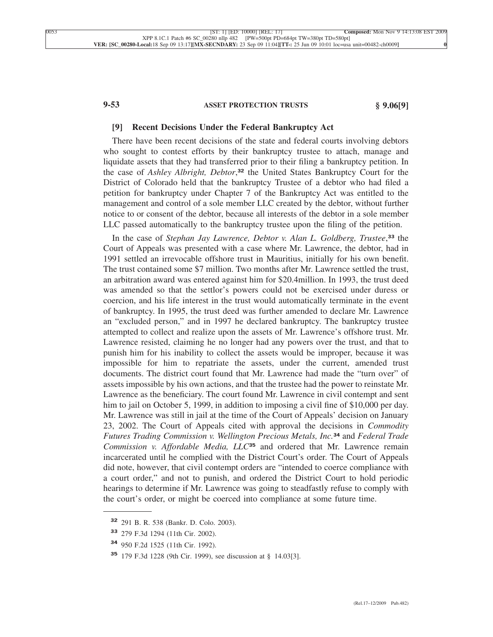# **9-53 ASSET PROTECTION TRUSTS § 9.06[9]**

#### **[9] Recent Decisions Under the Federal Bankruptcy Act**

There have been recent decisions of the state and federal courts involving debtors who sought to contest efforts by their bankruptcy trustee to attach, manage and liquidate assets that they had transferred prior to their filing a bankruptcy petition. In the case of *Ashley Albright, Debtor*, **<sup>32</sup>** the United States Bankruptcy Court for the District of Colorado held that the bankruptcy Trustee of a debtor who had filed a petition for bankruptcy under Chapter 7 of the Bankruptcy Act was entitled to the management and control of a sole member LLC created by the debtor, without further notice to or consent of the debtor, because all interests of the debtor in a sole member LLC passed automatically to the bankruptcy trustee upon the filing of the petition.

In the case of *Stephan Jay Lawrence, Debtor v. Alan L. Goldberg, Trustee*, **<sup>33</sup>** the Court of Appeals was presented with a case where Mr. Lawrence, the debtor, had in 1991 settled an irrevocable offshore trust in Mauritius, initially for his own benefit. The trust contained some \$7 million. Two months after Mr. Lawrence settled the trust, an arbitration award was entered against him for \$20.4million. In 1993, the trust deed was amended so that the settlor's powers could not be exercised under duress or coercion, and his life interest in the trust would automatically terminate in the event of bankruptcy. In 1995, the trust deed was further amended to declare Mr. Lawrence an "excluded person," and in 1997 he declared bankruptcy. The bankruptcy trustee attempted to collect and realize upon the assets of Mr. Lawrence's offshore trust. Mr. Lawrence resisted, claiming he no longer had any powers over the trust, and that to punish him for his inability to collect the assets would be improper, because it was impossible for him to repatriate the assets, under the current, amended trust documents. The district court found that Mr. Lawrence had made the "turn over" of assets impossible by his own actions, and that the trustee had the power to reinstate Mr. Lawrence as the beneficiary. The court found Mr. Lawrence in civil contempt and sent him to jail on October 5, 1999, in addition to imposing a civil fine of \$10,000 per day. Mr. Lawrence was still in jail at the time of the Court of Appeals' decision on January 23, 2002. The Court of Appeals cited with approval the decisions in *Commodity Futures Trading Commission v. Wellington Precious Metals, Inc.***<sup>34</sup>** and *Federal Trade Commission v. Affordable Media, LLC***<sup>35</sup>** and ordered that Mr. Lawrence remain incarcerated until he complied with the District Court's order. The Court of Appeals did note, however, that civil contempt orders are "intended to coerce compliance with a court order," and not to punish, and ordered the District Court to hold periodic hearings to determine if Mr. Lawrence was going to steadfastly refuse to comply with the court's order, or might be coerced into compliance at some future time.

**<sup>32</sup>** 291 B. R. 538 (Bankr. D. Colo. 2003).

**<sup>33</sup>** 279 F.3d 1294 (11th Cir. 2002).

**<sup>34</sup>** 950 F.2d 1525 (11th Cir. 1992).

**<sup>35</sup>** 179 F.3d 1228 (9th Cir. 1999), see discussion at § 14.03[3].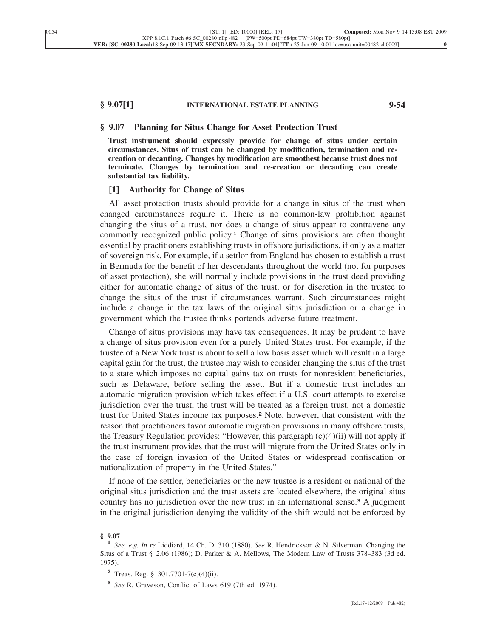## **§ 9.07[1] INTERNATIONAL ESTATE PLANNING 9-54**

#### **§ 9.07 Planning for Situs Change for Asset Protection Trust**

**Trust instrument should expressly provide for change of situs under certain circumstances. Situs of trust can be changed by modification, termination and recreation or decanting. Changes by modification are smoothest because trust does not terminate. Changes by termination and re-creation or decanting can create substantial tax liability.**

## **[1] Authority for Change of Situs**

All asset protection trusts should provide for a change in situs of the trust when changed circumstances require it. There is no common-law prohibition against changing the situs of a trust, nor does a change of situs appear to contravene any commonly recognized public policy.**<sup>1</sup>** Change of situs provisions are often thought essential by practitioners establishing trusts in offshore jurisdictions, if only as a matter of sovereign risk. For example, if a settlor from England has chosen to establish a trust in Bermuda for the benefit of her descendants throughout the world (not for purposes of asset protection), she will normally include provisions in the trust deed providing either for automatic change of situs of the trust, or for discretion in the trustee to change the situs of the trust if circumstances warrant. Such circumstances might include a change in the tax laws of the original situs jurisdiction or a change in government which the trustee thinks portends adverse future treatment.

Change of situs provisions may have tax consequences. It may be prudent to have a change of situs provision even for a purely United States trust. For example, if the trustee of a New York trust is about to sell a low basis asset which will result in a large capital gain for the trust, the trustee may wish to consider changing the situs of the trust to a state which imposes no capital gains tax on trusts for nonresident beneficiaries, such as Delaware, before selling the asset. But if a domestic trust includes an automatic migration provision which takes effect if a U.S. court attempts to exercise jurisdiction over the trust, the trust will be treated as a foreign trust, not a domestic trust for United States income tax purposes.**<sup>2</sup>** Note, however, that consistent with the reason that practitioners favor automatic migration provisions in many offshore trusts, the Treasury Regulation provides: "However, this paragraph  $(c)(4)(ii)$  will not apply if the trust instrument provides that the trust will migrate from the United States only in the case of foreign invasion of the United States or widespread confiscation or nationalization of property in the United States."

If none of the settlor, beneficiaries or the new trustee is a resident or national of the original situs jurisdiction and the trust assets are located elsewhere, the original situs country has no jurisdiction over the new trust in an international sense.**<sup>3</sup>** A judgment in the original jurisdiction denying the validity of the shift would not be enforced by

**<sup>§ 9.07</sup> <sup>1</sup>** *See, e.g, In re* Liddiard, 14 Ch. D. 310 (1880). *See* R. Hendrickson & N. Silverman, Changing the Situs of a Trust § 2.06 (1986); D. Parker & A. Mellows, The Modern Law of Trusts 378–383 (3d ed. 1975).

**<sup>2</sup>** Treas. Reg. § 301.7701-7(c)(4)(ii).

**<sup>3</sup>** *See* R. Graveson, Conflict of Laws 619 (7th ed. 1974).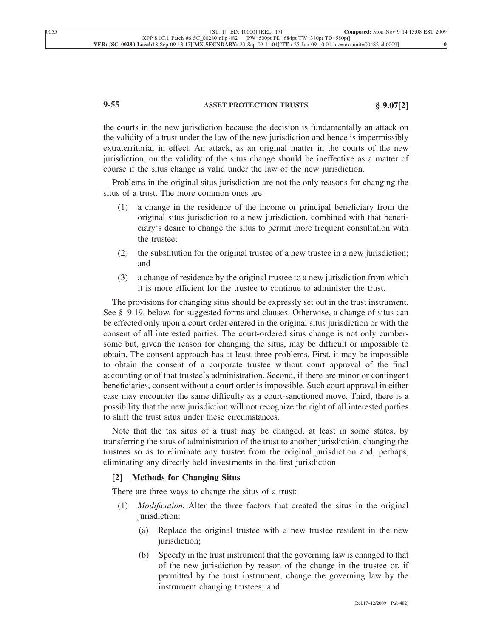# **9-55 ASSET PROTECTION TRUSTS § 9.07[2]**

the courts in the new jurisdiction because the decision is fundamentally an attack on the validity of a trust under the law of the new jurisdiction and hence is impermissibly extraterritorial in effect. An attack, as an original matter in the courts of the new jurisdiction, on the validity of the situs change should be ineffective as a matter of course if the situs change is valid under the law of the new jurisdiction.

Problems in the original situs jurisdiction are not the only reasons for changing the situs of a trust. The more common ones are:

- (1) a change in the residence of the income or principal beneficiary from the original situs jurisdiction to a new jurisdiction, combined with that beneficiary's desire to change the situs to permit more frequent consultation with the trustee;
- (2) the substitution for the original trustee of a new trustee in a new jurisdiction; and
- (3) a change of residence by the original trustee to a new jurisdiction from which it is more efficient for the trustee to continue to administer the trust.

The provisions for changing situs should be expressly set out in the trust instrument. See § 9.19, below, for suggested forms and clauses. Otherwise, a change of situs can be effected only upon a court order entered in the original situs jurisdiction or with the consent of all interested parties. The court-ordered situs change is not only cumbersome but, given the reason for changing the situs, may be difficult or impossible to obtain. The consent approach has at least three problems. First, it may be impossible to obtain the consent of a corporate trustee without court approval of the final accounting or of that trustee's administration. Second, if there are minor or contingent beneficiaries, consent without a court order is impossible. Such court approval in either case may encounter the same difficulty as a court-sanctioned move. Third, there is a possibility that the new jurisdiction will not recognize the right of all interested parties to shift the trust situs under these circumstances.

Note that the tax situs of a trust may be changed, at least in some states, by transferring the situs of administration of the trust to another jurisdiction, changing the trustees so as to eliminate any trustee from the original jurisdiction and, perhaps, eliminating any directly held investments in the first jurisdiction.

## **[2] Methods for Changing Situs**

There are three ways to change the situs of a trust:

- (1) *Modification.* Alter the three factors that created the situs in the original jurisdiction:
	- (a) Replace the original trustee with a new trustee resident in the new jurisdiction;
	- (b) Specify in the trust instrument that the governing law is changed to that of the new jurisdiction by reason of the change in the trustee or, if permitted by the trust instrument, change the governing law by the instrument changing trustees; and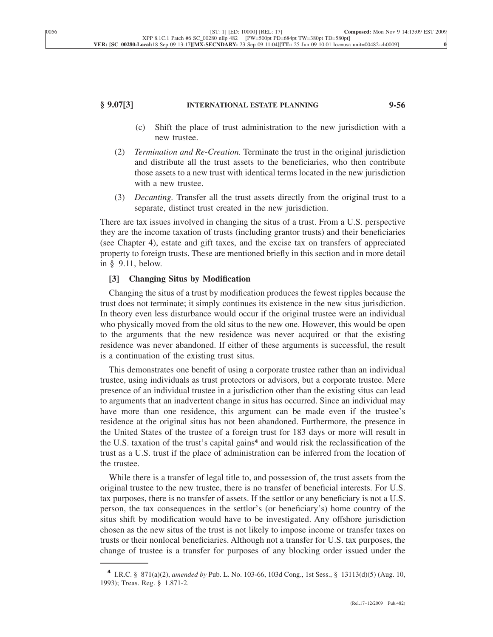## **§ 9.07[3] INTERNATIONAL ESTATE PLANNING 9-56**

- (c) Shift the place of trust administration to the new jurisdiction with a new trustee.
- (2) *Termination and Re-Creation.* Terminate the trust in the original jurisdiction and distribute all the trust assets to the beneficiaries, who then contribute those assets to a new trust with identical terms located in the new jurisdiction with a new trustee.
- (3) *Decanting.* Transfer all the trust assets directly from the original trust to a separate, distinct trust created in the new jurisdiction.

There are tax issues involved in changing the situs of a trust. From a U.S. perspective they are the income taxation of trusts (including grantor trusts) and their beneficiaries (see Chapter 4), estate and gift taxes, and the excise tax on transfers of appreciated property to foreign trusts. These are mentioned briefly in this section and in more detail in § 9.11, below.

# **[3] Changing Situs by Modification**

Changing the situs of a trust by modification produces the fewest ripples because the trust does not terminate; it simply continues its existence in the new situs jurisdiction. In theory even less disturbance would occur if the original trustee were an individual who physically moved from the old situs to the new one. However, this would be open to the arguments that the new residence was never acquired or that the existing residence was never abandoned. If either of these arguments is successful, the result is a continuation of the existing trust situs.

This demonstrates one benefit of using a corporate trustee rather than an individual trustee, using individuals as trust protectors or advisors, but a corporate trustee. Mere presence of an individual trustee in a jurisdiction other than the existing situs can lead to arguments that an inadvertent change in situs has occurred. Since an individual may have more than one residence, this argument can be made even if the trustee's residence at the original situs has not been abandoned. Furthermore, the presence in the United States of the trustee of a foreign trust for 183 days or more will result in the U.S. taxation of the trust's capital gains**<sup>4</sup>** and would risk the reclassification of the trust as a U.S. trust if the place of administration can be inferred from the location of the trustee.

While there is a transfer of legal title to, and possession of, the trust assets from the original trustee to the new trustee, there is no transfer of beneficial interests. For U.S. tax purposes, there is no transfer of assets. If the settlor or any beneficiary is not a U.S. person, the tax consequences in the settlor's (or beneficiary's) home country of the situs shift by modification would have to be investigated. Any offshore jurisdiction chosen as the new situs of the trust is not likely to impose income or transfer taxes on trusts or their nonlocal beneficiaries. Although not a transfer for U.S. tax purposes, the change of trustee is a transfer for purposes of any blocking order issued under the

**<sup>4</sup>** I.R.C. § 871(a)(2), *amended by* Pub. L. No. 103-66, 103d Cong., 1st Sess., § 13113(d)(5) (Aug. 10, 1993); Treas. Reg. § 1.871-2.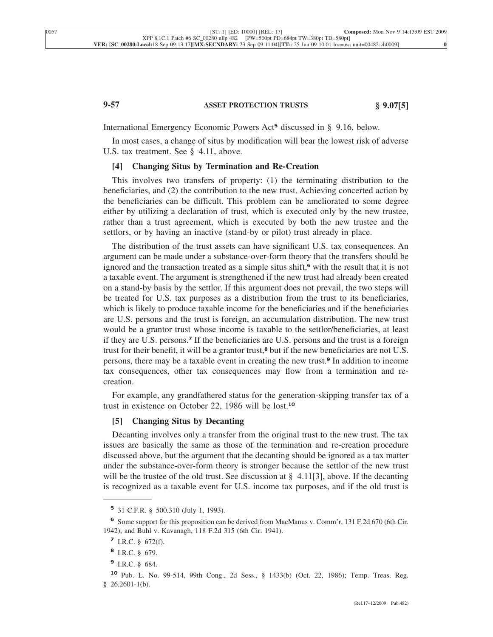# **9-57 ASSET PROTECTION TRUSTS § 9.07[5]**

International Emergency Economic Powers Act**<sup>5</sup>** discussed in § 9.16, below.

In most cases, a change of situs by modification will bear the lowest risk of adverse U.S. tax treatment. See § 4.11, above.

## **[4] Changing Situs by Termination and Re-Creation**

This involves two transfers of property: (1) the terminating distribution to the beneficiaries, and (2) the contribution to the new trust. Achieving concerted action by the beneficiaries can be difficult. This problem can be ameliorated to some degree either by utilizing a declaration of trust, which is executed only by the new trustee, rather than a trust agreement, which is executed by both the new trustee and the settlors, or by having an inactive (stand-by or pilot) trust already in place.

The distribution of the trust assets can have significant U.S. tax consequences. An argument can be made under a substance-over-form theory that the transfers should be ignored and the transaction treated as a simple situs shift,**<sup>6</sup>** with the result that it is not a taxable event. The argument is strengthened if the new trust had already been created on a stand-by basis by the settlor. If this argument does not prevail, the two steps will be treated for U.S. tax purposes as a distribution from the trust to its beneficiaries, which is likely to produce taxable income for the beneficiaries and if the beneficiaries are U.S. persons and the trust is foreign, an accumulation distribution. The new trust would be a grantor trust whose income is taxable to the settlor/beneficiaries, at least if they are U.S. persons.**<sup>7</sup>** If the beneficiaries are U.S. persons and the trust is a foreign trust for their benefit, it will be a grantor trust,**<sup>8</sup>** but if the new beneficiaries are not U.S. persons, there may be a taxable event in creating the new trust.**<sup>9</sup>** In addition to income tax consequences, other tax consequences may flow from a termination and recreation.

For example, any grandfathered status for the generation-skipping transfer tax of a trust in existence on October 22, 1986 will be lost.**<sup>10</sup>**

## **[5] Changing Situs by Decanting**

Decanting involves only a transfer from the original trust to the new trust. The tax issues are basically the same as those of the termination and re-creation procedure discussed above, but the argument that the decanting should be ignored as a tax matter under the substance-over-form theory is stronger because the settlor of the new trust will be the trustee of the old trust. See discussion at  $\S$  4.11[3], above. If the decanting is recognized as a taxable event for U.S. income tax purposes, and if the old trust is

**<sup>5</sup>** 31 C.F.R. § 500.310 (July 1, 1993).

**<sup>6</sup>** Some support for this proposition can be derived from MacManus v. Comm'r, 131 F.2d 670 (6th Cir. 1942), and Buhl v. Kavanagh, 118 F.2d 315 (6th Cir. 1941).

**<sup>7</sup>** I.R.C. § 672(f).

**<sup>8</sup>** I.R.C. § 679.

**<sup>9</sup>** I.R.C. § 684.

**<sup>10</sup>** Pub. L. No. 99-514, 99th Cong., 2d Sess., § 1433(b) (Oct. 22, 1986); Temp. Treas. Reg. § 26.2601-1(b).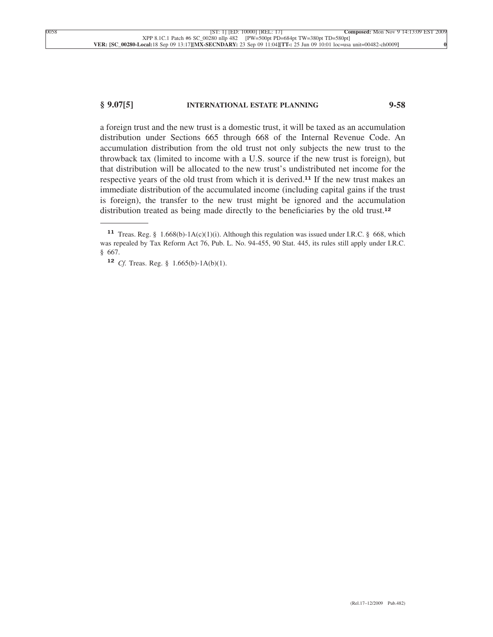## **§ 9.07[5] INTERNATIONAL ESTATE PLANNING 9-58**

a foreign trust and the new trust is a domestic trust, it will be taxed as an accumulation distribution under Sections 665 through 668 of the Internal Revenue Code. An accumulation distribution from the old trust not only subjects the new trust to the throwback tax (limited to income with a U.S. source if the new trust is foreign), but that distribution will be allocated to the new trust's undistributed net income for the respective years of the old trust from which it is derived.**<sup>11</sup>** If the new trust makes an immediate distribution of the accumulated income (including capital gains if the trust is foreign), the transfer to the new trust might be ignored and the accumulation distribution treated as being made directly to the beneficiaries by the old trust.**<sup>12</sup>**

**<sup>11</sup>** Treas. Reg. § 1.668(b)-1A(c)(1)(i). Although this regulation was issued under I.R.C. § 668, which was repealed by Tax Reform Act 76, Pub. L. No. 94-455, 90 Stat. 445, its rules still apply under I.R.C. § 667.

**<sup>12</sup>** *Cf.* Treas. Reg. § 1.665(b)-1A(b)(1).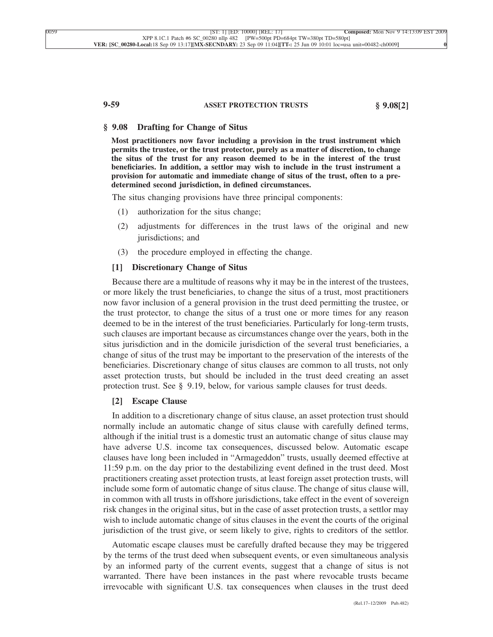# **9-59 ASSET PROTECTION TRUSTS § 9.08[2]**

## **§ 9.08 Drafting for Change of Situs**

**Most practitioners now favor including a provision in the trust instrument which permits the trustee, or the trust protector, purely as a matter of discretion, to change the situs of the trust for any reason deemed to be in the interest of the trust beneficiaries. In addition, a settlor may wish to include in the trust instrument a provision for automatic and immediate change of situs of the trust, often to a predetermined second jurisdiction, in defined circumstances.**

The situs changing provisions have three principal components:

- (1) authorization for the situs change;
- (2) adjustments for differences in the trust laws of the original and new jurisdictions; and
- (3) the procedure employed in effecting the change.

### **[1] Discretionary Change of Situs**

Because there are a multitude of reasons why it may be in the interest of the trustees, or more likely the trust beneficiaries, to change the situs of a trust, most practitioners now favor inclusion of a general provision in the trust deed permitting the trustee, or the trust protector, to change the situs of a trust one or more times for any reason deemed to be in the interest of the trust beneficiaries. Particularly for long-term trusts, such clauses are important because as circumstances change over the years, both in the situs jurisdiction and in the domicile jurisdiction of the several trust beneficiaries, a change of situs of the trust may be important to the preservation of the interests of the beneficiaries. Discretionary change of situs clauses are common to all trusts, not only asset protection trusts, but should be included in the trust deed creating an asset protection trust. See § 9.19, below, for various sample clauses for trust deeds.

#### **[2] Escape Clause**

In addition to a discretionary change of situs clause, an asset protection trust should normally include an automatic change of situs clause with carefully defined terms, although if the initial trust is a domestic trust an automatic change of situs clause may have adverse U.S. income tax consequences, discussed below. Automatic escape clauses have long been included in "Armageddon" trusts, usually deemed effective at 11:59 p.m. on the day prior to the destabilizing event defined in the trust deed. Most practitioners creating asset protection trusts, at least foreign asset protection trusts, will include some form of automatic change of situs clause. The change of situs clause will, in common with all trusts in offshore jurisdictions, take effect in the event of sovereign risk changes in the original situs, but in the case of asset protection trusts, a settlor may wish to include automatic change of situs clauses in the event the courts of the original jurisdiction of the trust give, or seem likely to give, rights to creditors of the settlor.

Automatic escape clauses must be carefully drafted because they may be triggered by the terms of the trust deed when subsequent events, or even simultaneous analysis by an informed party of the current events, suggest that a change of situs is not warranted. There have been instances in the past where revocable trusts became irrevocable with significant U.S. tax consequences when clauses in the trust deed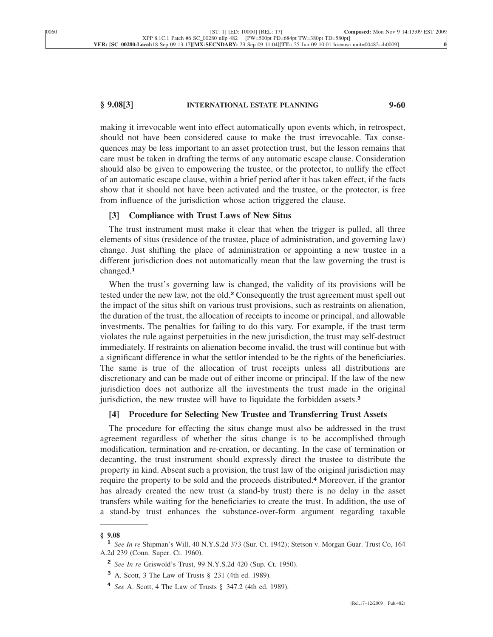## **§ 9.08[3] INTERNATIONAL ESTATE PLANNING 9-60**

making it irrevocable went into effect automatically upon events which, in retrospect, should not have been considered cause to make the trust irrevocable. Tax consequences may be less important to an asset protection trust, but the lesson remains that care must be taken in drafting the terms of any automatic escape clause. Consideration should also be given to empowering the trustee, or the protector, to nullify the effect of an automatic escape clause, within a brief period after it has taken effect, if the facts show that it should not have been activated and the trustee, or the protector, is free from influence of the jurisdiction whose action triggered the clause.

### **[3] Compliance with Trust Laws of New Situs**

The trust instrument must make it clear that when the trigger is pulled, all three elements of situs (residence of the trustee, place of administration, and governing law) change. Just shifting the place of administration or appointing a new trustee in a different jurisdiction does not automatically mean that the law governing the trust is changed.**<sup>1</sup>**

When the trust's governing law is changed, the validity of its provisions will be tested under the new law, not the old.**<sup>2</sup>** Consequently the trust agreement must spell out the impact of the situs shift on various trust provisions, such as restraints on alienation, the duration of the trust, the allocation of receipts to income or principal, and allowable investments. The penalties for failing to do this vary. For example, if the trust term violates the rule against perpetuities in the new jurisdiction, the trust may self-destruct immediately. If restraints on alienation become invalid, the trust will continue but with a significant difference in what the settlor intended to be the rights of the beneficiaries. The same is true of the allocation of trust receipts unless all distributions are discretionary and can be made out of either income or principal. If the law of the new jurisdiction does not authorize all the investments the trust made in the original jurisdiction, the new trustee will have to liquidate the forbidden assets.**<sup>3</sup>**

## **[4] Procedure for Selecting New Trustee and Transferring Trust Assets**

The procedure for effecting the situs change must also be addressed in the trust agreement regardless of whether the situs change is to be accomplished through modification, termination and re-creation, or decanting. In the case of termination or decanting, the trust instrument should expressly direct the trustee to distribute the property in kind. Absent such a provision, the trust law of the original jurisdiction may require the property to be sold and the proceeds distributed.**<sup>4</sup>** Moreover, if the grantor has already created the new trust (a stand-by trust) there is no delay in the asset transfers while waiting for the beneficiaries to create the trust. In addition, the use of a stand-by trust enhances the substance-over-form argument regarding taxable

**<sup>§ 9.08</sup> <sup>1</sup>** *See In re* Shipman's Will, 40 N.Y.S.2d 373 (Sur. Ct. 1942); Stetson v. Morgan Guar. Trust Co, 164 A.2d 239 (Conn. Super. Ct. 1960).

**<sup>2</sup>** *See In re* Griswold's Trust, 99 N.Y.S.2d 420 (Sup. Ct. 1950).

**<sup>3</sup>** A. Scott, 3 The Law of Trusts § 231 (4th ed. 1989).

**<sup>4</sup>** *See* A. Scott, 4 The Law of Trusts § 347.2 (4th ed. 1989).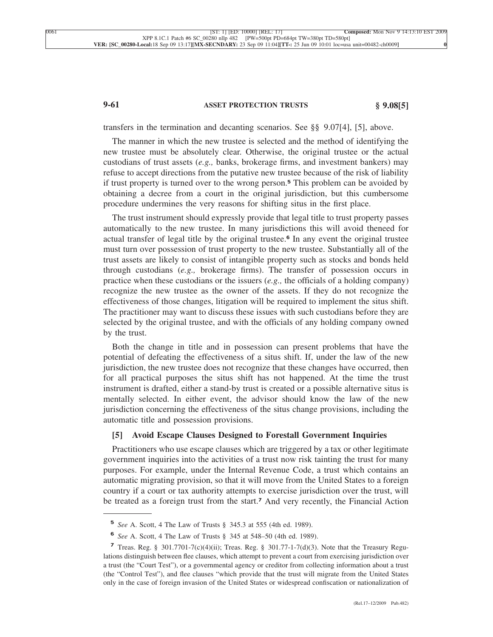# **9-61 ASSET PROTECTION TRUSTS § 9.08[5]**

transfers in the termination and decanting scenarios. See §§ 9.07[4], [5], above.

The manner in which the new trustee is selected and the method of identifying the new trustee must be absolutely clear. Otherwise, the original trustee or the actual custodians of trust assets (*e.g.,* banks, brokerage firms, and investment bankers) may refuse to accept directions from the putative new trustee because of the risk of liability if trust property is turned over to the wrong person.**<sup>5</sup>** This problem can be avoided by obtaining a decree from a court in the original jurisdiction, but this cumbersome procedure undermines the very reasons for shifting situs in the first place.

The trust instrument should expressly provide that legal title to trust property passes automatically to the new trustee. In many jurisdictions this will avoid theneed for actual transfer of legal title by the original trustee.**<sup>6</sup>** In any event the original trustee must turn over possession of trust property to the new trustee. Substantially all of the trust assets are likely to consist of intangible property such as stocks and bonds held through custodians (*e.g.,* brokerage firms). The transfer of possession occurs in practice when these custodians or the issuers (*e.g.,* the officials of a holding company) recognize the new trustee as the owner of the assets. If they do not recognize the effectiveness of those changes, litigation will be required to implement the situs shift. The practitioner may want to discuss these issues with such custodians before they are selected by the original trustee, and with the officials of any holding company owned by the trust.

Both the change in title and in possession can present problems that have the potential of defeating the effectiveness of a situs shift. If, under the law of the new jurisdiction, the new trustee does not recognize that these changes have occurred, then for all practical purposes the situs shift has not happened. At the time the trust instrument is drafted, either a stand-by trust is created or a possible alternative situs is mentally selected. In either event, the advisor should know the law of the new jurisdiction concerning the effectiveness of the situs change provisions, including the automatic title and possession provisions.

### **[5] Avoid Escape Clauses Designed to Forestall Government Inquiries**

Practitioners who use escape clauses which are triggered by a tax or other legitimate government inquiries into the activities of a trust now risk tainting the trust for many purposes. For example, under the Internal Revenue Code, a trust which contains an automatic migrating provision, so that it will move from the United States to a foreign country if a court or tax authority attempts to exercise jurisdiction over the trust, will be treated as a foreign trust from the start.**<sup>7</sup>** And very recently, the Financial Action

**<sup>5</sup>** *See* A. Scott, 4 The Law of Trusts § 345.3 at 555 (4th ed. 1989).

**<sup>6</sup>** *See* A. Scott, 4 The Law of Trusts § 345 at 548–50 (4th ed. 1989).

**<sup>7</sup>** Treas. Reg. § 301.7701-7(c)(4)(ii); Treas. Reg. § 301.77-1-7(d)(3). Note that the Treasury Regulations distinguish between flee clauses, which attempt to prevent a court from exercising jurisdiction over a trust (the "Court Test"), or a governmental agency or creditor from collecting information about a trust (the "Control Test"), and flee clauses "which provide that the trust will migrate from the United States only in the case of foreign invasion of the United States or widespread confiscation or nationalization of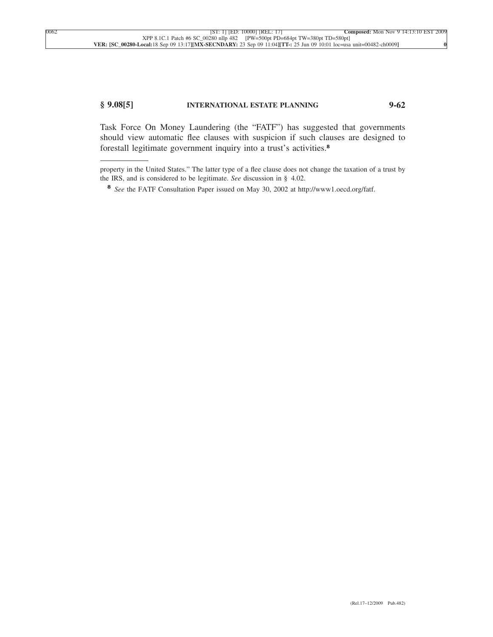# **§ 9.08[5] INTERNATIONAL ESTATE PLANNING 9-62**

Task Force On Money Laundering (the "FATF") has suggested that governments should view automatic flee clauses with suspicion if such clauses are designed to forestall legitimate government inquiry into a trust's activities.**<sup>8</sup>**

property in the United States." The latter type of a flee clause does not change the taxation of a trust by the IRS, and is considered to be legitimate. *See* discussion in § 4.02.

**<sup>8</sup>** *See* the FATF Consultation Paper issued on May 30, 2002 at http://www1.oecd.org/fatf.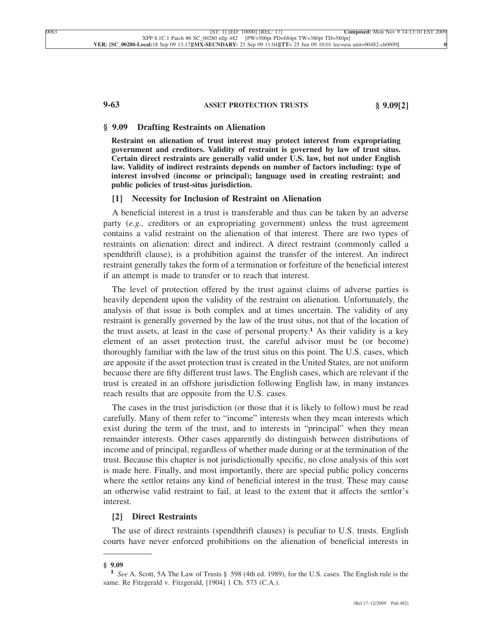### **9-63 ASSET PROTECTION TRUSTS § 9.09[2]**

### **§ 9.09 Drafting Restraints on Alienation**

**Restraint on alienation of trust interest may protect interest from expropriating government and creditors. Validity of restraint is governed by law of trust situs. Certain direct restraints are generally valid under U.S. law, but not under English law. Validity of indirect restraints depends on number of factors including: type of interest involved (income or principal); language used in creating restraint; and public policies of trust-situs jurisdiction.**

# **[1] Necessity for Inclusion of Restraint on Alienation**

A beneficial interest in a trust is transferable and thus can be taken by an adverse party (*e.g.,* creditors or an expropriating government) unless the trust agreement contains a valid restraint on the alienation of that interest. There are two types of restraints on alienation: direct and indirect. A direct restraint (commonly called a spendthrift clause), is a prohibition against the transfer of the interest. An indirect restraint generally takes the form of a termination or forfeiture of the beneficial interest if an attempt is made to transfer or to reach that interest.

The level of protection offered by the trust against claims of adverse parties is heavily dependent upon the validity of the restraint on alienation. Unfortunately, the analysis of that issue is both complex and at times uncertain. The validity of any restraint is generally governed by the law of the trust situs, not that of the location of the trust assets, at least in the case of personal property.**<sup>1</sup>** As their validity is a key element of an asset protection trust, the careful advisor must be (or become) thoroughly familiar with the law of the trust situs on this point. The U.S. cases, which are apposite if the asset protection trust is created in the United States, are not uniform because there are fifty different trust laws. The English cases, which are relevant if the trust is created in an offshore jurisdiction following English law, in many instances reach results that are opposite from the U.S. cases.

The cases in the trust jurisdiction (or those that it is likely to follow) must be read carefully. Many of them refer to "income" interests when they mean interests which exist during the term of the trust, and to interests in "principal" when they mean remainder interests. Other cases apparently do distinguish between distributions of income and of principal, regardless of whether made during or at the termination of the trust. Because this chapter is not jurisdictionally specific, no close analysis of this sort is made here. Finally, and most importantly, there are special public policy concerns where the settlor retains any kind of beneficial interest in the trust. These may cause an otherwise valid restraint to fail, at least to the extent that it affects the settlor's interest.

# **[2] Direct Restraints**

The use of direct restraints (spendthrift clauses) is peculiar to U.S. trusts. English courts have never enforced prohibitions on the alienation of beneficial interests in

**<sup>§ 9.09</sup> <sup>1</sup>** *See* A. Scott, 5A The Law of Trusts § 598 (4th ed. 1989), for the U.S. cases. The English rule is the same. Re Fitzgerald v. Fitzgerald, [1904] 1 Ch. 573 (C.A.).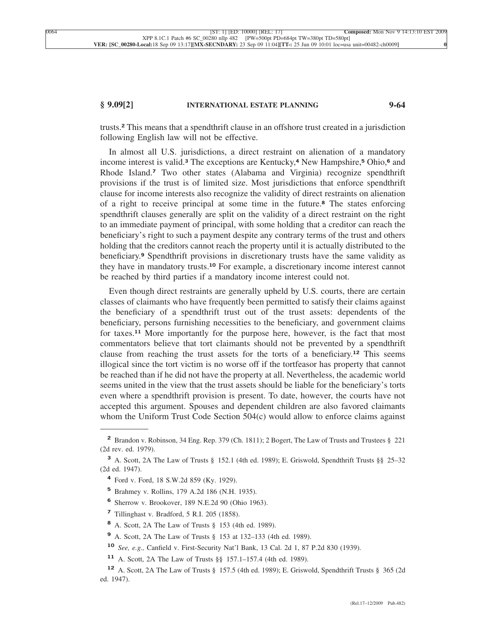# **§ 9.09[2] INTERNATIONAL ESTATE PLANNING 9-64**

trusts.**<sup>2</sup>** This means that a spendthrift clause in an offshore trust created in a jurisdiction following English law will not be effective.

In almost all U.S. jurisdictions, a direct restraint on alienation of a mandatory income interest is valid.**<sup>3</sup>** The exceptions are Kentucky,**<sup>4</sup>** New Hampshire,**<sup>5</sup>** Ohio,**<sup>6</sup>** and Rhode Island.**<sup>7</sup>** Two other states (Alabama and Virginia) recognize spendthrift provisions if the trust is of limited size. Most jurisdictions that enforce spendthrift clause for income interests also recognize the validity of direct restraints on alienation of a right to receive principal at some time in the future.**<sup>8</sup>** The states enforcing spendthrift clauses generally are split on the validity of a direct restraint on the right to an immediate payment of principal, with some holding that a creditor can reach the beneficiary's right to such a payment despite any contrary terms of the trust and others holding that the creditors cannot reach the property until it is actually distributed to the beneficiary.**<sup>9</sup>** Spendthrift provisions in discretionary trusts have the same validity as they have in mandatory trusts.**<sup>10</sup>** For example, a discretionary income interest cannot be reached by third parties if a mandatory income interest could not.

Even though direct restraints are generally upheld by U.S. courts, there are certain classes of claimants who have frequently been permitted to satisfy their claims against the beneficiary of a spendthrift trust out of the trust assets: dependents of the beneficiary, persons furnishing necessities to the beneficiary, and government claims for taxes.**<sup>11</sup>** More importantly for the purpose here, however, is the fact that most commentators believe that tort claimants should not be prevented by a spendthrift clause from reaching the trust assets for the torts of a beneficiary.**<sup>12</sup>** This seems illogical since the tort victim is no worse off if the tortfeasor has property that cannot be reached than if he did not have the property at all. Nevertheless, the academic world seems united in the view that the trust assets should be liable for the beneficiary's torts even where a spendthrift provision is present. To date, however, the courts have not accepted this argument. Spouses and dependent children are also favored claimants whom the Uniform Trust Code Section 504(c) would allow to enforce claims against

**<sup>2</sup>** Brandon v. Robinson, 34 Eng. Rep. 379 (Ch. 1811); 2 Bogert, The Law of Trusts and Trustees § 221 (2d rev. ed. 1979).

**<sup>3</sup>** A. Scott, 2A The Law of Trusts § 152.1 (4th ed. 1989); E. Griswold, Spendthrift Trusts §§ 25–32 (2d ed. 1947).

**<sup>4</sup>** Ford v. Ford, 18 S.W.2d 859 (Ky. 1929).

**<sup>5</sup>** Brahmey v. Rollins, 179 A.2d 186 (N.H. 1935).

**<sup>6</sup>** Sherrow v. Brookover, 189 N.E.2d 90 (Ohio 1963).

**<sup>7</sup>** Tillinghast v. Bradford, 5 R.I. 205 (1858).

**<sup>8</sup>** A. Scott, 2A The Law of Trusts § 153 (4th ed. 1989).

**<sup>9</sup>** A. Scott, 2A The Law of Trusts § 153 at 132–133 (4th ed. 1989).

**<sup>10</sup>** *See, e.g.,* Canfield v. First-Security Nat'l Bank, 13 Cal. 2d 1, 87 P.2d 830 (1939).

**<sup>11</sup>** A. Scott, 2A The Law of Trusts §§ 157.1–157.4 (4th ed. 1989).

**<sup>12</sup>** A. Scott, 2A The Law of Trusts § 157.5 (4th ed. 1989); E. Griswold, Spendthrift Trusts § 365 (2d ed. 1947).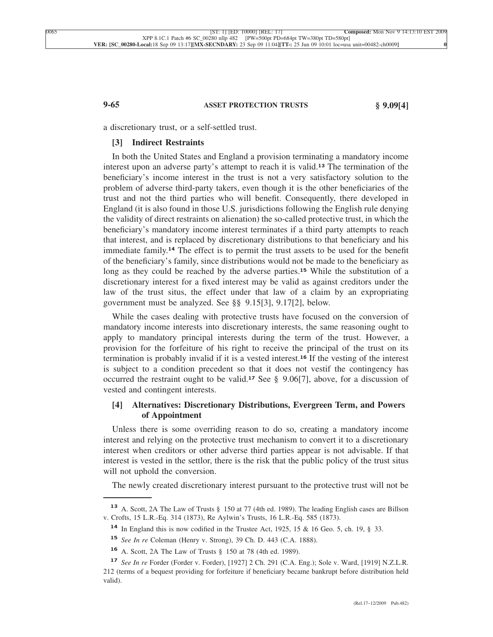## **9-65 ASSET PROTECTION TRUSTS § 9.09[4]**

a discretionary trust, or a self-settled trust.

## **[3] Indirect Restraints**

In both the United States and England a provision terminating a mandatory income interest upon an adverse party's attempt to reach it is valid.**<sup>13</sup>** The termination of the beneficiary's income interest in the trust is not a very satisfactory solution to the problem of adverse third-party takers, even though it is the other beneficiaries of the trust and not the third parties who will benefit. Consequently, there developed in England (it is also found in those U.S. jurisdictions following the English rule denying the validity of direct restraints on alienation) the so-called protective trust, in which the beneficiary's mandatory income interest terminates if a third party attempts to reach that interest, and is replaced by discretionary distributions to that beneficiary and his immediate family.**<sup>14</sup>** The effect is to permit the trust assets to be used for the benefit of the beneficiary's family, since distributions would not be made to the beneficiary as long as they could be reached by the adverse parties.**<sup>15</sup>** While the substitution of a discretionary interest for a fixed interest may be valid as against creditors under the law of the trust situs, the effect under that law of a claim by an expropriating government must be analyzed. See §§ 9.15[3], 9.17[2], below.

While the cases dealing with protective trusts have focused on the conversion of mandatory income interests into discretionary interests, the same reasoning ought to apply to mandatory principal interests during the term of the trust. However, a provision for the forfeiture of his right to receive the principal of the trust on its termination is probably invalid if it is a vested interest.**<sup>16</sup>** If the vesting of the interest is subject to a condition precedent so that it does not vestif the contingency has occurred the restraint ought to be valid.**<sup>17</sup>** See § 9.06[7], above, for a discussion of vested and contingent interests.

# **[4] Alternatives: Discretionary Distributions, Evergreen Term, and Powers of Appointment**

Unless there is some overriding reason to do so, creating a mandatory income interest and relying on the protective trust mechanism to convert it to a discretionary interest when creditors or other adverse third parties appear is not advisable. If that interest is vested in the settlor, there is the risk that the public policy of the trust situs will not uphold the conversion.

The newly created discretionary interest pursuant to the protective trust will not be

**<sup>13</sup>** A. Scott, 2A The Law of Trusts § 150 at 77 (4th ed. 1989). The leading English cases are Billson v. Crofts, 15 L.R.-Eq. 314 (1873), Re Aylwin's Trusts, 16 L.R.-Eq. 585 (1873).

**<sup>14</sup>** In England this is now codified in the Trustee Act, 1925, 15 & 16 Geo. 5, ch. 19, § 33.

**<sup>15</sup>** *See In re* Coleman (Henry v. Strong), 39 Ch. D. 443 (C.A. 1888).

**<sup>16</sup>** A. Scott, 2A The Law of Trusts § 150 at 78 (4th ed. 1989).

**<sup>17</sup>** *See In re* Forder (Forder v. Forder), [1927] 2 Ch. 291 (C.A. Eng.); Sole v. Ward, [1919] N.Z.L.R. 212 (terms of a bequest providing for forfeiture if beneficiary became bankrupt before distribution held valid).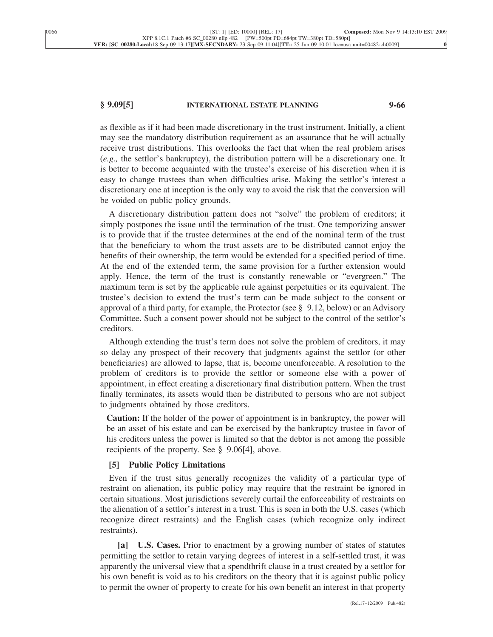#### **§ 9.09[5] INTERNATIONAL ESTATE PLANNING 9-66**

as flexible as if it had been made discretionary in the trust instrument. Initially, a client may see the mandatory distribution requirement as an assurance that he will actually receive trust distributions. This overlooks the fact that when the real problem arises (*e.g.,* the settlor's bankruptcy), the distribution pattern will be a discretionary one. It is better to become acquainted with the trustee's exercise of his discretion when it is easy to change trustees than when difficulties arise. Making the settlor's interest a discretionary one at inception is the only way to avoid the risk that the conversion will be voided on public policy grounds.

A discretionary distribution pattern does not "solve" the problem of creditors; it simply postpones the issue until the termination of the trust. One temporizing answer is to provide that if the trustee determines at the end of the nominal term of the trust that the beneficiary to whom the trust assets are to be distributed cannot enjoy the benefits of their ownership, the term would be extended for a specified period of time. At the end of the extended term, the same provision for a further extension would apply. Hence, the term of the trust is constantly renewable or "evergreen." The maximum term is set by the applicable rule against perpetuities or its equivalent. The trustee's decision to extend the trust's term can be made subject to the consent or approval of a third party, for example, the Protector (see  $\S$  9.12, below) or an Advisory Committee. Such a consent power should not be subject to the control of the settlor's creditors.

Although extending the trust's term does not solve the problem of creditors, it may so delay any prospect of their recovery that judgments against the settlor (or other beneficiaries) are allowed to lapse, that is, become unenforceable. A resolution to the problem of creditors is to provide the settlor or someone else with a power of appointment, in effect creating a discretionary final distribution pattern. When the trust finally terminates, its assets would then be distributed to persons who are not subject to judgments obtained by those creditors.

**Caution:** If the holder of the power of appointment is in bankruptcy, the power will be an asset of his estate and can be exercised by the bankruptcy trustee in favor of his creditors unless the power is limited so that the debtor is not among the possible recipients of the property. See § 9.06[4], above.

# **[5] Public Policy Limitations**

Even if the trust situs generally recognizes the validity of a particular type of restraint on alienation, its public policy may require that the restraint be ignored in certain situations. Most jurisdictions severely curtail the enforceability of restraints on the alienation of a settlor's interest in a trust. This is seen in both the U.S. cases (which recognize direct restraints) and the English cases (which recognize only indirect restraints).

**[a] U.S. Cases.** Prior to enactment by a growing number of states of statutes permitting the settlor to retain varying degrees of interest in a self-settled trust, it was apparently the universal view that a spendthrift clause in a trust created by a settlor for his own benefit is void as to his creditors on the theory that it is against public policy to permit the owner of property to create for his own benefit an interest in that property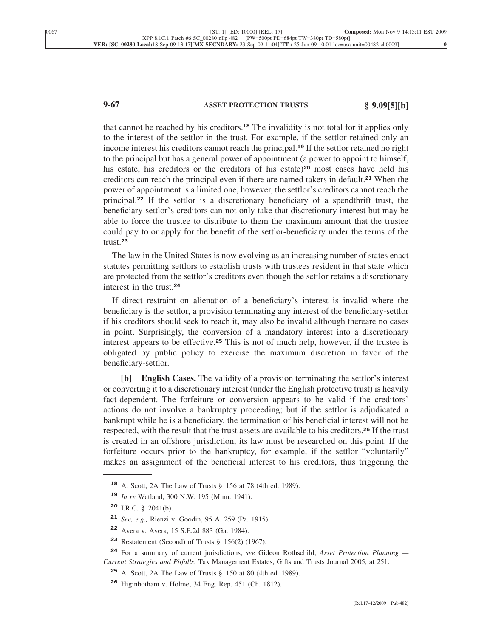# **9-67 ASSET PROTECTION TRUSTS § 9.09[5][b]**

that cannot be reached by his creditors.**<sup>18</sup>** The invalidity is not total for it applies only to the interest of the settlor in the trust. For example, if the settlor retained only an income interest his creditors cannot reach the principal.**<sup>19</sup>** If the settlor retained no right to the principal but has a general power of appointment (a power to appoint to himself, his estate, his creditors or the creditors of his estate)**<sup>20</sup>** most cases have held his creditors can reach the principal even if there are named takers in default.**<sup>21</sup>** When the power of appointment is a limited one, however, the settlor's creditors cannot reach the principal.**<sup>22</sup>** If the settlor is a discretionary beneficiary of a spendthrift trust, the beneficiary-settlor's creditors can not only take that discretionary interest but may be able to force the trustee to distribute to them the maximum amount that the trustee could pay to or apply for the benefit of the settlor-beneficiary under the terms of the trust.**<sup>23</sup>**

The law in the United States is now evolving as an increasing number of states enact statutes permitting settlors to establish trusts with trustees resident in that state which are protected from the settlor's creditors even though the settlor retains a discretionary interest in the trust.**<sup>24</sup>**

If direct restraint on alienation of a beneficiary's interest is invalid where the beneficiary is the settlor, a provision terminating any interest of the beneficiary-settlor if his creditors should seek to reach it, may also be invalid although thereare no cases in point. Surprisingly, the conversion of a mandatory interest into a discretionary interest appears to be effective.**<sup>25</sup>** This is not of much help, however, if the trustee is obligated by public policy to exercise the maximum discretion in favor of the beneficiary-settlor.

**[b] English Cases.** The validity of a provision terminating the settlor's interest or converting it to a discretionary interest (under the English protective trust) is heavily fact-dependent. The forfeiture or conversion appears to be valid if the creditors' actions do not involve a bankruptcy proceeding; but if the settlor is adjudicated a bankrupt while he is a beneficiary, the termination of his beneficial interest will not be respected, with the result that the trust assets are available to his creditors.**<sup>26</sup>** If the trust is created in an offshore jurisdiction, its law must be researched on this point. If the forfeiture occurs prior to the bankruptcy, for example, if the settlor "voluntarily" makes an assignment of the beneficial interest to his creditors, thus triggering the

**<sup>18</sup>** A. Scott, 2A The Law of Trusts § 156 at 78 (4th ed. 1989).

**<sup>19</sup>** *In re* Watland, 300 N.W. 195 (Minn. 1941).

**<sup>20</sup>** I.R.C. § 2041(b).

**<sup>21</sup>** *See, e.g.,* Rienzi v. Goodin, 95 A. 259 (Pa. 1915).

**<sup>22</sup>** Avera v. Avera, 15 S.E.2d 883 (Ga. 1984).

**<sup>23</sup>** Restatement (Second) of Trusts § 156(2) (1967).

**<sup>24</sup>** For a summary of current jurisdictions, *see* Gideon Rothschild, *Asset Protection Planning — Current Strategies and Pitfalls*, Tax Management Estates, Gifts and Trusts Journal 2005, at 251.

**<sup>25</sup>** A. Scott, 2A The Law of Trusts § 150 at 80 (4th ed. 1989).

**<sup>26</sup>** Higinbotham v. Holme, 34 Eng. Rep. 451 (Ch. 1812).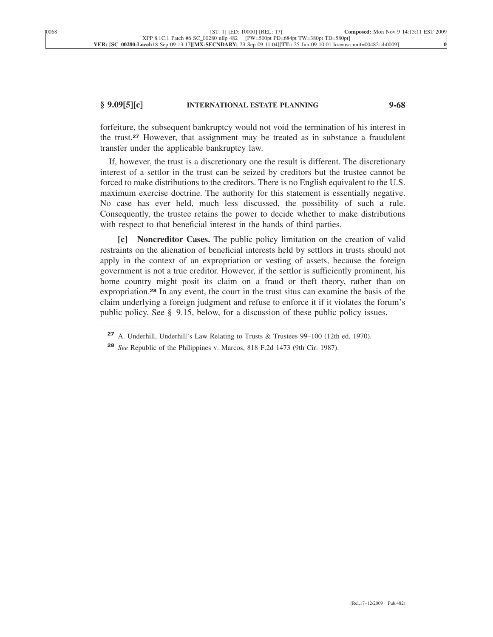# **§ 9.09[5][c] INTERNATIONAL ESTATE PLANNING 9-68**

forfeiture, the subsequent bankruptcy would not void the termination of his interest in the trust.**<sup>27</sup>** However, that assignment may be treated as in substance a fraudulent transfer under the applicable bankruptcy law.

If, however, the trust is a discretionary one the result is different. The discretionary interest of a settlor in the trust can be seized by creditors but the trustee cannot be forced to make distributions to the creditors. There is no English equivalent to the U.S. maximum exercise doctrine. The authority for this statement is essentially negative. No case has ever held, much less discussed, the possibility of such a rule. Consequently, the trustee retains the power to decide whether to make distributions with respect to that beneficial interest in the hands of third parties.

**[c] Noncreditor Cases.** The public policy limitation on the creation of valid restraints on the alienation of beneficial interests held by settlors in trusts should not apply in the context of an expropriation or vesting of assets, because the foreign government is not a true creditor. However, if the settlor is sufficiently prominent, his home country might posit its claim on a fraud or theft theory, rather than on expropriation.**<sup>28</sup>** In any event, the court in the trust situs can examine the basis of the claim underlying a foreign judgment and refuse to enforce it if it violates the forum's public policy. See § 9.15, below, for a discussion of these public policy issues.

**<sup>27</sup>** A. Underhill, Underhill's Law Relating to Trusts & Trustees 99–100 (12th ed. 1970).

**<sup>28</sup>** *See* Republic of the Philippines v. Marcos, 818 F.2d 1473 (9th Cir. 1987).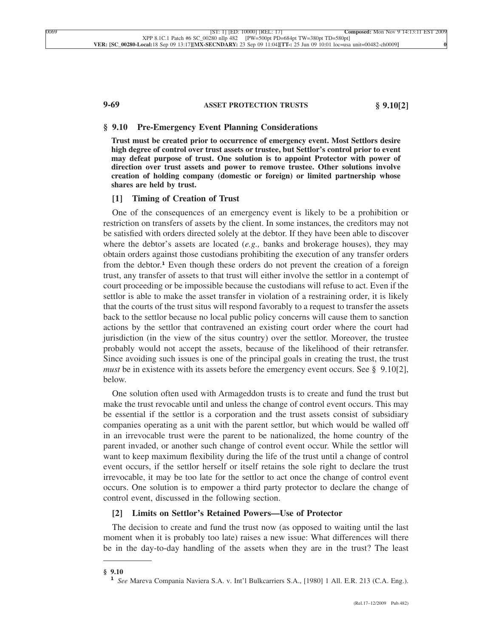# **9-69 ASSET PROTECTION TRUSTS § 9.10[2]**

#### **§ 9.10 Pre-Emergency Event Planning Considerations**

**Trust must be created prior to occurrence of emergency event. Most Settlors desire high degree of control over trust assets or trustee, but Settlor's control prior to event may defeat purpose of trust. One solution is to appoint Protector with power of direction over trust assets and power to remove trustee. Other solutions involve creation of holding company (domestic or foreign) or limited partnership whose shares are held by trust.**

# **[1] Timing of Creation of Trust**

One of the consequences of an emergency event is likely to be a prohibition or restriction on transfers of assets by the client. In some instances, the creditors may not be satisfied with orders directed solely at the debtor. If they have been able to discover where the debtor's assets are located (*e.g.,* banks and brokerage houses), they may obtain orders against those custodians prohibiting the execution of any transfer orders from the debtor.**<sup>1</sup>** Even though these orders do not prevent the creation of a foreign trust, any transfer of assets to that trust will either involve the settlor in a contempt of court proceeding or be impossible because the custodians will refuse to act. Even if the settlor is able to make the asset transfer in violation of a restraining order, it is likely that the courts of the trust situs will respond favorably to a request to transfer the assets back to the settlor because no local public policy concerns will cause them to sanction actions by the settlor that contravened an existing court order where the court had jurisdiction (in the view of the situs country) over the settlor. Moreover, the trustee probably would not accept the assets, because of the likelihood of their retransfer. Since avoiding such issues is one of the principal goals in creating the trust, the trust *must* be in existence with its assets before the emergency event occurs. See § 9.10[2], below.

One solution often used with Armageddon trusts is to create and fund the trust but make the trust revocable until and unless the change of control event occurs. This may be essential if the settlor is a corporation and the trust assets consist of subsidiary companies operating as a unit with the parent settlor, but which would be walled off in an irrevocable trust were the parent to be nationalized, the home country of the parent invaded, or another such change of control event occur. While the settlor will want to keep maximum flexibility during the life of the trust until a change of control event occurs, if the settlor herself or itself retains the sole right to declare the trust irrevocable, it may be too late for the settlor to act once the change of control event occurs. One solution is to empower a third party protector to declare the change of control event, discussed in the following section.

## **[2] Limits on Settlor's Retained Powers—Use of Protector**

The decision to create and fund the trust now (as opposed to waiting until the last moment when it is probably too late) raises a new issue: What differences will there be in the day-to-day handling of the assets when they are in the trust? The least

**<sup>§ 9.10</sup> <sup>1</sup>** *See* Mareva Compania Naviera S.A. v. Int'l Bulkcarriers S.A., [1980] 1 All. E.R. 213 (C.A. Eng.).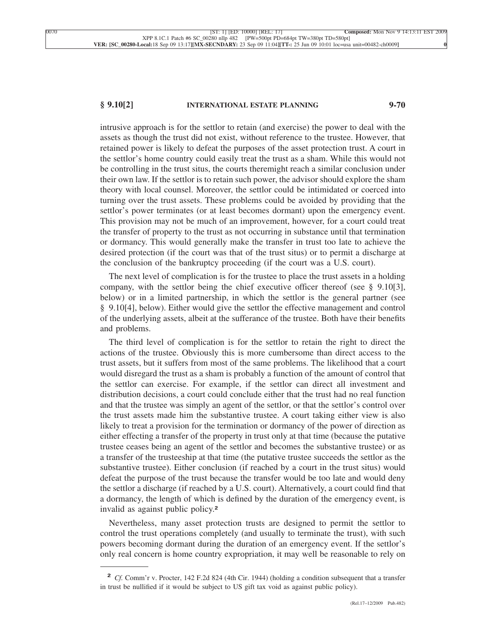# **§ 9.10[2] INTERNATIONAL ESTATE PLANNING 9-70**

intrusive approach is for the settlor to retain (and exercise) the power to deal with the assets as though the trust did not exist, without reference to the trustee. However, that retained power is likely to defeat the purposes of the asset protection trust. A court in the settlor's home country could easily treat the trust as a sham. While this would not be controlling in the trust situs, the courts theremight reach a similar conclusion under their own law. If the settlor is to retain such power, the advisor should explore the sham theory with local counsel. Moreover, the settlor could be intimidated or coerced into turning over the trust assets. These problems could be avoided by providing that the settlor's power terminates (or at least becomes dormant) upon the emergency event. This provision may not be much of an improvement, however, for a court could treat the transfer of property to the trust as not occurring in substance until that termination or dormancy. This would generally make the transfer in trust too late to achieve the desired protection (if the court was that of the trust situs) or to permit a discharge at the conclusion of the bankruptcy proceeding (if the court was a U.S. court).

The next level of complication is for the trustee to place the trust assets in a holding company, with the settlor being the chief executive officer thereof (see § 9.10[3], below) or in a limited partnership, in which the settlor is the general partner (see § 9.10[4], below). Either would give the settlor the effective management and control of the underlying assets, albeit at the sufferance of the trustee. Both have their benefits and problems.

The third level of complication is for the settlor to retain the right to direct the actions of the trustee. Obviously this is more cumbersome than direct access to the trust assets, but it suffers from most of the same problems. The likelihood that a court would disregard the trust as a sham is probably a function of the amount of control that the settlor can exercise. For example, if the settlor can direct all investment and distribution decisions, a court could conclude either that the trust had no real function and that the trustee was simply an agent of the settlor, or that the settlor's control over the trust assets made him the substantive trustee. A court taking either view is also likely to treat a provision for the termination or dormancy of the power of direction as either effecting a transfer of the property in trust only at that time (because the putative trustee ceases being an agent of the settlor and becomes the substantive trustee) or as a transfer of the trusteeship at that time (the putative trustee succeeds the settlor as the substantive trustee). Either conclusion (if reached by a court in the trust situs) would defeat the purpose of the trust because the transfer would be too late and would deny the settlor a discharge (if reached by a U.S. court). Alternatively, a court could find that a dormancy, the length of which is defined by the duration of the emergency event, is invalid as against public policy.**<sup>2</sup>**

Nevertheless, many asset protection trusts are designed to permit the settlor to control the trust operations completely (and usually to terminate the trust), with such powers becoming dormant during the duration of an emergency event. If the settlor's only real concern is home country expropriation, it may well be reasonable to rely on

**<sup>2</sup>** *Cf.* Comm'r v. Procter, 142 F.2d 824 (4th Cir. 1944) (holding a condition subsequent that a transfer in trust be nullified if it would be subject to US gift tax void as against public policy).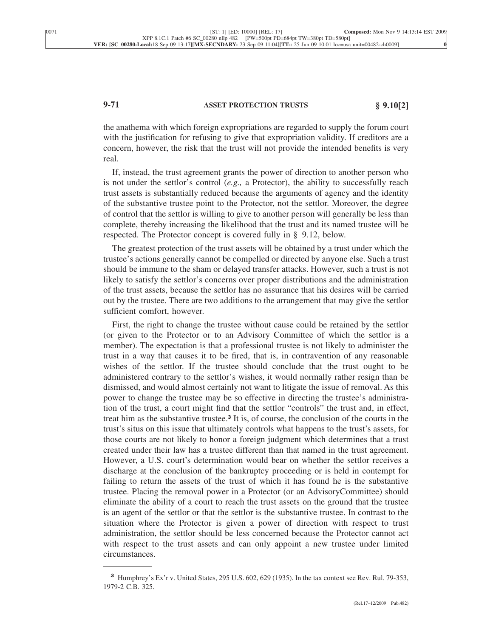# **9-71 ASSET PROTECTION TRUSTS § 9.10[2]**

the anathema with which foreign expropriations are regarded to supply the forum court with the justification for refusing to give that expropriation validity. If creditors are a concern, however, the risk that the trust will not provide the intended benefits is very real.

If, instead, the trust agreement grants the power of direction to another person who is not under the settlor's control (*e.g.,* a Protector), the ability to successfully reach trust assets is substantially reduced because the arguments of agency and the identity of the substantive trustee point to the Protector, not the settlor. Moreover, the degree of control that the settlor is willing to give to another person will generally be less than complete, thereby increasing the likelihood that the trust and its named trustee will be respected. The Protector concept is covered fully in § 9.12, below.

The greatest protection of the trust assets will be obtained by a trust under which the trustee's actions generally cannot be compelled or directed by anyone else. Such a trust should be immune to the sham or delayed transfer attacks. However, such a trust is not likely to satisfy the settlor's concerns over proper distributions and the administration of the trust assets, because the settlor has no assurance that his desires will be carried out by the trustee. There are two additions to the arrangement that may give the settlor sufficient comfort, however.

First, the right to change the trustee without cause could be retained by the settlor (or given to the Protector or to an Advisory Committee of which the settlor is a member). The expectation is that a professional trustee is not likely to administer the trust in a way that causes it to be fired, that is, in contravention of any reasonable wishes of the settlor. If the trustee should conclude that the trust ought to be administered contrary to the settlor's wishes, it would normally rather resign than be dismissed, and would almost certainly not want to litigate the issue of removal. As this power to change the trustee may be so effective in directing the trustee's administration of the trust, a court might find that the settlor "controls" the trust and, in effect, treat him as the substantive trustee.**<sup>3</sup>** It is, of course, the conclusion of the courts in the trust's situs on this issue that ultimately controls what happens to the trust's assets, for those courts are not likely to honor a foreign judgment which determines that a trust created under their law has a trustee different than that named in the trust agreement. However, a U.S. court's determination would bear on whether the settlor receives a discharge at the conclusion of the bankruptcy proceeding or is held in contempt for failing to return the assets of the trust of which it has found he is the substantive trustee. Placing the removal power in a Protector (or an AdvisoryCommittee) should eliminate the ability of a court to reach the trust assets on the ground that the trustee is an agent of the settlor or that the settlor is the substantive trustee. In contrast to the situation where the Protector is given a power of direction with respect to trust administration, the settlor should be less concerned because the Protector cannot act with respect to the trust assets and can only appoint a new trustee under limited circumstances.

**<sup>3</sup>** Humphrey's Ex'r v. United States, 295 U.S. 602, 629 (1935). In the tax context see Rev. Rul. 79-353, 1979-2 C.B. 325.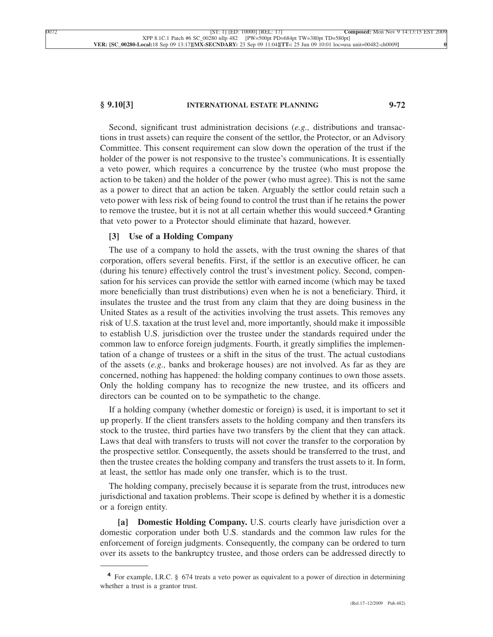### **§ 9.10[3] INTERNATIONAL ESTATE PLANNING 9-72**

Second, significant trust administration decisions (*e.g.,* distributions and transactions in trust assets) can require the consent of the settlor, the Protector, or an Advisory Committee. This consent requirement can slow down the operation of the trust if the holder of the power is not responsive to the trustee's communications. It is essentially a veto power, which requires a concurrence by the trustee (who must propose the action to be taken) and the holder of the power (who must agree). This is not the same as a power to direct that an action be taken. Arguably the settlor could retain such a veto power with less risk of being found to control the trust than if he retains the power to remove the trustee, but it is not at all certain whether this would succeed.**<sup>4</sup>** Granting that veto power to a Protector should eliminate that hazard, however.

# **[3] Use of a Holding Company**

The use of a company to hold the assets, with the trust owning the shares of that corporation, offers several benefits. First, if the settlor is an executive officer, he can (during his tenure) effectively control the trust's investment policy. Second, compensation for his services can provide the settlor with earned income (which may be taxed more beneficially than trust distributions) even when he is not a beneficiary. Third, it insulates the trustee and the trust from any claim that they are doing business in the United States as a result of the activities involving the trust assets. This removes any risk of U.S. taxation at the trust level and, more importantly, should make it impossible to establish U.S. jurisdiction over the trustee under the standards required under the common law to enforce foreign judgments. Fourth, it greatly simplifies the implementation of a change of trustees or a shift in the situs of the trust. The actual custodians of the assets (*e.g.,* banks and brokerage houses) are not involved. As far as they are concerned, nothing has happened: the holding company continues to own those assets. Only the holding company has to recognize the new trustee, and its officers and directors can be counted on to be sympathetic to the change.

If a holding company (whether domestic or foreign) is used, it is important to set it up properly. If the client transfers assets to the holding company and then transfers its stock to the trustee, third parties have two transfers by the client that they can attack. Laws that deal with transfers to trusts will not cover the transfer to the corporation by the prospective settlor. Consequently, the assets should be transferred to the trust, and then the trustee creates the holding company and transfers the trust assets to it. In form, at least, the settlor has made only one transfer, which is to the trust.

The holding company, precisely because it is separate from the trust, introduces new jurisdictional and taxation problems. Their scope is defined by whether it is a domestic or a foreign entity.

**[a] Domestic Holding Company.** U.S. courts clearly have jurisdiction over a domestic corporation under both U.S. standards and the common law rules for the enforcement of foreign judgments. Consequently, the company can be ordered to turn over its assets to the bankruptcy trustee, and those orders can be addressed directly to

**<sup>4</sup>** For example, I.R.C. § 674 treats a veto power as equivalent to a power of direction in determining whether a trust is a grantor trust.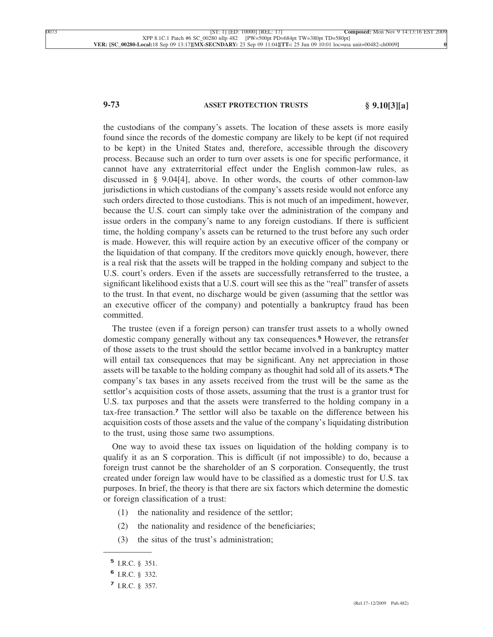# **9-73 ASSET PROTECTION TRUSTS § 9.10[3][a]**

the custodians of the company's assets. The location of these assets is more easily found since the records of the domestic company are likely to be kept (if not required to be kept) in the United States and, therefore, accessible through the discovery process. Because such an order to turn over assets is one for specific performance, it cannot have any extraterritorial effect under the English common-law rules, as discussed in § 9.04[4], above. In other words, the courts of other common-law jurisdictions in which custodians of the company's assets reside would not enforce any such orders directed to those custodians. This is not much of an impediment, however, because the U.S. court can simply take over the administration of the company and issue orders in the company's name to any foreign custodians. If there is sufficient time, the holding company's assets can be returned to the trust before any such order is made. However, this will require action by an executive officer of the company or the liquidation of that company. If the creditors move quickly enough, however, there is a real risk that the assets will be trapped in the holding company and subject to the U.S. court's orders. Even if the assets are successfully retransferred to the trustee, a significant likelihood exists that a U.S. court will see this as the "real" transfer of assets to the trust. In that event, no discharge would be given (assuming that the settlor was an executive officer of the company) and potentially a bankruptcy fraud has been committed.

The trustee (even if a foreign person) can transfer trust assets to a wholly owned domestic company generally without any tax consequences.**<sup>5</sup>** However, the retransfer of those assets to the trust should the settlor became involved in a bankruptcy matter will entail tax consequences that may be significant. Any net appreciation in those assets will be taxable to the holding company as thoughit had sold all of its assets.**<sup>6</sup>** The company's tax bases in any assets received from the trust will be the same as the settlor's acquisition costs of those assets, assuming that the trust is a grantor trust for U.S. tax purposes and that the assets were transferred to the holding company in a tax-free transaction.**<sup>7</sup>** The settlor will also be taxable on the difference between his acquisition costs of those assets and the value of the company's liquidating distribution to the trust, using those same two assumptions.

One way to avoid these tax issues on liquidation of the holding company is to qualify it as an S corporation. This is difficult (if not impossible) to do, because a foreign trust cannot be the shareholder of an S corporation. Consequently, the trust created under foreign law would have to be classified as a domestic trust for U.S. tax purposes. In brief, the theory is that there are six factors which determine the domestic or foreign classification of a trust:

- (1) the nationality and residence of the settlor;
- (2) the nationality and residence of the beneficiaries;
- (3) the situs of the trust's administration;

**<sup>5</sup>** I.R.C. § 351.

**<sup>6</sup>** I.R.C. § 332.

**<sup>7</sup>** I.R.C. § 357.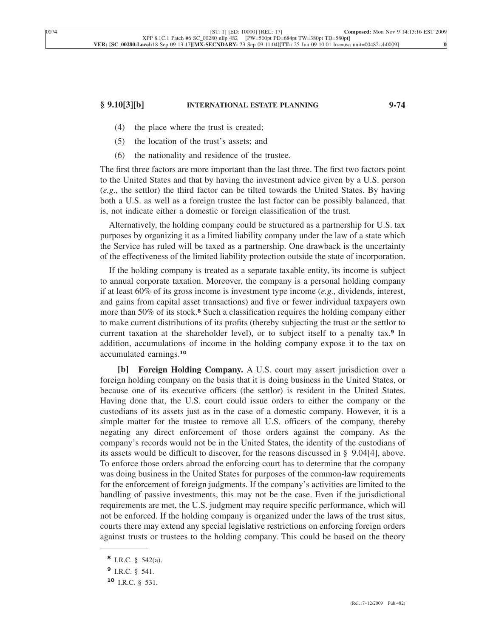## **§ 9.10[3][b] INTERNATIONAL ESTATE PLANNING 9-74**

- (4) the place where the trust is created;
- (5) the location of the trust's assets; and
- (6) the nationality and residence of the trustee.

The first three factors are more important than the last three. The first two factors point to the United States and that by having the investment advice given by a U.S. person (*e.g.,* the settlor) the third factor can be tilted towards the United States. By having both a U.S. as well as a foreign trustee the last factor can be possibly balanced, that is, not indicate either a domestic or foreign classification of the trust.

Alternatively, the holding company could be structured as a partnership for U.S. tax purposes by organizing it as a limited liability company under the law of a state which the Service has ruled will be taxed as a partnership. One drawback is the uncertainty of the effectiveness of the limited liability protection outside the state of incorporation.

If the holding company is treated as a separate taxable entity, its income is subject to annual corporate taxation. Moreover, the company is a personal holding company if at least 60% of its gross income is investment type income (*e.g.,* dividends, interest, and gains from capital asset transactions) and five or fewer individual taxpayers own more than 50% of its stock.**<sup>8</sup>** Such a classification requires the holding company either to make current distributions of its profits (thereby subjecting the trust or the settlor to current taxation at the shareholder level), or to subject itself to a penalty tax.**<sup>9</sup>** In addition, accumulations of income in the holding company expose it to the tax on accumulated earnings.**<sup>10</sup>**

**[b] Foreign Holding Company.** A U.S. court may assert jurisdiction over a foreign holding company on the basis that it is doing business in the United States, or because one of its executive officers (the settlor) is resident in the United States. Having done that, the U.S. court could issue orders to either the company or the custodians of its assets just as in the case of a domestic company. However, it is a simple matter for the trustee to remove all U.S. officers of the company, thereby negating any direct enforcement of those orders against the company. As the company's records would not be in the United States, the identity of the custodians of its assets would be difficult to discover, for the reasons discussed in § 9.04[4], above. To enforce those orders abroad the enforcing court has to determine that the company was doing business in the United States for purposes of the common-law requirements for the enforcement of foreign judgments. If the company's activities are limited to the handling of passive investments, this may not be the case. Even if the jurisdictional requirements are met, the U.S. judgment may require specific performance, which will not be enforced. If the holding company is organized under the laws of the trust situs, courts there may extend any special legislative restrictions on enforcing foreign orders against trusts or trustees to the holding company. This could be based on the theory

**<sup>8</sup>** I.R.C. § 542(a).

**<sup>9</sup>** I.R.C. § 541.

**<sup>10</sup>** I.R.C. § 531.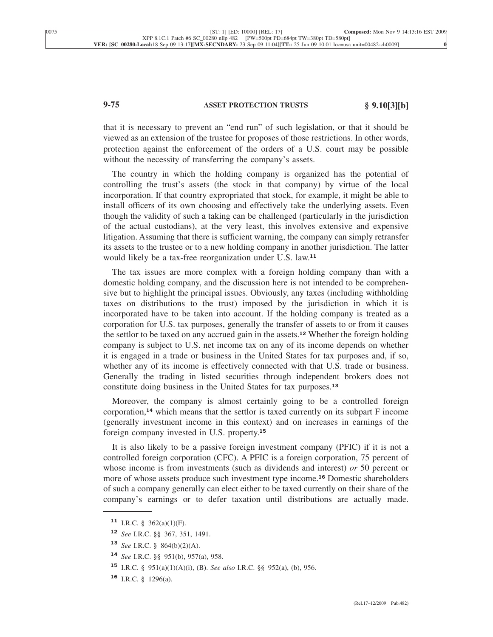# **9-75 ASSET PROTECTION TRUSTS § 9.10[3][b]**

that it is necessary to prevent an "end run" of such legislation, or that it should be viewed as an extension of the trustee for proposes of those restrictions. In other words, protection against the enforcement of the orders of a U.S. court may be possible without the necessity of transferring the company's assets.

The country in which the holding company is organized has the potential of controlling the trust's assets (the stock in that company) by virtue of the local incorporation. If that country expropriated that stock, for example, it might be able to install officers of its own choosing and effectively take the underlying assets. Even though the validity of such a taking can be challenged (particularly in the jurisdiction of the actual custodians), at the very least, this involves extensive and expensive litigation. Assuming that there is sufficient warning, the company can simply retransfer its assets to the trustee or to a new holding company in another jurisdiction. The latter would likely be a tax-free reorganization under U.S. law.**<sup>11</sup>**

The tax issues are more complex with a foreign holding company than with a domestic holding company, and the discussion here is not intended to be comprehensive but to highlight the principal issues. Obviously, any taxes (including withholding taxes on distributions to the trust) imposed by the jurisdiction in which it is incorporated have to be taken into account. If the holding company is treated as a corporation for U.S. tax purposes, generally the transfer of assets to or from it causes the settlor to be taxed on any accrued gain in the assets.**<sup>12</sup>** Whether the foreign holding company is subject to U.S. net income tax on any of its income depends on whether it is engaged in a trade or business in the United States for tax purposes and, if so, whether any of its income is effectively connected with that U.S. trade or business. Generally the trading in listed securities through independent brokers does not constitute doing business in the United States for tax purposes.**<sup>13</sup>**

Moreover, the company is almost certainly going to be a controlled foreign corporation,**<sup>14</sup>** which means that the settlor is taxed currently on its subpart F income (generally investment income in this context) and on increases in earnings of the foreign company invested in U.S. property.**<sup>15</sup>**

It is also likely to be a passive foreign investment company (PFIC) if it is not a controlled foreign corporation (CFC). A PFIC is a foreign corporation, 75 percent of whose income is from investments (such as dividends and interest) *or* 50 percent or more of whose assets produce such investment type income.**<sup>16</sup>** Domestic shareholders of such a company generally can elect either to be taxed currently on their share of the company's earnings or to defer taxation until distributions are actually made.

**<sup>11</sup>** I.R.C. § 362(a)(1)(F).

**<sup>12</sup>** *See* I.R.C. §§ 367, 351, 1491.

**<sup>13</sup>** *See* I.R.C. § 864(b)(2)(A).

**<sup>14</sup>** *See* I.R.C. §§ 951(b), 957(a), 958.

**<sup>15</sup>** I.R.C. § 951(a)(1)(A)(i), (B). *See also* I.R.C. §§ 952(a), (b), 956.

**<sup>16</sup>** I.R.C. § 1296(a).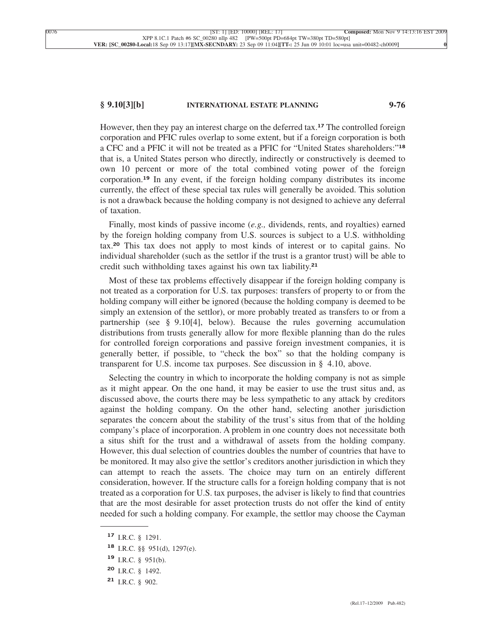## **§ 9.10[3][b] INTERNATIONAL ESTATE PLANNING 9-76**

However, then they pay an interest charge on the deferred tax.**<sup>17</sup>** The controlled foreign corporation and PFIC rules overlap to some extent, but if a foreign corporation is both a CFC and a PFIC it will not be treated as a PFIC for "United States shareholders:"**<sup>18</sup>** that is, a United States person who directly, indirectly or constructively is deemed to own 10 percent or more of the total combined voting power of the foreign corporation.**<sup>19</sup>** In any event, if the foreign holding company distributes its income currently, the effect of these special tax rules will generally be avoided. This solution is not a drawback because the holding company is not designed to achieve any deferral of taxation.

Finally, most kinds of passive income (*e.g.,* dividends, rents, and royalties) earned by the foreign holding company from U.S. sources is subject to a U.S. withholding tax.**<sup>20</sup>** This tax does not apply to most kinds of interest or to capital gains. No individual shareholder (such as the settlor if the trust is a grantor trust) will be able to credit such withholding taxes against his own tax liability.**<sup>21</sup>**

Most of these tax problems effectively disappear if the foreign holding company is not treated as a corporation for U.S. tax purposes: transfers of property to or from the holding company will either be ignored (because the holding company is deemed to be simply an extension of the settlor), or more probably treated as transfers to or from a partnership (see § 9.10[4], below). Because the rules governing accumulation distributions from trusts generally allow for more flexible planning than do the rules for controlled foreign corporations and passive foreign investment companies, it is generally better, if possible, to "check the box" so that the holding company is transparent for U.S. income tax purposes. See discussion in § 4.10, above.

Selecting the country in which to incorporate the holding company is not as simple as it might appear. On the one hand, it may be easier to use the trust situs and, as discussed above, the courts there may be less sympathetic to any attack by creditors against the holding company. On the other hand, selecting another jurisdiction separates the concern about the stability of the trust's situs from that of the holding company's place of incorporation. A problem in one country does not necessitate both a situs shift for the trust and a withdrawal of assets from the holding company. However, this dual selection of countries doubles the number of countries that have to be monitored. It may also give the settlor's creditors another jurisdiction in which they can attempt to reach the assets. The choice may turn on an entirely different consideration, however. If the structure calls for a foreign holding company that is not treated as a corporation for U.S. tax purposes, the adviser is likely to find that countries that are the most desirable for asset protection trusts do not offer the kind of entity needed for such a holding company. For example, the settlor may choose the Cayman

**<sup>17</sup>** I.R.C. § 1291.

**<sup>18</sup>** I.R.C. §§ 951(d), 1297(e).

**<sup>19</sup>** I.R.C. § 951(b).

**<sup>20</sup>** I.R.C. § 1492.

**<sup>21</sup>** I.R.C. § 902.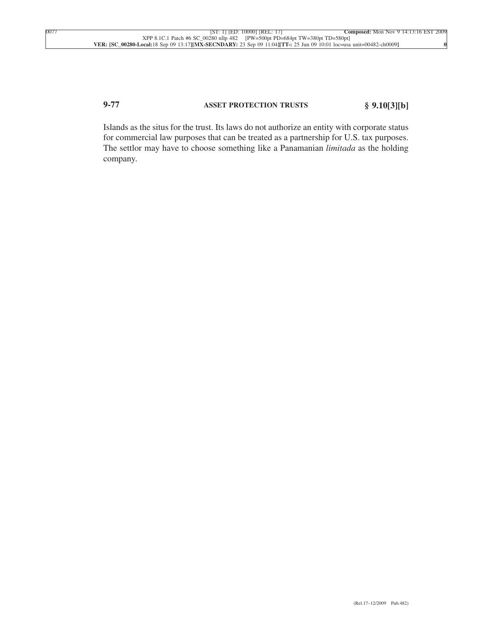# **9-77 ASSET PROTECTION TRUSTS § 9.10[3][b]**

Islands as the situs for the trust. Its laws do not authorize an entity with corporate status for commercial law purposes that can be treated as a partnership for U.S. tax purposes. The settlor may have to choose something like a Panamanian *limitada* as the holding company.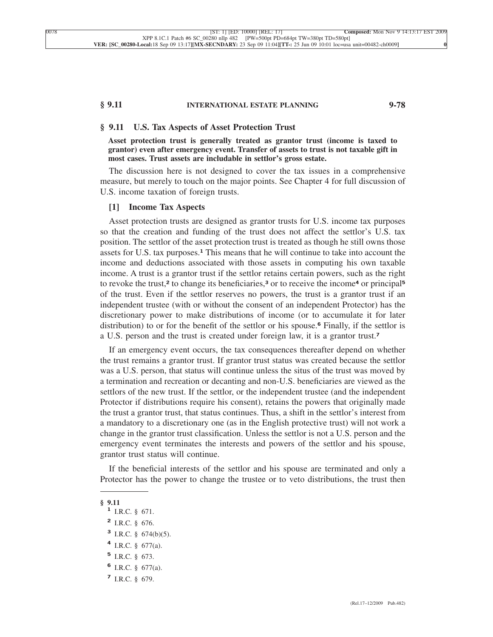## **§ 9.11 INTERNATIONAL ESTATE PLANNING 9-78**

# **§ 9.11 U.S. Tax Aspects of Asset Protection Trust**

**Asset protection trust is generally treated as grantor trust (income is taxed to grantor) even after emergency event. Transfer of assets to trust is not taxable gift in most cases. Trust assets are includable in settlor's gross estate.**

The discussion here is not designed to cover the tax issues in a comprehensive measure, but merely to touch on the major points. See Chapter 4 for full discussion of U.S. income taxation of foreign trusts.

#### **[1] Income Tax Aspects**

Asset protection trusts are designed as grantor trusts for U.S. income tax purposes so that the creation and funding of the trust does not affect the settlor's U.S. tax position. The settlor of the asset protection trust is treated as though he still owns those assets for U.S. tax purposes.**<sup>1</sup>** This means that he will continue to take into account the income and deductions associated with those assets in computing his own taxable income. A trust is a grantor trust if the settlor retains certain powers, such as the right to revoke the trust,**<sup>2</sup>** to change its beneficiaries,**<sup>3</sup>** or to receive the income**<sup>4</sup>** or principal**<sup>5</sup>** of the trust. Even if the settlor reserves no powers, the trust is a grantor trust if an independent trustee (with or without the consent of an independent Protector) has the discretionary power to make distributions of income (or to accumulate it for later distribution) to or for the benefit of the settlor or his spouse.**<sup>6</sup>** Finally, if the settlor is a U.S. person and the trust is created under foreign law, it is a grantor trust.**<sup>7</sup>**

If an emergency event occurs, the tax consequences thereafter depend on whether the trust remains a grantor trust. If grantor trust status was created because the settlor was a U.S. person, that status will continue unless the situs of the trust was moved by a termination and recreation or decanting and non-U.S. beneficiaries are viewed as the settlors of the new trust. If the settlor, or the independent trustee (and the independent Protector if distributions require his consent), retains the powers that originally made the trust a grantor trust, that status continues. Thus, a shift in the settlor's interest from a mandatory to a discretionary one (as in the English protective trust) will not work a change in the grantor trust classification. Unless the settlor is not a U.S. person and the emergency event terminates the interests and powers of the settlor and his spouse, grantor trust status will continue.

If the beneficial interests of the settlor and his spouse are terminated and only a Protector has the power to change the trustee or to veto distributions, the trust then

**<sup>§ 9.11</sup> <sup>1</sup>** I.R.C. § 671.

**<sup>2</sup>** I.R.C. § 676.

**<sup>3</sup>** I.R.C. § 674(b)(5).

**<sup>4</sup>** I.R.C. § 677(a).

**<sup>5</sup>** I.R.C. § 673.

**<sup>6</sup>** I.R.C. § 677(a).

**<sup>7</sup>** I.R.C. § 679.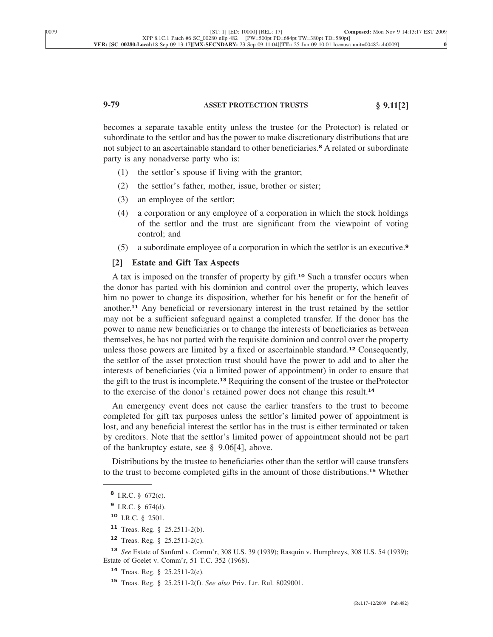# **9-79 ASSET PROTECTION TRUSTS § 9.11[2]**

becomes a separate taxable entity unless the trustee (or the Protector) is related or subordinate to the settlor and has the power to make discretionary distributions that are not subject to an ascertainable standard to other beneficiaries.**<sup>8</sup>** A related or subordinate party is any nonadverse party who is:

- (1) the settlor's spouse if living with the grantor;
- (2) the settlor's father, mother, issue, brother or sister;
- (3) an employee of the settlor;
- (4) a corporation or any employee of a corporation in which the stock holdings of the settlor and the trust are significant from the viewpoint of voting control; and
- (5) a subordinate employee of a corporation in which the settlor is an executive.**<sup>9</sup>**

#### **[2] Estate and Gift Tax Aspects**

A tax is imposed on the transfer of property by gift.**<sup>10</sup>** Such a transfer occurs when the donor has parted with his dominion and control over the property, which leaves him no power to change its disposition, whether for his benefit or for the benefit of another.**<sup>11</sup>** Any beneficial or reversionary interest in the trust retained by the settlor may not be a sufficient safeguard against a completed transfer. If the donor has the power to name new beneficiaries or to change the interests of beneficiaries as between themselves, he has not parted with the requisite dominion and control over the property unless those powers are limited by a fixed or ascertainable standard.**<sup>12</sup>** Consequently, the settlor of the asset protection trust should have the power to add and to alter the interests of beneficiaries (via a limited power of appointment) in order to ensure that the gift to the trust is incomplete.**<sup>13</sup>** Requiring the consent of the trustee or theProtector to the exercise of the donor's retained power does not change this result.**<sup>14</sup>**

An emergency event does not cause the earlier transfers to the trust to become completed for gift tax purposes unless the settlor's limited power of appointment is lost, and any beneficial interest the settlor has in the trust is either terminated or taken by creditors. Note that the settlor's limited power of appointment should not be part of the bankruptcy estate, see § 9.06[4], above.

Distributions by the trustee to beneficiaries other than the settlor will cause transfers to the trust to become completed gifts in the amount of those distributions.**<sup>15</sup>** Whether

- **<sup>9</sup>** I.R.C. § 674(d).
- **<sup>10</sup>** I.R.C. § 2501.
- **<sup>11</sup>** Treas. Reg. § 25.2511-2(b).
- **<sup>12</sup>** Treas. Reg. § 25.2511-2(c).

**<sup>13</sup>** *See* Estate of Sanford v. Comm'r, 308 U.S. 39 (1939); Rasquin v. Humphreys, 308 U.S. 54 (1939); Estate of Goelet v. Comm'r, 51 T.C. 352 (1968).

- **<sup>14</sup>** Treas. Reg. § 25.2511-2(e).
- **<sup>15</sup>** Treas. Reg. § 25.2511-2(f). *See also* Priv. Ltr. Rul. 8029001.

**<sup>8</sup>** I.R.C. § 672(c).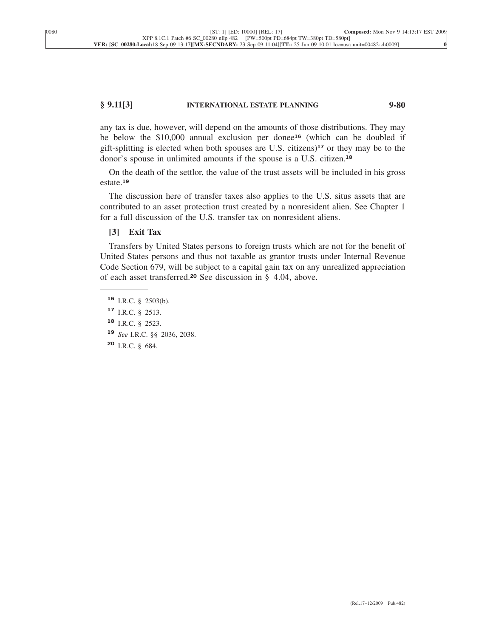## **§ 9.11[3] INTERNATIONAL ESTATE PLANNING 9-80**

any tax is due, however, will depend on the amounts of those distributions. They may be below the \$10,000 annual exclusion per donee**<sup>16</sup>** (which can be doubled if gift-splitting is elected when both spouses are U.S. citizens)**<sup>17</sup>** or they may be to the donor's spouse in unlimited amounts if the spouse is a U.S. citizen.**<sup>18</sup>**

On the death of the settlor, the value of the trust assets will be included in his gross estate.**<sup>19</sup>**

The discussion here of transfer taxes also applies to the U.S. situs assets that are contributed to an asset protection trust created by a nonresident alien. See Chapter 1 for a full discussion of the U.S. transfer tax on nonresident aliens.

# **[3] Exit Tax**

Transfers by United States persons to foreign trusts which are not for the benefit of United States persons and thus not taxable as grantor trusts under Internal Revenue Code Section 679, will be subject to a capital gain tax on any unrealized appreciation of each asset transferred.**<sup>20</sup>** See discussion in § 4.04, above.

- **<sup>16</sup>** I.R.C. § 2503(b).
- **<sup>17</sup>** I.R.C. § 2513.
- **<sup>18</sup>** I.R.C. § 2523.
- **<sup>19</sup>** *See* I.R.C. §§ 2036, 2038.
- **<sup>20</sup>** I.R.C. § 684.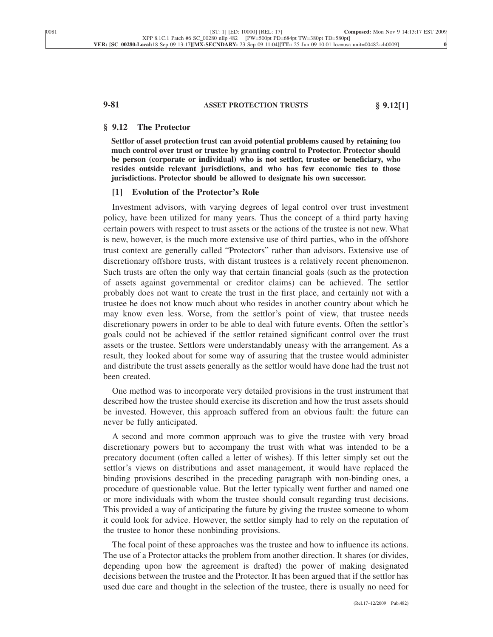# **9-81 ASSET PROTECTION TRUSTS § 9.12[1]**

## **§ 9.12 The Protector**

**Settlor of asset protection trust can avoid potential problems caused by retaining too much control over trust or trustee by granting control to Protector. Protector should be person (corporate or individual) who is not settlor, trustee or beneficiary, who resides outside relevant jurisdictions, and who has few economic ties to those jurisdictions. Protector should be allowed to designate his own successor.**

### **[1] Evolution of the Protector's Role**

Investment advisors, with varying degrees of legal control over trust investment policy, have been utilized for many years. Thus the concept of a third party having certain powers with respect to trust assets or the actions of the trustee is not new. What is new, however, is the much more extensive use of third parties, who in the offshore trust context are generally called "Protectors" rather than advisors. Extensive use of discretionary offshore trusts, with distant trustees is a relatively recent phenomenon. Such trusts are often the only way that certain financial goals (such as the protection of assets against governmental or creditor claims) can be achieved. The settlor probably does not want to create the trust in the first place, and certainly not with a trustee he does not know much about who resides in another country about which he may know even less. Worse, from the settlor's point of view, that trustee needs discretionary powers in order to be able to deal with future events. Often the settlor's goals could not be achieved if the settlor retained significant control over the trust assets or the trustee. Settlors were understandably uneasy with the arrangement. As a result, they looked about for some way of assuring that the trustee would administer and distribute the trust assets generally as the settlor would have done had the trust not been created.

One method was to incorporate very detailed provisions in the trust instrument that described how the trustee should exercise its discretion and how the trust assets should be invested. However, this approach suffered from an obvious fault: the future can never be fully anticipated.

A second and more common approach was to give the trustee with very broad discretionary powers but to accompany the trust with what was intended to be a precatory document (often called a letter of wishes). If this letter simply set out the settlor's views on distributions and asset management, it would have replaced the binding provisions described in the preceding paragraph with non-binding ones, a procedure of questionable value. But the letter typically went further and named one or more individuals with whom the trustee should consult regarding trust decisions. This provided a way of anticipating the future by giving the trustee someone to whom it could look for advice. However, the settlor simply had to rely on the reputation of the trustee to honor these nonbinding provisions.

The focal point of these approaches was the trustee and how to influence its actions. The use of a Protector attacks the problem from another direction. It shares (or divides, depending upon how the agreement is drafted) the power of making designated decisions between the trustee and the Protector. It has been argued that if the settlor has used due care and thought in the selection of the trustee, there is usually no need for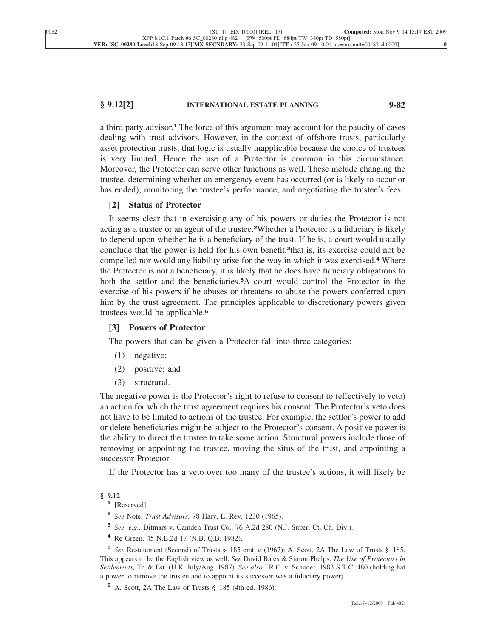## **§ 9.12[2] INTERNATIONAL ESTATE PLANNING 9-82**

a third party advisor.**<sup>1</sup>** The force of this argument may account for the paucity of cases dealing with trust advisors. However, in the context of offshore trusts, particularly asset protection trusts, that logic is usually inapplicable because the choice of trustees is very limited. Hence the use of a Protector is common in this circumstance. Moreover, the Protector can serve other functions as well. These include changing the trustee, determining whether an emergency event has occurred (or is likely to occur or has ended), monitoring the trustee's performance, and negotiating the trustee's fees.

#### **[2] Status of Protector**

It seems clear that in exercising any of his powers or duties the Protector is not acting as a trustee or an agent of the trustee.**2**Whether a Protector is a fiduciary is likely to depend upon whether he is a beneficiary of the trust. If he is, a court would usually conclude that the power is held for his own benefit,**3**that is, its exercise could not be compelled nor would any liability arise for the way in which it was exercised.**<sup>4</sup>** Where the Protector is not a beneficiary, it is likely that he does have fiduciary obligations to both the settlor and the beneficiaries.**5**A court would control the Protector in the exercise of his powers if he abuses or threatens to abuse the powers conferred upon him by the trust agreement. The principles applicable to discretionary powers given trustees would be applicable.**<sup>6</sup>**

## **[3] Powers of Protector**

The powers that can be given a Protector fall into three categories:

- (1) negative;
- (2) positive; and
- (3) structural.

The negative power is the Protector's right to refuse to consent to (effectively to veto) an action for which the trust agreement requires his consent. The Protector's veto does not have to be limited to actions of the trustee. For example, the settlor's power to add or delete beneficiaries might be subject to the Protector's consent. A positive power is the ability to direct the trustee to take some action. Structural powers include those of removing or appointing the trustee, moving the situs of the trust, and appointing a successor Protector.

If the Protector has a veto over too many of the trustee's actions, it will likely be

- **<sup>2</sup>** *See* Note, *Trust Advisors,* 78 Harv. L. Rev. 1230 (1965).
- **<sup>3</sup>** *See, e.g.,* Ditmars v. Camden Trust Co., 76 A.2d 280 (N.J. Super. Ct. Ch. Div.).
- **<sup>4</sup>** Re Green, 45 N.B.2d 17 (N.B. Q.B. 1982).

**<sup>§ 9.12</sup> <sup>1</sup>** [Reserved].

**<sup>5</sup>** *See* Restatement (Second) of Trusts § 185 cmt. e (1967); A. Scott, 2A The Law of Trusts § 185. This appears to be the English view as well. *See* David Bates & Simon Phelps, *The Use of Protectors in Settlements,* Tr. & Est. (U.K. July/Aug. 1987). *See also* I.R.C. v. Schoder, 1983 S.T.C. 480 (holding hat a power to remove the trustee and to appoint its successor was a fiduciary power).

**<sup>6</sup>** A. Scott, 2A The Law of Trusts § 185 (4th ed. 1986).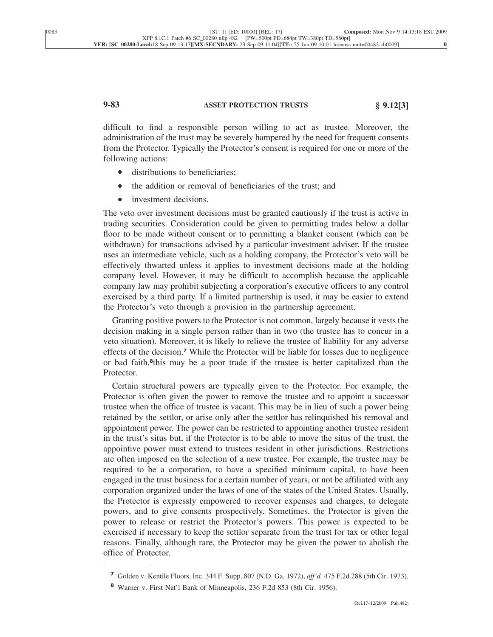# **9-83 ASSET PROTECTION TRUSTS § 9.12[3]**

difficult to find a responsible person willing to act as trustee. Moreover, the administration of the trust may be severely hampered by the need for frequent consents from the Protector. Typically the Protector's consent is required for one or more of the following actions:

- distributions to beneficiaries:
- the addition or removal of beneficiaries of the trust; and
- investment decisions.

The veto over investment decisions must be granted cautiously if the trust is active in trading securities. Consideration could be given to permitting trades below a dollar floor to be made without consent or to permitting a blanket consent (which can be withdrawn) for transactions advised by a particular investment adviser. If the trustee uses an intermediate vehicle, such as a holding company, the Protector's veto will be effectively thwarted unless it applies to investment decisions made at the holding company level. However, it may be difficult to accomplish because the applicable company law may prohibit subjecting a corporation's executive officers to any control exercised by a third party. If a limited partnership is used, it may be easier to extend the Protector's veto through a provision in the partnership agreement.

Granting positive powers to the Protector is not common, largely because it vests the decision making in a single person rather than in two (the trustee has to concur in a veto situation). Moreover, it is likely to relieve the trustee of liability for any adverse effects of the decision.**<sup>7</sup>** While the Protector will be liable for losses due to negligence or bad faith,**8**this may be a poor trade if the trustee is better capitalized than the Protector.

Certain structural powers are typically given to the Protector. For example, the Protector is often given the power to remove the trustee and to appoint a successor trustee when the office of trustee is vacant. This may be in lieu of such a power being retained by the settlor, or arise only after the settlor has relinquished his removal and appointment power. The power can be restricted to appointing another trustee resident in the trust's situs but, if the Protector is to be able to move the situs of the trust, the appointive power must extend to trustees resident in other jurisdictions. Restrictions are often imposed on the selection of a new trustee. For example, the trustee may be required to be a corporation, to have a specified minimum capital, to have been engaged in the trust business for a certain number of years, or not be affiliated with any corporation organized under the laws of one of the states of the United States. Usually, the Protector is expressly empowered to recover expenses and charges, to delegate powers, and to give consents prospectively. Sometimes, the Protector is given the power to release or restrict the Protector's powers. This power is expected to be exercised if necessary to keep the settlor separate from the trust for tax or other legal reasons. Finally, although rare, the Protector may be given the power to abolish the office of Protector.

**<sup>7</sup>** Golden v. Kentile Floors, Inc. 344 F. Supp. 807 (N.D. Ga. 1972), *aff'd,* 475 F.2d 288 (5th Cir. 1973).

**<sup>8</sup>** Warner v. First Nat'l Bank of Minneapolis, 236 F.2d 853 (8th Cir. 1956).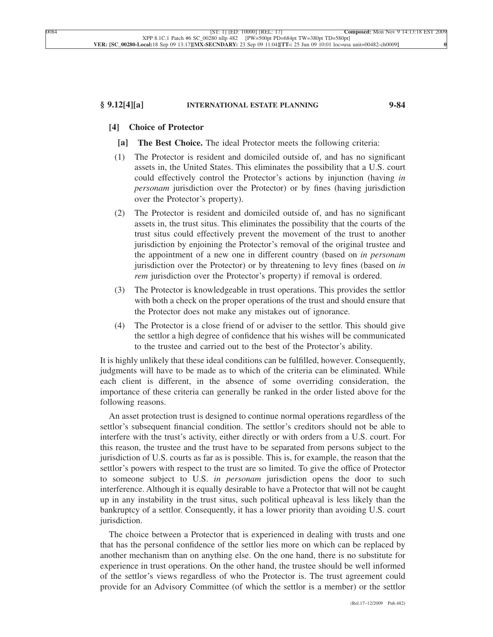### **§ 9.12[4][a] INTERNATIONAL ESTATE PLANNING 9-84**

## **[4] Choice of Protector**

- **[a] The Best Choice.** The ideal Protector meets the following criteria:
- (1) The Protector is resident and domiciled outside of, and has no significant assets in, the United States. This eliminates the possibility that a U.S. court could effectively control the Protector's actions by injunction (having *in personam* jurisdiction over the Protector) or by fines (having jurisdiction over the Protector's property).
- (2) The Protector is resident and domiciled outside of, and has no significant assets in, the trust situs. This eliminates the possibility that the courts of the trust situs could effectively prevent the movement of the trust to another jurisdiction by enjoining the Protector's removal of the original trustee and the appointment of a new one in different country (based on *in personam* jurisdiction over the Protector) or by threatening to levy fines (based on *in rem* jurisdiction over the Protector's property) if removal is ordered.
- (3) The Protector is knowledgeable in trust operations. This provides the settlor with both a check on the proper operations of the trust and should ensure that the Protector does not make any mistakes out of ignorance.
- (4) The Protector is a close friend of or adviser to the settlor. This should give the settlor a high degree of confidence that his wishes will be communicated to the trustee and carried out to the best of the Protector's ability.

It is highly unlikely that these ideal conditions can be fulfilled, however. Consequently, judgments will have to be made as to which of the criteria can be eliminated. While each client is different, in the absence of some overriding consideration, the importance of these criteria can generally be ranked in the order listed above for the following reasons.

An asset protection trust is designed to continue normal operations regardless of the settlor's subsequent financial condition. The settlor's creditors should not be able to interfere with the trust's activity, either directly or with orders from a U.S. court. For this reason, the trustee and the trust have to be separated from persons subject to the jurisdiction of U.S. courts as far as is possible. This is, for example, the reason that the settlor's powers with respect to the trust are so limited. To give the office of Protector to someone subject to U.S. *in personam* jurisdiction opens the door to such interference. Although it is equally desirable to have a Protector that will not be caught up in any instability in the trust situs, such political upheaval is less likely than the bankruptcy of a settlor. Consequently, it has a lower priority than avoiding U.S. court jurisdiction.

The choice between a Protector that is experienced in dealing with trusts and one that has the personal confidence of the settlor lies more on which can be replaced by another mechanism than on anything else. On the one hand, there is no substitute for experience in trust operations. On the other hand, the trustee should be well informed of the settlor's views regardless of who the Protector is. The trust agreement could provide for an Advisory Committee (of which the settlor is a member) or the settlor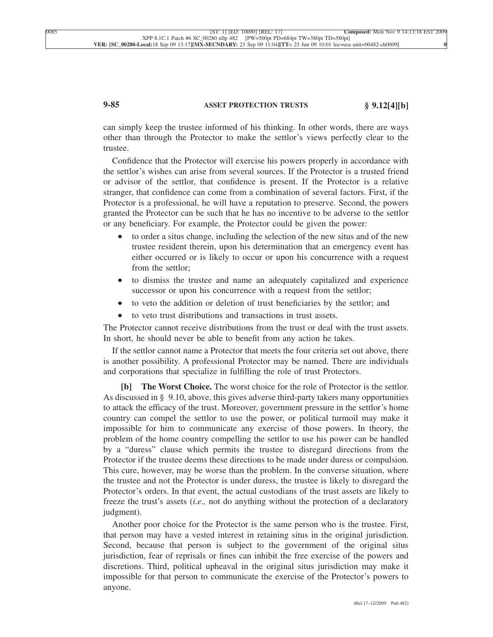# **9-85 ASSET PROTECTION TRUSTS § 9.12[4][b]**

can simply keep the trustee informed of his thinking. In other words, there are ways other than through the Protector to make the settlor's views perfectly clear to the trustee.

Confidence that the Protector will exercise his powers properly in accordance with the settlor's wishes can arise from several sources. If the Protector is a trusted friend or advisor of the settlor, that confidence is present. If the Protector is a relative stranger, that confidence can come from a combination of several factors. First, if the Protector is a professional, he will have a reputation to preserve. Second, the powers granted the Protector can be such that he has no incentive to be adverse to the settlor or any beneficiary. For example, the Protector could be given the power:

- to order a situs change, including the selection of the new situs and of the new trustee resident therein, upon his determination that an emergency event has either occurred or is likely to occur or upon his concurrence with a request from the settlor;
- to dismiss the trustee and name an adequately capitalized and experience successor or upon his concurrence with a request from the settlor;
- to veto the addition or deletion of trust beneficiaries by the settlor; and
- to veto trust distributions and transactions in trust assets.

The Protector cannot receive distributions from the trust or deal with the trust assets. In short, he should never be able to benefit from any action he takes.

If the settlor cannot name a Protector that meets the four criteria set out above, there is another possibility. A professional Protector may be named. There are individuals and corporations that specialize in fulfilling the role of trust Protectors.

**[b] The Worst Choice.** The worst choice for the role of Protector is the settlor. As discussed in § 9.10, above, this gives adverse third-party takers many opportunities to attack the efficacy of the trust. Moreover, government pressure in the settlor's home country can compel the settlor to use the power, or political turmoil may make it impossible for him to communicate any exercise of those powers. In theory, the problem of the home country compelling the settlor to use his power can be handled by a "duress" clause which permits the trustee to disregard directions from the Protector if the trustee deems these directions to be made under duress or compulsion. This cure, however, may be worse than the problem. In the converse situation, where the trustee and not the Protector is under duress, the trustee is likely to disregard the Protector's orders. In that event, the actual custodians of the trust assets are likely to freeze the trust's assets (*i.e.,* not do anything without the protection of a declaratory judgment).

Another poor choice for the Protector is the same person who is the trustee. First, that person may have a vested interest in retaining situs in the original jurisdiction. Second, because that person is subject to the government of the original situs jurisdiction, fear of reprisals or fines can inhibit the free exercise of the powers and discretions. Third, political upheaval in the original situs jurisdiction may make it impossible for that person to communicate the exercise of the Protector's powers to anyone.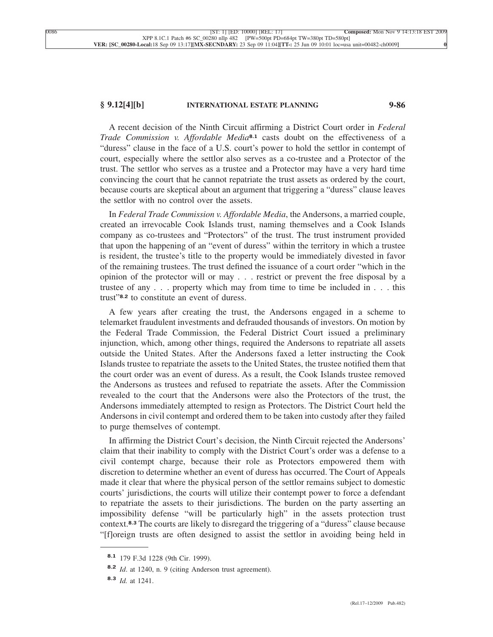### **§ 9.12[4][b] INTERNATIONAL ESTATE PLANNING 9-86**

A recent decision of the Ninth Circuit affirming a District Court order in *Federal Trade Commission v. Affordable Media***8.1** casts doubt on the effectiveness of a "duress" clause in the face of a U.S. court's power to hold the settlor in contempt of court, especially where the settlor also serves as a co-trustee and a Protector of the trust. The settlor who serves as a trustee and a Protector may have a very hard time convincing the court that he cannot repatriate the trust assets as ordered by the court, because courts are skeptical about an argument that triggering a "duress" clause leaves the settlor with no control over the assets.

In *Federal Trade Commission v. Affordable Media*, the Andersons, a married couple, created an irrevocable Cook Islands trust, naming themselves and a Cook Islands company as co-trustees and "Protectors" of the trust. The trust instrument provided that upon the happening of an "event of duress" within the territory in which a trustee is resident, the trustee's title to the property would be immediately divested in favor of the remaining trustees. The trust defined the issuance of a court order "which in the opinion of the protector will or may . . . restrict or prevent the free disposal by a trustee of any . . . property which may from time to time be included in . . . this trust"**8.2** to constitute an event of duress.

A few years after creating the trust, the Andersons engaged in a scheme to telemarket fraudulent investments and defrauded thousands of investors. On motion by the Federal Trade Commission, the Federal District Court issued a preliminary injunction, which, among other things, required the Andersons to repatriate all assets outside the United States. After the Andersons faxed a letter instructing the Cook Islands trustee to repatriate the assets to the United States, the trustee notified them that the court order was an event of duress. As a result, the Cook Islands trustee removed the Andersons as trustees and refused to repatriate the assets. After the Commission revealed to the court that the Andersons were also the Protectors of the trust, the Andersons immediately attempted to resign as Protectors. The District Court held the Andersons in civil contempt and ordered them to be taken into custody after they failed to purge themselves of contempt.

In affirming the District Court's decision, the Ninth Circuit rejected the Andersons' claim that their inability to comply with the District Court's order was a defense to a civil contempt charge, because their role as Protectors empowered them with discretion to determine whether an event of duress has occurred. The Court of Appeals made it clear that where the physical person of the settlor remains subject to domestic courts' jurisdictions, the courts will utilize their contempt power to force a defendant to repatriate the assets to their jurisdictions. The burden on the party asserting an impossibility defense "will be particularly high" in the assets protection trust context.**8.3** The courts are likely to disregard the triggering of a "duress" clause because "[f]oreign trusts are often designed to assist the settlor in avoiding being held in

**<sup>8.1</sup>** 179 F.3d 1228 (9th Cir. 1999).

**<sup>8.2</sup>** *Id*. at 1240, n. 9 (citing Anderson trust agreement).

**<sup>8.3</sup>** *Id.* at 1241.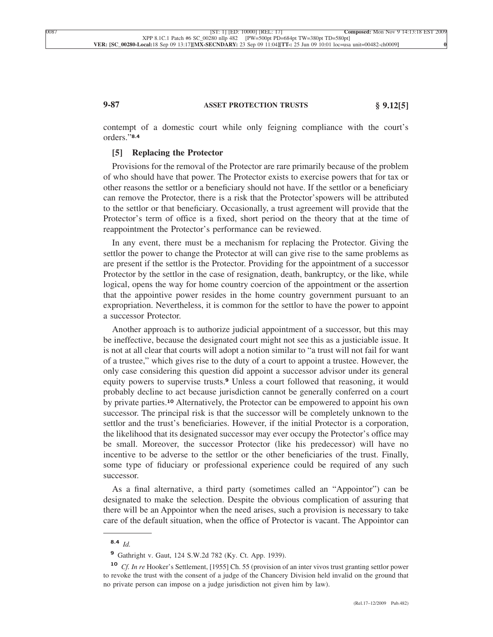# **9-87 ASSET PROTECTION TRUSTS § 9.12[5]**

contempt of a domestic court while only feigning compliance with the court's orders."**8.4**

### **[5] Replacing the Protector**

Provisions for the removal of the Protector are rare primarily because of the problem of who should have that power. The Protector exists to exercise powers that for tax or other reasons the settlor or a beneficiary should not have. If the settlor or a beneficiary can remove the Protector, there is a risk that the Protector'spowers will be attributed to the settlor or that beneficiary. Occasionally, a trust agreement will provide that the Protector's term of office is a fixed, short period on the theory that at the time of reappointment the Protector's performance can be reviewed.

In any event, there must be a mechanism for replacing the Protector. Giving the settlor the power to change the Protector at will can give rise to the same problems as are present if the settlor is the Protector. Providing for the appointment of a successor Protector by the settlor in the case of resignation, death, bankruptcy, or the like, while logical, opens the way for home country coercion of the appointment or the assertion that the appointive power resides in the home country government pursuant to an expropriation. Nevertheless, it is common for the settlor to have the power to appoint a successor Protector.

Another approach is to authorize judicial appointment of a successor, but this may be ineffective, because the designated court might not see this as a justiciable issue. It is not at all clear that courts will adopt a notion similar to "a trust will not fail for want of a trustee," which gives rise to the duty of a court to appoint a trustee. However, the only case considering this question did appoint a successor advisor under its general equity powers to supervise trusts.**<sup>9</sup>** Unless a court followed that reasoning, it would probably decline to act because jurisdiction cannot be generally conferred on a court by private parties.**<sup>10</sup>** Alternatively, the Protector can be empowered to appoint his own successor. The principal risk is that the successor will be completely unknown to the settlor and the trust's beneficiaries. However, if the initial Protector is a corporation, the likelihood that its designated successor may ever occupy the Protector's office may be small. Moreover, the successor Protector (like his predecessor) will have no incentive to be adverse to the settlor or the other beneficiaries of the trust. Finally, some type of fiduciary or professional experience could be required of any such successor.

As a final alternative, a third party (sometimes called an "Appointor") can be designated to make the selection. Despite the obvious complication of assuring that there will be an Appointor when the need arises, such a provision is necessary to take care of the default situation, when the office of Protector is vacant. The Appointor can

**<sup>8.4</sup>** *Id.*

**<sup>9</sup>** Gathright v. Gaut, 124 S.W.2d 782 (Ky. Ct. App. 1939).

**<sup>10</sup>** *Cf. In re* Hooker's Settlement, [1955] Ch. 55 (provision of an inter vivos trust granting settlor power to revoke the trust with the consent of a judge of the Chancery Division held invalid on the ground that no private person can impose on a judge jurisdiction not given him by law).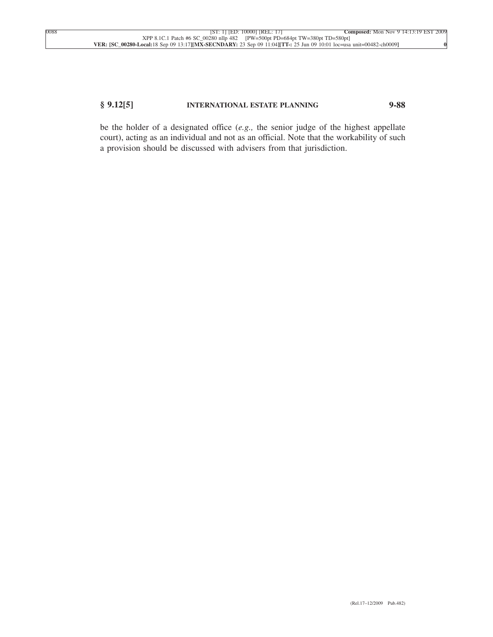## **§ 9.12[5] INTERNATIONAL ESTATE PLANNING 9-88**

be the holder of a designated office (*e.g.,* the senior judge of the highest appellate court), acting as an individual and not as an official. Note that the workability of such a provision should be discussed with advisers from that jurisdiction.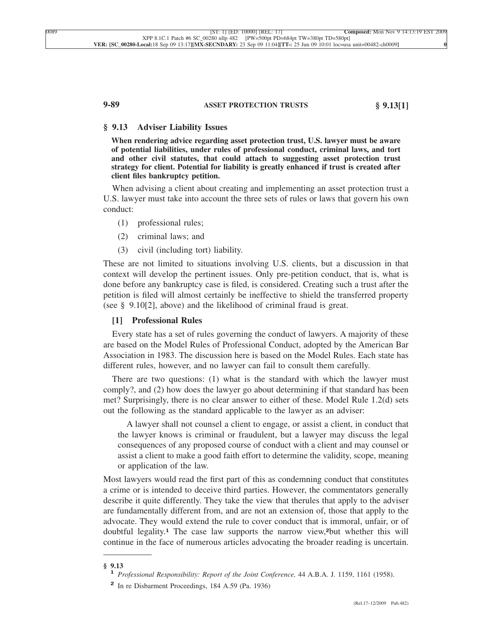# **9-89 ASSET PROTECTION TRUSTS § 9.13[1]**

### **§ 9.13 Adviser Liability Issues**

**When rendering advice regarding asset protection trust, U.S. lawyer must be aware of potential liabilities, under rules of professional conduct, criminal laws, and tort and other civil statutes, that could attach to suggesting asset protection trust strategy for client. Potential for liability is greatly enhanced if trust is created after client files bankruptcy petition.**

When advising a client about creating and implementing an asset protection trust a U.S. lawyer must take into account the three sets of rules or laws that govern his own conduct:

- (1) professional rules;
- (2) criminal laws; and
- (3) civil (including tort) liability.

These are not limited to situations involving U.S. clients, but a discussion in that context will develop the pertinent issues. Only pre-petition conduct, that is, what is done before any bankruptcy case is filed, is considered. Creating such a trust after the petition is filed will almost certainly be ineffective to shield the transferred property (see § 9.10[2], above) and the likelihood of criminal fraud is great.

### **[1] Professional Rules**

Every state has a set of rules governing the conduct of lawyers. A majority of these are based on the Model Rules of Professional Conduct, adopted by the American Bar Association in 1983. The discussion here is based on the Model Rules. Each state has different rules, however, and no lawyer can fail to consult them carefully.

There are two questions: (1) what is the standard with which the lawyer must comply?, and (2) how does the lawyer go about determining if that standard has been met? Surprisingly, there is no clear answer to either of these. Model Rule 1.2(d) sets out the following as the standard applicable to the lawyer as an adviser:

A lawyer shall not counsel a client to engage, or assist a client, in conduct that the lawyer knows is criminal or fraudulent, but a lawyer may discuss the legal consequences of any proposed course of conduct with a client and may counsel or assist a client to make a good faith effort to determine the validity, scope, meaning or application of the law.

Most lawyers would read the first part of this as condemning conduct that constitutes a crime or is intended to deceive third parties. However, the commentators generally describe it quite differently. They take the view that therules that apply to the adviser are fundamentally different from, and are not an extension of, those that apply to the advocate. They would extend the rule to cover conduct that is immoral, unfair, or of doubtful legality.**<sup>1</sup>** The case law supports the narrow view,**2**but whether this will continue in the face of numerous articles advocating the broader reading is uncertain.

**<sup>§ 9.13</sup> <sup>1</sup>** *Professional Responsibility: Report of the Joint Conference,* 44 A.B.A. J. 1159, 1161 (1958).

**<sup>2</sup>** In re Disbarment Proceedings, 184 A.59 (Pa. 1936)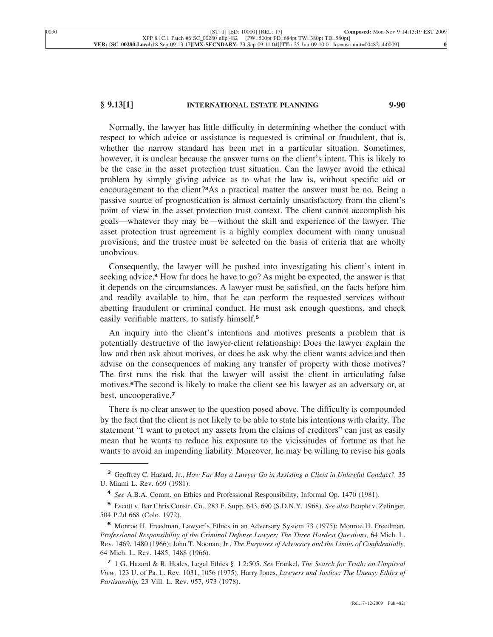## **§ 9.13[1] INTERNATIONAL ESTATE PLANNING 9-90**

Normally, the lawyer has little difficulty in determining whether the conduct with respect to which advice or assistance is requested is criminal or fraudulent, that is, whether the narrow standard has been met in a particular situation. Sometimes, however, it is unclear because the answer turns on the client's intent. This is likely to be the case in the asset protection trust situation. Can the lawyer avoid the ethical problem by simply giving advice as to what the law is, without specific aid or encouragement to the client?**3**As a practical matter the answer must be no. Being a passive source of prognostication is almost certainly unsatisfactory from the client's point of view in the asset protection trust context. The client cannot accomplish his goals—whatever they may be—without the skill and experience of the lawyer. The asset protection trust agreement is a highly complex document with many unusual provisions, and the trustee must be selected on the basis of criteria that are wholly unobvious.

Consequently, the lawyer will be pushed into investigating his client's intent in seeking advice.**<sup>4</sup>** How far does he have to go? As might be expected, the answer is that it depends on the circumstances. A lawyer must be satisfied, on the facts before him and readily available to him, that he can perform the requested services without abetting fraudulent or criminal conduct. He must ask enough questions, and check easily verifiable matters, to satisfy himself.**<sup>5</sup>**

An inquiry into the client's intentions and motives presents a problem that is potentially destructive of the lawyer-client relationship: Does the lawyer explain the law and then ask about motives, or does he ask why the client wants advice and then advise on the consequences of making any transfer of property with those motives? The first runs the risk that the lawyer will assist the client in articulating false motives.**6**The second is likely to make the client see his lawyer as an adversary or, at best, uncooperative.**<sup>7</sup>**

There is no clear answer to the question posed above. The difficulty is compounded by the fact that the client is not likely to be able to state his intentions with clarity. The statement "I want to protect my assets from the claims of creditors" can just as easily mean that he wants to reduce his exposure to the vicissitudes of fortune as that he wants to avoid an impending liability. Moreover, he may be willing to revise his goals

**<sup>3</sup>** Geoffrey C. Hazard, Jr., *How Far May a Lawyer Go in Assisting a Client in Unlawful Conduct?,* 35 U. Miami L. Rev. 669 (1981).

**<sup>4</sup>** *See* A.B.A. Comm. on Ethics and Professional Responsibility, Informal Op. 1470 (1981).

**<sup>5</sup>** Escott v. Bar Chris Constr. Co., 283 F. Supp. 643, 690 (S.D.N.Y. 1968). *See also* People v. Zelinger, 504 P.2d 668 (Colo. 1972).

**<sup>6</sup>** Monroe H. Freedman, Lawyer's Ethics in an Adversary System 73 (1975); Monroe H. Freedman, *Professional Responsibility of the Criminal Defense Lawyer: The Three Hardest Questions,* 64 Mich. L. Rev. 1469, 1480 (1966); John T. Noonan, Jr., *The Purposes of Advocacy and the Limits of Confidentially,* 64 Mich. L. Rev. 1485, 1488 (1966).

**<sup>7</sup>** 1 G. Hazard & R. Hodes, Legal Ethics § 1.2:505. *See* Frankel, *The Search for Truth: an Umpireal View,* 123 U. of Pa. L. Rev. 1031, 1056 (1975). Harry Jones, *Lawyers and Justice: The Uneasy Ethics of Partisanship,* 23 Vill. L. Rev. 957, 973 (1978).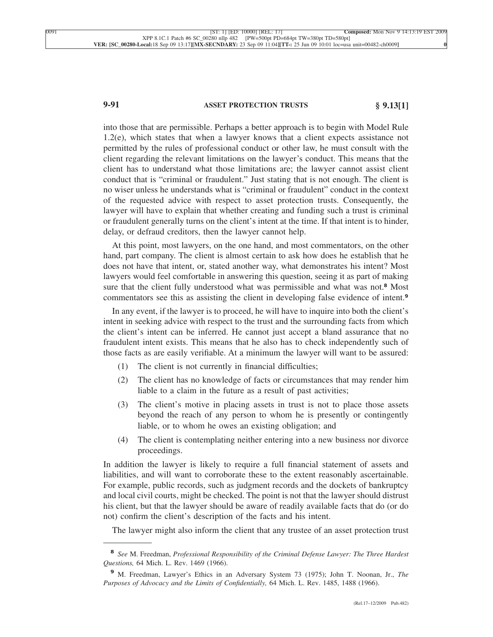# **9-91 ASSET PROTECTION TRUSTS § 9.13[1]**

into those that are permissible. Perhaps a better approach is to begin with Model Rule 1.2(e), which states that when a lawyer knows that a client expects assistance not permitted by the rules of professional conduct or other law, he must consult with the client regarding the relevant limitations on the lawyer's conduct. This means that the client has to understand what those limitations are; the lawyer cannot assist client conduct that is "criminal or fraudulent." Just stating that is not enough. The client is no wiser unless he understands what is "criminal or fraudulent" conduct in the context of the requested advice with respect to asset protection trusts. Consequently, the lawyer will have to explain that whether creating and funding such a trust is criminal or fraudulent generally turns on the client's intent at the time. If that intent is to hinder, delay, or defraud creditors, then the lawyer cannot help.

At this point, most lawyers, on the one hand, and most commentators, on the other hand, part company. The client is almost certain to ask how does he establish that he does not have that intent, or, stated another way, what demonstrates his intent? Most lawyers would feel comfortable in answering this question, seeing it as part of making sure that the client fully understood what was permissible and what was not.**<sup>8</sup>** Most commentators see this as assisting the client in developing false evidence of intent.**<sup>9</sup>**

In any event, if the lawyer is to proceed, he will have to inquire into both the client's intent in seeking advice with respect to the trust and the surrounding facts from which the client's intent can be inferred. He cannot just accept a bland assurance that no fraudulent intent exists. This means that he also has to check independently such of those facts as are easily verifiable. At a minimum the lawyer will want to be assured:

- (1) The client is not currently in financial difficulties;
- (2) The client has no knowledge of facts or circumstances that may render him liable to a claim in the future as a result of past activities;
- (3) The client's motive in placing assets in trust is not to place those assets beyond the reach of any person to whom he is presently or contingently liable, or to whom he owes an existing obligation; and
- (4) The client is contemplating neither entering into a new business nor divorce proceedings.

In addition the lawyer is likely to require a full financial statement of assets and liabilities, and will want to corroborate these to the extent reasonably ascertainable. For example, public records, such as judgment records and the dockets of bankruptcy and local civil courts, might be checked. The point is not that the lawyer should distrust his client, but that the lawyer should be aware of readily available facts that do (or do not) confirm the client's description of the facts and his intent.

The lawyer might also inform the client that any trustee of an asset protection trust

**<sup>8</sup>** *See* M. Freedman, *Professional Responsibility of the Criminal Defense Lawyer: The Three Hardest Questions,* 64 Mich. L. Rev. 1469 (1966).

**<sup>9</sup>** M. Freedman, Lawyer's Ethics in an Adversary System 73 (1975); John T. Noonan, Jr., *The Purposes of Advocacy and the Limits of Confidentially,* 64 Mich. L. Rev. 1485, 1488 (1966).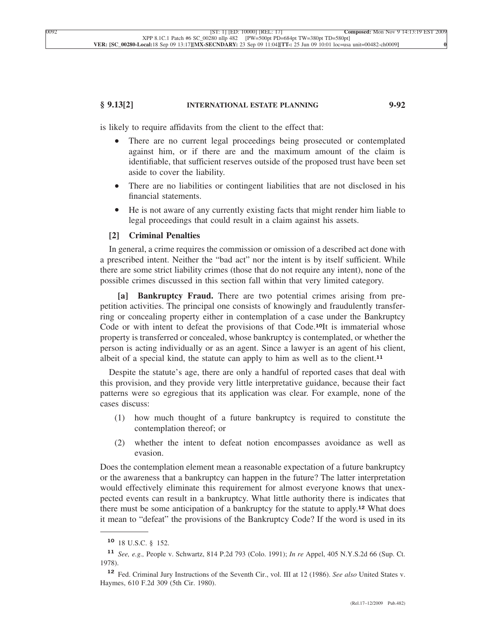## **§ 9.13[2] INTERNATIONAL ESTATE PLANNING 9-92**

is likely to require affidavits from the client to the effect that:

- There are no current legal proceedings being prosecuted or contemplated against him, or if there are and the maximum amount of the claim is identifiable, that sufficient reserves outside of the proposed trust have been set aside to cover the liability.
- There are no liabilities or contingent liabilities that are not disclosed in his financial statements.
- He is not aware of any currently existing facts that might render him liable to legal proceedings that could result in a claim against his assets.

### **[2] Criminal Penalties**

In general, a crime requires the commission or omission of a described act done with a prescribed intent. Neither the "bad act" nor the intent is by itself sufficient. While there are some strict liability crimes (those that do not require any intent), none of the possible crimes discussed in this section fall within that very limited category.

**[a] Bankruptcy Fraud.** There are two potential crimes arising from prepetition activities. The principal one consists of knowingly and fraudulently transferring or concealing property either in contemplation of a case under the Bankruptcy Code or with intent to defeat the provisions of that Code.**10**It is immaterial whose property is transferred or concealed, whose bankruptcy is contemplated, or whether the person is acting individually or as an agent. Since a lawyer is an agent of his client, albeit of a special kind, the statute can apply to him as well as to the client.**<sup>11</sup>**

Despite the statute's age, there are only a handful of reported cases that deal with this provision, and they provide very little interpretative guidance, because their fact patterns were so egregious that its application was clear. For example, none of the cases discuss:

- (1) how much thought of a future bankruptcy is required to constitute the contemplation thereof; or
- (2) whether the intent to defeat notion encompasses avoidance as well as evasion.

Does the contemplation element mean a reasonable expectation of a future bankruptcy or the awareness that a bankruptcy can happen in the future? The latter interpretation would effectively eliminate this requirement for almost everyone knows that unexpected events can result in a bankruptcy. What little authority there is indicates that there must be some anticipation of a bankruptcy for the statute to apply.**<sup>12</sup>** What does it mean to "defeat" the provisions of the Bankruptcy Code? If the word is used in its

**<sup>10</sup>** 18 U.S.C. § 152.

**<sup>11</sup>** *See, e.g.,* People v. Schwartz, 814 P.2d 793 (Colo. 1991); *In re* Appel, 405 N.Y.S.2d 66 (Sup. Ct. 1978).

**<sup>12</sup>** Fed. Criminal Jury Instructions of the Seventh Cir., vol. III at 12 (1986). *See also* United States v. Haymes, 610 F.2d 309 (5th Cir. 1980).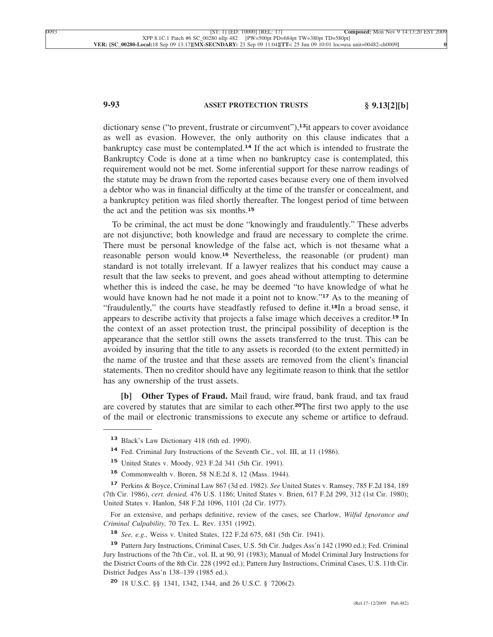# **9-93 ASSET PROTECTION TRUSTS § 9.13[2][b]**

dictionary sense ("to prevent, frustrate or circumvent"),**13**it appears to cover avoidance as well as evasion. However, the only authority on this clause indicates that a bankruptcy case must be contemplated.**<sup>14</sup>** If the act which is intended to frustrate the Bankruptcy Code is done at a time when no bankruptcy case is contemplated, this requirement would not be met. Some inferential support for these narrow readings of the statute may be drawn from the reported cases because every one of them involved a debtor who was in financial difficulty at the time of the transfer or concealment, and a bankruptcy petition was filed shortly thereafter. The longest period of time between the act and the petition was six months.**<sup>15</sup>**

To be criminal, the act must be done "knowingly and fraudulently." These adverbs are not disjunctive; both knowledge and fraud are necessary to complete the crime. There must be personal knowledge of the false act, which is not thesame what a reasonable person would know.**<sup>16</sup>** Nevertheless, the reasonable (or prudent) man standard is not totally irrelevant. If a lawyer realizes that his conduct may cause a result that the law seeks to prevent, and goes ahead without attempting to determine whether this is indeed the case, he may be deemed "to have knowledge of what he would have known had he not made it a point not to know."**<sup>17</sup>** As to the meaning of "fraudulently," the courts have steadfastly refused to define it.**18**In a broad sense, it appears to describe activity that projects a false image which deceives a creditor.**<sup>19</sup>** In the context of an asset protection trust, the principal possibility of deception is the appearance that the settlor still owns the assets transferred to the trust. This can be avoided by insuring that the title to any assets is recorded (to the extent permitted) in the name of the trustee and that these assets are removed from the client's financial statements. Then no creditor should have any legitimate reason to think that the settlor has any ownership of the trust assets.

**[b] Other Types of Fraud.** Mail fraud, wire fraud, bank fraud, and tax fraud are covered by statutes that are similar to each other.**20**The first two apply to the use of the mail or electronic transmissions to execute any scheme or artifice to defraud.

**<sup>13</sup>** Black's Law Dictionary 418 (6th ed. 1990).

**<sup>14</sup>** Fed. Criminal Jury Instructions of the Seventh Cir., vol. III, at 11 (1986).

**<sup>15</sup>** United States v. Moody, 923 F.2d 341 (5th Cir. 1991).

**<sup>16</sup>** Commonwealth v. Boren, 58 N.E.2d 8, 12 (Mass. 1944).

**<sup>17</sup>** Perkins & Boyce, Criminal Law 867 (3d ed. 1982). *See* United States v. Ramsey, 785 F.2d 184, 189 (7th Cir. 1986), *cert. denied,* 476 U.S. 1186; United States v. Brien, 617 F.2d 299, 312 (1st Cir. 1980); United States v. Hanlon, 548 F.2d 1096, 1101 (2d Cir. 1977).

For an extensive, and perhaps definitive, review of the cases, see Charlow, *Wilful Ignorance and Criminal Culpability,* 70 Tex. L. Rev. 1351 (1992).

**<sup>18</sup>** *See, e.g.,* Weiss v. United States, 122 F.2d 675, 681 (5th Cir. 1941).

**<sup>19</sup>** Pattern Jury Instructions, Criminal Cases, U.S. 5th Cir. Judges Ass'n 142 (1990 ed.); Fed. Criminal Jury Instructions of the 7th Cir., vol. II, at 90, 91 (1983); Manual of Model Criminal Jury Instructions for the District Courts of the 8th Cir. 228 (1992 ed.); Pattern Jury Instructions, Criminal Cases, U.S. 11th Cir. District Judges Ass'n 138–139 (1985 ed.).

**<sup>20</sup>** 18 U.S.C. §§ 1341, 1342, 1344, and 26 U.S.C. § 7206(2).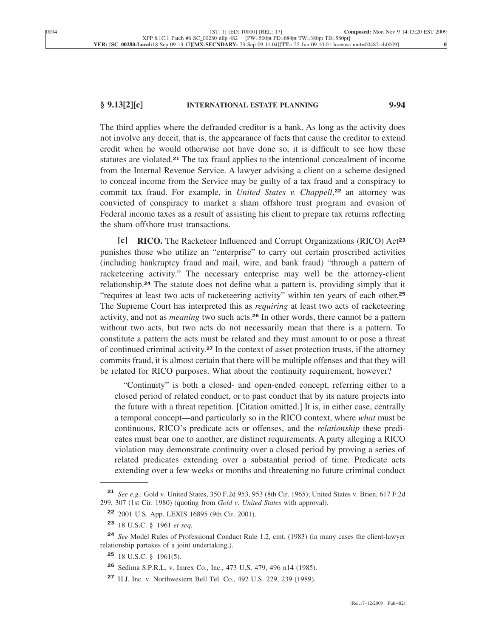## **§ 9.13[2][c] INTERNATIONAL ESTATE PLANNING 9-94**

The third applies where the defrauded creditor is a bank. As long as the activity does not involve any deceit, that is, the appearance of facts that cause the creditor to extend credit when he would otherwise not have done so, it is difficult to see how these statutes are violated.**<sup>21</sup>** The tax fraud applies to the intentional concealment of income from the Internal Revenue Service. A lawyer advising a client on a scheme designed to conceal income from the Service may be guilty of a tax fraud and a conspiracy to commit tax fraud. For example, in *United States v. Chappell*, **<sup>22</sup>** an attorney was convicted of conspiracy to market a sham offshore trust program and evasion of Federal income taxes as a result of assisting his client to prepare tax returns reflecting the sham offshore trust transactions.

**[c] RICO.** The Racketeer Influenced and Corrupt Organizations (RICO) Act**<sup>23</sup>** punishes those who utilize an "enterprise" to carry out certain proscribed activities (including bankruptcy fraud and mail, wire, and bank fraud) "through a pattern of racketeering activity." The necessary enterprise may well be the attorney-client relationship.**<sup>24</sup>** The statute does not define what a pattern is, providing simply that it "requires at least two acts of racketeering activity" within ten years of each other.**<sup>25</sup>** The Supreme Court has interpreted this as *requiring* at least two acts of racketeering activity, and not as *meaning* two such acts.**<sup>26</sup>** In other words, there cannot be a pattern without two acts, but two acts do not necessarily mean that there is a pattern. To constitute a pattern the acts must be related and they must amount to or pose a threat of continued criminal activity.**<sup>27</sup>** In the context of asset protection trusts, if the attorney commits fraud, it is almost certain that there will be multiple offenses and that they will be related for RICO purposes. What about the continuity requirement, however?

"Continuity" is both a closed- and open-ended concept, referring either to a closed period of related conduct, or to past conduct that by its nature projects into the future with a threat repetition. [Citation omitted.] It is, in either case, centrally a temporal concept—and particularly so in the RICO context, where *what* must be continuous, RICO's predicate acts or offenses, and the *relationship* these predicates must bear one to another, are distinct requirements. A party alleging a RICO violation may demonstrate continuity over a closed period by proving a series of related predicates extending over a substantial period of time. Predicate acts extending over a few weeks or months and threatening no future criminal conduct

**<sup>21</sup>** *See e.g.,* Gold v. United States, 350 F.2d 953, 953 (8th Cir. 1965); United States v. Brien, 617 F.2d 299, 307 (1st Cir. 1980) (quoting from *Gold v. United States* with approval).

**<sup>22</sup>** 2001 U.S. App. LEXIS 16895 (9th Cir. 2001).

**<sup>23</sup>** 18 U.S.C. § 1961 *et seq.*

**<sup>24</sup>** *See* Model Rules of Professional Conduct Rule 1.2, cmt. (1983) (in many cases the client-lawyer relationship partakes of a joint undertaking.).

**<sup>25</sup>** 18 U.S.C. § 1961(5).

**<sup>26</sup>** Sedima S.P.R.L. v. Imrex Co., Inc., 473 U.S. 479, 496 n14 (1985).

**<sup>27</sup>** H.J. Inc. v. Northwestern Bell Tel. Co., 492 U.S. 229, 239 (1989).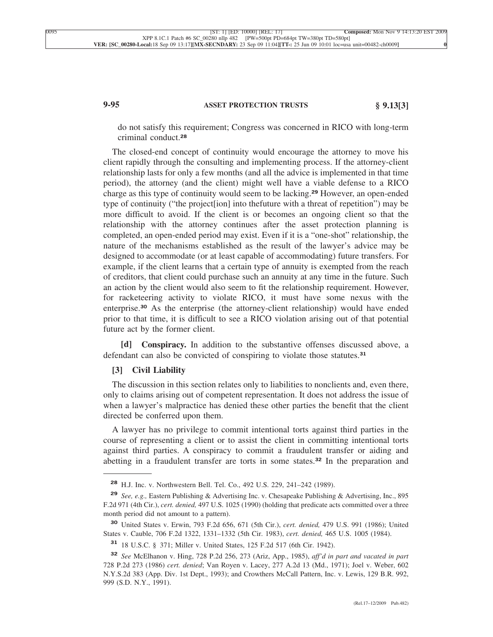# **9-95 ASSET PROTECTION TRUSTS § 9.13[3]**

do not satisfy this requirement; Congress was concerned in RICO with long-term criminal conduct.**<sup>28</sup>**

The closed-end concept of continuity would encourage the attorney to move his client rapidly through the consulting and implementing process. If the attorney-client relationship lasts for only a few months (and all the advice is implemented in that time period), the attorney (and the client) might well have a viable defense to a RICO charge as this type of continuity would seem to be lacking.**<sup>29</sup>** However, an open-ended type of continuity ("the project[ion] into thefuture with a threat of repetition") may be more difficult to avoid. If the client is or becomes an ongoing client so that the relationship with the attorney continues after the asset protection planning is completed, an open-ended period may exist. Even if it is a "one-shot" relationship, the nature of the mechanisms established as the result of the lawyer's advice may be designed to accommodate (or at least capable of accommodating) future transfers. For example, if the client learns that a certain type of annuity is exempted from the reach of creditors, that client could purchase such an annuity at any time in the future. Such an action by the client would also seem to fit the relationship requirement. However, for racketeering activity to violate RICO, it must have some nexus with the enterprise.**<sup>30</sup>** As the enterprise (the attorney-client relationship) would have ended prior to that time, it is difficult to see a RICO violation arising out of that potential future act by the former client.

**[d] Conspiracy.** In addition to the substantive offenses discussed above, a defendant can also be convicted of conspiring to violate those statutes.**<sup>31</sup>**

## **[3] Civil Liability**

The discussion in this section relates only to liabilities to nonclients and, even there, only to claims arising out of competent representation. It does not address the issue of when a lawyer's malpractice has denied these other parties the benefit that the client directed be conferred upon them.

A lawyer has no privilege to commit intentional torts against third parties in the course of representing a client or to assist the client in committing intentional torts against third parties. A conspiracy to commit a fraudulent transfer or aiding and abetting in a fraudulent transfer are torts in some states.**<sup>32</sup>** In the preparation and

**<sup>28</sup>** H.J. Inc. v. Northwestern Bell. Tel. Co., 492 U.S. 229, 241–242 (1989).

**<sup>29</sup>** *See, e.g.,* Eastern Publishing & Advertising Inc. v. Chesapeake Publishing & Advertising, Inc., 895 F.2d 971 (4th Cir.), *cert. denied,* 497 U.S. 1025 (1990) (holding that predicate acts committed over a three month period did not amount to a pattern).

**<sup>30</sup>** United States v. Erwin, 793 F.2d 656, 671 (5th Cir.), *cert. denied,* 479 U.S. 991 (1986); United States v. Cauble, 706 F.2d 1322, 1331–1332 (5th Cir. 1983), *cert. denied,* 465 U.S. 1005 (1984).

**<sup>31</sup>** 18 U.S.C. § 371; Miller v. United States, 125 F.2d 517 (6th Cir. 1942).

**<sup>32</sup>** *See* McElhanon v. Hing, 728 P.2d 256, 273 (Ariz, App., 1985), *aff'd in part and vacated in part* 728 P.2d 273 (1986) *cert. denied*; Van Royen v. Lacey, 277 A.2d 13 (Md., 1971); Joel v. Weber, 602 N.Y.S.2d 383 (App. Div. 1st Dept., 1993); and Crowthers McCall Pattern, Inc. v. Lewis, 129 B.R. 992, 999 (S.D. N.Y., 1991).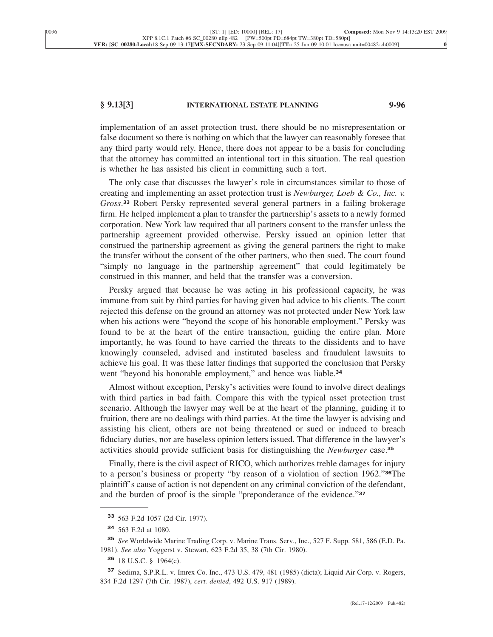## **§ 9.13[3] INTERNATIONAL ESTATE PLANNING 9-96**

implementation of an asset protection trust, there should be no misrepresentation or false document so there is nothing on which that the lawyer can reasonably foresee that any third party would rely. Hence, there does not appear to be a basis for concluding that the attorney has committed an intentional tort in this situation. The real question is whether he has assisted his client in committing such a tort.

The only case that discusses the lawyer's role in circumstances similar to those of creating and implementing an asset protection trust is *Newburger, Loeb & Co., Inc. v. Gross*. **<sup>33</sup>** Robert Persky represented several general partners in a failing brokerage firm. He helped implement a plan to transfer the partnership's assets to a newly formed corporation. New York law required that all partners consent to the transfer unless the partnership agreement provided otherwise. Persky issued an opinion letter that construed the partnership agreement as giving the general partners the right to make the transfer without the consent of the other partners, who then sued. The court found "simply no language in the partnership agreement" that could legitimately be construed in this manner, and held that the transfer was a conversion.

Persky argued that because he was acting in his professional capacity, he was immune from suit by third parties for having given bad advice to his clients. The court rejected this defense on the ground an attorney was not protected under New York law when his actions were "beyond the scope of his honorable employment." Persky was found to be at the heart of the entire transaction, guiding the entire plan. More importantly, he was found to have carried the threats to the dissidents and to have knowingly counseled, advised and instituted baseless and fraudulent lawsuits to achieve his goal. It was these latter findings that supported the conclusion that Persky went "beyond his honorable employment," and hence was liable.**<sup>34</sup>**

Almost without exception, Persky's activities were found to involve direct dealings with third parties in bad faith. Compare this with the typical asset protection trust scenario. Although the lawyer may well be at the heart of the planning, guiding it to fruition, there are no dealings with third parties. At the time the lawyer is advising and assisting his client, others are not being threatened or sued or induced to breach fiduciary duties, nor are baseless opinion letters issued. That difference in the lawyer's activities should provide sufficient basis for distinguishing the *Newburger* case.**<sup>35</sup>**

Finally, there is the civil aspect of RICO, which authorizes treble damages for injury to a person's business or property "by reason of a violation of section 1962."**36**The plaintiff's cause of action is not dependent on any criminal conviction of the defendant, and the burden of proof is the simple "preponderance of the evidence."**<sup>37</sup>**

**<sup>33</sup>** 563 F.2d 1057 (2d Cir. 1977).

**<sup>34</sup>** 563 F.2d at 1080.

**<sup>35</sup>** *See* Worldwide Marine Trading Corp. v. Marine Trans. Serv., Inc., 527 F. Supp. 581, 586 (E.D. Pa. 1981). *See also* Yoggerst v. Stewart, 623 F.2d 35, 38 (7th Cir. 1980).

**<sup>36</sup>** 18 U.S.C. § 1964(c).

**<sup>37</sup>** Sedima, S.P.R.L. v. Imrex Co. Inc., 473 U.S. 479, 481 (1985) (dicta); Liquid Air Corp. v. Rogers, 834 F.2d 1297 (7th Cir. 1987), *cert. denied*, 492 U.S. 917 (1989).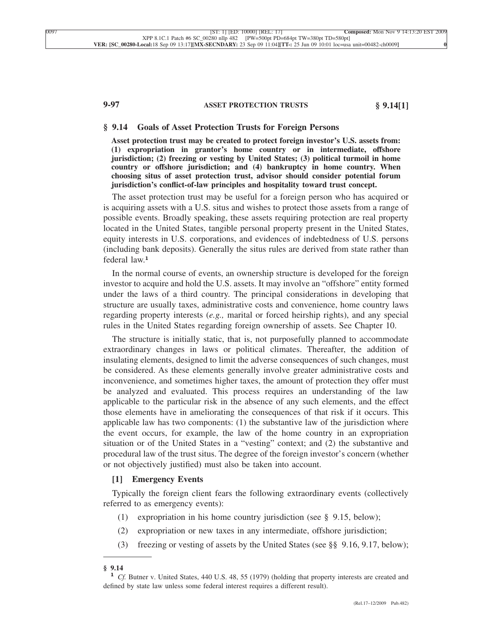# **9-97 ASSET PROTECTION TRUSTS § 9.14[1]**

#### **§ 9.14 Goals of Asset Protection Trusts for Foreign Persons**

**Asset protection trust may be created to protect foreign investor's U.S. assets from: (1) expropriation in grantor's home country or in intermediate, offshore jurisdiction; (2) freezing or vesting by United States; (3) political turmoil in home country or offshore jurisdiction; and (4) bankruptcy in home country. When choosing situs of asset protection trust, advisor should consider potential forum jurisdiction's conflict-of-law principles and hospitality toward trust concept.**

The asset protection trust may be useful for a foreign person who has acquired or is acquiring assets with a U.S. situs and wishes to protect those assets from a range of possible events. Broadly speaking, these assets requiring protection are real property located in the United States, tangible personal property present in the United States, equity interests in U.S. corporations, and evidences of indebtedness of U.S. persons (including bank deposits). Generally the situs rules are derived from state rather than federal law.**<sup>1</sup>**

In the normal course of events, an ownership structure is developed for the foreign investor to acquire and hold the U.S. assets. It may involve an "offshore" entity formed under the laws of a third country. The principal considerations in developing that structure are usually taxes, administrative costs and convenience, home country laws regarding property interests (*e.g.,* marital or forced heirship rights), and any special rules in the United States regarding foreign ownership of assets. See Chapter 10.

The structure is initially static, that is, not purposefully planned to accommodate extraordinary changes in laws or political climates. Thereafter, the addition of insulating elements, designed to limit the adverse consequences of such changes, must be considered. As these elements generally involve greater administrative costs and inconvenience, and sometimes higher taxes, the amount of protection they offer must be analyzed and evaluated. This process requires an understanding of the law applicable to the particular risk in the absence of any such elements, and the effect those elements have in ameliorating the consequences of that risk if it occurs. This applicable law has two components: (1) the substantive law of the jurisdiction where the event occurs, for example, the law of the home country in an expropriation situation or of the United States in a "vesting" context; and (2) the substantive and procedural law of the trust situs. The degree of the foreign investor's concern (whether or not objectively justified) must also be taken into account.

### **[1] Emergency Events**

Typically the foreign client fears the following extraordinary events (collectively referred to as emergency events):

- (1) expropriation in his home country jurisdiction (see § 9.15, below);
- (2) expropriation or new taxes in any intermediate, offshore jurisdiction;
- (3) freezing or vesting of assets by the United States (see §§ 9.16, 9.17, below);

**<sup>§ 9.14</sup> <sup>1</sup>** *Cf.* Butner v. United States, 440 U.S. 48, 55 (1979) (holding that property interests are created and defined by state law unless some federal interest requires a different result).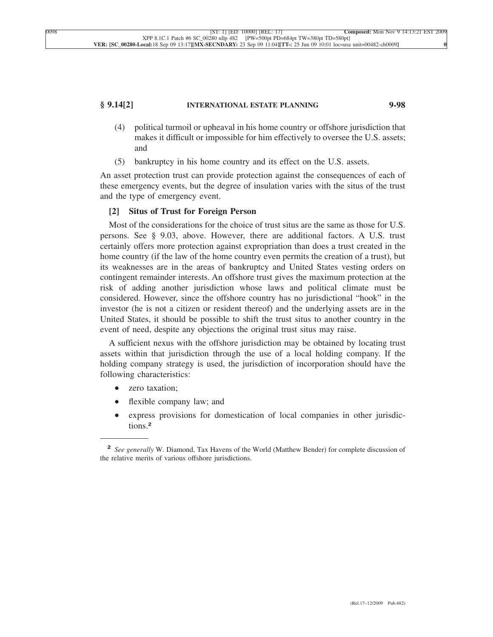# **§ 9.14[2] INTERNATIONAL ESTATE PLANNING 9-98**

- (4) political turmoil or upheaval in his home country or offshore jurisdiction that makes it difficult or impossible for him effectively to oversee the U.S. assets; and
- (5) bankruptcy in his home country and its effect on the U.S. assets.

An asset protection trust can provide protection against the consequences of each of these emergency events, but the degree of insulation varies with the situs of the trust and the type of emergency event.

### **[2] Situs of Trust for Foreign Person**

Most of the considerations for the choice of trust situs are the same as those for U.S. persons. See § 9.03, above. However, there are additional factors. A U.S. trust certainly offers more protection against expropriation than does a trust created in the home country (if the law of the home country even permits the creation of a trust), but its weaknesses are in the areas of bankruptcy and United States vesting orders on contingent remainder interests. An offshore trust gives the maximum protection at the risk of adding another jurisdiction whose laws and political climate must be considered. However, since the offshore country has no jurisdictional "hook" in the investor (he is not a citizen or resident thereof) and the underlying assets are in the United States, it should be possible to shift the trust situs to another country in the event of need, despite any objections the original trust situs may raise.

A sufficient nexus with the offshore jurisdiction may be obtained by locating trust assets within that jurisdiction through the use of a local holding company. If the holding company strategy is used, the jurisdiction of incorporation should have the following characteristics:

- zero taxation;
- flexible company law; and
- express provisions for domestication of local companies in other jurisdictions.**<sup>2</sup>**

**<sup>2</sup>** *See generally* W. Diamond, Tax Havens of the World (Matthew Bender) for complete discussion of the relative merits of various offshore jurisdictions.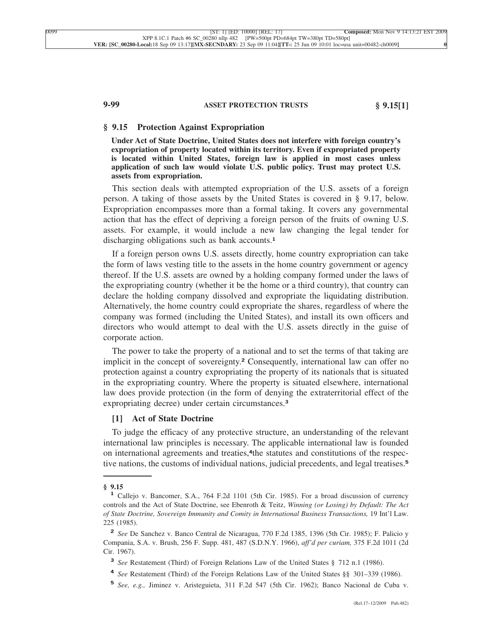## **9-99 ASSET PROTECTION TRUSTS § 9.15[1]**

## **§ 9.15 Protection Against Expropriation**

**Under Act of State Doctrine, United States does not interfere with foreign country's expropriation of property located within its territory. Even if expropriated property is located within United States, foreign law is applied in most cases unless application of such law would violate U.S. public policy. Trust may protect U.S. assets from expropriation.**

This section deals with attempted expropriation of the U.S. assets of a foreign person. A taking of those assets by the United States is covered in § 9.17, below. Expropriation encompasses more than a formal taking. It covers any governmental action that has the effect of depriving a foreign person of the fruits of owning U.S. assets. For example, it would include a new law changing the legal tender for discharging obligations such as bank accounts.**<sup>1</sup>**

If a foreign person owns U.S. assets directly, home country expropriation can take the form of laws vesting title to the assets in the home country government or agency thereof. If the U.S. assets are owned by a holding company formed under the laws of the expropriating country (whether it be the home or a third country), that country can declare the holding company dissolved and expropriate the liquidating distribution. Alternatively, the home country could expropriate the shares, regardless of where the company was formed (including the United States), and install its own officers and directors who would attempt to deal with the U.S. assets directly in the guise of corporate action.

The power to take the property of a national and to set the terms of that taking are implicit in the concept of sovereignty.**<sup>2</sup>** Consequently, international law can offer no protection against a country expropriating the property of its nationals that is situated in the expropriating country. Where the property is situated elsewhere, international law does provide protection (in the form of denying the extraterritorial effect of the expropriating decree) under certain circumstances.**<sup>3</sup>**

## **[1] Act of State Doctrine**

To judge the efficacy of any protective structure, an understanding of the relevant international law principles is necessary. The applicable international law is founded on international agreements and treaties,**4**the statutes and constitutions of the respective nations, the customs of individual nations, judicial precedents, and legal treatises.**<sup>5</sup>**

**<sup>4</sup>** *See* Restatement (Third) of the Foreign Relations Law of the United States §§ 301–339 (1986).

**<sup>§ 9.15</sup> <sup>1</sup>** Callejo v. Bancomer, S.A., 764 F.2d 1101 (5th Cir. 1985). For a broad discussion of currency controls and the Act of State Doctrine, see Ebenroth & Teitz, *Winning (or Losing) by Default: The Act of State Doctrine, Sovereign Immunity and Comity in International Business Transactions,* 19 Int'l Law. 225 (1985).

**<sup>2</sup>** *See* De Sanchez v. Banco Central de Nicaragua, 770 F.2d 1385, 1396 (5th Cir. 1985); F. Palicio y Compania, S.A. v. Brush, 256 F. Supp. 481, 487 (S.D.N.Y. 1966), *aff'd per curiam,* 375 F.2d 1011 (2d Cir. 1967).

**<sup>3</sup>** *See* Restatement (Third) of Foreign Relations Law of the United States § 712 n.1 (1986).

**<sup>5</sup>** *See, e.g.,* Jiminez v. Aristeguieta, 311 F.2d 547 (5th Cir. 1962); Banco Nacional de Cuba v.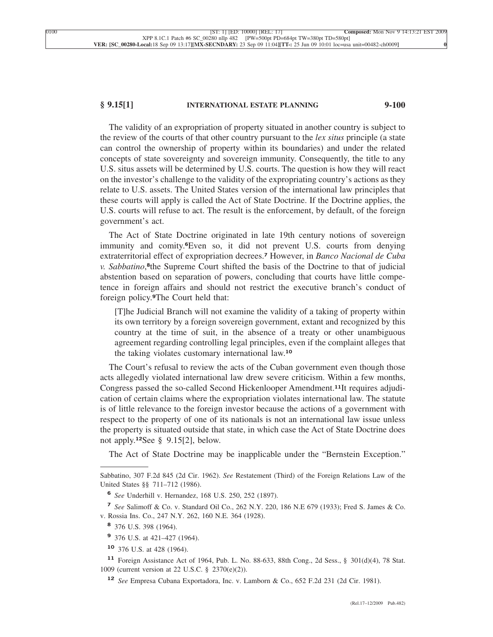## **§ 9.15[1] INTERNATIONAL ESTATE PLANNING 9-100**

The validity of an expropriation of property situated in another country is subject to the review of the courts of that other country pursuant to the *lex situs* principle (a state can control the ownership of property within its boundaries) and under the related concepts of state sovereignty and sovereign immunity. Consequently, the title to any U.S. situs assets will be determined by U.S. courts. The question is how they will react on the investor's challenge to the validity of the expropriating country's actions as they relate to U.S. assets. The United States version of the international law principles that these courts will apply is called the Act of State Doctrine. If the Doctrine applies, the U.S. courts will refuse to act. The result is the enforcement, by default, of the foreign government's act.

The Act of State Doctrine originated in late 19th century notions of sovereign immunity and comity.**6**Even so, it did not prevent U.S. courts from denying extraterritorial effect of expropriation decrees.**<sup>7</sup>** However, in *Banco Nacional de Cuba v. Sabbatino*, **<sup>8</sup>**the Supreme Court shifted the basis of the Doctrine to that of judicial abstention based on separation of powers, concluding that courts have little competence in foreign affairs and should not restrict the executive branch's conduct of foreign policy.**9**The Court held that:

[T]he Judicial Branch will not examine the validity of a taking of property within its own territory by a foreign sovereign government, extant and recognized by this country at the time of suit, in the absence of a treaty or other unambiguous agreement regarding controlling legal principles, even if the complaint alleges that the taking violates customary international law.**<sup>10</sup>**

The Court's refusal to review the acts of the Cuban government even though those acts allegedly violated international law drew severe criticism. Within a few months, Congress passed the so-called Second Hickenlooper Amendment.**11**It requires adjudication of certain claims where the expropriation violates international law. The statute is of little relevance to the foreign investor because the actions of a government with respect to the property of one of its nationals is not an international law issue unless the property is situated outside that state, in which case the Act of State Doctrine does not apply.**12**See § 9.15[2], below.

The Act of State Doctrine may be inapplicable under the "Bernstein Exception."

**<sup>7</sup>** *See* Salimoff & Co. v. Standard Oil Co., 262 N.Y. 220, 186 N.E 679 (1933); Fred S. James & Co. v. Rossia Ins. Co., 247 N.Y. 262, 160 N.E. 364 (1928).

Sabbatino, 307 F.2d 845 (2d Cir. 1962). *See* Restatement (Third) of the Foreign Relations Law of the United States §§ 711–712 (1986).

**<sup>6</sup>** *See* Underhill v. Hernandez, 168 U.S. 250, 252 (1897).

**<sup>8</sup>** 376 U.S. 398 (1964).

**<sup>9</sup>** 376 U.S. at 421–427 (1964).

**<sup>10</sup>** 376 U.S. at 428 (1964).

**<sup>11</sup>** Foreign Assistance Act of 1964, Pub. L. No. 88-633, 88th Cong., 2d Sess., § 301(d)(4), 78 Stat. 1009 (current version at 22 U.S.C. § 2370(e)(2)).

**<sup>12</sup>** *See* Empresa Cubana Exportadora, Inc. v. Lamborn & Co., 652 F.2d 231 (2d Cir. 1981).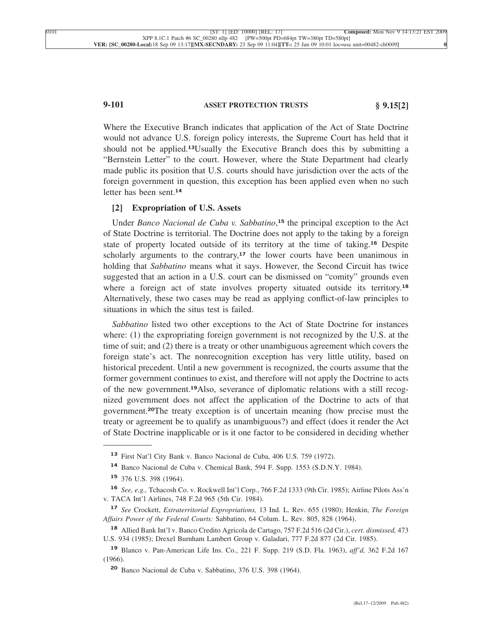# **9-101 ASSET PROTECTION TRUSTS § 9.15[2]**

Where the Executive Branch indicates that application of the Act of State Doctrine would not advance U.S. foreign policy interests, the Supreme Court has held that it should not be applied.**13**Usually the Executive Branch does this by submitting a "Bernstein Letter" to the court. However, where the State Department had clearly made public its position that U.S. courts should have jurisdiction over the acts of the foreign government in question, this exception has been applied even when no such letter has been sent.**<sup>14</sup>**

### **[2] Expropriation of U.S. Assets**

Under *Banco Nacional de Cuba v. Sabbatino*, **<sup>15</sup>** the principal exception to the Act of State Doctrine is territorial. The Doctrine does not apply to the taking by a foreign state of property located outside of its territory at the time of taking.**<sup>16</sup>** Despite scholarly arguments to the contrary, $17$  the lower courts have been unanimous in holding that *Sabbatino* means what it says. However, the Second Circuit has twice suggested that an action in a U.S. court can be dismissed on "comity" grounds even where a foreign act of state involves property situated outside its territory.**<sup>18</sup>** Alternatively, these two cases may be read as applying conflict-of-law principles to situations in which the situs test is failed.

*Sabbatino* listed two other exceptions to the Act of State Doctrine for instances where: (1) the expropriating foreign government is not recognized by the U.S. at the time of suit; and (2) there is a treaty or other unambiguous agreement which covers the foreign state's act. The nonrecognition exception has very little utility, based on historical precedent. Until a new government is recognized, the courts assume that the former government continues to exist, and therefore will not apply the Doctrine to acts of the new government.**19**Also, severance of diplomatic relations with a still recognized government does not affect the application of the Doctrine to acts of that government.**20**The treaty exception is of uncertain meaning (how precise must the treaty or agreement be to qualify as unambiguous?) and effect (does it render the Act of State Doctrine inapplicable or is it one factor to be considered in deciding whether

**<sup>13</sup>** First Nat'l City Bank v. Banco Nacional de Cuba, 406 U.S. 759 (1972).

**<sup>14</sup>** Banco Nacional de Cuba v. Chemical Bank, 594 F. Supp. 1553 (S.D.N.Y. 1984).

**<sup>15</sup>** 376 U.S. 398 (1964).

**<sup>16</sup>** *See, e.g.,* Tchacosh Co. v. Rockwell Int'l Corp., 766 F.2d 1333 (9th Cir. 1985); Airline Pilots Ass'n v. TACA Int'l Airlines, 748 F.2d 965 (5th Cir. 1984).

**<sup>17</sup>** *See* Crockett, *Extraterritorial Expropriations,* 13 Ind. L. Rev. 655 (1980); Henkin, *The Foreign Affairs Power of the Federal Courts:* Sabbatino, 64 Colum. L. Rev. 805, 828 (1964).

**<sup>18</sup>** Allied Bank Int'l v. Banco Credito Agricola de Cartago, 757 F.2d 516 (2d Cir.), *cert. dismissed,* 473 U.S. 934 (1985); Drexel Burnham Lambert Group v. Galadari, 777 F.2d 877 (2d Cir. 1985).

**<sup>19</sup>** Blanco v. Pan-American Life Ins. Co., 221 F. Supp. 219 (S.D. Fla. 1963), *aff'd,* 362 F.2d 167 (1966).

**<sup>20</sup>** Banco Nacional de Cuba v. Sabbatino, 376 U.S. 398 (1964).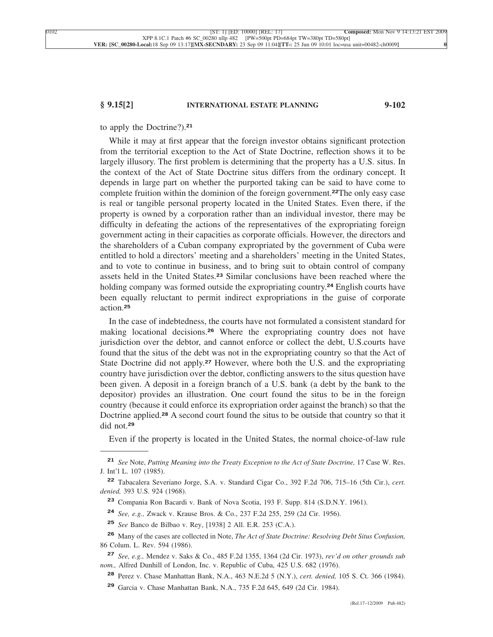## **§ 9.15[2] INTERNATIONAL ESTATE PLANNING 9-102**

## to apply the Doctrine?).**<sup>21</sup>**

While it may at first appear that the foreign investor obtains significant protection from the territorial exception to the Act of State Doctrine, reflection shows it to be largely illusory. The first problem is determining that the property has a U.S. situs. In the context of the Act of State Doctrine situs differs from the ordinary concept. It depends in large part on whether the purported taking can be said to have come to complete fruition within the dominion of the foreign government.**22**The only easy case is real or tangible personal property located in the United States. Even there, if the property is owned by a corporation rather than an individual investor, there may be difficulty in defeating the actions of the representatives of the expropriating foreign government acting in their capacities as corporate officials. However, the directors and the shareholders of a Cuban company expropriated by the government of Cuba were entitled to hold a directors' meeting and a shareholders' meeting in the United States, and to vote to continue in business, and to bring suit to obtain control of company assets held in the United States.**<sup>23</sup>** Similar conclusions have been reached where the holding company was formed outside the expropriating country.**<sup>24</sup>** English courts have been equally reluctant to permit indirect expropriations in the guise of corporate action.**<sup>25</sup>**

In the case of indebtedness, the courts have not formulated a consistent standard for making locational decisions.**<sup>26</sup>** Where the expropriating country does not have jurisdiction over the debtor, and cannot enforce or collect the debt, U.S.courts have found that the situs of the debt was not in the expropriating country so that the Act of State Doctrine did not apply.**<sup>27</sup>** However, where both the U.S. and the expropriating country have jurisdiction over the debtor, conflicting answers to the situs question have been given. A deposit in a foreign branch of a U.S. bank (a debt by the bank to the depositor) provides an illustration. One court found the situs to be in the foreign country (because it could enforce its expropriation order against the branch) so that the Doctrine applied.**<sup>28</sup>** A second court found the situs to be outside that country so that it did not.**<sup>29</sup>**

Even if the property is located in the United States, the normal choice-of-law rule

- **<sup>24</sup>** *See, e.g.,* Zwack v. Krause Bros. & Co., 237 F.2d 255, 259 (2d Cir. 1956).
- **<sup>25</sup>** *See* Banco de Bilbao v. Rey, [1938] 2 All. E.R. 253 (C.A.).
- **<sup>26</sup>** Many of the cases are collected in Note, *The Act of State Doctrine: Resolving Debt Situs Confusion,* 86 Colum. L. Rev. 594 (1986).
- **<sup>27</sup>** *See, e.g.,* Mendez v. Saks & Co., 485 F.2d 1355, 1364 (2d Cir. 1973), *rev'd on other grounds sub nom.,* Alfred Dunhill of London, Inc. v. Republic of Cuba, 425 U.S. 682 (1976).
	- **<sup>28</sup>** Perez v. Chase Manhattan Bank, N.A., 463 N.E.2d 5 (N.Y.), *cert. denied,* 105 S. Ct. 366 (1984).
	- **<sup>29</sup>** Garcia v. Chase Manhattan Bank, N.A., 735 F.2d 645, 649 (2d Cir. 1984).

**<sup>21</sup>** *See* Note, *Putting Meaning into the Treaty Exception to the Act of State Doctrine,* 17 Case W. Res. J. Int'l L. 107 (1985).

**<sup>22</sup>** Tabacalera Severiano Jorge, S.A. v. Standard Cigar Co., 392 F.2d 706, 715–16 (5th Cir.), *cert. denied,* 393 U.S. 924 (1968).

**<sup>23</sup>** Compania Ron Bacardi v. Bank of Nova Scotia, 193 F. Supp. 814 (S.D.N.Y. 1961).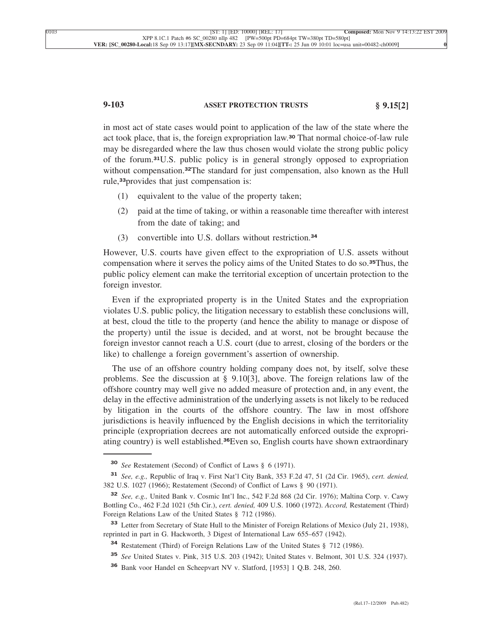# **9-103 ASSET PROTECTION TRUSTS § 9.15[2]**

in most act of state cases would point to application of the law of the state where the act took place, that is, the foreign expropriation law.**<sup>30</sup>** That normal choice-of-law rule may be disregarded where the law thus chosen would violate the strong public policy of the forum.**31**U.S. public policy is in general strongly opposed to expropriation without compensation.**32**The standard for just compensation, also known as the Hull rule,**33**provides that just compensation is:

- (1) equivalent to the value of the property taken;
- (2) paid at the time of taking, or within a reasonable time thereafter with interest from the date of taking; and
- (3) convertible into U.S. dollars without restriction.**<sup>34</sup>**

However, U.S. courts have given effect to the expropriation of U.S. assets without compensation where it serves the policy aims of the United States to do so.**35**Thus, the public policy element can make the territorial exception of uncertain protection to the foreign investor.

Even if the expropriated property is in the United States and the expropriation violates U.S. public policy, the litigation necessary to establish these conclusions will, at best, cloud the title to the property (and hence the ability to manage or dispose of the property) until the issue is decided, and at worst, not be brought because the foreign investor cannot reach a U.S. court (due to arrest, closing of the borders or the like) to challenge a foreign government's assertion of ownership.

The use of an offshore country holding company does not, by itself, solve these problems. See the discussion at § 9.10[3], above. The foreign relations law of the offshore country may well give no added measure of protection and, in any event, the delay in the effective administration of the underlying assets is not likely to be reduced by litigation in the courts of the offshore country. The law in most offshore jurisdictions is heavily influenced by the English decisions in which the territoriality principle (expropriation decrees are not automatically enforced outside the expropriating country) is well established.**36**Even so, English courts have shown extraordinary

**<sup>30</sup>** *See* Restatement (Second) of Conflict of Laws § 6 (1971).

**<sup>31</sup>** *See, e.g.,* Republic of Iraq v. First Nat'l City Bank, 353 F.2d 47, 51 (2d Cir. 1965), *cert. denied,* 382 U.S. 1027 (1966); Restatement (Second) of Conflict of Laws § 90 (1971).

**<sup>32</sup>** *See, e.g.,* United Bank v. Cosmic Int'l Inc., 542 F.2d 868 (2d Cir. 1976); Maltina Corp. v. Cawy Bottling Co., 462 F.2d 1021 (5th Cir.), *cert. denied,* 409 U.S. 1060 (1972). *Accord,* Restatement (Third) Foreign Relations Law of the United States § 712 (1986).

**<sup>33</sup>** Letter from Secretary of State Hull to the Minister of Foreign Relations of Mexico (July 21, 1938), reprinted in part in G. Hackworth, 3 Digest of International Law 655–657 (1942).

**<sup>34</sup>** Restatement (Third) of Foreign Relations Law of the United States § 712 (1986).

**<sup>35</sup>** *See* United States v. Pink, 315 U.S. 203 (1942); United States v. Belmont, 301 U.S. 324 (1937).

**<sup>36</sup>** Bank voor Handel en Scheepvart NV v. Slatford, [1953] 1 Q.B. 248, 260.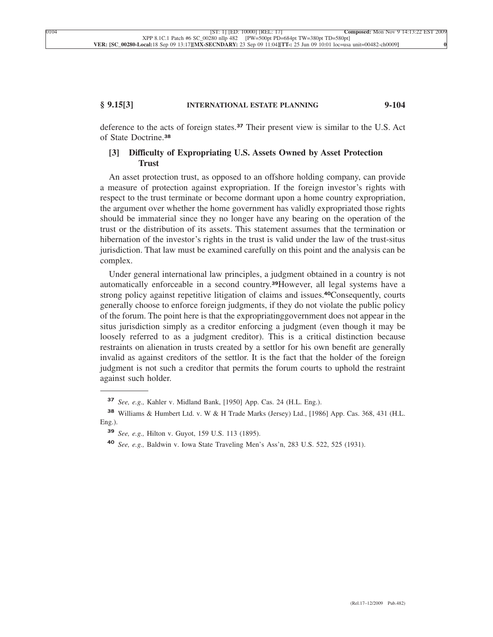# **§ 9.15[3] INTERNATIONAL ESTATE PLANNING 9-104**

deference to the acts of foreign states.**<sup>37</sup>** Their present view is similar to the U.S. Act of State Doctrine.**<sup>38</sup>**

# **[3] Difficulty of Expropriating U.S. Assets Owned by Asset Protection Trust**

An asset protection trust, as opposed to an offshore holding company, can provide a measure of protection against expropriation. If the foreign investor's rights with respect to the trust terminate or become dormant upon a home country expropriation, the argument over whether the home government has validly expropriated those rights should be immaterial since they no longer have any bearing on the operation of the trust or the distribution of its assets. This statement assumes that the termination or hibernation of the investor's rights in the trust is valid under the law of the trust-situs jurisdiction. That law must be examined carefully on this point and the analysis can be complex.

Under general international law principles, a judgment obtained in a country is not automatically enforceable in a second country.**39**However, all legal systems have a strong policy against repetitive litigation of claims and issues.**40**Consequently, courts generally choose to enforce foreign judgments, if they do not violate the public policy of the forum. The point here is that the expropriatinggovernment does not appear in the situs jurisdiction simply as a creditor enforcing a judgment (even though it may be loosely referred to as a judgment creditor). This is a critical distinction because restraints on alienation in trusts created by a settlor for his own benefit are generally invalid as against creditors of the settlor. It is the fact that the holder of the foreign judgment is not such a creditor that permits the forum courts to uphold the restraint against such holder.

**<sup>37</sup>** *See, e.g.,* Kahler v. Midland Bank, [1950] App. Cas. 24 (H.L. Eng.).

**<sup>38</sup>** Williams & Humbert Ltd. v.W&H Trade Marks (Jersey) Ltd., [1986] App. Cas. 368, 431 (H.L. Eng.).

**<sup>39</sup>** *See, e.g.,* Hilton v. Guyot, 159 U.S. 113 (1895).

**<sup>40</sup>** *See, e.g.,* Baldwin v. Iowa State Traveling Men's Ass'n, 283 U.S. 522, 525 (1931).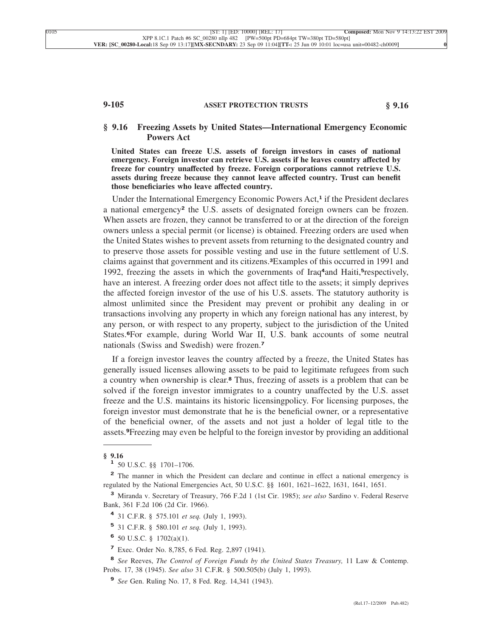# **9-105 ASSET PROTECTION TRUSTS § 9.16**

## **§ 9.16 Freezing Assets by United States—International Emergency Economic Powers Act**

**United States can freeze U.S. assets of foreign investors in cases of national emergency. Foreign investor can retrieve U.S. assets if he leaves country affected by freeze for country unaffected by freeze. Foreign corporations cannot retrieve U.S. assets during freeze because they cannot leave affected country. Trust can benefit those beneficiaries who leave affected country.**

Under the International Emergency Economic Powers Act,**<sup>1</sup>** if the President declares a national emergency**<sup>2</sup>** the U.S. assets of designated foreign owners can be frozen. When assets are frozen, they cannot be transferred to or at the direction of the foreign owners unless a special permit (or license) is obtained. Freezing orders are used when the United States wishes to prevent assets from returning to the designated country and to preserve those assets for possible vesting and use in the future settlement of U.S. claims against that government and its citizens.**3**Examples of this occurred in 1991 and 1992, freezing the assets in which the governments of Iraq**4**and Haiti,**5**respectively, have an interest. A freezing order does not affect title to the assets; it simply deprives the affected foreign investor of the use of his U.S. assets. The statutory authority is almost unlimited since the President may prevent or prohibit any dealing in or transactions involving any property in which any foreign national has any interest, by any person, or with respect to any property, subject to the jurisdiction of the United States.**6**For example, during World War II, U.S. bank accounts of some neutral nationals (Swiss and Swedish) were frozen.**<sup>7</sup>**

If a foreign investor leaves the country affected by a freeze, the United States has generally issued licenses allowing assets to be paid to legitimate refugees from such a country when ownership is clear.**<sup>8</sup>** Thus, freezing of assets is a problem that can be solved if the foreign investor immigrates to a country unaffected by the U.S. asset freeze and the U.S. maintains its historic licensingpolicy. For licensing purposes, the foreign investor must demonstrate that he is the beneficial owner, or a representative of the beneficial owner, of the assets and not just a holder of legal title to the assets.**9**Freezing may even be helpful to the foreign investor by providing an additional

**<sup>§ 9.16</sup> <sup>1</sup>** 50 U.S.C. §§ 1701–1706.

**<sup>2</sup>** The manner in which the President can declare and continue in effect a national emergency is regulated by the National Emergencies Act, 50 U.S.C. §§ 1601, 1621–1622, 1631, 1641, 1651.

**<sup>3</sup>** Miranda v. Secretary of Treasury, 766 F.2d 1 (1st Cir. 1985); *see also* Sardino v. Federal Reserve Bank, 361 F.2d 106 (2d Cir. 1966).

**<sup>4</sup>** 31 C.F.R. § 575.101 *et seq.* (July 1, 1993).

**<sup>5</sup>** 31 C.F.R. § 580.101 *et seq.* (July 1, 1993).

**<sup>6</sup>** 50 U.S.C. § 1702(a)(1).

**<sup>7</sup>** Exec. Order No. 8,785, 6 Fed. Reg. 2,897 (1941).

**<sup>8</sup>** *See* Reeves, *The Control of Foreign Funds by the United States Treasury,* 11 Law & Contemp. Probs. 17, 38 (1945). *See also* 31 C.F.R. § 500.505(b) (July 1, 1993).

**<sup>9</sup>** *See* Gen. Ruling No. 17, 8 Fed. Reg. 14,341 (1943).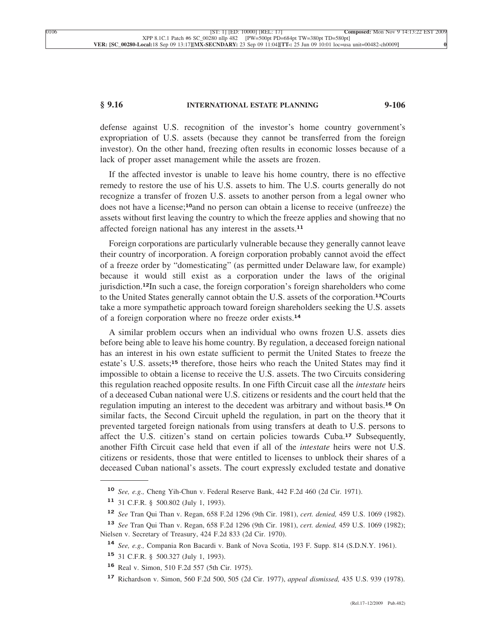## **§ 9.16 INTERNATIONAL ESTATE PLANNING 9-106**

defense against U.S. recognition of the investor's home country government's expropriation of U.S. assets (because they cannot be transferred from the foreign investor). On the other hand, freezing often results in economic losses because of a lack of proper asset management while the assets are frozen.

If the affected investor is unable to leave his home country, there is no effective remedy to restore the use of his U.S. assets to him. The U.S. courts generally do not recognize a transfer of frozen U.S. assets to another person from a legal owner who does not have a license;**10**and no person can obtain a license to receive (unfreeze) the assets without first leaving the country to which the freeze applies and showing that no affected foreign national has any interest in the assets.**<sup>11</sup>**

Foreign corporations are particularly vulnerable because they generally cannot leave their country of incorporation. A foreign corporation probably cannot avoid the effect of a freeze order by "domesticating" (as permitted under Delaware law, for example) because it would still exist as a corporation under the laws of the original jurisdiction.**12**In such a case, the foreign corporation's foreign shareholders who come to the United States generally cannot obtain the U.S. assets of the corporation.**13**Courts take a more sympathetic approach toward foreign shareholders seeking the U.S. assets of a foreign corporation where no freeze order exists.**<sup>14</sup>**

A similar problem occurs when an individual who owns frozen U.S. assets dies before being able to leave his home country. By regulation, a deceased foreign national has an interest in his own estate sufficient to permit the United States to freeze the estate's U.S. assets;**<sup>15</sup>** therefore, those heirs who reach the United States may find it impossible to obtain a license to receive the U.S. assets. The two Circuits considering this regulation reached opposite results. In one Fifth Circuit case all the *intestate* heirs of a deceased Cuban national were U.S. citizens or residents and the court held that the regulation imputing an interest to the decedent was arbitrary and without basis.**<sup>16</sup>** On similar facts, the Second Circuit upheld the regulation, in part on the theory that it prevented targeted foreign nationals from using transfers at death to U.S. persons to affect the U.S. citizen's stand on certain policies towards Cuba.**<sup>17</sup>** Subsequently, another Fifth Circuit case held that even if all of the *intestate* heirs were not U.S. citizens or residents, those that were entitled to licenses to unblock their shares of a deceased Cuban national's assets. The court expressly excluded testate and donative

**<sup>10</sup>** *See, e.g.,* Cheng Yih-Chun v. Federal Reserve Bank, 442 F.2d 460 (2d Cir. 1971).

**<sup>11</sup>** 31 C.F.R. § 500.802 (July 1, 1993).

**<sup>12</sup>** *See* Tran Qui Than v. Regan, 658 F.2d 1296 (9th Cir. 1981), *cert. denied,* 459 U.S. 1069 (1982).

**<sup>13</sup>** *See* Tran Qui Than v. Regan, 658 F.2d 1296 (9th Cir. 1981), *cert. denied,* 459 U.S. 1069 (1982); Nielsen v. Secretary of Treasury, 424 F.2d 833 (2d Cir. 1970).

**<sup>14</sup>** *See, e.g.,* Compania Ron Bacardi v. Bank of Nova Scotia, 193 F. Supp. 814 (S.D.N.Y. 1961).

**<sup>15</sup>** 31 C.F.R. § 500.327 (July 1, 1993).

**<sup>16</sup>** Real v. Simon, 510 F.2d 557 (5th Cir. 1975).

**<sup>17</sup>** Richardson v. Simon, 560 F.2d 500, 505 (2d Cir. 1977), *appeal dismissed,* 435 U.S. 939 (1978).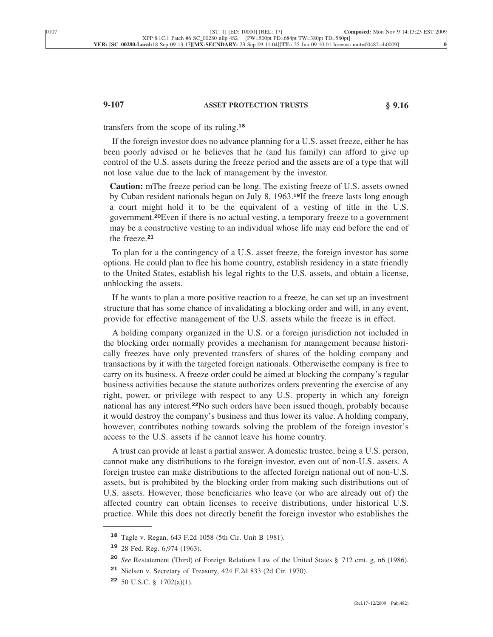## **9-107 ASSET PROTECTION TRUSTS § 9.16**

transfers from the scope of its ruling.**<sup>18</sup>**

If the foreign investor does no advance planning for a U.S. asset freeze, either he has been poorly advised or he believes that he (and his family) can afford to give up control of the U.S. assets during the freeze period and the assets are of a type that will not lose value due to the lack of management by the investor.

**Caution:** mThe freeze period can be long. The existing freeze of U.S. assets owned by Cuban resident nationals began on July 8, 1963.**19**If the freeze lasts long enough a court might hold it to be the equivalent of a vesting of title in the U.S. government.**20**Even if there is no actual vesting, a temporary freeze to a government may be a constructive vesting to an individual whose life may end before the end of the freeze.**<sup>21</sup>**

To plan for a the contingency of a U.S. asset freeze, the foreign investor has some options. He could plan to flee his home country, establish residency in a state friendly to the United States, establish his legal rights to the U.S. assets, and obtain a license, unblocking the assets.

If he wants to plan a more positive reaction to a freeze, he can set up an investment structure that has some chance of invalidating a blocking order and will, in any event, provide for effective management of the U.S. assets while the freeze is in effect.

A holding company organized in the U.S. or a foreign jurisdiction not included in the blocking order normally provides a mechanism for management because historically freezes have only prevented transfers of shares of the holding company and transactions by it with the targeted foreign nationals. Otherwisethe company is free to carry on its business. A freeze order could be aimed at blocking the company's regular business activities because the statute authorizes orders preventing the exercise of any right, power, or privilege with respect to any U.S. property in which any foreign national has any interest.**22**No such orders have been issued though, probably because it would destroy the company's business and thus lower its value. A holding company, however, contributes nothing towards solving the problem of the foreign investor's access to the U.S. assets if he cannot leave his home country.

A trust can provide at least a partial answer. A domestic trustee, being a U.S. person, cannot make any distributions to the foreign investor, even out of non-U.S. assets. A foreign trustee can make distributions to the affected foreign national out of non-U.S. assets, but is prohibited by the blocking order from making such distributions out of U.S. assets. However, those beneficiaries who leave (or who are already out of) the affected country can obtain licenses to receive distributions, under historical U.S. practice. While this does not directly benefit the foreign investor who establishes the

**<sup>18</sup>** Tagle v. Regan, 643 F.2d 1058 (5th Cir. Unit B 1981).

**<sup>19</sup>** 28 Fed. Reg. 6,974 (1963).

**<sup>20</sup>** *See* Restatement (Third) of Foreign Relations Law of the United States § 712 cmt. g, n6 (1986).

**<sup>21</sup>** Nielsen v. Secretary of Treasury, 424 F.2d 833 (2d Cir. 1970).

**<sup>22</sup>** 50 U.S.C. § 1702(a)(1).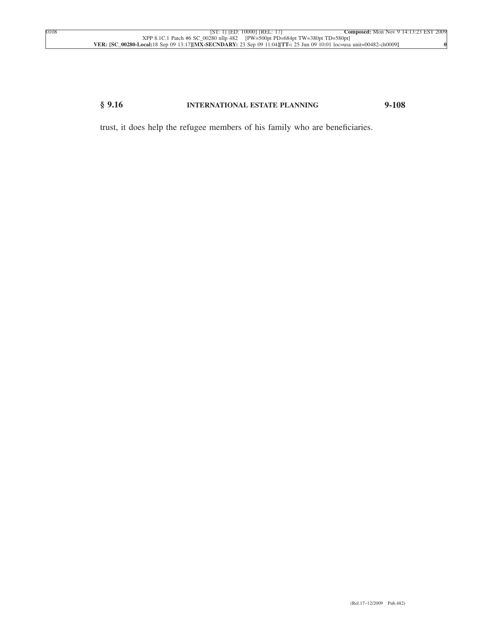# **§ 9.16 INTERNATIONAL ESTATE PLANNING 9-108**

trust, it does help the refugee members of his family who are beneficiaries.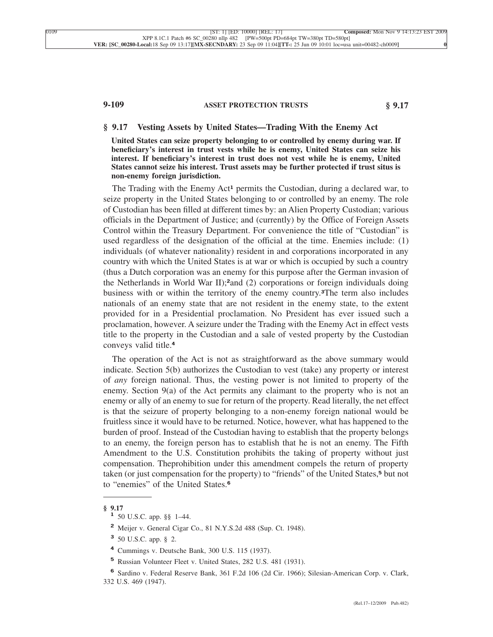# **9-109 ASSET PROTECTION TRUSTS § 9.17**

#### **§ 9.17 Vesting Assets by United States—Trading With the Enemy Act**

**United States can seize property belonging to or controlled by enemy during war. If beneficiary's interest in trust vests while he is enemy, United States can seize his interest. If beneficiary's interest in trust does not vest while he is enemy, United States cannot seize his interest. Trust assets may be further protected if trust situs is non-enemy foreign jurisdiction.**

The Trading with the Enemy Act**<sup>1</sup>** permits the Custodian, during a declared war, to seize property in the United States belonging to or controlled by an enemy. The role of Custodian has been filled at different times by: an Alien Property Custodian; various officials in the Department of Justice; and (currently) by the Office of Foreign Assets Control within the Treasury Department. For convenience the title of "Custodian" is used regardless of the designation of the official at the time. Enemies include: (1) individuals (of whatever nationality) resident in and corporations incorporated in any country with which the United States is at war or which is occupied by such a country (thus a Dutch corporation was an enemy for this purpose after the German invasion of the Netherlands in World War II);**2**and (2) corporations or foreign individuals doing business with or within the territory of the enemy country.**3**The term also includes nationals of an enemy state that are not resident in the enemy state, to the extent provided for in a Presidential proclamation. No President has ever issued such a proclamation, however. A seizure under the Trading with the Enemy Act in effect vests title to the property in the Custodian and a sale of vested property by the Custodian conveys valid title.**<sup>4</sup>**

The operation of the Act is not as straightforward as the above summary would indicate. Section 5(b) authorizes the Custodian to vest (take) any property or interest of *any* foreign national. Thus, the vesting power is not limited to property of the enemy. Section 9(a) of the Act permits any claimant to the property who is not an enemy or ally of an enemy to sue for return of the property. Read literally, the net effect is that the seizure of property belonging to a non-enemy foreign national would be fruitless since it would have to be returned. Notice, however, what has happened to the burden of proof. Instead of the Custodian having to establish that the property belongs to an enemy, the foreign person has to establish that he is not an enemy. The Fifth Amendment to the U.S. Constitution prohibits the taking of property without just compensation. Theprohibition under this amendment compels the return of property taken (or just compensation for the property) to "friends" of the United States,**<sup>5</sup>** but not to "enemies" of the United States.**<sup>6</sup>**

**<sup>§ 9.17</sup> <sup>1</sup>** 50 U.S.C. app. §§ 1–44.

**<sup>2</sup>** Meijer v. General Cigar Co., 81 N.Y.S.2d 488 (Sup. Ct. 1948).

**<sup>3</sup>** 50 U.S.C. app. § 2.

**<sup>4</sup>** Cummings v. Deutsche Bank, 300 U.S. 115 (1937).

**<sup>5</sup>** Russian Volunteer Fleet v. United States, 282 U.S. 481 (1931).

**<sup>6</sup>** Sardino v. Federal Reserve Bank, 361 F.2d 106 (2d Cir. 1966); Silesian-American Corp. v. Clark, 332 U.S. 469 (1947).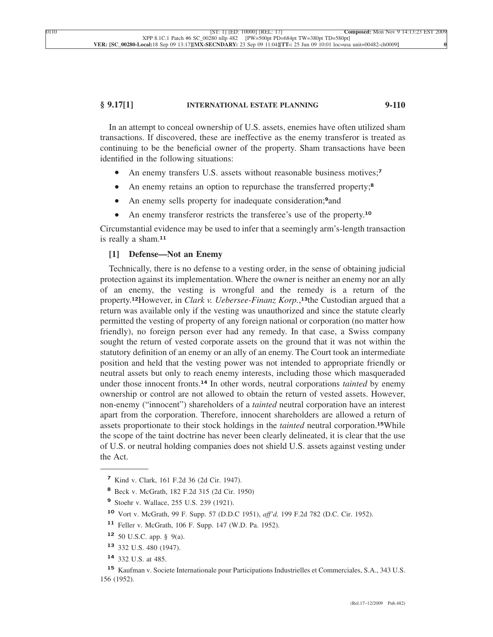## **§ 9.17[1] INTERNATIONAL ESTATE PLANNING 9-110**

In an attempt to conceal ownership of U.S. assets, enemies have often utilized sham transactions. If discovered, these are ineffective as the enemy transferor is treated as continuing to be the beneficial owner of the property. Sham transactions have been identified in the following situations:

- An enemy transfers U.S. assets without reasonable business motives;**<sup>7</sup>**
- An enemy retains an option to repurchase the transferred property;**<sup>8</sup>**
- An enemy sells property for inadequate consideration;**9**and
- An enemy transferor restricts the transferee's use of the property.**<sup>10</sup>**

Circumstantial evidence may be used to infer that a seemingly arm's-length transaction is really a sham.**<sup>11</sup>**

## **[1] Defense—Not an Enemy**

Technically, there is no defense to a vesting order, in the sense of obtaining judicial protection against its implementation. Where the owner is neither an enemy nor an ally of an enemy, the vesting is wrongful and the remedy is a return of the property.**12**However, in *Clark v. Uebersee-Finanz Korp.*, **<sup>13</sup>**the Custodian argued that a return was available only if the vesting was unauthorized and since the statute clearly permitted the vesting of property of any foreign national or corporation (no matter how friendly), no foreign person ever had any remedy. In that case, a Swiss company sought the return of vested corporate assets on the ground that it was not within the statutory definition of an enemy or an ally of an enemy. The Court took an intermediate position and held that the vesting power was not intended to appropriate friendly or neutral assets but only to reach enemy interests, including those which masqueraded under those innocent fronts.**<sup>14</sup>** In other words, neutral corporations *tainted* by enemy ownership or control are not allowed to obtain the return of vested assets. However, non-enemy ("innocent") shareholders of a *tainted* neutral corporation have an interest apart from the corporation. Therefore, innocent shareholders are allowed a return of assets proportionate to their stock holdings in the *tainted* neutral corporation.**15**While the scope of the taint doctrine has never been clearly delineated, it is clear that the use of U.S. or neutral holding companies does not shield U.S. assets against vesting under the Act.

- **<sup>8</sup>** Beck v. McGrath, 182 F.2d 315 (2d Cir. 1950)
- **<sup>9</sup>** Stoehr v. Wallace, 255 U.S. 239 (1921).
- **<sup>10</sup>** Vort v. McGrath, 99 F. Supp. 57 (D.D.C 1951), *aff'd,* 199 F.2d 782 (D.C. Cir. 1952).
- **<sup>11</sup>** Feller v. McGrath, 106 F. Supp. 147 (W.D. Pa. 1952).

**<sup>7</sup>** Kind v. Clark, 161 F.2d 36 (2d Cir. 1947).

**<sup>12</sup>** 50 U.S.C. app. § 9(a).

**<sup>13</sup>** 332 U.S. 480 (1947).

**<sup>14</sup>** 332 U.S. at 485.

**<sup>15</sup>** Kaufman v. Societe Internationale pour Participations Industrielles et Commerciales, S.A., 343 U.S. 156 (1952).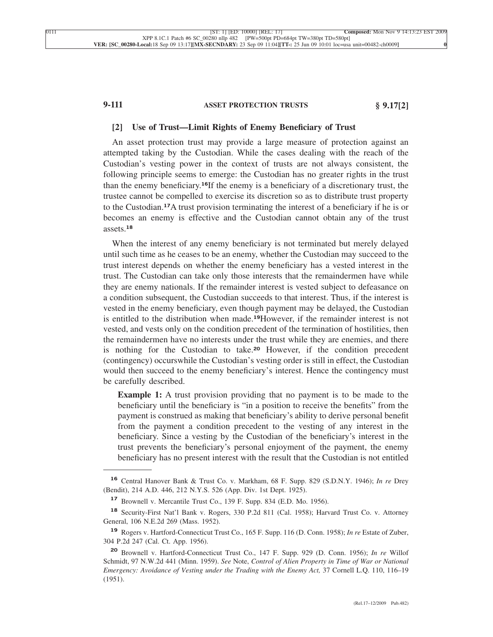# **9-111 ASSET PROTECTION TRUSTS § 9.17[2]**

#### **[2] Use of Trust—Limit Rights of Enemy Beneficiary of Trust**

An asset protection trust may provide a large measure of protection against an attempted taking by the Custodian. While the cases dealing with the reach of the Custodian's vesting power in the context of trusts are not always consistent, the following principle seems to emerge: the Custodian has no greater rights in the trust than the enemy beneficiary.**16**If the enemy is a beneficiary of a discretionary trust, the trustee cannot be compelled to exercise its discretion so as to distribute trust property to the Custodian.**17**A trust provision terminating the interest of a beneficiary if he is or becomes an enemy is effective and the Custodian cannot obtain any of the trust assets.**<sup>18</sup>**

When the interest of any enemy beneficiary is not terminated but merely delayed until such time as he ceases to be an enemy, whether the Custodian may succeed to the trust interest depends on whether the enemy beneficiary has a vested interest in the trust. The Custodian can take only those interests that the remaindermen have while they are enemy nationals. If the remainder interest is vested subject to defeasance on a condition subsequent, the Custodian succeeds to that interest. Thus, if the interest is vested in the enemy beneficiary, even though payment may be delayed, the Custodian is entitled to the distribution when made.**19**However, if the remainder interest is not vested, and vests only on the condition precedent of the termination of hostilities, then the remaindermen have no interests under the trust while they are enemies, and there is nothing for the Custodian to take.**<sup>20</sup>** However, if the condition precedent (contingency) occurswhile the Custodian's vesting order is still in effect, the Custodian would then succeed to the enemy beneficiary's interest. Hence the contingency must be carefully described.

**Example 1:** A trust provision providing that no payment is to be made to the beneficiary until the beneficiary is "in a position to receive the benefits" from the payment is construed as making that beneficiary's ability to derive personal benefit from the payment a condition precedent to the vesting of any interest in the beneficiary. Since a vesting by the Custodian of the beneficiary's interest in the trust prevents the beneficiary's personal enjoyment of the payment, the enemy beneficiary has no present interest with the result that the Custodian is not entitled

**<sup>16</sup>** Central Hanover Bank & Trust Co. v. Markham, 68 F. Supp. 829 (S.D.N.Y. 1946); *In re* Drey (Bendit), 214 A.D. 446, 212 N.Y.S. 526 (App. Div. 1st Dept. 1925).

**<sup>17</sup>** Brownell v. Mercantile Trust Co., 139 F. Supp. 834 (E.D. Mo. 1956).

**<sup>18</sup>** Security-First Nat'l Bank v. Rogers, 330 P.2d 811 (Cal. 1958); Harvard Trust Co. v. Attorney General, 106 N.E.2d 269 (Mass. 1952).

**<sup>19</sup>** Rogers v. Hartford-Connecticut Trust Co., 165 F. Supp. 116 (D. Conn. 1958); *In re* Estate of Zuber, 304 P.2d 247 (Cal. Ct. App. 1956).

**<sup>20</sup>** Brownell v. Hartford-Connecticut Trust Co., 147 F. Supp. 929 (D. Conn. 1956); *In re* Willof Schmidt, 97 N.W.2d 441 (Minn. 1959). *See* Note, *Control of Alien Property in Time of War or National Emergency: Avoidance of Vesting under the Trading with the Enemy Act,* 37 Cornell L.Q. 110, 116–19 (1951).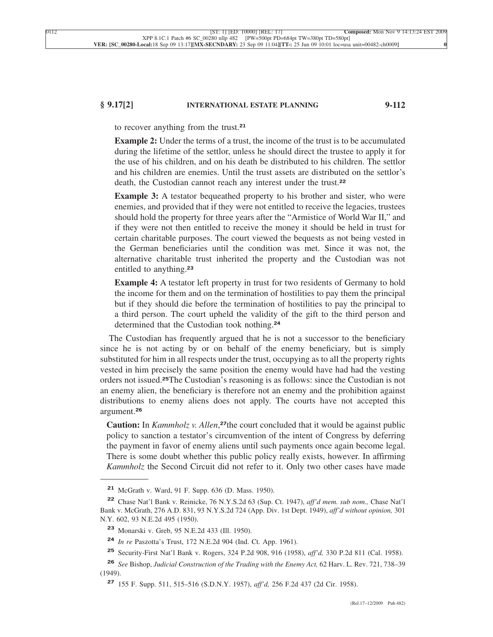## **§ 9.17[2] INTERNATIONAL ESTATE PLANNING 9-112**

to recover anything from the trust.**<sup>21</sup>**

**Example 2:** Under the terms of a trust, the income of the trust is to be accumulated during the lifetime of the settlor, unless he should direct the trustee to apply it for the use of his children, and on his death be distributed to his children. The settlor and his children are enemies. Until the trust assets are distributed on the settlor's death, the Custodian cannot reach any interest under the trust.**<sup>22</sup>**

**Example 3:** A testator bequeathed property to his brother and sister, who were enemies, and provided that if they were not entitled to receive the legacies, trustees should hold the property for three years after the "Armistice of World War II," and if they were not then entitled to receive the money it should be held in trust for certain charitable purposes. The court viewed the bequests as not being vested in the German beneficiaries until the condition was met. Since it was not, the alternative charitable trust inherited the property and the Custodian was not entitled to anything.**<sup>23</sup>**

**Example 4:** A testator left property in trust for two residents of Germany to hold the income for them and on the termination of hostilities to pay them the principal but if they should die before the termination of hostilities to pay the principal to a third person. The court upheld the validity of the gift to the third person and determined that the Custodian took nothing.**<sup>24</sup>**

The Custodian has frequently argued that he is not a successor to the beneficiary since he is not acting by or on behalf of the enemy beneficiary, but is simply substituted for him in all respects under the trust, occupying as to all the property rights vested in him precisely the same position the enemy would have had had the vesting orders not issued.**25**The Custodian's reasoning is as follows: since the Custodian is not an enemy alien, the beneficiary is therefore not an enemy and the prohibition against distributions to enemy aliens does not apply. The courts have not accepted this argument.**<sup>26</sup>**

**Caution:** In *Kammholz v. Allen*, **<sup>27</sup>**the court concluded that it would be against public policy to sanction a testator's circumvention of the intent of Congress by deferring the payment in favor of enemy aliens until such payments once again become legal. There is some doubt whether this public policy really exists, however. In affirming *Kammholz* the Second Circuit did not refer to it. Only two other cases have made

**<sup>21</sup>** McGrath v. Ward, 91 F. Supp. 636 (D. Mass. 1950).

**<sup>22</sup>** Chase Nat'l Bank v. Reinicke, 76 N.Y.S.2d 63 (Sup. Ct. 1947), *aff'd mem. sub nom.,* Chase Nat'l Bank v. McGrath, 276 A.D. 831, 93 N.Y.S.2d 724 (App. Div. 1st Dept. 1949), *aff'd without opinion,* 301 N.Y. 602, 93 N.E.2d 495 (1950).

**<sup>23</sup>** Monarski v. Greb, 95 N.E.2d 433 (Ill. 1950).

**<sup>24</sup>** *In re* Paszotta's Trust, 172 N.E.2d 904 (Ind. Ct. App. 1961).

**<sup>25</sup>** Security-First Nat'l Bank v. Rogers, 324 P.2d 908, 916 (1958), *aff'd,* 330 P.2d 811 (Cal. 1958).

**<sup>26</sup>** *See* Bishop, *Judicial Construction of the Trading with the Enemy Act,* 62 Harv. L. Rev. 721, 738–39 (1949).

**<sup>27</sup>** 155 F. Supp. 511, 515–516 (S.D.N.Y. 1957), *aff'd,* 256 F.2d 437 (2d Cir. 1958).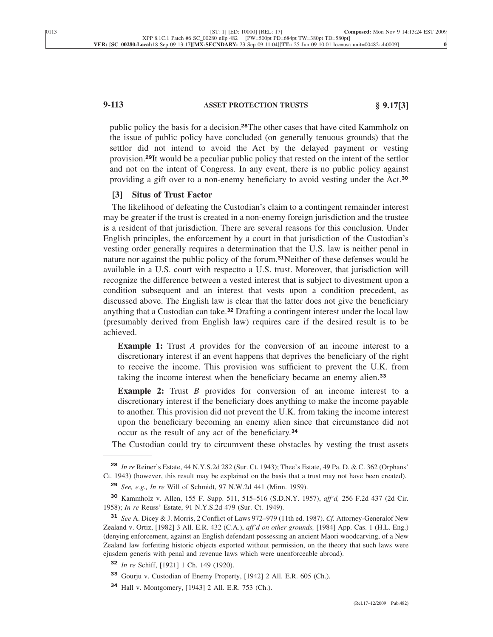# **9-113 ASSET PROTECTION TRUSTS § 9.17[3]**

public policy the basis for a decision.**28**The other cases that have cited Kammholz on the issue of public policy have concluded (on generally tenuous grounds) that the settlor did not intend to avoid the Act by the delayed payment or vesting provision.**29**It would be a peculiar public policy that rested on the intent of the settlor and not on the intent of Congress. In any event, there is no public policy against providing a gift over to a non-enemy beneficiary to avoid vesting under the Act.**<sup>30</sup>**

# **[3] Situs of Trust Factor**

The likelihood of defeating the Custodian's claim to a contingent remainder interest may be greater if the trust is created in a non-enemy foreign jurisdiction and the trustee is a resident of that jurisdiction. There are several reasons for this conclusion. Under English principles, the enforcement by a court in that jurisdiction of the Custodian's vesting order generally requires a determination that the U.S. law is neither penal in nature nor against the public policy of the forum.**31**Neither of these defenses would be available in a U.S. court with respectto a U.S. trust. Moreover, that jurisdiction will recognize the difference between a vested interest that is subject to divestment upon a condition subsequent and an interest that vests upon a condition precedent, as discussed above. The English law is clear that the latter does not give the beneficiary anything that a Custodian can take.**<sup>32</sup>** Drafting a contingent interest under the local law (presumably derived from English law) requires care if the desired result is to be achieved.

**Example 1:** Trust *A* provides for the conversion of an income interest to a discretionary interest if an event happens that deprives the beneficiary of the right to receive the income. This provision was sufficient to prevent the U.K. from taking the income interest when the beneficiary became an enemy alien.**<sup>33</sup>**

**Example 2:** Trust *B* provides for conversion of an income interest to a discretionary interest if the beneficiary does anything to make the income payable to another. This provision did not prevent the U.K. from taking the income interest upon the beneficiary becoming an enemy alien since that circumstance did not occur as the result of any act of the beneficiary.**<sup>34</sup>**

The Custodian could try to circumvent these obstacles by vesting the trust assets

**<sup>28</sup>** *In re* Reiner's Estate, 44 N.Y.S.2d 282 (Sur. Ct. 1943); Thee's Estate, 49 Pa. D. & C. 362 (Orphans' Ct. 1943) (however, this result may be explained on the basis that a trust may not have been created).

**<sup>29</sup>** *See, e.g., In re* Will of Schmidt, 97 N.W.2d 441 (Minn. 1959).

**<sup>30</sup>** Kammholz v. Allen, 155 F. Supp. 511, 515–516 (S.D.N.Y. 1957), *aff'd,* 256 F.2d 437 (2d Cir. 1958); *In re* Reuss' Estate, 91 N.Y.S.2d 479 (Sur. Ct. 1949).

**<sup>31</sup>** *See* A. Dicey & J. Morris, 2 Conflict of Laws 972–979 (11th ed. 1987). *Cf.* Attorney-Generalof New Zealand v. Ortiz, [1982] 3 All. E.R. 432 (C.A.), *aff'd on other grounds,* [1984] App. Cas. 1 (H.L. Eng.) (denying enforcement, against an English defendant possessing an ancient Maori woodcarving, of a New Zealand law forfeiting historic objects exported without permission, on the theory that such laws were ejusdem generis with penal and revenue laws which were unenforceable abroad).

**<sup>32</sup>** *In re* Schiff, [1921] 1 Ch. 149 (1920).

**<sup>33</sup>** Gourju v. Custodian of Enemy Property, [1942] 2 All. E.R. 605 (Ch.).

**<sup>34</sup>** Hall v. Montgomery, [1943] 2 All. E.R. 753 (Ch.).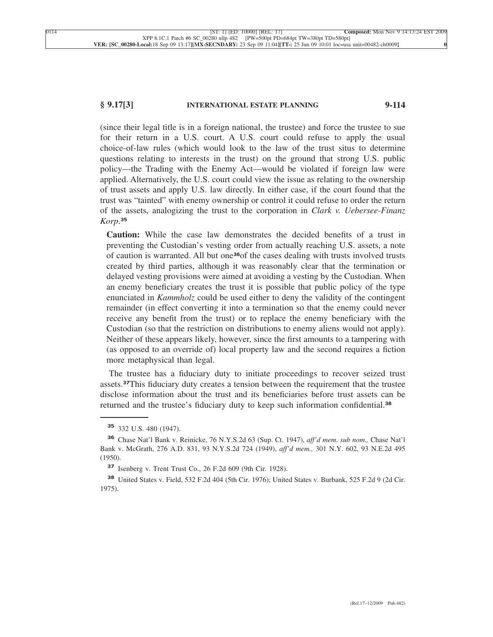## **§ 9.17[3] INTERNATIONAL ESTATE PLANNING 9-114**

(since their legal title is in a foreign national, the trustee) and force the trustee to sue for their return in a U.S. court. A U.S. court could refuse to apply the usual choice-of-law rules (which would look to the law of the trust situs to determine questions relating to interests in the trust) on the ground that strong U.S. public policy—the Trading with the Enemy Act—would be violated if foreign law were applied. Alternatively, the U.S. court could view the issue as relating to the ownership of trust assets and apply U.S. law directly. In either case, if the court found that the trust was "tainted" with enemy ownership or control it could refuse to order the return of the assets, analogizing the trust to the corporation in *Clark v. Uebersee-Finanz Korp*. **35**

**Caution:** While the case law demonstrates the decided benefits of a trust in preventing the Custodian's vesting order from actually reaching U.S. assets, a note of caution is warranted. All but one**36**of the cases dealing with trusts involved trusts created by third parties, although it was reasonably clear that the termination or delayed vesting provisions were aimed at avoiding a vesting by the Custodian. When an enemy beneficiary creates the trust it is possible that public policy of the type enunciated in *Kammholz* could be used either to deny the validity of the contingent remainder (in effect converting it into a termination so that the enemy could never receive any benefit from the trust) or to replace the enemy beneficiary with the Custodian (so that the restriction on distributions to enemy aliens would not apply). Neither of these appears likely, however, since the first amounts to a tampering with (as opposed to an override of) local property law and the second requires a fiction more metaphysical than legal.

The trustee has a fiduciary duty to initiate proceedings to recover seized trust assets.**37**This fiduciary duty creates a tension between the requirement that the trustee disclose information about the trust and its beneficiaries before trust assets can be returned and the trustee's fiduciary duty to keep such information confidential.**<sup>38</sup>**

**<sup>35</sup>** 332 U.S. 480 (1947).

**<sup>36</sup>** Chase Nat'l Bank v. Reinicke, 76 N.Y.S.2d 63 (Sup. Ct. 1947), *aff'd mem. sub nom.,* Chase Nat'l Bank v. McGrath, 276 A.D. 831, 93 N.Y.S.2d 724 (1949), *aff'd mem.,* 301 N.Y. 602, 93 N.E.2d 495 (1950).

**<sup>37</sup>** Isenberg v. Trent Trust Co., 26 F.2d 609 (9th Cir. 1928).

**<sup>38</sup>** United States v. Field, 532 F.2d 404 (5th Cir. 1976); United States v. Burbank, 525 F.2d 9 (2d Cir. 1975).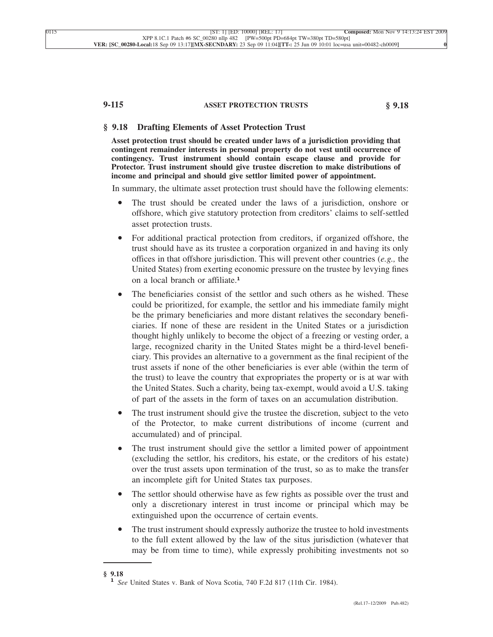# **9-115 ASSET PROTECTION TRUSTS § 9.18**

### **§ 9.18 Drafting Elements of Asset Protection Trust**

**Asset protection trust should be created under laws of a jurisdiction providing that contingent remainder interests in personal property do not vest until occurrence of contingency. Trust instrument should contain escape clause and provide for Protector. Trust instrument should give trustee discretion to make distributions of income and principal and should give settlor limited power of appointment.**

In summary, the ultimate asset protection trust should have the following elements:

- The trust should be created under the laws of a jurisdiction, onshore or offshore, which give statutory protection from creditors' claims to self-settled asset protection trusts.
- For additional practical protection from creditors, if organized offshore, the trust should have as its trustee a corporation organized in and having its only offices in that offshore jurisdiction. This will prevent other countries (*e.g.,* the United States) from exerting economic pressure on the trustee by levying fines on a local branch or affiliate.**<sup>1</sup>**
- The beneficiaries consist of the settlor and such others as he wished. These could be prioritized, for example, the settlor and his immediate family might be the primary beneficiaries and more distant relatives the secondary beneficiaries. If none of these are resident in the United States or a jurisdiction thought highly unlikely to become the object of a freezing or vesting order, a large, recognized charity in the United States might be a third-level beneficiary. This provides an alternative to a government as the final recipient of the trust assets if none of the other beneficiaries is ever able (within the term of the trust) to leave the country that expropriates the property or is at war with the United States. Such a charity, being tax-exempt, would avoid a U.S. taking of part of the assets in the form of taxes on an accumulation distribution.
- The trust instrument should give the trustee the discretion, subject to the veto of the Protector, to make current distributions of income (current and accumulated) and of principal.
- The trust instrument should give the settlor a limited power of appointment (excluding the settlor, his creditors, his estate, or the creditors of his estate) over the trust assets upon termination of the trust, so as to make the transfer an incomplete gift for United States tax purposes.
- The settlor should otherwise have as few rights as possible over the trust and only a discretionary interest in trust income or principal which may be extinguished upon the occurrence of certain events.
- The trust instrument should expressly authorize the trustee to hold investments to the full extent allowed by the law of the situs jurisdiction (whatever that may be from time to time), while expressly prohibiting investments not so

**<sup>§ 9.18</sup> <sup>1</sup>** *See* United States v. Bank of Nova Scotia, 740 F.2d 817 (11th Cir. 1984).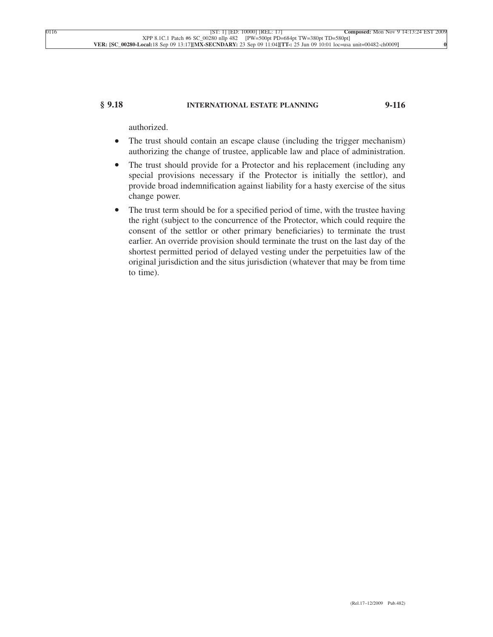# **§ 9.18 INTERNATIONAL ESTATE PLANNING 9-116**

authorized.

- The trust should contain an escape clause (including the trigger mechanism) authorizing the change of trustee, applicable law and place of administration.
- The trust should provide for a Protector and his replacement (including any special provisions necessary if the Protector is initially the settlor), and provide broad indemnification against liability for a hasty exercise of the situs change power.
- The trust term should be for a specified period of time, with the trustee having the right (subject to the concurrence of the Protector, which could require the consent of the settlor or other primary beneficiaries) to terminate the trust earlier. An override provision should terminate the trust on the last day of the shortest permitted period of delayed vesting under the perpetuities law of the original jurisdiction and the situs jurisdiction (whatever that may be from time to time).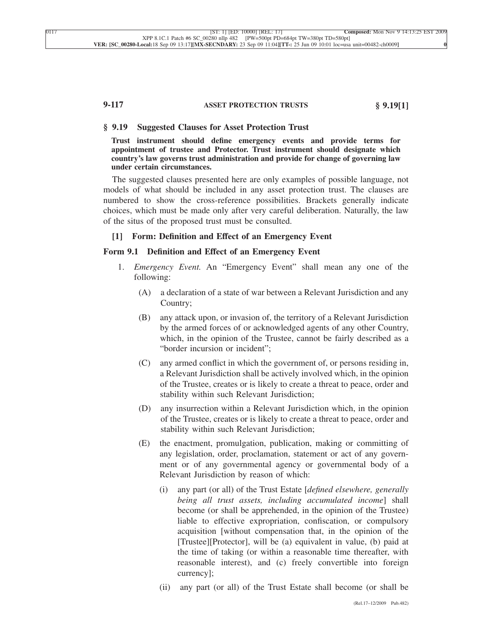# **9-117 ASSET PROTECTION TRUSTS § 9.19[1]**

### **§ 9.19 Suggested Clauses for Asset Protection Trust**

**Trust instrument should define emergency events and provide terms for appointment of trustee and Protector. Trust instrument should designate which country's law governs trust administration and provide for change of governing law under certain circumstances.**

The suggested clauses presented here are only examples of possible language, not models of what should be included in any asset protection trust. The clauses are numbered to show the cross-reference possibilities. Brackets generally indicate choices, which must be made only after very careful deliberation. Naturally, the law of the situs of the proposed trust must be consulted.

#### **[1] Form: Definition and Effect of an Emergency Event**

## **Form 9.1 Definition and Effect of an Emergency Event**

- 1. *Emergency Event.* An "Emergency Event" shall mean any one of the following:
	- (A) a declaration of a state of war between a Relevant Jurisdiction and any Country;
	- (B) any attack upon, or invasion of, the territory of a Relevant Jurisdiction by the armed forces of or acknowledged agents of any other Country, which, in the opinion of the Trustee, cannot be fairly described as a "border incursion or incident";
	- (C) any armed conflict in which the government of, or persons residing in, a Relevant Jurisdiction shall be actively involved which, in the opinion of the Trustee, creates or is likely to create a threat to peace, order and stability within such Relevant Jurisdiction;
	- (D) any insurrection within a Relevant Jurisdiction which, in the opinion of the Trustee, creates or is likely to create a threat to peace, order and stability within such Relevant Jurisdiction;
	- (E) the enactment, promulgation, publication, making or committing of any legislation, order, proclamation, statement or act of any government or of any governmental agency or governmental body of a Relevant Jurisdiction by reason of which:
		- (i) any part (or all) of the Trust Estate [*defined elsewhere, generally being all trust assets, including accumulated income*] shall become (or shall be apprehended, in the opinion of the Trustee) liable to effective expropriation, confiscation, or compulsory acquisition [without compensation that, in the opinion of the [Trustee][Protector], will be (a) equivalent in value, (b) paid at the time of taking (or within a reasonable time thereafter, with reasonable interest), and (c) freely convertible into foreign currency];
		- (ii) any part (or all) of the Trust Estate shall become (or shall be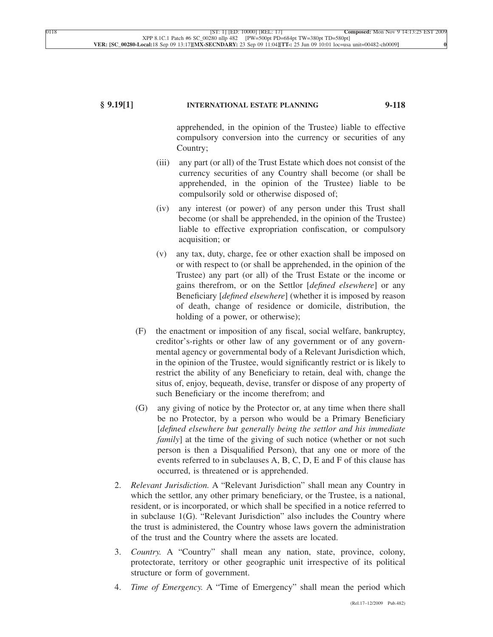# **§ 9.19[1] INTERNATIONAL ESTATE PLANNING 9-118**

apprehended, in the opinion of the Trustee) liable to effective compulsory conversion into the currency or securities of any Country;

- (iii) any part (or all) of the Trust Estate which does not consist of the currency securities of any Country shall become (or shall be apprehended, in the opinion of the Trustee) liable to be compulsorily sold or otherwise disposed of;
- (iv) any interest (or power) of any person under this Trust shall become (or shall be apprehended, in the opinion of the Trustee) liable to effective expropriation confiscation, or compulsory acquisition; or
- (v) any tax, duty, charge, fee or other exaction shall be imposed on or with respect to (or shall be apprehended, in the opinion of the Trustee) any part (or all) of the Trust Estate or the income or gains therefrom, or on the Settlor [*defined elsewhere*] or any Beneficiary [*defined elsewhere*] (whether it is imposed by reason of death, change of residence or domicile, distribution, the holding of a power, or otherwise);
- (F) the enactment or imposition of any fiscal, social welfare, bankruptcy, creditor's-rights or other law of any government or of any governmental agency or governmental body of a Relevant Jurisdiction which, in the opinion of the Trustee, would significantly restrict or is likely to restrict the ability of any Beneficiary to retain, deal with, change the situs of, enjoy, bequeath, devise, transfer or dispose of any property of such Beneficiary or the income therefrom; and
- (G) any giving of notice by the Protector or, at any time when there shall be no Protector, by a person who would be a Primary Beneficiary [*defined elsewhere but generally being the settlor and his immediate family*] at the time of the giving of such notice (whether or not such person is then a Disqualified Person), that any one or more of the events referred to in subclauses A, B, C, D, E and F of this clause has occurred, is threatened or is apprehended.
- 2. *Relevant Jurisdiction.* A "Relevant Jurisdiction" shall mean any Country in which the settlor, any other primary beneficiary, or the Trustee, is a national, resident, or is incorporated, or which shall be specified in a notice referred to in subclause 1(G). "Relevant Jurisdiction" also includes the Country where the trust is administered, the Country whose laws govern the administration of the trust and the Country where the assets are located.
- 3. *Country.* A "Country" shall mean any nation, state, province, colony, protectorate, territory or other geographic unit irrespective of its political structure or form of government.
- 4. *Time of Emergency.* A "Time of Emergency" shall mean the period which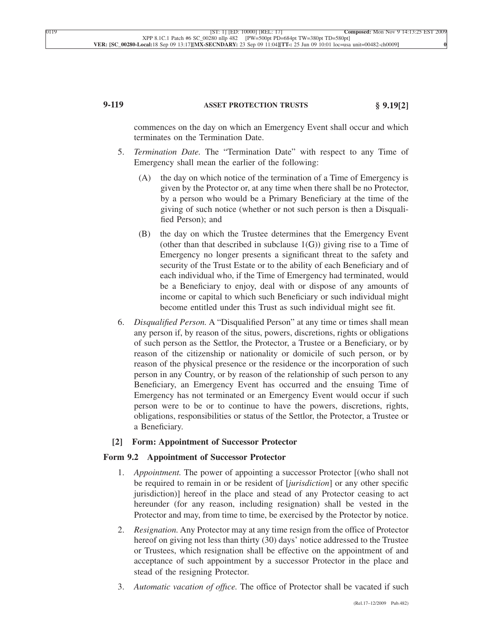# **9-119 ASSET PROTECTION TRUSTS § 9.19[2]**

commences on the day on which an Emergency Event shall occur and which terminates on the Termination Date.

- 5. *Termination Date.* The "Termination Date" with respect to any Time of Emergency shall mean the earlier of the following:
	- (A) the day on which notice of the termination of a Time of Emergency is given by the Protector or, at any time when there shall be no Protector, by a person who would be a Primary Beneficiary at the time of the giving of such notice (whether or not such person is then a Disqualified Person); and
	- (B) the day on which the Trustee determines that the Emergency Event (other than that described in subclause  $1(G)$ ) giving rise to a Time of Emergency no longer presents a significant threat to the safety and security of the Trust Estate or to the ability of each Beneficiary and of each individual who, if the Time of Emergency had terminated, would be a Beneficiary to enjoy, deal with or dispose of any amounts of income or capital to which such Beneficiary or such individual might become entitled under this Trust as such individual might see fit.
- 6. *Disqualified Person.* A "Disqualified Person" at any time or times shall mean any person if, by reason of the situs, powers, discretions, rights or obligations of such person as the Settlor, the Protector, a Trustee or a Beneficiary, or by reason of the citizenship or nationality or domicile of such person, or by reason of the physical presence or the residence or the incorporation of such person in any Country, or by reason of the relationship of such person to any Beneficiary, an Emergency Event has occurred and the ensuing Time of Emergency has not terminated or an Emergency Event would occur if such person were to be or to continue to have the powers, discretions, rights, obligations, responsibilities or status of the Settlor, the Protector, a Trustee or a Beneficiary.

# **[2] Form: Appointment of Successor Protector**

### **Form 9.2 Appointment of Successor Protector**

- 1. *Appointment.* The power of appointing a successor Protector [(who shall not be required to remain in or be resident of [*jurisdiction*] or any other specific jurisdiction)] hereof in the place and stead of any Protector ceasing to act hereunder (for any reason, including resignation) shall be vested in the Protector and may, from time to time, be exercised by the Protector by notice.
- 2. *Resignation.* Any Protector may at any time resign from the office of Protector hereof on giving not less than thirty (30) days' notice addressed to the Trustee or Trustees, which resignation shall be effective on the appointment of and acceptance of such appointment by a successor Protector in the place and stead of the resigning Protector.
- 3. *Automatic vacation of offıce.* The office of Protector shall be vacated if such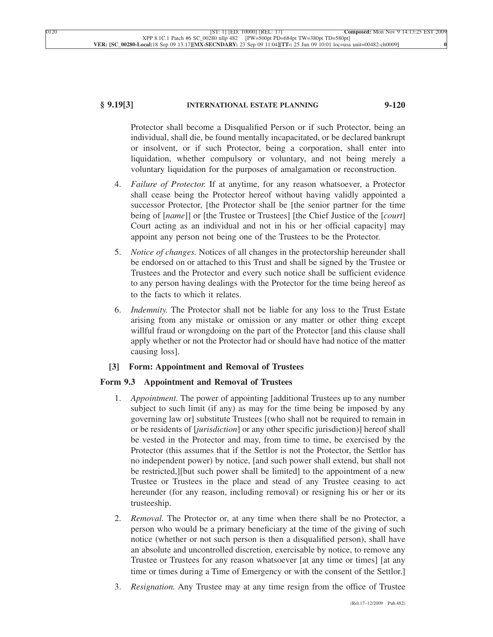# **§ 9.19[3] INTERNATIONAL ESTATE PLANNING 9-120**

Protector shall become a Disqualified Person or if such Protector, being an individual, shall die, be found mentally incapacitated, or be declared bankrupt or insolvent, or if such Protector, being a corporation, shall enter into liquidation, whether compulsory or voluntary, and not being merely a voluntary liquidation for the purposes of amalgamation or reconstruction.

- 4. *Failure of Protector.* If at anytime, for any reason whatsoever, a Protector shall cease being the Protector hereof without having validly appointed a successor Protector, [the Protector shall be [the senior partner for the time being of [*name*]] or [the Trustee or Trustees] [the Chief Justice of the [*court*] Court acting as an individual and not in his or her official capacity] may appoint any person not being one of the Trustees to be the Protector.
- 5. *Notice of changes.* Notices of all changes in the protectorship hereunder shall be endorsed on or attached to this Trust and shall be signed by the Trustee or Trustees and the Protector and every such notice shall be sufficient evidence to any person having dealings with the Protector for the time being hereof as to the facts to which it relates.
- 6. *Indemnity.* The Protector shall not be liable for any loss to the Trust Estate arising from any mistake or omission or any matter or other thing except willful fraud or wrongdoing on the part of the Protector [and this clause shall apply whether or not the Protector had or should have had notice of the matter causing loss].

# **[3] Form: Appointment and Removal of Trustees**

# **Form 9.3 Appointment and Removal of Trustees**

- 1. *Appointment.* The power of appointing [additional Trustees up to any number subject to such limit (if any) as may for the time being be imposed by any governing law or] substitute Trustees [(who shall not be required to remain in or be residents of [*jurisdiction*] or any other specific jurisdiction)] hereof shall be vested in the Protector and may, from time to time, be exercised by the Protector (this assumes that if the Settlor is not the Protector, the Settlor has no independent power) by notice, [and such power shall extend, but shall not be restricted,][but such power shall be limited] to the appointment of a new Trustee or Trustees in the place and stead of any Trustee ceasing to act hereunder (for any reason, including removal) or resigning his or her or its trusteeship.
- 2. *Removal.* The Protector or, at any time when there shall be no Protector, a person who would be a primary beneficiary at the time of the giving of such notice (whether or not such person is then a disqualified person), shall have an absolute and uncontrolled discretion, exercisable by notice, to remove any Trustee or Trustees for any reason whatsoever [at any time or times] [at any time or times during a Time of Emergency or with the consent of the Settlor.]
- 3. *Resignation.* Any Trustee may at any time resign from the office of Trustee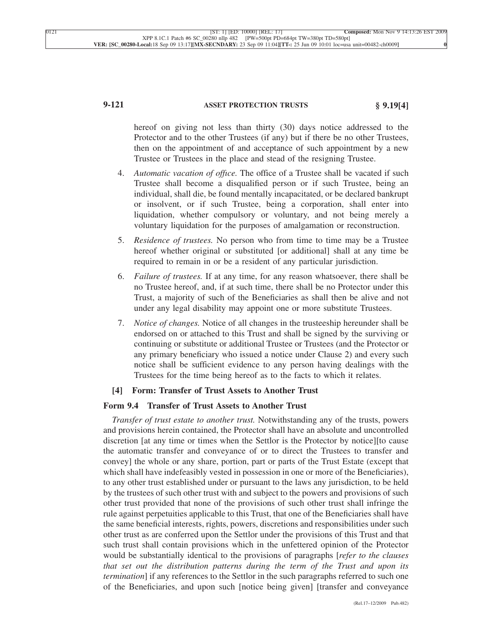# **9-121 ASSET PROTECTION TRUSTS § 9.19[4]**

hereof on giving not less than thirty (30) days notice addressed to the Protector and to the other Trustees (if any) but if there be no other Trustees, then on the appointment of and acceptance of such appointment by a new Trustee or Trustees in the place and stead of the resigning Trustee.

- 4. *Automatic vacation of offıce.* The office of a Trustee shall be vacated if such Trustee shall become a disqualified person or if such Trustee, being an individual, shall die, be found mentally incapacitated, or be declared bankrupt or insolvent, or if such Trustee, being a corporation, shall enter into liquidation, whether compulsory or voluntary, and not being merely a voluntary liquidation for the purposes of amalgamation or reconstruction.
- 5. *Residence of trustees.* No person who from time to time may be a Trustee hereof whether original or substituted [or additional] shall at any time be required to remain in or be a resident of any particular jurisdiction.
- 6. *Failure of trustees.* If at any time, for any reason whatsoever, there shall be no Trustee hereof, and, if at such time, there shall be no Protector under this Trust, a majority of such of the Beneficiaries as shall then be alive and not under any legal disability may appoint one or more substitute Trustees.
- 7. *Notice of changes.* Notice of all changes in the trusteeship hereunder shall be endorsed on or attached to this Trust and shall be signed by the surviving or continuing or substitute or additional Trustee or Trustees (and the Protector or any primary beneficiary who issued a notice under Clause 2) and every such notice shall be sufficient evidence to any person having dealings with the Trustees for the time being hereof as to the facts to which it relates.

# **[4] Form: Transfer of Trust Assets to Another Trust**

### **Form 9.4 Transfer of Trust Assets to Another Trust**

*Transfer of trust estate to another trust.* Notwithstanding any of the trusts, powers and provisions herein contained, the Protector shall have an absolute and uncontrolled discretion [at any time or times when the Settlor is the Protector by notice][to cause the automatic transfer and conveyance of or to direct the Trustees to transfer and convey] the whole or any share, portion, part or parts of the Trust Estate (except that which shall have indefeasibly vested in possession in one or more of the Beneficiaries), to any other trust established under or pursuant to the laws any jurisdiction, to be held by the trustees of such other trust with and subject to the powers and provisions of such other trust provided that none of the provisions of such other trust shall infringe the rule against perpetuities applicable to this Trust, that one of the Beneficiaries shall have the same beneficial interests, rights, powers, discretions and responsibilities under such other trust as are conferred upon the Settlor under the provisions of this Trust and that such trust shall contain provisions which in the unfettered opinion of the Protector would be substantially identical to the provisions of paragraphs [*refer to the clauses that set out the distribution patterns during the term of the Trust and upon its termination*] if any references to the Settlor in the such paragraphs referred to such one of the Beneficiaries, and upon such [notice being given] [transfer and conveyance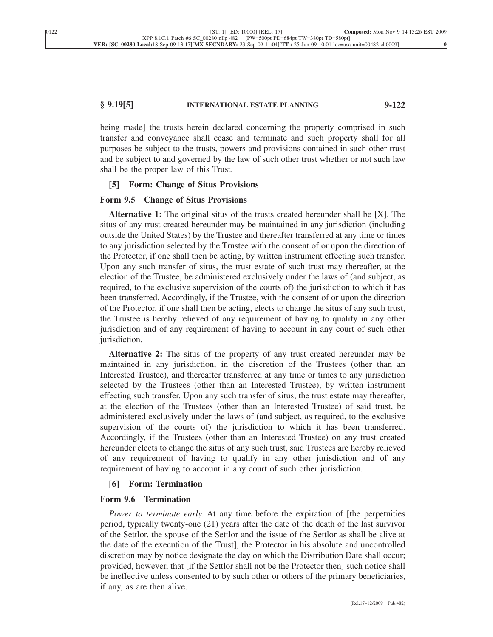## **§ 9.19[5] INTERNATIONAL ESTATE PLANNING 9-122**

being made] the trusts herein declared concerning the property comprised in such transfer and conveyance shall cease and terminate and such property shall for all purposes be subject to the trusts, powers and provisions contained in such other trust and be subject to and governed by the law of such other trust whether or not such law shall be the proper law of this Trust.

### **[5] Form: Change of Situs Provisions**

## **Form 9.5 Change of Situs Provisions**

**Alternative 1:** The original situs of the trusts created hereunder shall be [X]. The situs of any trust created hereunder may be maintained in any jurisdiction (including outside the United States) by the Trustee and thereafter transferred at any time or times to any jurisdiction selected by the Trustee with the consent of or upon the direction of the Protector, if one shall then be acting, by written instrument effecting such transfer. Upon any such transfer of situs, the trust estate of such trust may thereafter, at the election of the Trustee, be administered exclusively under the laws of (and subject, as required, to the exclusive supervision of the courts of) the jurisdiction to which it has been transferred. Accordingly, if the Trustee, with the consent of or upon the direction of the Protector, if one shall then be acting, elects to change the situs of any such trust, the Trustee is hereby relieved of any requirement of having to qualify in any other jurisdiction and of any requirement of having to account in any court of such other jurisdiction.

**Alternative 2:** The situs of the property of any trust created hereunder may be maintained in any jurisdiction, in the discretion of the Trustees (other than an Interested Trustee), and thereafter transferred at any time or times to any jurisdiction selected by the Trustees (other than an Interested Trustee), by written instrument effecting such transfer. Upon any such transfer of situs, the trust estate may thereafter, at the election of the Trustees (other than an Interested Trustee) of said trust, be administered exclusively under the laws of (and subject, as required, to the exclusive supervision of the courts of) the jurisdiction to which it has been transferred. Accordingly, if the Trustees (other than an Interested Trustee) on any trust created hereunder elects to change the situs of any such trust, said Trustees are hereby relieved of any requirement of having to qualify in any other jurisdiction and of any requirement of having to account in any court of such other jurisdiction.

# **[6] Form: Termination**

# **Form 9.6 Termination**

*Power to terminate early.* At any time before the expiration of [the perpetuities period, typically twenty-one (21) years after the date of the death of the last survivor of the Settlor, the spouse of the Settlor and the issue of the Settlor as shall be alive at the date of the execution of the Trust], the Protector in his absolute and uncontrolled discretion may by notice designate the day on which the Distribution Date shall occur; provided, however, that [if the Settlor shall not be the Protector then] such notice shall be ineffective unless consented to by such other or others of the primary beneficiaries, if any, as are then alive.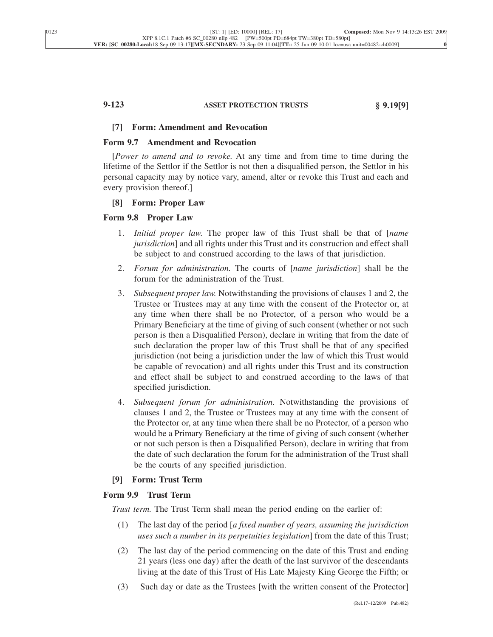# **9-123 ASSET PROTECTION TRUSTS § 9.19[9]**

### **[7] Form: Amendment and Revocation**

## **Form 9.7 Amendment and Revocation**

[*Power to amend and to revoke.* At any time and from time to time during the lifetime of the Settlor if the Settlor is not then a disqualified person, the Settlor in his personal capacity may by notice vary, amend, alter or revoke this Trust and each and every provision thereof.]

## **[8] Form: Proper Law**

### **Form 9.8 Proper Law**

- 1. *Initial proper law.* The proper law of this Trust shall be that of [*name jurisdiction*] and all rights under this Trust and its construction and effect shall be subject to and construed according to the laws of that jurisdiction.
- 2. *Forum for administration.* The courts of [*name jurisdiction*] shall be the forum for the administration of the Trust.
- 3. *Subsequent proper law.* Notwithstanding the provisions of clauses 1 and 2, the Trustee or Trustees may at any time with the consent of the Protector or, at any time when there shall be no Protector, of a person who would be a Primary Beneficiary at the time of giving of such consent (whether or not such person is then a Disqualified Person), declare in writing that from the date of such declaration the proper law of this Trust shall be that of any specified jurisdiction (not being a jurisdiction under the law of which this Trust would be capable of revocation) and all rights under this Trust and its construction and effect shall be subject to and construed according to the laws of that specified jurisdiction.
- 4. *Subsequent forum for administration.* Notwithstanding the provisions of clauses 1 and 2, the Trustee or Trustees may at any time with the consent of the Protector or, at any time when there shall be no Protector, of a person who would be a Primary Beneficiary at the time of giving of such consent (whether or not such person is then a Disqualified Person), declare in writing that from the date of such declaration the forum for the administration of the Trust shall be the courts of any specified jurisdiction.

# **[9] Form: Trust Term**

# **Form 9.9 Trust Term**

*Trust term.* The Trust Term shall mean the period ending on the earlier of:

- (1) The last day of the period [*a fixed number of years, assuming the jurisdiction uses such a number in its perpetuities legislation*] from the date of this Trust;
- (2) The last day of the period commencing on the date of this Trust and ending 21 years (less one day) after the death of the last survivor of the descendants living at the date of this Trust of His Late Majesty King George the Fifth; or
- (3) Such day or date as the Trustees [with the written consent of the Protector]